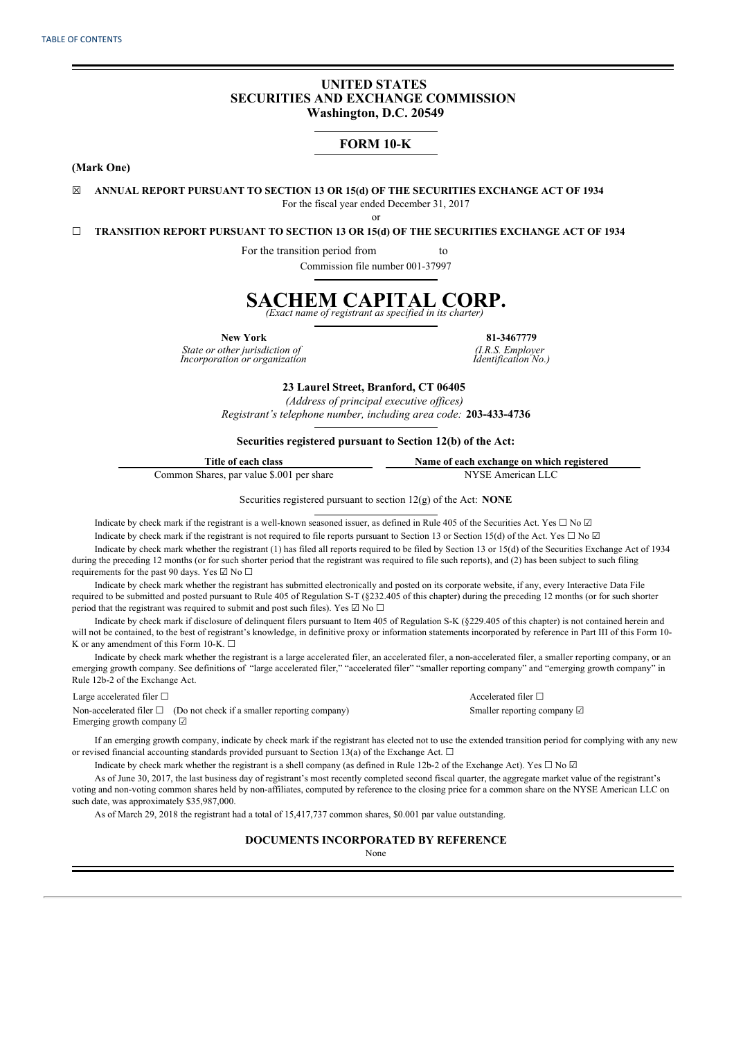# **UNITED STATES SECURITIES AND EXCHANGE COMMISSION Washington, D.C. 20549**

# **FORM 10-K**

**(Mark One)**

**☒ ANNUAL REPORT PURSUANT TO SECTION 13 OR 15(d) OF THE SECURITIES EXCHANGE ACT OF 1934**

For the fiscal year ended December 31, 2017

or

**☐ TRANSITION REPORT PURSUANT TO SECTION 13 OR 15(d) OF THE SECURITIES EXCHANGE ACT OF 1934**

For the transition period from to

Commission file number 001-37997

# **SACHEM CAPITAL CORP.**

*(Exact name of registrant as specified in its charter)*

*State or other jurisdiction of Incorporation or organization*

**New York 81-3467779**

*(I.R.S. Employer Identification No.)*

**23 Laurel Street, Branford, CT 06405**

*(Address of principal executive of ices) Registrant's telephone number, including area code:* **203-433-4736**

# **Securities registered pursuant to Section 12(b) of the Act:**

| Title of each class                       | Name of each exchange on which registered |  |  |
|-------------------------------------------|-------------------------------------------|--|--|
| Common Shares, par value \$.001 per share | NYSE American LLC                         |  |  |

Securities registered pursuant to section 12(g) of the Act: **NONE**

Indicate by check mark if the registrant is a well-known seasoned issuer, as defined in Rule 405 of the Securities Act. Yes  $\Box$  No  $\Box$ 

Indicate by check mark if the registrant is not required to file reports pursuant to Section 13 or Section 15(d) of the Act. Yes ☐ No ☑ Indicate by check mark whether the registrant (1) has filed all reports required to be filed by Section 13 or 15(d) of the Securities Exchange Act of 1934 during the preceding 12 months (or for such shorter period that the registrant was required to file such reports), and (2) has been subject to such filing requirements for the past 90 days. Yes  $\boxdot$  No  $\Box$ 

Indicate by check mark whether the registrant has submitted electronically and posted on its corporate website, if any, every Interactive Data File required to be submitted and posted pursuant to Rule 405 of Regulation S-T (§232.405 of this chapter) during the preceding 12 months (or for such shorter period that the registrant was required to submit and post such files). Yes  $\boxdot$  No  $\Box$ 

Indicate by check mark if disclosure of delinquent filers pursuant to Item 405 of Regulation S-K (§229.405 of this chapter) is not contained herein and will not be contained, to the best of registrant's knowledge, in definitive proxy or information statements incorporated by reference in Part III of this Form 10-K or any amendment of this Form 10-K.  $\Box$ 

Indicate by check mark whether the registrant is a large accelerated filer, an accelerated filer, a non-accelerated filer, a smaller reporting company, or an emerging growth company. See definitions of "large accelerated filer," "accelerated filer" "smaller reporting company" and "emerging growth company" in Rule 12b-2 of the Exchange Act.

Large accelerated filer □ accelerated filer □ accelerated filer □ accelerated filer □

Non-accelerated filer □ (Do not check if a smaller reporting company) Smaller reporting company □ Emerging growth company ☑

If an emerging growth company, indicate by check mark if the registrant has elected not to use the extended transition period for complying with any new or revised financial accounting standards provided pursuant to Section 13(a) of the Exchange Act.  $\Box$ 

Indicate by check mark whether the registrant is a shell company (as defined in Rule 12b-2 of the Exchange Act). Yes  $\Box$  No  $\Box$ 

As of June 30, 2017, the last business day of registrant's most recently completed second fiscal quarter, the aggregate market value of the registrant's voting and non-voting common shares held by non-affiliates, computed by reference to the closing price for a common share on the NYSE American LLC on such date, was approximately \$35,987,000.

As of March 29, 2018 the registrant had a total of 15,417,737 common shares, \$0.001 par value outstanding.

#### **DOCUMENTS INCORPORATED BY REFERENCE**

None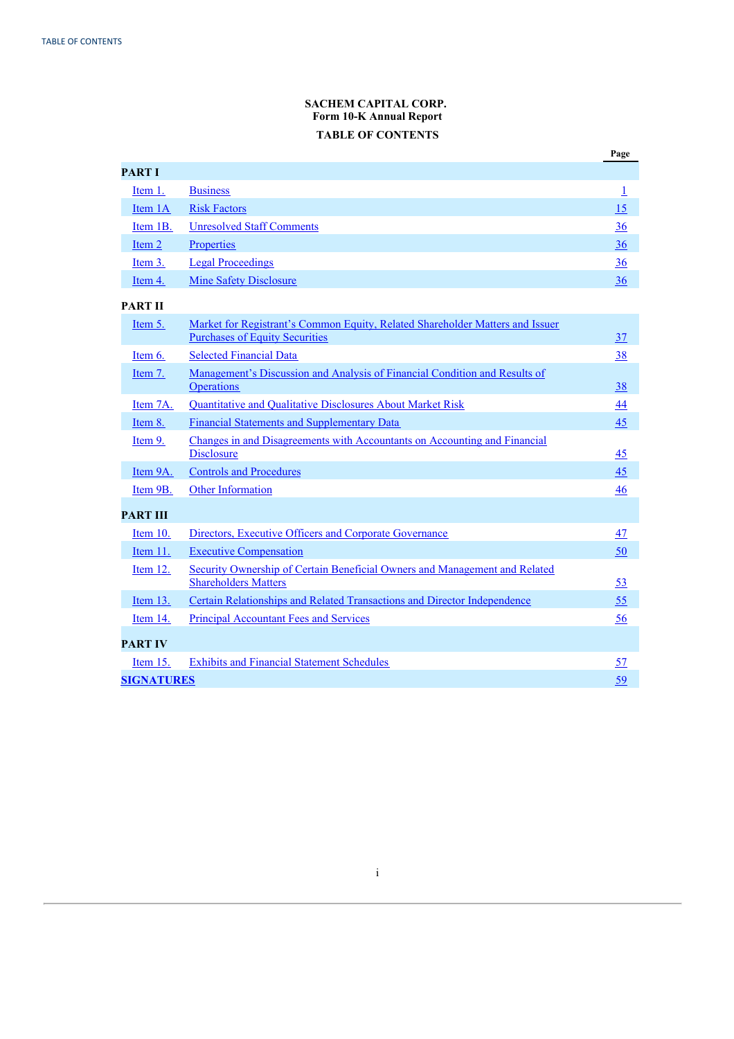# **SACHEM CAPITAL CORP. Form 10-K Annual Report TABLE OF CONTENTS**

|                   |                                                                                                                               | Page      |
|-------------------|-------------------------------------------------------------------------------------------------------------------------------|-----------|
| <b>PARTI</b>      |                                                                                                                               |           |
| Item 1.           | <b>Business</b>                                                                                                               | $\perp$   |
| Item 1A           | <b>Risk Factors</b>                                                                                                           | 15        |
| Item 1B.          | <b>Unresolved Staff Comments</b>                                                                                              | 36        |
| Item 2            | Properties                                                                                                                    | 36        |
| Item 3.           | <b>Legal Proceedings</b>                                                                                                      | 36        |
| Item 4.           | <b>Mine Safety Disclosure</b>                                                                                                 | 36        |
| <b>PART II</b>    |                                                                                                                               |           |
| Item 5.           | <u>Market for Registrant's Common Equity, Related Shareholder Matters and Issuer</u><br><b>Purchases of Equity Securities</b> | 37        |
| Item 6.           | <b>Selected Financial Data</b>                                                                                                | 38        |
| Item 7.           | Management's Discussion and Analysis of Financial Condition and Results of<br><b>Operations</b>                               | 38        |
| Item 7A.          | <b>Ouantitative and Qualitative Disclosures About Market Risk</b>                                                             | <u>44</u> |
| Item 8.           | <b>Financial Statements and Supplementary Data</b>                                                                            | 45        |
| Item 9.           | Changes in and Disagreements with Accountants on Accounting and Financial<br><b>Disclosure</b>                                | 45        |
| Item 9A.          | <b>Controls and Procedures</b>                                                                                                | 45        |
| Item 9B.          | <b>Other Information</b>                                                                                                      | 46        |
| <b>PART III</b>   |                                                                                                                               |           |
| Item $10$ .       | Directors, Executive Officers and Corporate Governance                                                                        | 47        |
| Item $11$ .       | <b>Executive Compensation</b>                                                                                                 | 50        |
| Item $12$ .       | Security Ownership of Certain Beneficial Owners and Management and Related<br><b>Shareholders Matters</b>                     | 53        |
| Item $13$ .       | <b>Certain Relationships and Related Transactions and Director Independence</b>                                               | 55        |
| Item 14.          | <b>Principal Accountant Fees and Services</b>                                                                                 | 56        |
| <b>PART IV</b>    |                                                                                                                               |           |
| Item $15$ .       | <b>Exhibits and Financial Statement Schedules</b>                                                                             | 57        |
| <b>SIGNATURES</b> |                                                                                                                               | 59        |

i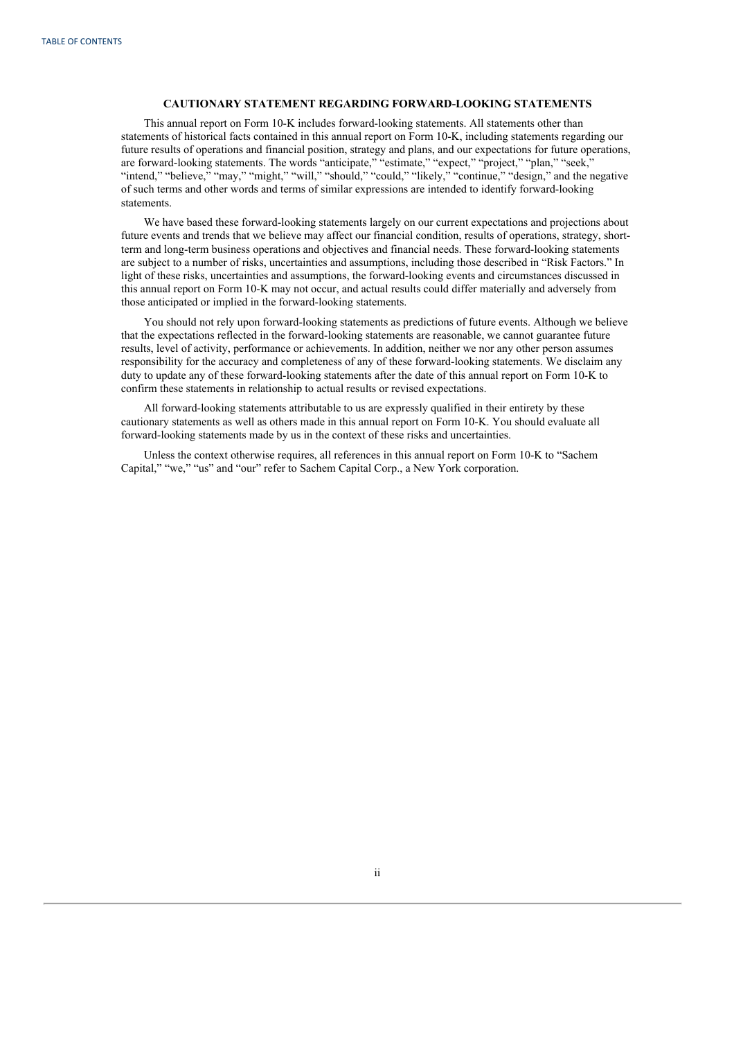# **CAUTIONARY STATEMENT REGARDING FORWARD-LOOKING STATEMENTS**

This annual report on Form 10-K includes forward-looking statements. All statements other than statements of historical facts contained in this annual report on Form 10-K, including statements regarding our future results of operations and financial position, strategy and plans, and our expectations for future operations, are forward-looking statements. The words "anticipate," "estimate," "expect," "project," "plan," "seek," "intend," "believe," "may," "might," "will," "should," "could," "likely," "continue," "design," and the negative of such terms and other words and terms of similar expressions are intended to identify forward-looking statements.

We have based these forward-looking statements largely on our current expectations and projections about future events and trends that we believe may affect our financial condition, results of operations, strategy, shortterm and long-term business operations and objectives and financial needs. These forward-looking statements are subject to a number of risks, uncertainties and assumptions, including those described in "Risk Factors." In light of these risks, uncertainties and assumptions, the forward-looking events and circumstances discussed in this annual report on Form 10-K may not occur, and actual results could differ materially and adversely from those anticipated or implied in the forward-looking statements.

You should not rely upon forward-looking statements as predictions of future events. Although we believe that the expectations reflected in the forward-looking statements are reasonable, we cannot guarantee future results, level of activity, performance or achievements. In addition, neither we nor any other person assumes responsibility for the accuracy and completeness of any of these forward-looking statements. We disclaim any duty to update any of these forward-looking statements after the date of this annual report on Form 10-K to confirm these statements in relationship to actual results or revised expectations.

All forward-looking statements attributable to us are expressly qualified in their entirety by these cautionary statements as well as others made in this annual report on Form 10-K. You should evaluate all forward-looking statements made by us in the context of these risks and uncertainties.

Unless the context otherwise requires, all references in this annual report on Form 10-K to "Sachem Capital," "we," "us" and "our" refer to Sachem Capital Corp., a New York corporation.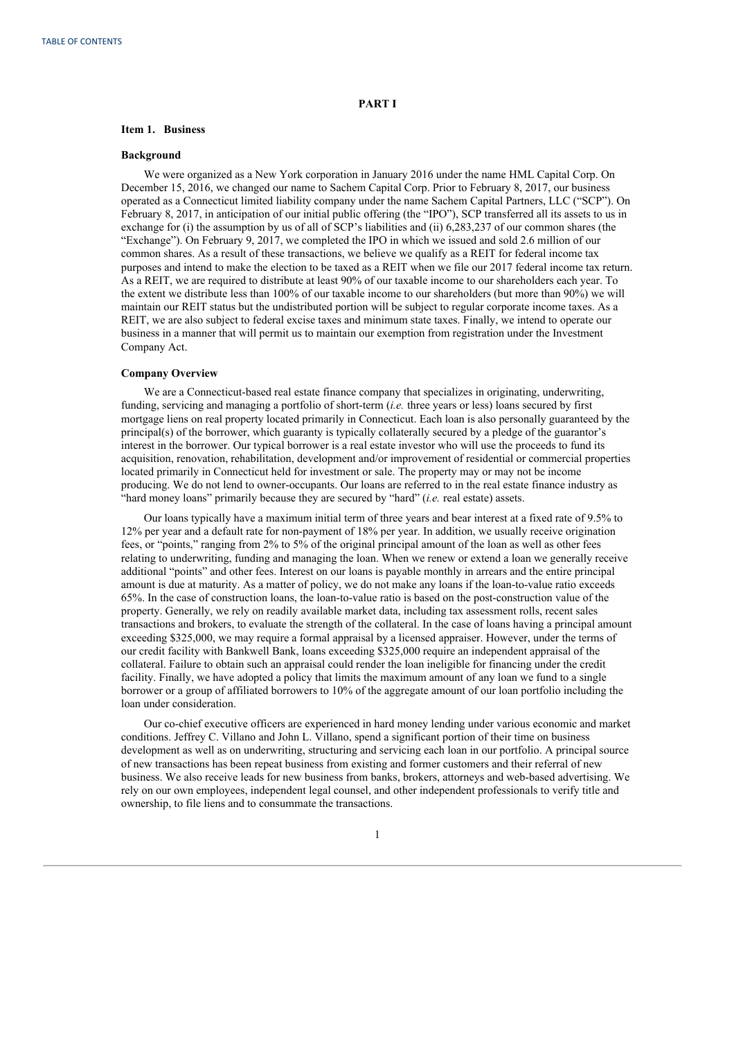# **PART I**

# **Item 1. Business**

# **Background**

We were organized as a New York corporation in January 2016 under the name HML Capital Corp. On December 15, 2016, we changed our name to Sachem Capital Corp. Prior to February 8, 2017, our business operated as a Connecticut limited liability company under the name Sachem Capital Partners, LLC ("SCP"). On February 8, 2017, in anticipation of our initial public offering (the "IPO"), SCP transferred all its assets to us in exchange for (i) the assumption by us of all of SCP's liabilities and (ii) 6,283,237 of our common shares (the "Exchange"). On February 9, 2017, we completed the IPO in which we issued and sold 2.6 million of our common shares. As a result of these transactions, we believe we qualify as a REIT for federal income tax purposes and intend to make the election to be taxed as a REIT when we file our 2017 federal income tax return. As a REIT, we are required to distribute at least 90% of our taxable income to our shareholders each year. To the extent we distribute less than 100% of our taxable income to our shareholders (but more than 90%) we will maintain our REIT status but the undistributed portion will be subject to regular corporate income taxes. As a REIT, we are also subject to federal excise taxes and minimum state taxes. Finally, we intend to operate our business in a manner that will permit us to maintain our exemption from registration under the Investment Company Act.

### **Company Overview**

We are a Connecticut-based real estate finance company that specializes in originating, underwriting, funding, servicing and managing a portfolio of short-term (*i.e.* three years or less) loans secured by first mortgage liens on real property located primarily in Connecticut. Each loan is also personally guaranteed by the principal(s) of the borrower, which guaranty is typically collaterally secured by a pledge of the guarantor's interest in the borrower. Our typical borrower is a real estate investor who will use the proceeds to fund its acquisition, renovation, rehabilitation, development and/or improvement of residential or commercial properties located primarily in Connecticut held for investment or sale. The property may or may not be income producing. We do not lend to owner-occupants. Our loans are referred to in the real estate finance industry as "hard money loans" primarily because they are secured by "hard" (*i.e.* real estate) assets.

Our loans typically have a maximum initial term of three years and bear interest at a fixed rate of 9.5% to 12% per year and a default rate for non-payment of 18% per year. In addition, we usually receive origination fees, or "points," ranging from 2% to 5% of the original principal amount of the loan as well as other fees relating to underwriting, funding and managing the loan. When we renew or extend a loan we generally receive additional "points" and other fees. Interest on our loans is payable monthly in arrears and the entire principal amount is due at maturity. As a matter of policy, we do not make any loans if the loan-to-value ratio exceeds 65%. In the case of construction loans, the loan-to-value ratio is based on the post-construction value of the property. Generally, we rely on readily available market data, including tax assessment rolls, recent sales transactions and brokers, to evaluate the strength of the collateral. In the case of loans having a principal amount exceeding \$325,000, we may require a formal appraisal by a licensed appraiser. However, under the terms of our credit facility with Bankwell Bank, loans exceeding \$325,000 require an independent appraisal of the collateral. Failure to obtain such an appraisal could render the loan ineligible for financing under the credit facility. Finally, we have adopted a policy that limits the maximum amount of any loan we fund to a single borrower or a group of affiliated borrowers to 10% of the aggregate amount of our loan portfolio including the loan under consideration.

Our co-chief executive officers are experienced in hard money lending under various economic and market conditions. Jeffrey C. Villano and John L. Villano, spend a significant portion of their time on business development as well as on underwriting, structuring and servicing each loan in our portfolio. A principal source of new transactions has been repeat business from existing and former customers and their referral of new business. We also receive leads for new business from banks, brokers, attorneys and web-based advertising. We rely on our own employees, independent legal counsel, and other independent professionals to verify title and ownership, to file liens and to consummate the transactions.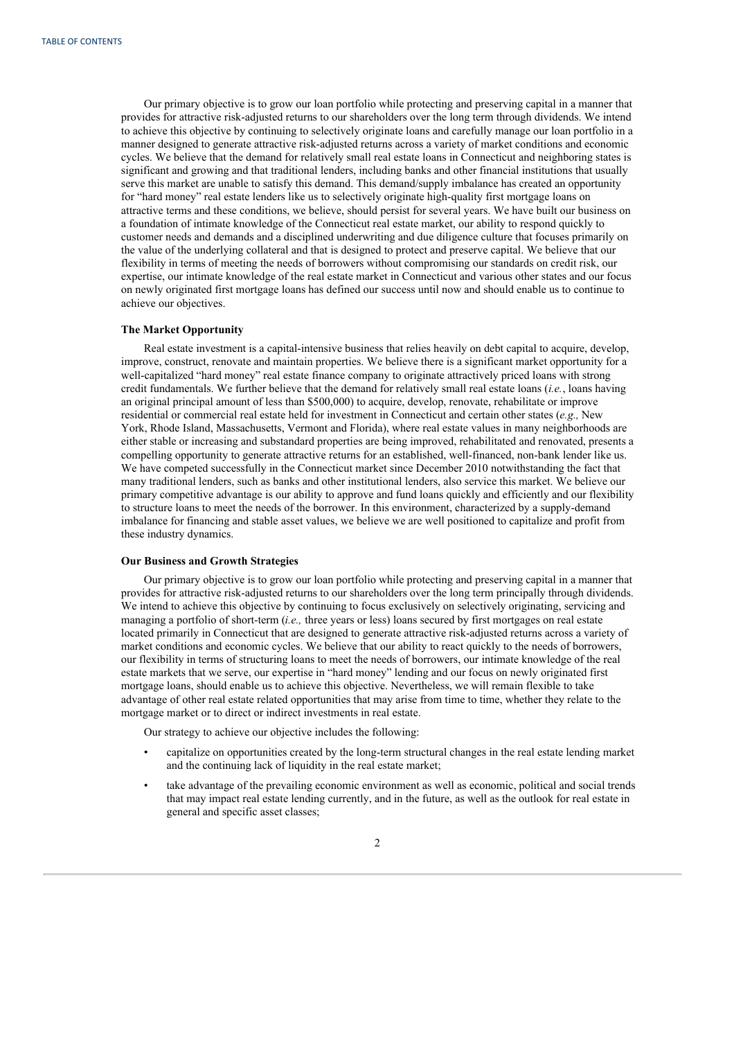Our primary objective is to grow our loan portfolio while protecting and preserving capital in a manner that provides for attractive risk-adjusted returns to our shareholders over the long term through dividends. We intend to achieve this objective by continuing to selectively originate loans and carefully manage our loan portfolio in a manner designed to generate attractive risk-adjusted returns across a variety of market conditions and economic cycles. We believe that the demand for relatively small real estate loans in Connecticut and neighboring states is significant and growing and that traditional lenders, including banks and other financial institutions that usually serve this market are unable to satisfy this demand. This demand/supply imbalance has created an opportunity for "hard money" real estate lenders like us to selectively originate high-quality first mortgage loans on attractive terms and these conditions, we believe, should persist for several years. We have built our business on a foundation of intimate knowledge of the Connecticut real estate market, our ability to respond quickly to customer needs and demands and a disciplined underwriting and due diligence culture that focuses primarily on the value of the underlying collateral and that is designed to protect and preserve capital. We believe that our flexibility in terms of meeting the needs of borrowers without compromising our standards on credit risk, our expertise, our intimate knowledge of the real estate market in Connecticut and various other states and our focus on newly originated first mortgage loans has defined our success until now and should enable us to continue to achieve our objectives.

### **The Market Opportunity**

Real estate investment is a capital-intensive business that relies heavily on debt capital to acquire, develop, improve, construct, renovate and maintain properties. We believe there is a significant market opportunity for a well-capitalized "hard money" real estate finance company to originate attractively priced loans with strong credit fundamentals. We further believe that the demand for relatively small real estate loans (*i.e.*, loans having an original principal amount of less than \$500,000) to acquire, develop, renovate, rehabilitate or improve residential or commercial real estate held for investment in Connecticut and certain other states (*e.g.,* New York, Rhode Island, Massachusetts, Vermont and Florida), where real estate values in many neighborhoods are either stable or increasing and substandard properties are being improved, rehabilitated and renovated, presents a compelling opportunity to generate attractive returns for an established, well-financed, non-bank lender like us. We have competed successfully in the Connecticut market since December 2010 notwithstanding the fact that many traditional lenders, such as banks and other institutional lenders, also service this market. We believe our primary competitive advantage is our ability to approve and fund loans quickly and efficiently and our flexibility to structure loans to meet the needs of the borrower. In this environment, characterized by a supply-demand imbalance for financing and stable asset values, we believe we are well positioned to capitalize and profit from these industry dynamics.

# **Our Business and Growth Strategies**

Our primary objective is to grow our loan portfolio while protecting and preserving capital in a manner that provides for attractive risk-adjusted returns to our shareholders over the long term principally through dividends. We intend to achieve this objective by continuing to focus exclusively on selectively originating, servicing and managing a portfolio of short-term (*i.e.,* three years or less) loans secured by first mortgages on real estate located primarily in Connecticut that are designed to generate attractive risk-adjusted returns across a variety of market conditions and economic cycles. We believe that our ability to react quickly to the needs of borrowers, our flexibility in terms of structuring loans to meet the needs of borrowers, our intimate knowledge of the real estate markets that we serve, our expertise in "hard money" lending and our focus on newly originated first mortgage loans, should enable us to achieve this objective. Nevertheless, we will remain flexible to take advantage of other real estate related opportunities that may arise from time to time, whether they relate to the mortgage market or to direct or indirect investments in real estate.

Our strategy to achieve our objective includes the following:

- capitalize on opportunities created by the long-term structural changes in the real estate lending market and the continuing lack of liquidity in the real estate market;
- take advantage of the prevailing economic environment as well as economic, political and social trends that may impact real estate lending currently, and in the future, as well as the outlook for real estate in general and specific asset classes;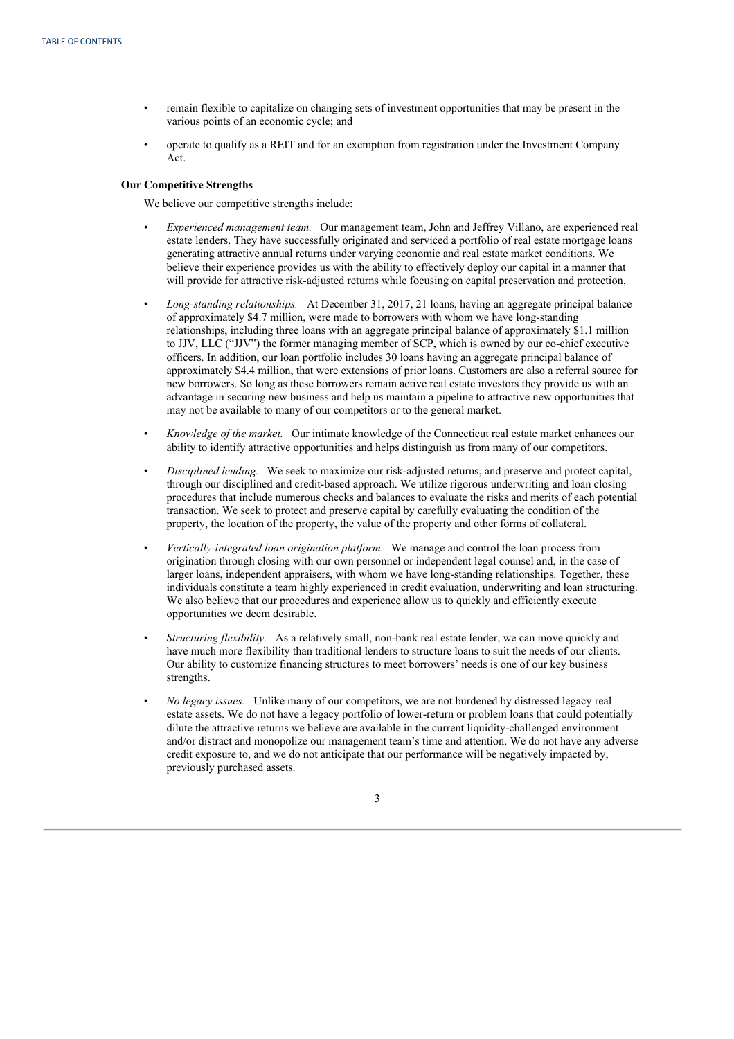- remain flexible to capitalize on changing sets of investment opportunities that may be present in the various points of an economic cycle; and
- operate to qualify as a REIT and for an exemption from registration under the Investment Company Act.

# **Our Competitive Strengths**

We believe our competitive strengths include:

- *Experienced management team.* Our management team, John and Jeffrey Villano, are experienced real estate lenders. They have successfully originated and serviced a portfolio of real estate mortgage loans generating attractive annual returns under varying economic and real estate market conditions. We believe their experience provides us with the ability to effectively deploy our capital in a manner that will provide for attractive risk-adjusted returns while focusing on capital preservation and protection.
- *Long-standing relationships.* At December 31, 2017, 21 loans, having an aggregate principal balance of approximately \$4.7 million, were made to borrowers with whom we have long-standing relationships, including three loans with an aggregate principal balance of approximately \$1.1 million to JJV, LLC ("JJV") the former managing member of SCP, which is owned by our co-chief executive officers. In addition, our loan portfolio includes 30 loans having an aggregate principal balance of approximately \$4.4 million, that were extensions of prior loans. Customers are also a referral source for new borrowers. So long as these borrowers remain active real estate investors they provide us with an advantage in securing new business and help us maintain a pipeline to attractive new opportunities that may not be available to many of our competitors or to the general market.
- *Knowledge of the market.* Our intimate knowledge of the Connecticut real estate market enhances our ability to identify attractive opportunities and helps distinguish us from many of our competitors.
- *Disciplined lending.* We seek to maximize our risk-adjusted returns, and preserve and protect capital, through our disciplined and credit-based approach. We utilize rigorous underwriting and loan closing procedures that include numerous checks and balances to evaluate the risks and merits of each potential transaction. We seek to protect and preserve capital by carefully evaluating the condition of the property, the location of the property, the value of the property and other forms of collateral.
- *Vertically-integrated loan origination platform.* We manage and control the loan process from origination through closing with our own personnel or independent legal counsel and, in the case of larger loans, independent appraisers, with whom we have long-standing relationships. Together, these individuals constitute a team highly experienced in credit evaluation, underwriting and loan structuring. We also believe that our procedures and experience allow us to quickly and efficiently execute opportunities we deem desirable.
- *Structuring flexibility.* As a relatively small, non-bank real estate lender, we can move quickly and have much more flexibility than traditional lenders to structure loans to suit the needs of our clients. Our ability to customize financing structures to meet borrowers' needs is one of our key business strengths.
- *No legacy issues.* Unlike many of our competitors, we are not burdened by distressed legacy real estate assets. We do not have a legacy portfolio of lower-return or problem loans that could potentially dilute the attractive returns we believe are available in the current liquidity-challenged environment and/or distract and monopolize our management team's time and attention. We do not have any adverse credit exposure to, and we do not anticipate that our performance will be negatively impacted by, previously purchased assets.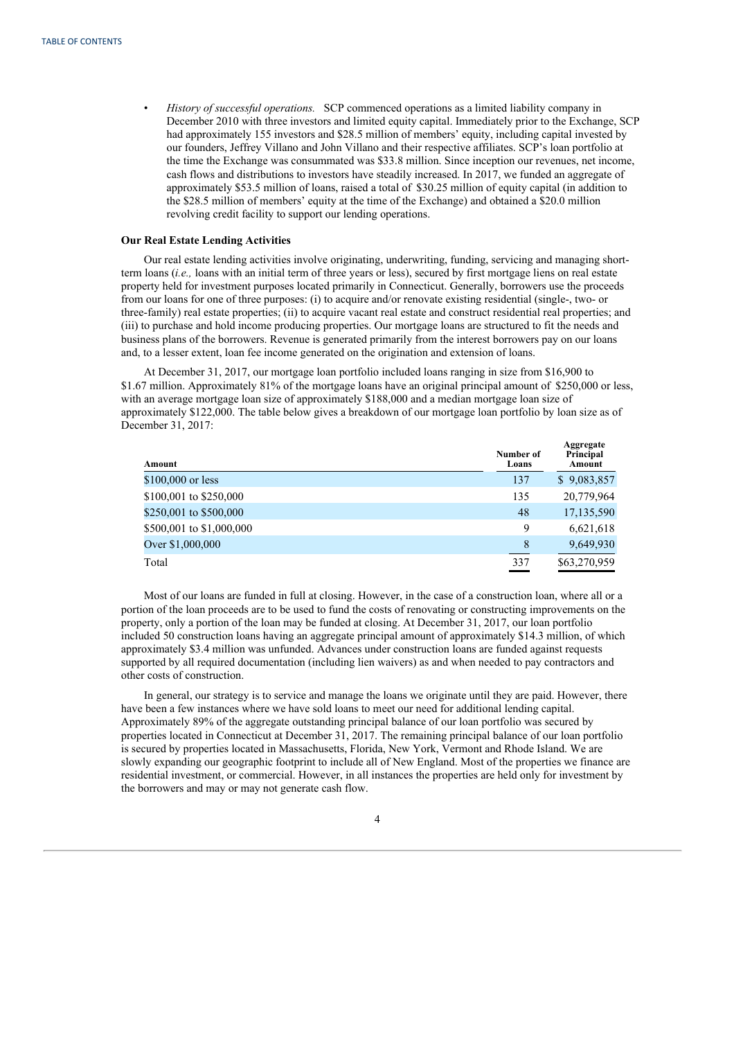• *History of successful operations.* SCP commenced operations as a limited liability company in December 2010 with three investors and limited equity capital. Immediately prior to the Exchange, SCP had approximately 155 investors and \$28.5 million of members' equity, including capital invested by our founders, Jeffrey Villano and John Villano and their respective affiliates. SCP's loan portfolio at the time the Exchange was consummated was \$33.8 million. Since inception our revenues, net income, cash flows and distributions to investors have steadily increased. In 2017, we funded an aggregate of approximately \$53.5 million of loans, raised a total of \$30.25 million of equity capital (in addition to the \$28.5 million of members' equity at the time of the Exchange) and obtained a \$20.0 million revolving credit facility to support our lending operations.

# **Our Real Estate Lending Activities**

Our real estate lending activities involve originating, underwriting, funding, servicing and managing shortterm loans (*i.e.,* loans with an initial term of three years or less), secured by first mortgage liens on real estate property held for investment purposes located primarily in Connecticut. Generally, borrowers use the proceeds from our loans for one of three purposes: (i) to acquire and/or renovate existing residential (single-, two- or three-family) real estate properties; (ii) to acquire vacant real estate and construct residential real properties; and (iii) to purchase and hold income producing properties. Our mortgage loans are structured to fit the needs and business plans of the borrowers. Revenue is generated primarily from the interest borrowers pay on our loans and, to a lesser extent, loan fee income generated on the origination and extension of loans.

At December 31, 2017, our mortgage loan portfolio included loans ranging in size from \$16,900 to \$1.67 million. Approximately 81% of the mortgage loans have an original principal amount of \$250,000 or less, with an average mortgage loan size of approximately \$188,000 and a median mortgage loan size of approximately \$122,000. The table below gives a breakdown of our mortgage loan portfolio by loan size as of December 31, 2017:

**Aggregate**

| Amount                   | Number of<br>Loans | $1.661$ $.641$<br>Principal<br>Amount |
|--------------------------|--------------------|---------------------------------------|
| \$100,000 or less        | 137                | \$9,083,857                           |
| \$100,001 to \$250,000   | 135                | 20,779,964                            |
| \$250,001 to \$500,000   | 48                 | 17,135,590                            |
| \$500,001 to \$1,000,000 | 9                  | 6,621,618                             |
| Over \$1,000,000         | 8                  | 9,649,930                             |
| Total                    | 337                | \$63,270,959                          |

Most of our loans are funded in full at closing. However, in the case of a construction loan, where all or a portion of the loan proceeds are to be used to fund the costs of renovating or constructing improvements on the property, only a portion of the loan may be funded at closing. At December 31, 2017, our loan portfolio included 50 construction loans having an aggregate principal amount of approximately \$14.3 million, of which approximately \$3.4 million was unfunded. Advances under construction loans are funded against requests supported by all required documentation (including lien waivers) as and when needed to pay contractors and other costs of construction.

In general, our strategy is to service and manage the loans we originate until they are paid. However, there have been a few instances where we have sold loans to meet our need for additional lending capital. Approximately 89% of the aggregate outstanding principal balance of our loan portfolio was secured by properties located in Connecticut at December 31, 2017. The remaining principal balance of our loan portfolio is secured by properties located in Massachusetts, Florida, New York, Vermont and Rhode Island. We are slowly expanding our geographic footprint to include all of New England. Most of the properties we finance are residential investment, or commercial. However, in all instances the properties are held only for investment by the borrowers and may or may not generate cash flow.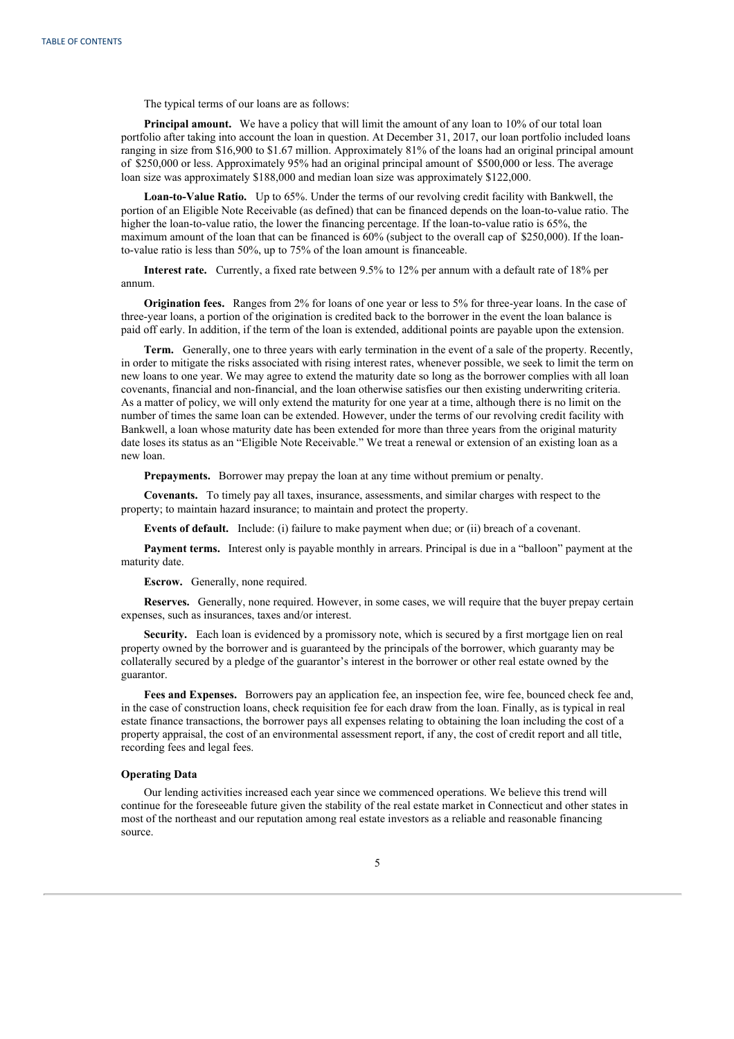The typical terms of our loans are as follows:

**Principal amount.** We have a policy that will limit the amount of any loan to 10% of our total loan portfolio after taking into account the loan in question. At December 31, 2017, our loan portfolio included loans ranging in size from \$16,900 to \$1.67 million. Approximately 81% of the loans had an original principal amount of \$250,000 or less. Approximately 95% had an original principal amount of \$500,000 or less. The average loan size was approximately \$188,000 and median loan size was approximately \$122,000.

**Loan-to-Value Ratio.** Up to 65%. Under the terms of our revolving credit facility with Bankwell, the portion of an Eligible Note Receivable (as defined) that can be financed depends on the loan-to-value ratio. The higher the loan-to-value ratio, the lower the financing percentage. If the loan-to-value ratio is 65%, the maximum amount of the loan that can be financed is 60% (subject to the overall cap of \$250,000). If the loanto-value ratio is less than 50%, up to 75% of the loan amount is financeable.

**Interest rate.** Currently, a fixed rate between 9.5% to 12% per annum with a default rate of 18% per annum.

**Origination fees.** Ranges from 2% for loans of one year or less to 5% for three-year loans. In the case of three-year loans, a portion of the origination is credited back to the borrower in the event the loan balance is paid off early. In addition, if the term of the loan is extended, additional points are payable upon the extension.

**Term.** Generally, one to three years with early termination in the event of a sale of the property. Recently, in order to mitigate the risks associated with rising interest rates, whenever possible, we seek to limit the term on new loans to one year. We may agree to extend the maturity date so long as the borrower complies with all loan covenants, financial and non-financial, and the loan otherwise satisfies our then existing underwriting criteria. As a matter of policy, we will only extend the maturity for one year at a time, although there is no limit on the number of times the same loan can be extended. However, under the terms of our revolving credit facility with Bankwell, a loan whose maturity date has been extended for more than three years from the original maturity date loses its status as an "Eligible Note Receivable." We treat a renewal or extension of an existing loan as a new loan.

**Prepayments.** Borrower may prepay the loan at any time without premium or penalty.

**Covenants.** To timely pay all taxes, insurance, assessments, and similar charges with respect to the property; to maintain hazard insurance; to maintain and protect the property.

**Events of default.** Include: (i) failure to make payment when due; or (ii) breach of a covenant.

**Payment terms.** Interest only is payable monthly in arrears. Principal is due in a "balloon" payment at the maturity date.

**Escrow.** Generally, none required.

**Reserves.** Generally, none required. However, in some cases, we will require that the buyer prepay certain expenses, such as insurances, taxes and/or interest.

Security. Each loan is evidenced by a promissory note, which is secured by a first mortgage lien on real property owned by the borrower and is guaranteed by the principals of the borrower, which guaranty may be collaterally secured by a pledge of the guarantor's interest in the borrower or other real estate owned by the guarantor.

**Fees and Expenses.** Borrowers pay an application fee, an inspection fee, wire fee, bounced check fee and, in the case of construction loans, check requisition fee for each draw from the loan. Finally, as is typical in real estate finance transactions, the borrower pays all expenses relating to obtaining the loan including the cost of a property appraisal, the cost of an environmental assessment report, if any, the cost of credit report and all title, recording fees and legal fees.

# **Operating Data**

Our lending activities increased each year since we commenced operations. We believe this trend will continue for the foreseeable future given the stability of the real estate market in Connecticut and other states in most of the northeast and our reputation among real estate investors as a reliable and reasonable financing source.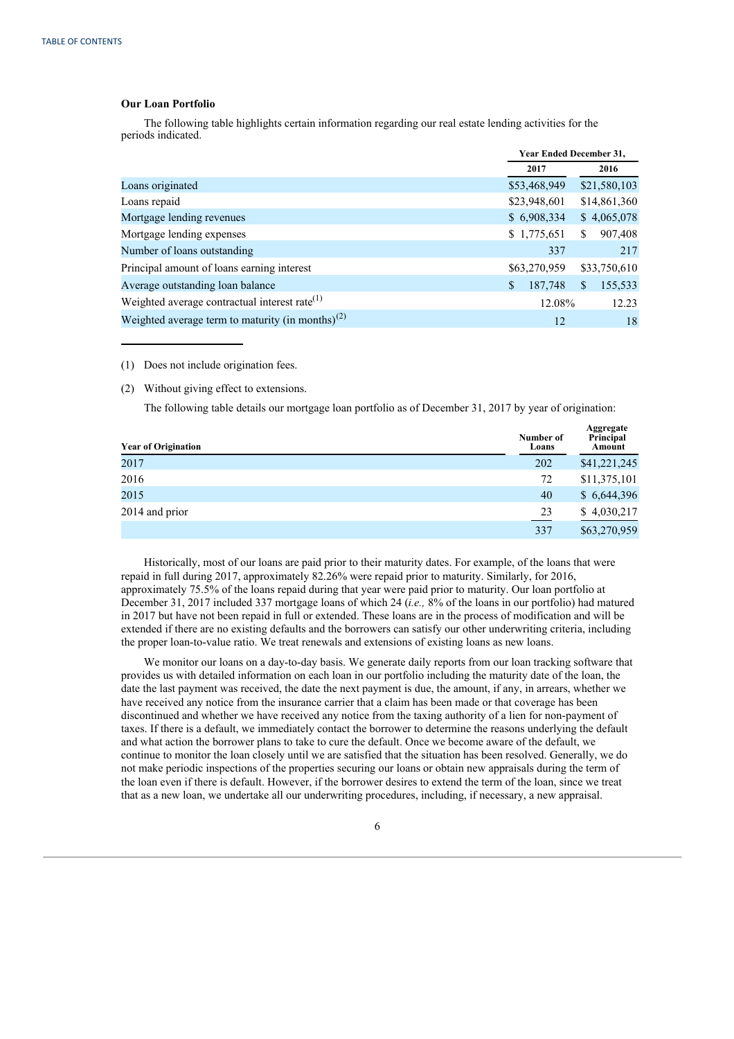# **Our Loan Portfolio**

The following table highlights certain information regarding our real estate lending activities for the periods indicated.

|                                                              |               | <b>Year Ended December 31,</b> |  |
|--------------------------------------------------------------|---------------|--------------------------------|--|
|                                                              | 2017          | 2016                           |  |
| Loans originated                                             | \$53,468,949  | \$21,580,103                   |  |
| Loans repaid                                                 | \$23,948,601  | \$14,861,360                   |  |
| Mortgage lending revenues                                    | \$6,908,334   | \$4,065,078                    |  |
| Mortgage lending expenses                                    | \$1,775,651   | 907,408<br>S                   |  |
| Number of loans outstanding                                  | 337           | 217                            |  |
| Principal amount of loans earning interest                   | \$63,270,959  | \$33,750,610                   |  |
| Average outstanding loan balance                             | \$<br>187,748 | 155,533<br><sup>\$</sup>       |  |
| Weighted average contractual interest rate $(1)$             | 12.08%        | 12.23                          |  |
| Weighted average term to maturity (in months) <sup>(2)</sup> | 12            | 18                             |  |

# (1) Does not include origination fees.

(2) Without giving effect to extensions.

The following table details our mortgage loan portfolio as of December 31, 2017 by year of origination:

| <b>Year of Origination</b> | Number of<br>Loans | <b>Aggregate</b><br>Principal<br>Amount |
|----------------------------|--------------------|-----------------------------------------|
| 2017                       | 202                | \$41,221,245                            |
| 2016                       | 72                 | \$11,375,101                            |
| 2015                       | 40                 | \$6,644,396                             |
| 2014 and prior             | 23                 | \$4,030,217                             |
|                            | 337                | \$63,270,959                            |

Historically, most of our loans are paid prior to their maturity dates. For example, of the loans that were repaid in full during 2017, approximately 82.26% were repaid prior to maturity. Similarly, for 2016, approximately 75.5% of the loans repaid during that year were paid prior to maturity. Our loan portfolio at December 31, 2017 included 337 mortgage loans of which 24 (*i.e.,* 8% of the loans in our portfolio) had matured in 2017 but have not been repaid in full or extended. These loans are in the process of modification and will be extended if there are no existing defaults and the borrowers can satisfy our other underwriting criteria, including the proper loan-to-value ratio. We treat renewals and extensions of existing loans as new loans.

We monitor our loans on a day-to-day basis. We generate daily reports from our loan tracking software that provides us with detailed information on each loan in our portfolio including the maturity date of the loan, the date the last payment was received, the date the next payment is due, the amount, if any, in arrears, whether we have received any notice from the insurance carrier that a claim has been made or that coverage has been discontinued and whether we have received any notice from the taxing authority of a lien for non-payment of taxes. If there is a default, we immediately contact the borrower to determine the reasons underlying the default and what action the borrower plans to take to cure the default. Once we become aware of the default, we continue to monitor the loan closely until we are satisfied that the situation has been resolved. Generally, we do not make periodic inspections of the properties securing our loans or obtain new appraisals during the term of the loan even if there is default. However, if the borrower desires to extend the term of the loan, since we treat that as a new loan, we undertake all our underwriting procedures, including, if necessary, a new appraisal.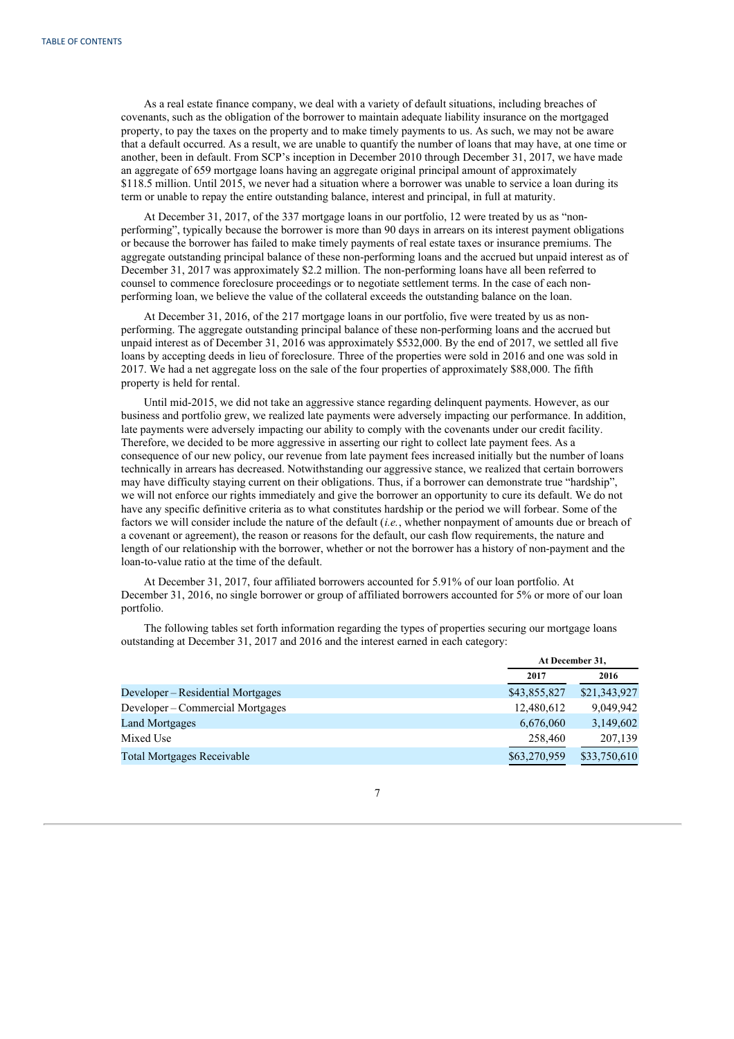As a real estate finance company, we deal with a variety of default situations, including breaches of covenants, such as the obligation of the borrower to maintain adequate liability insurance on the mortgaged property, to pay the taxes on the property and to make timely payments to us. As such, we may not be aware that a default occurred. As a result, we are unable to quantify the number of loans that may have, at one time or another, been in default. From SCP's inception in December 2010 through December 31, 2017, we have made an aggregate of 659 mortgage loans having an aggregate original principal amount of approximately \$118.5 million. Until 2015, we never had a situation where a borrower was unable to service a loan during its term or unable to repay the entire outstanding balance, interest and principal, in full at maturity.

At December 31, 2017, of the 337 mortgage loans in our portfolio, 12 were treated by us as "nonperforming", typically because the borrower is more than 90 days in arrears on its interest payment obligations or because the borrower has failed to make timely payments of real estate taxes or insurance premiums. The aggregate outstanding principal balance of these non-performing loans and the accrued but unpaid interest as of December 31, 2017 was approximately \$2.2 million. The non-performing loans have all been referred to counsel to commence foreclosure proceedings or to negotiate settlement terms. In the case of each nonperforming loan, we believe the value of the collateral exceeds the outstanding balance on the loan.

At December 31, 2016, of the 217 mortgage loans in our portfolio, five were treated by us as nonperforming. The aggregate outstanding principal balance of these non-performing loans and the accrued but unpaid interest as of December 31, 2016 was approximately \$532,000. By the end of 2017, we settled all five loans by accepting deeds in lieu of foreclosure. Three of the properties were sold in 2016 and one was sold in 2017. We had a net aggregate loss on the sale of the four properties of approximately \$88,000. The fifth property is held for rental.

Until mid-2015, we did not take an aggressive stance regarding delinquent payments. However, as our business and portfolio grew, we realized late payments were adversely impacting our performance. In addition, late payments were adversely impacting our ability to comply with the covenants under our credit facility. Therefore, we decided to be more aggressive in asserting our right to collect late payment fees. As a consequence of our new policy, our revenue from late payment fees increased initially but the number of loans technically in arrears has decreased. Notwithstanding our aggressive stance, we realized that certain borrowers may have difficulty staying current on their obligations. Thus, if a borrower can demonstrate true "hardship", we will not enforce our rights immediately and give the borrower an opportunity to cure its default. We do not have any specific definitive criteria as to what constitutes hardship or the period we will forbear. Some of the factors we will consider include the nature of the default (*i.e.*, whether nonpayment of amounts due or breach of a covenant or agreement), the reason or reasons for the default, our cash flow requirements, the nature and length of our relationship with the borrower, whether or not the borrower has a history of non-payment and the loan-to-value ratio at the time of the default.

At December 31, 2017, four affiliated borrowers accounted for 5.91% of our loan portfolio. At December 31, 2016, no single borrower or group of affiliated borrowers accounted for 5% or more of our loan portfolio.

The following tables set forth information regarding the types of properties securing our mortgage loans outstanding at December 31, 2017 and 2016 and the interest earned in each category:

|                                   |              | At December 31, |  |  |
|-----------------------------------|--------------|-----------------|--|--|
|                                   | 2017         | 2016            |  |  |
| Developer – Residential Mortgages | \$43,855,827 | \$21,343,927    |  |  |
| Developer – Commercial Mortgages  | 12,480,612   | 9,049,942       |  |  |
| <b>Land Mortgages</b>             | 6,676,060    | 3,149,602       |  |  |
| Mixed Use                         | 258,460      | 207,139         |  |  |
| <b>Total Mortgages Receivable</b> | \$63,270,959 | \$33,750,610    |  |  |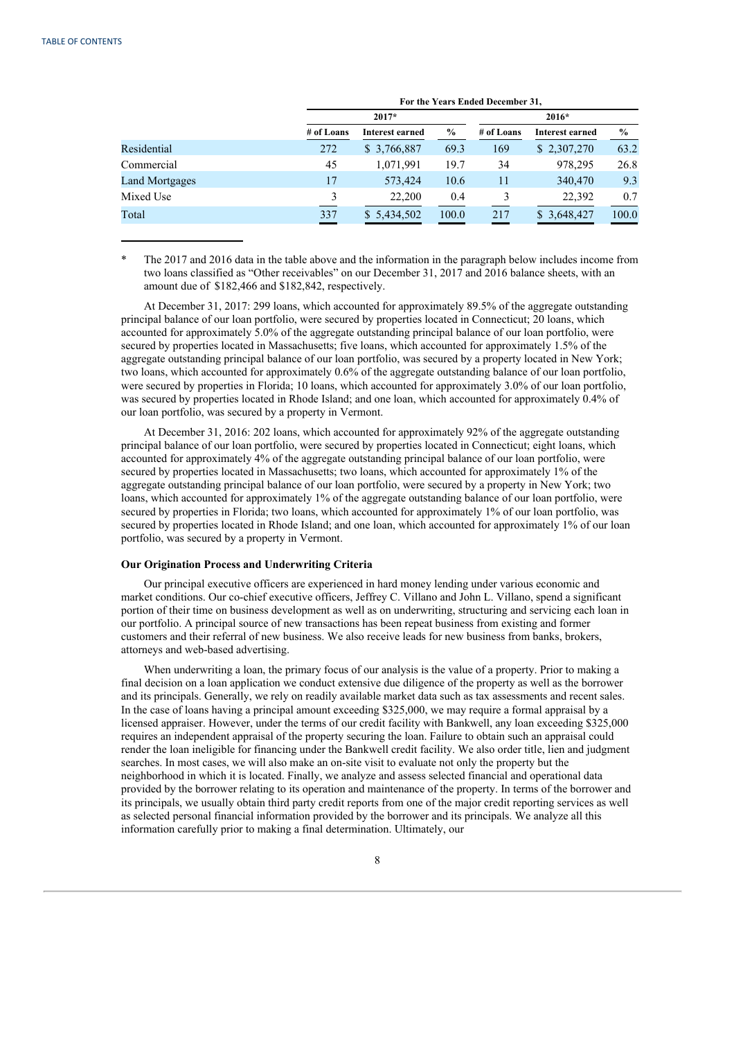|                |            | For the Years Ended December 31, |       |            |                 |       |  |
|----------------|------------|----------------------------------|-------|------------|-----------------|-------|--|
|                |            | 2017*                            |       |            | $2016*$         |       |  |
|                | # of Loans | <b>Interest earned</b>           | $\%$  | # of Loans | Interest earned | $\%$  |  |
| Residential    | 272        | \$ 3,766,887                     | 69.3  | 169        | \$2,307,270     | 63.2  |  |
| Commercial     | 45         | 1,071,991                        | 19.7  | 34         | 978,295         | 26.8  |  |
| Land Mortgages | 17         | 573,424                          | 10.6  | 11         | 340,470         | 9.3   |  |
| Mixed Use      | 3          | 22,200                           | 0.4   | 3          | 22,392          | 0.7   |  |
| Total          | 337        | \$5,434,502                      | 100.0 | 217        | \$3,648,427     | 100.0 |  |
|                |            |                                  |       |            |                 |       |  |

The 2017 and 2016 data in the table above and the information in the paragraph below includes income from two loans classified as "Other receivables" on our December 31, 2017 and 2016 balance sheets, with an amount due of \$182,466 and \$182,842, respectively.

At December 31, 2017: 299 loans, which accounted for approximately 89.5% of the aggregate outstanding principal balance of our loan portfolio, were secured by properties located in Connecticut; 20 loans, which accounted for approximately 5.0% of the aggregate outstanding principal balance of our loan portfolio, were secured by properties located in Massachusetts; five loans, which accounted for approximately 1.5% of the aggregate outstanding principal balance of our loan portfolio, was secured by a property located in New York; two loans, which accounted for approximately 0.6% of the aggregate outstanding balance of our loan portfolio, were secured by properties in Florida; 10 loans, which accounted for approximately 3.0% of our loan portfolio, was secured by properties located in Rhode Island; and one loan, which accounted for approximately 0.4% of our loan portfolio, was secured by a property in Vermont.

At December 31, 2016: 202 loans, which accounted for approximately 92% of the aggregate outstanding principal balance of our loan portfolio, were secured by properties located in Connecticut; eight loans, which accounted for approximately 4% of the aggregate outstanding principal balance of our loan portfolio, were secured by properties located in Massachusetts; two loans, which accounted for approximately 1% of the aggregate outstanding principal balance of our loan portfolio, were secured by a property in New York; two loans, which accounted for approximately 1% of the aggregate outstanding balance of our loan portfolio, were secured by properties in Florida; two loans, which accounted for approximately 1% of our loan portfolio, was secured by properties located in Rhode Island; and one loan, which accounted for approximately 1% of our loan portfolio, was secured by a property in Vermont.

# **Our Origination Process and Underwriting Criteria**

Our principal executive officers are experienced in hard money lending under various economic and market conditions. Our co-chief executive officers, Jeffrey C. Villano and John L. Villano, spend a significant portion of their time on business development as well as on underwriting, structuring and servicing each loan in our portfolio. A principal source of new transactions has been repeat business from existing and former customers and their referral of new business. We also receive leads for new business from banks, brokers, attorneys and web-based advertising.

When underwriting a loan, the primary focus of our analysis is the value of a property. Prior to making a final decision on a loan application we conduct extensive due diligence of the property as well as the borrower and its principals. Generally, we rely on readily available market data such as tax assessments and recent sales. In the case of loans having a principal amount exceeding \$325,000, we may require a formal appraisal by a licensed appraiser. However, under the terms of our credit facility with Bankwell, any loan exceeding \$325,000 requires an independent appraisal of the property securing the loan. Failure to obtain such an appraisal could render the loan ineligible for financing under the Bankwell credit facility. We also order title, lien and judgment searches. In most cases, we will also make an on-site visit to evaluate not only the property but the neighborhood in which it is located. Finally, we analyze and assess selected financial and operational data provided by the borrower relating to its operation and maintenance of the property. In terms of the borrower and its principals, we usually obtain third party credit reports from one of the major credit reporting services as well as selected personal financial information provided by the borrower and its principals. We analyze all this information carefully prior to making a final determination. Ultimately, our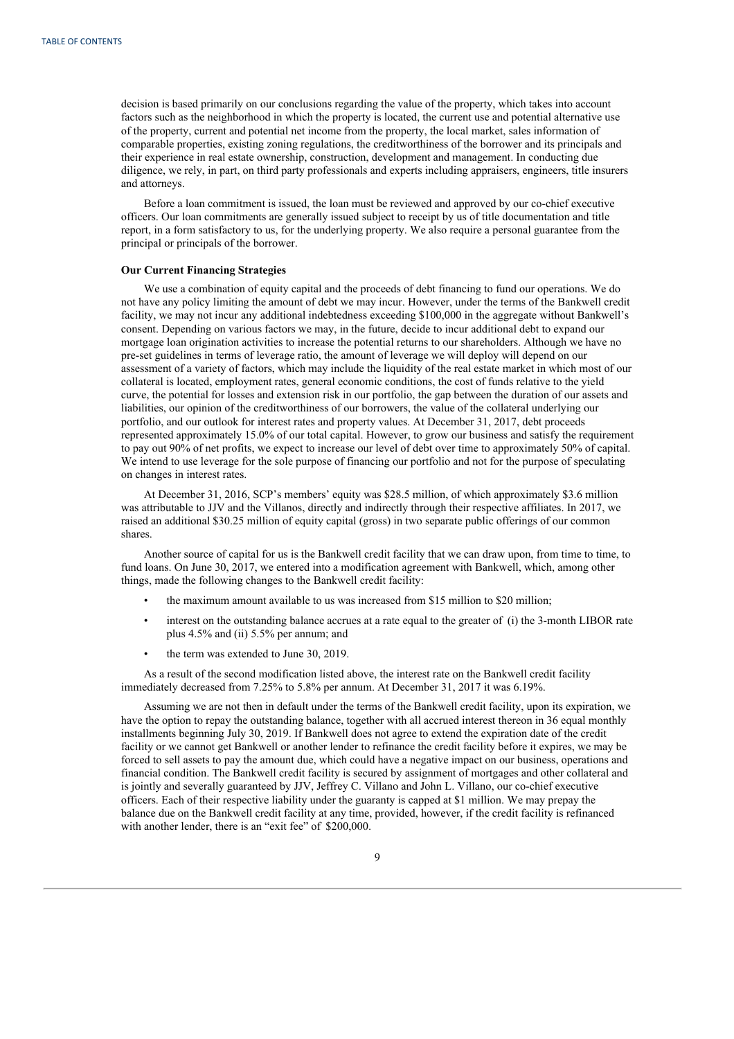decision is based primarily on our conclusions regarding the value of the property, which takes into account factors such as the neighborhood in which the property is located, the current use and potential alternative use of the property, current and potential net income from the property, the local market, sales information of comparable properties, existing zoning regulations, the creditworthiness of the borrower and its principals and their experience in real estate ownership, construction, development and management. In conducting due diligence, we rely, in part, on third party professionals and experts including appraisers, engineers, title insurers and attorneys.

Before a loan commitment is issued, the loan must be reviewed and approved by our co-chief executive officers. Our loan commitments are generally issued subject to receipt by us of title documentation and title report, in a form satisfactory to us, for the underlying property. We also require a personal guarantee from the principal or principals of the borrower.

# **Our Current Financing Strategies**

We use a combination of equity capital and the proceeds of debt financing to fund our operations. We do not have any policy limiting the amount of debt we may incur. However, under the terms of the Bankwell credit facility, we may not incur any additional indebtedness exceeding \$100,000 in the aggregate without Bankwell's consent. Depending on various factors we may, in the future, decide to incur additional debt to expand our mortgage loan origination activities to increase the potential returns to our shareholders. Although we have no pre-set guidelines in terms of leverage ratio, the amount of leverage we will deploy will depend on our assessment of a variety of factors, which may include the liquidity of the real estate market in which most of our collateral is located, employment rates, general economic conditions, the cost of funds relative to the yield curve, the potential for losses and extension risk in our portfolio, the gap between the duration of our assets and liabilities, our opinion of the creditworthiness of our borrowers, the value of the collateral underlying our portfolio, and our outlook for interest rates and property values. At December 31, 2017, debt proceeds represented approximately 15.0% of our total capital. However, to grow our business and satisfy the requirement to pay out 90% of net profits, we expect to increase our level of debt over time to approximately 50% of capital. We intend to use leverage for the sole purpose of financing our portfolio and not for the purpose of speculating on changes in interest rates.

At December 31, 2016, SCP's members' equity was \$28.5 million, of which approximately \$3.6 million was attributable to JJV and the Villanos, directly and indirectly through their respective affiliates. In 2017, we raised an additional \$30.25 million of equity capital (gross) in two separate public offerings of our common shares.

Another source of capital for us is the Bankwell credit facility that we can draw upon, from time to time, to fund loans. On June 30, 2017, we entered into a modification agreement with Bankwell, which, among other things, made the following changes to the Bankwell credit facility:

- the maximum amount available to us was increased from \$15 million to \$20 million;
- interest on the outstanding balance accrues at a rate equal to the greater of (i) the 3-month LIBOR rate plus 4.5% and (ii) 5.5% per annum; and
- the term was extended to June 30, 2019.

As a result of the second modification listed above, the interest rate on the Bankwell credit facility immediately decreased from 7.25% to 5.8% per annum. At December 31, 2017 it was 6.19%.

Assuming we are not then in default under the terms of the Bankwell credit facility, upon its expiration, we have the option to repay the outstanding balance, together with all accrued interest thereon in 36 equal monthly installments beginning July 30, 2019. If Bankwell does not agree to extend the expiration date of the credit facility or we cannot get Bankwell or another lender to refinance the credit facility before it expires, we may be forced to sell assets to pay the amount due, which could have a negative impact on our business, operations and financial condition. The Bankwell credit facility is secured by assignment of mortgages and other collateral and is jointly and severally guaranteed by JJV, Jeffrey C. Villano and John L. Villano, our co-chief executive officers. Each of their respective liability under the guaranty is capped at \$1 million. We may prepay the balance due on the Bankwell credit facility at any time, provided, however, if the credit facility is refinanced with another lender, there is an "exit fee" of \$200,000.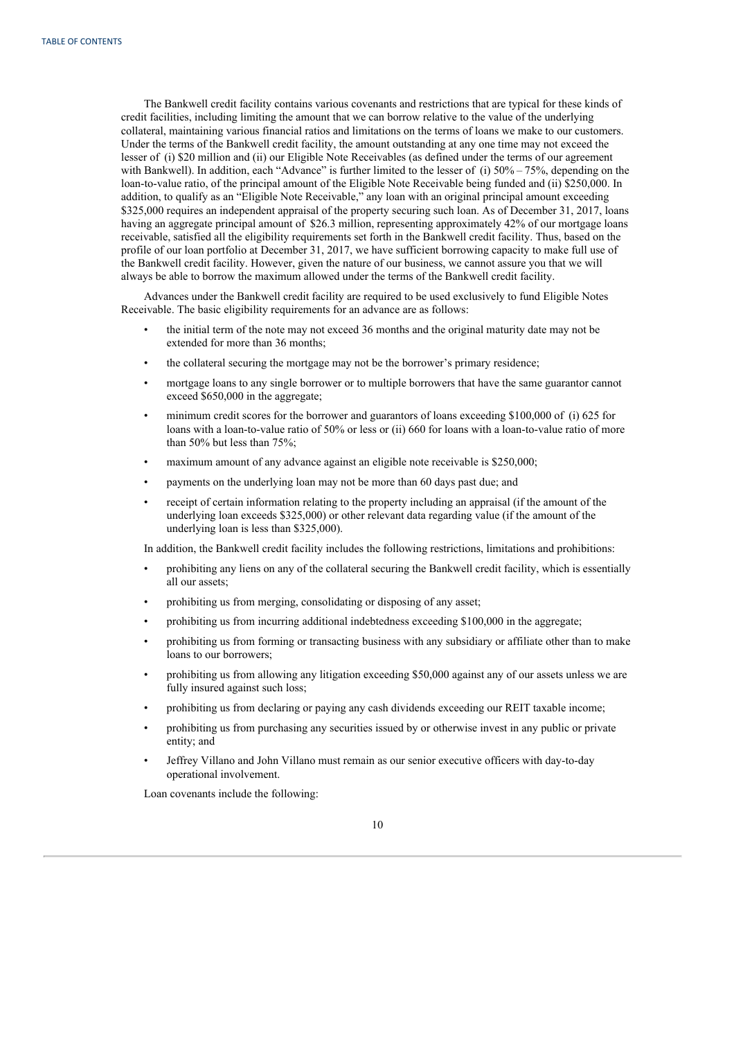The Bankwell credit facility contains various covenants and restrictions that are typical for these kinds of credit facilities, including limiting the amount that we can borrow relative to the value of the underlying collateral, maintaining various financial ratios and limitations on the terms of loans we make to our customers. Under the terms of the Bankwell credit facility, the amount outstanding at any one time may not exceed the lesser of (i) \$20 million and (ii) our Eligible Note Receivables (as defined under the terms of our agreement with Bankwell). In addition, each "Advance" is further limited to the lesser of (i) 50% – 75%, depending on the loan-to-value ratio, of the principal amount of the Eligible Note Receivable being funded and (ii) \$250,000. In addition, to qualify as an "Eligible Note Receivable," any loan with an original principal amount exceeding \$325,000 requires an independent appraisal of the property securing such loan. As of December 31, 2017, loans having an aggregate principal amount of \$26.3 million, representing approximately 42% of our mortgage loans receivable, satisfied all the eligibility requirements set forth in the Bankwell credit facility. Thus, based on the profile of our loan portfolio at December 31, 2017, we have sufficient borrowing capacity to make full use of the Bankwell credit facility. However, given the nature of our business, we cannot assure you that we will always be able to borrow the maximum allowed under the terms of the Bankwell credit facility.

Advances under the Bankwell credit facility are required to be used exclusively to fund Eligible Notes Receivable. The basic eligibility requirements for an advance are as follows:

- the initial term of the note may not exceed 36 months and the original maturity date may not be extended for more than 36 months;
- the collateral securing the mortgage may not be the borrower's primary residence;
- mortgage loans to any single borrower or to multiple borrowers that have the same guarantor cannot exceed \$650,000 in the aggregate;
- minimum credit scores for the borrower and guarantors of loans exceeding \$100,000 of (i) 625 for loans with a loan-to-value ratio of 50% or less or (ii) 660 for loans with a loan-to-value ratio of more than 50% but less than 75%;
- maximum amount of any advance against an eligible note receivable is \$250,000;
- payments on the underlying loan may not be more than 60 days past due; and
- receipt of certain information relating to the property including an appraisal (if the amount of the underlying loan exceeds \$325,000) or other relevant data regarding value (if the amount of the underlying loan is less than \$325,000).

In addition, the Bankwell credit facility includes the following restrictions, limitations and prohibitions:

- prohibiting any liens on any of the collateral securing the Bankwell credit facility, which is essentially all our assets;
- prohibiting us from merging, consolidating or disposing of any asset;
- prohibiting us from incurring additional indebtedness exceeding \$100,000 in the aggregate;
- prohibiting us from forming or transacting business with any subsidiary or affiliate other than to make loans to our borrowers;
- prohibiting us from allowing any litigation exceeding \$50,000 against any of our assets unless we are fully insured against such loss;
- prohibiting us from declaring or paying any cash dividends exceeding our REIT taxable income;
- prohibiting us from purchasing any securities issued by or otherwise invest in any public or private entity; and
- Jeffrey Villano and John Villano must remain as our senior executive officers with day-to-day operational involvement.

Loan covenants include the following: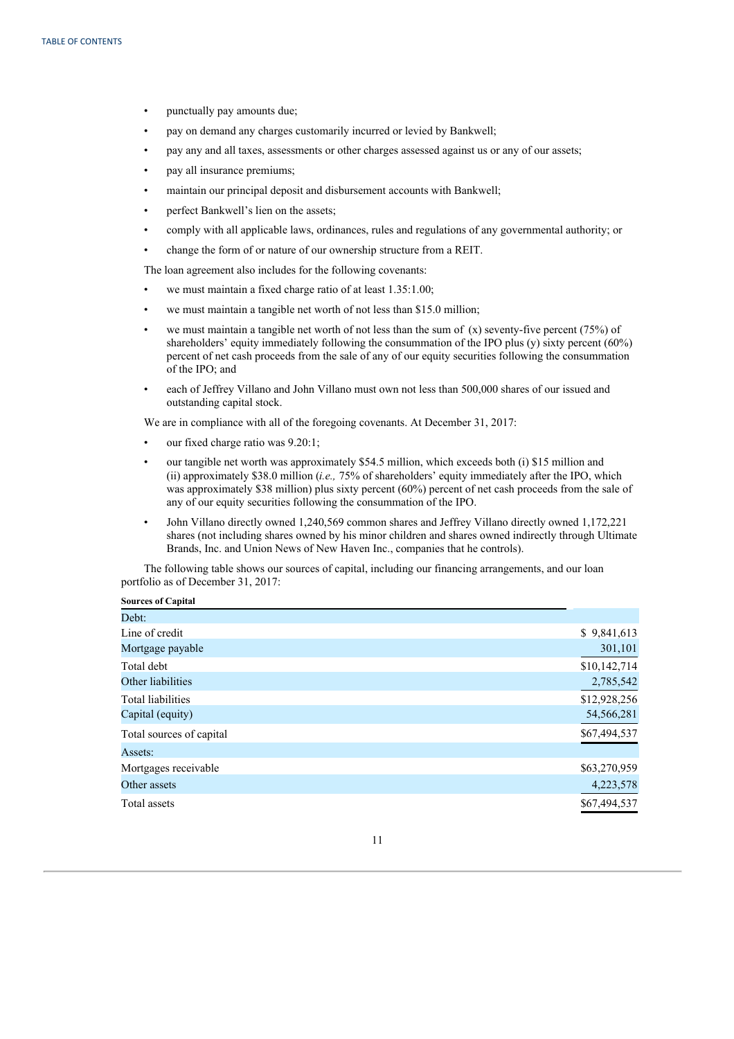- punctually pay amounts due;
- pay on demand any charges customarily incurred or levied by Bankwell;
- pay any and all taxes, assessments or other charges assessed against us or any of our assets;
- pay all insurance premiums;
- maintain our principal deposit and disbursement accounts with Bankwell;
- perfect Bankwell's lien on the assets;
- comply with all applicable laws, ordinances, rules and regulations of any governmental authority; or
- change the form of or nature of our ownership structure from a REIT.

The loan agreement also includes for the following covenants:

- we must maintain a fixed charge ratio of at least 1.35:1.00;
- we must maintain a tangible net worth of not less than \$15.0 million;
- we must maintain a tangible net worth of not less than the sum of  $(x)$  seventy-five percent (75%) of shareholders' equity immediately following the consummation of the IPO plus (y) sixty percent (60%) percent of net cash proceeds from the sale of any of our equity securities following the consummation of the IPO; and
- each of Jeffrey Villano and John Villano must own not less than 500,000 shares of our issued and outstanding capital stock.

We are in compliance with all of the foregoing covenants. At December 31, 2017:

- our fixed charge ratio was 9.20:1;
- our tangible net worth was approximately \$54.5 million, which exceeds both (i) \$15 million and (ii) approximately \$38.0 million (*i.e.,* 75% of shareholders' equity immediately after the IPO, which was approximately \$38 million) plus sixty percent (60%) percent of net cash proceeds from the sale of any of our equity securities following the consummation of the IPO.
- John Villano directly owned 1,240,569 common shares and Jeffrey Villano directly owned 1,172,221 shares (not including shares owned by his minor children and shares owned indirectly through Ultimate Brands, Inc. and Union News of New Haven Inc., companies that he controls).

The following table shows our sources of capital, including our financing arrangements, and our loan portfolio as of December 31, 2017:

#### **Sources of Capital**

| Debt:                    |              |
|--------------------------|--------------|
| Line of credit           | \$9,841,613  |
| Mortgage payable         | 301,101      |
| Total debt               | \$10,142,714 |
| Other liabilities        | 2,785,542    |
| Total liabilities        | \$12,928,256 |
| Capital (equity)         | 54,566,281   |
| Total sources of capital | \$67,494,537 |
| Assets:                  |              |
| Mortgages receivable     | \$63,270,959 |
| Other assets             | 4,223,578    |
| Total assets             | \$67,494,537 |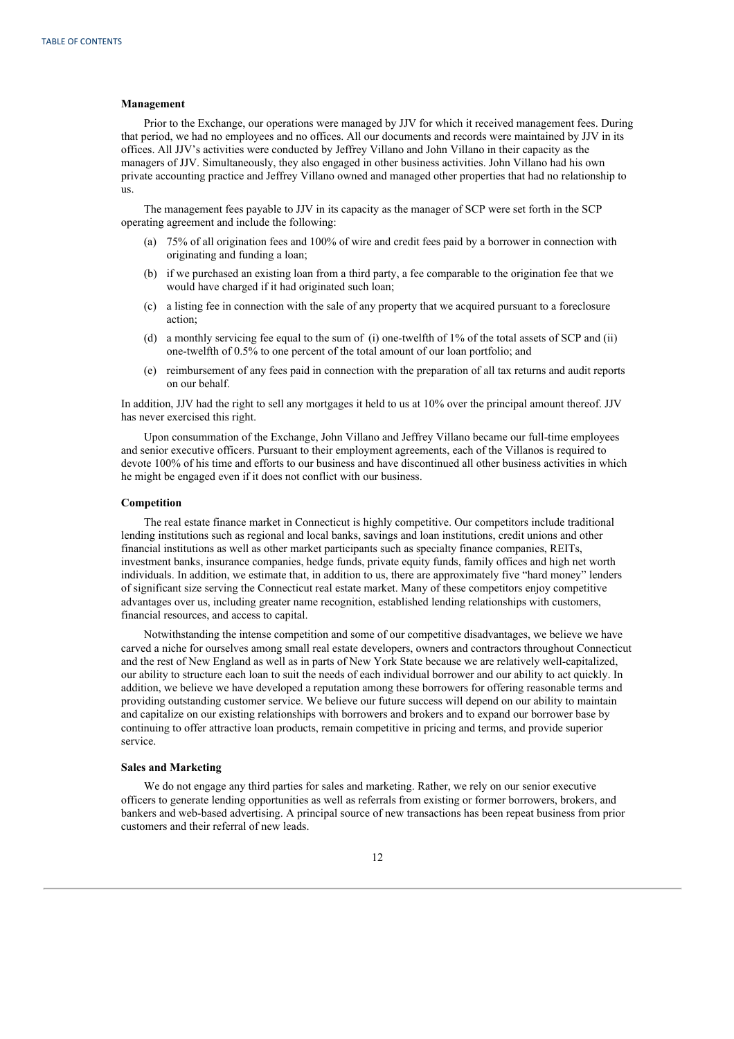### **Management**

Prior to the Exchange, our operations were managed by JJV for which it received management fees. During that period, we had no employees and no offices. All our documents and records were maintained by JJV in its offices. All JJV's activities were conducted by Jeffrey Villano and John Villano in their capacity as the managers of JJV. Simultaneously, they also engaged in other business activities. John Villano had his own private accounting practice and Jeffrey Villano owned and managed other properties that had no relationship to us.

The management fees payable to JJV in its capacity as the manager of SCP were set forth in the SCP operating agreement and include the following:

- (a) 75% of all origination fees and 100% of wire and credit fees paid by a borrower in connection with originating and funding a loan;
- (b) if we purchased an existing loan from a third party, a fee comparable to the origination fee that we would have charged if it had originated such loan;
- (c) a listing fee in connection with the sale of any property that we acquired pursuant to a foreclosure action;
- (d) a monthly servicing fee equal to the sum of (i) one-twelfth of 1% of the total assets of SCP and (ii) one-twelfth of 0.5% to one percent of the total amount of our loan portfolio; and
- (e) reimbursement of any fees paid in connection with the preparation of all tax returns and audit reports on our behalf.

In addition, JJV had the right to sell any mortgages it held to us at 10% over the principal amount thereof. JJV has never exercised this right.

Upon consummation of the Exchange, John Villano and Jeffrey Villano became our full-time employees and senior executive officers. Pursuant to their employment agreements, each of the Villanos is required to devote 100% of his time and efforts to our business and have discontinued all other business activities in which he might be engaged even if it does not conflict with our business.

#### **Competition**

The real estate finance market in Connecticut is highly competitive. Our competitors include traditional lending institutions such as regional and local banks, savings and loan institutions, credit unions and other financial institutions as well as other market participants such as specialty finance companies, REITs, investment banks, insurance companies, hedge funds, private equity funds, family offices and high net worth individuals. In addition, we estimate that, in addition to us, there are approximately five "hard money" lenders of significant size serving the Connecticut real estate market. Many of these competitors enjoy competitive advantages over us, including greater name recognition, established lending relationships with customers, financial resources, and access to capital.

Notwithstanding the intense competition and some of our competitive disadvantages, we believe we have carved a niche for ourselves among small real estate developers, owners and contractors throughout Connecticut and the rest of New England as well as in parts of New York State because we are relatively well-capitalized, our ability to structure each loan to suit the needs of each individual borrower and our ability to act quickly. In addition, we believe we have developed a reputation among these borrowers for offering reasonable terms and providing outstanding customer service. We believe our future success will depend on our ability to maintain and capitalize on our existing relationships with borrowers and brokers and to expand our borrower base by continuing to offer attractive loan products, remain competitive in pricing and terms, and provide superior service.

#### **Sales and Marketing**

We do not engage any third parties for sales and marketing. Rather, we rely on our senior executive officers to generate lending opportunities as well as referrals from existing or former borrowers, brokers, and bankers and web-based advertising. A principal source of new transactions has been repeat business from prior customers and their referral of new leads.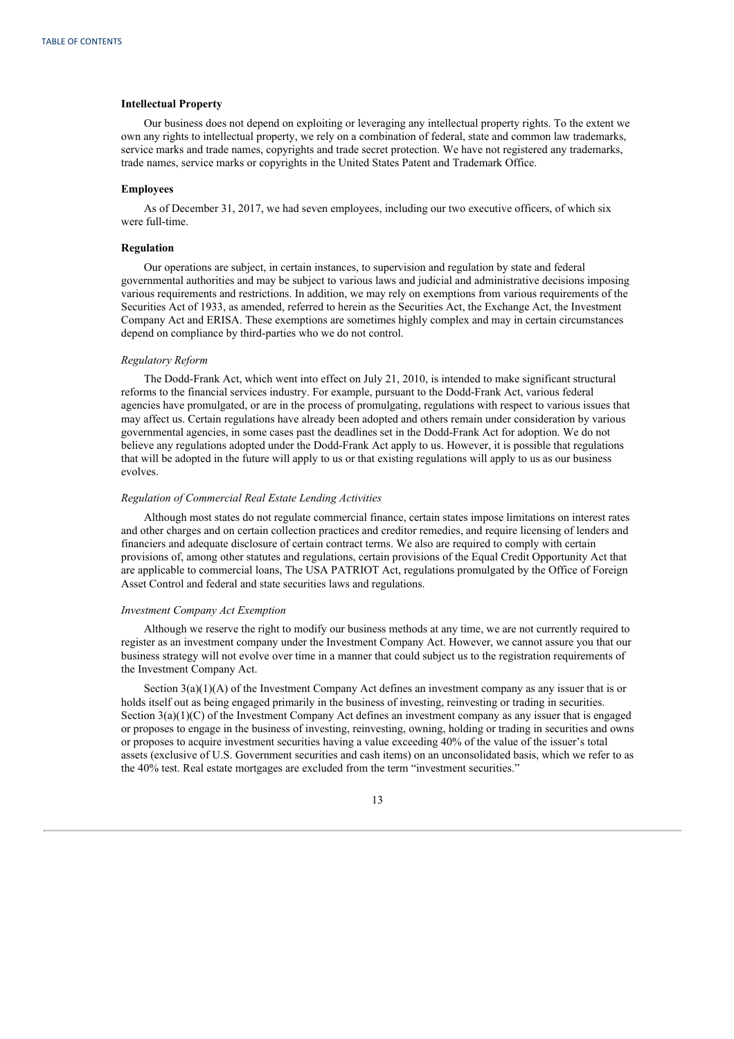# **Intellectual Property**

Our business does not depend on exploiting or leveraging any intellectual property rights. To the extent we own any rights to intellectual property, we rely on a combination of federal, state and common law trademarks, service marks and trade names, copyrights and trade secret protection. We have not registered any trademarks, trade names, service marks or copyrights in the United States Patent and Trademark Office.

#### **Employees**

As of December 31, 2017, we had seven employees, including our two executive officers, of which six were full-time.

#### **Regulation**

Our operations are subject, in certain instances, to supervision and regulation by state and federal governmental authorities and may be subject to various laws and judicial and administrative decisions imposing various requirements and restrictions. In addition, we may rely on exemptions from various requirements of the Securities Act of 1933, as amended, referred to herein as the Securities Act, the Exchange Act, the Investment Company Act and ERISA. These exemptions are sometimes highly complex and may in certain circumstances depend on compliance by third-parties who we do not control.

# *Regulatory Reform*

The Dodd-Frank Act, which went into effect on July 21, 2010, is intended to make significant structural reforms to the financial services industry. For example, pursuant to the Dodd-Frank Act, various federal agencies have promulgated, or are in the process of promulgating, regulations with respect to various issues that may affect us. Certain regulations have already been adopted and others remain under consideration by various governmental agencies, in some cases past the deadlines set in the Dodd-Frank Act for adoption. We do not believe any regulations adopted under the Dodd-Frank Act apply to us. However, it is possible that regulations that will be adopted in the future will apply to us or that existing regulations will apply to us as our business evolves.

# *Regulation of Commercial Real Estate Lending Activities*

Although most states do not regulate commercial finance, certain states impose limitations on interest rates and other charges and on certain collection practices and creditor remedies, and require licensing of lenders and financiers and adequate disclosure of certain contract terms. We also are required to comply with certain provisions of, among other statutes and regulations, certain provisions of the Equal Credit Opportunity Act that are applicable to commercial loans, The USA PATRIOT Act, regulations promulgated by the Office of Foreign Asset Control and federal and state securities laws and regulations.

#### *Investment Company Act Exemption*

Although we reserve the right to modify our business methods at any time, we are not currently required to register as an investment company under the Investment Company Act. However, we cannot assure you that our business strategy will not evolve over time in a manner that could subject us to the registration requirements of the Investment Company Act.

Section 3(a)(1)(A) of the Investment Company Act defines an investment company as any issuer that is or holds itself out as being engaged primarily in the business of investing, reinvesting or trading in securities. Section 3(a)(1)(C) of the Investment Company Act defines an investment company as any issuer that is engaged or proposes to engage in the business of investing, reinvesting, owning, holding or trading in securities and owns or proposes to acquire investment securities having a value exceeding 40% of the value of the issuer's total assets (exclusive of U.S. Government securities and cash items) on an unconsolidated basis, which we refer to as the 40% test. Real estate mortgages are excluded from the term "investment securities."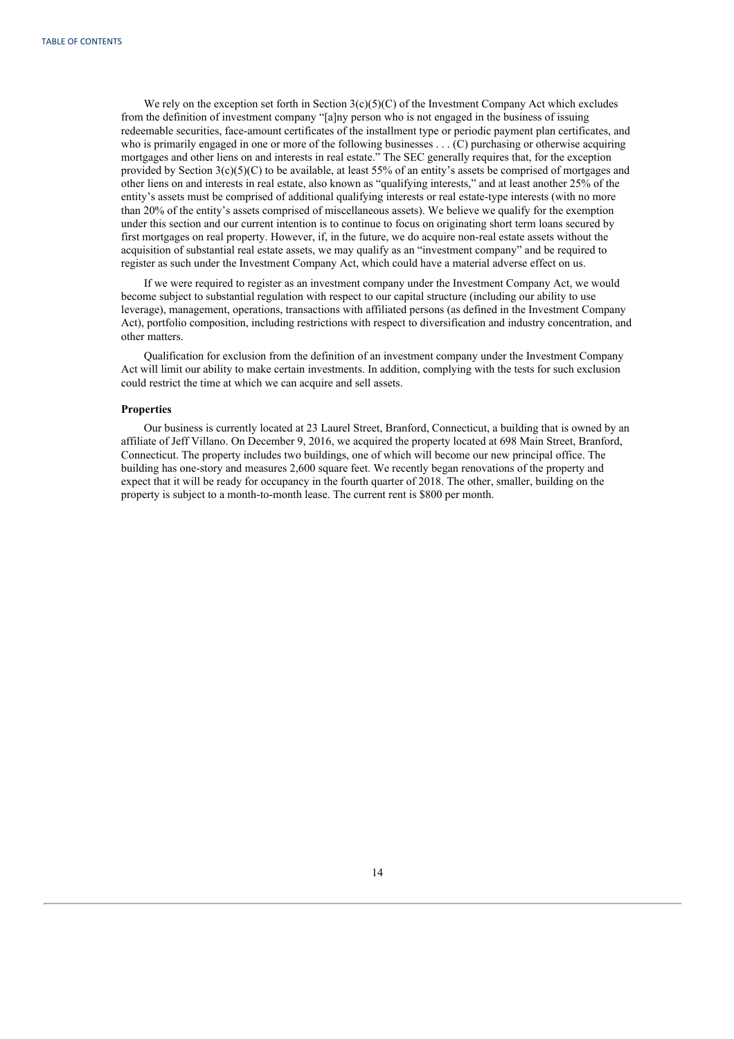We rely on the exception set forth in Section 3(c)(5)(C) of the Investment Company Act which excludes from the definition of investment company "[a]ny person who is not engaged in the business of issuing redeemable securities, face-amount certificates of the installment type or periodic payment plan certificates, and who is primarily engaged in one or more of the following businesses . . . (C) purchasing or otherwise acquiring mortgages and other liens on and interests in real estate." The SEC generally requires that, for the exception provided by Section 3(c)(5)(C) to be available, at least 55% of an entity's assets be comprised of mortgages and other liens on and interests in real estate, also known as "qualifying interests," and at least another 25% of the entity's assets must be comprised of additional qualifying interests or real estate-type interests (with no more than 20% of the entity's assets comprised of miscellaneous assets). We believe we qualify for the exemption under this section and our current intention is to continue to focus on originating short term loans secured by first mortgages on real property. However, if, in the future, we do acquire non-real estate assets without the acquisition of substantial real estate assets, we may qualify as an "investment company" and be required to register as such under the Investment Company Act, which could have a material adverse effect on us.

If we were required to register as an investment company under the Investment Company Act, we would become subject to substantial regulation with respect to our capital structure (including our ability to use leverage), management, operations, transactions with affiliated persons (as defined in the Investment Company Act), portfolio composition, including restrictions with respect to diversification and industry concentration, and other matters.

Qualification for exclusion from the definition of an investment company under the Investment Company Act will limit our ability to make certain investments. In addition, complying with the tests for such exclusion could restrict the time at which we can acquire and sell assets.

#### **Properties**

Our business is currently located at 23 Laurel Street, Branford, Connecticut, a building that is owned by an affiliate of Jeff Villano. On December 9, 2016, we acquired the property located at 698 Main Street, Branford, Connecticut. The property includes two buildings, one of which will become our new principal office. The building has one-story and measures 2,600 square feet. We recently began renovations of the property and expect that it will be ready for occupancy in the fourth quarter of 2018. The other, smaller, building on the property is subject to a month-to-month lease. The current rent is \$800 per month.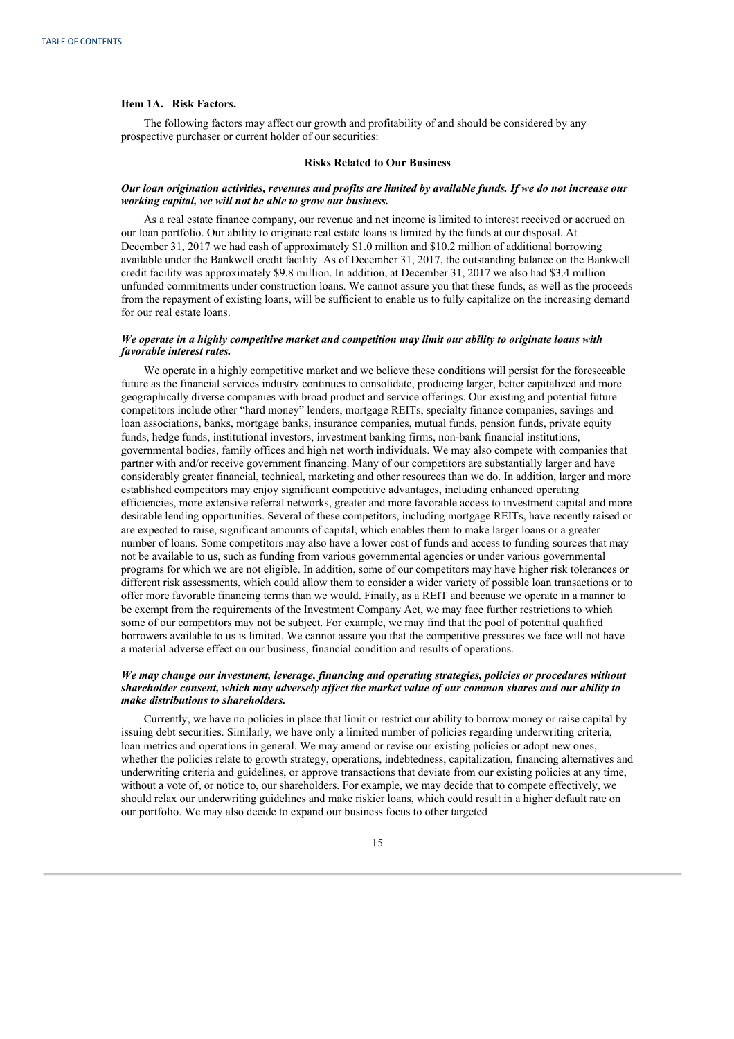# **Item 1A. Risk Factors.**

The following factors may affect our growth and profitability of and should be considered by any prospective purchaser or current holder of our securities:

### **Risks Related to Our Business**

#### Our loan origination activities, revenues and profits are limited by available funds. If we do not increase our *working capital, we will not be able to grow our business.*

As a real estate finance company, our revenue and net income is limited to interest received or accrued on our loan portfolio. Our ability to originate real estate loans is limited by the funds at our disposal. At December 31, 2017 we had cash of approximately \$1.0 million and \$10.2 million of additional borrowing available under the Bankwell credit facility. As of December 31, 2017, the outstanding balance on the Bankwell credit facility was approximately \$9.8 million. In addition, at December 31, 2017 we also had \$3.4 million unfunded commitments under construction loans. We cannot assure you that these funds, as well as the proceeds from the repayment of existing loans, will be sufficient to enable us to fully capitalize on the increasing demand for our real estate loans.

# *We operate in a highly competitive market and competition may limit our ability to originate loans with favorable interest rates.*

We operate in a highly competitive market and we believe these conditions will persist for the foreseeable future as the financial services industry continues to consolidate, producing larger, better capitalized and more geographically diverse companies with broad product and service offerings. Our existing and potential future competitors include other "hard money" lenders, mortgage REITs, specialty finance companies, savings and loan associations, banks, mortgage banks, insurance companies, mutual funds, pension funds, private equity funds, hedge funds, institutional investors, investment banking firms, non-bank financial institutions, governmental bodies, family offices and high net worth individuals. We may also compete with companies that partner with and/or receive government financing. Many of our competitors are substantially larger and have considerably greater financial, technical, marketing and other resources than we do. In addition, larger and more established competitors may enjoy significant competitive advantages, including enhanced operating efficiencies, more extensive referral networks, greater and more favorable access to investment capital and more desirable lending opportunities. Several of these competitors, including mortgage REITs, have recently raised or are expected to raise, significant amounts of capital, which enables them to make larger loans or a greater number of loans. Some competitors may also have a lower cost of funds and access to funding sources that may not be available to us, such as funding from various governmental agencies or under various governmental programs for which we are not eligible. In addition, some of our competitors may have higher risk tolerances or different risk assessments, which could allow them to consider a wider variety of possible loan transactions or to offer more favorable financing terms than we would. Finally, as a REIT and because we operate in a manner to be exempt from the requirements of the Investment Company Act, we may face further restrictions to which some of our competitors may not be subject. For example, we may find that the pool of potential qualified borrowers available to us is limited. We cannot assure you that the competitive pressures we face will not have a material adverse effect on our business, financial condition and results of operations.

# *We may change our investment, leverage, financing and operating strategies, policies or procedures without* shareholder consent, which may adversely affect the market value of our common shares and our ability to *make distributions to shareholders.*

Currently, we have no policies in place that limit or restrict our ability to borrow money or raise capital by issuing debt securities. Similarly, we have only a limited number of policies regarding underwriting criteria, loan metrics and operations in general. We may amend or revise our existing policies or adopt new ones, whether the policies relate to growth strategy, operations, indebtedness, capitalization, financing alternatives and underwriting criteria and guidelines, or approve transactions that deviate from our existing policies at any time, without a vote of, or notice to, our shareholders. For example, we may decide that to compete effectively, we should relax our underwriting guidelines and make riskier loans, which could result in a higher default rate on our portfolio. We may also decide to expand our business focus to other targeted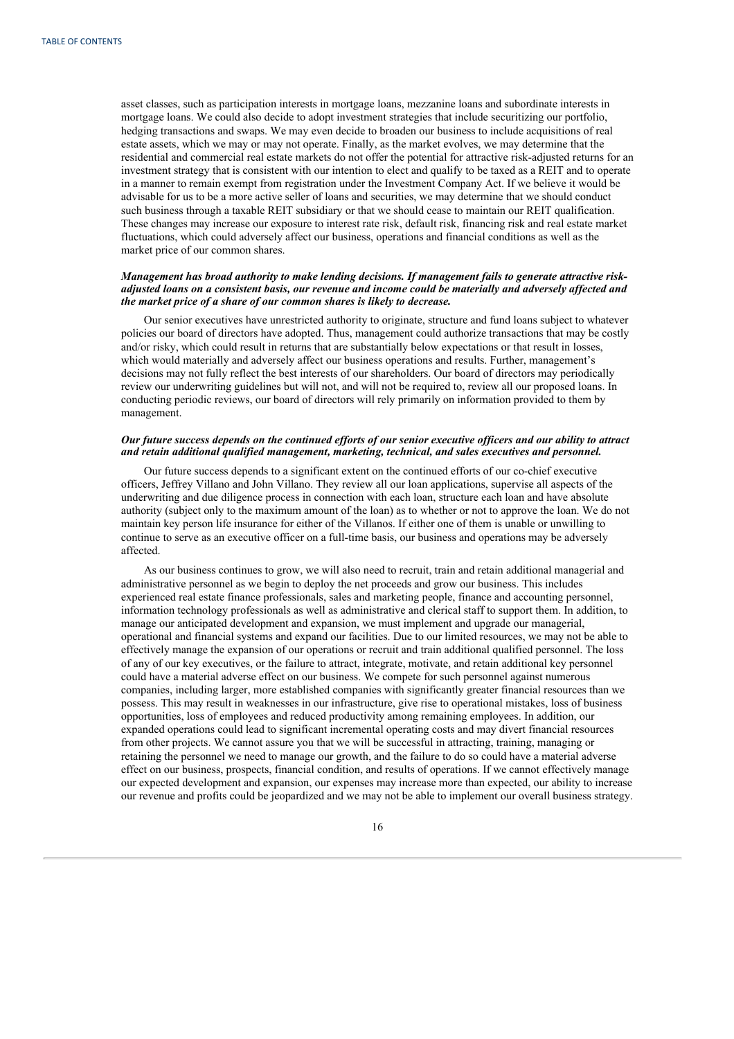asset classes, such as participation interests in mortgage loans, mezzanine loans and subordinate interests in mortgage loans. We could also decide to adopt investment strategies that include securitizing our portfolio, hedging transactions and swaps. We may even decide to broaden our business to include acquisitions of real estate assets, which we may or may not operate. Finally, as the market evolves, we may determine that the residential and commercial real estate markets do not offer the potential for attractive risk-adjusted returns for an investment strategy that is consistent with our intention to elect and qualify to be taxed as a REIT and to operate in a manner to remain exempt from registration under the Investment Company Act. If we believe it would be advisable for us to be a more active seller of loans and securities, we may determine that we should conduct such business through a taxable REIT subsidiary or that we should cease to maintain our REIT qualification. These changes may increase our exposure to interest rate risk, default risk, financing risk and real estate market fluctuations, which could adversely affect our business, operations and financial conditions as well as the market price of our common shares.

# *Management has broad authority to make lending decisions. If management fails to generate attractive risk*adjusted loans on a consistent basis, our revenue and income could be materially and adversely affected and *the market price of a share of our common shares is likely to decrease.*

Our senior executives have unrestricted authority to originate, structure and fund loans subject to whatever policies our board of directors have adopted. Thus, management could authorize transactions that may be costly and/or risky, which could result in returns that are substantially below expectations or that result in losses, which would materially and adversely affect our business operations and results. Further, management's decisions may not fully reflect the best interests of our shareholders. Our board of directors may periodically review our underwriting guidelines but will not, and will not be required to, review all our proposed loans. In conducting periodic reviews, our board of directors will rely primarily on information provided to them by management.

# Our future success depends on the continued efforts of our senior executive officers and our ability to attract *and retain additional qualified management, marketing, technical, and sales executives and personnel.*

Our future success depends to a significant extent on the continued efforts of our co-chief executive officers, Jeffrey Villano and John Villano. They review all our loan applications, supervise all aspects of the underwriting and due diligence process in connection with each loan, structure each loan and have absolute authority (subject only to the maximum amount of the loan) as to whether or not to approve the loan. We do not maintain key person life insurance for either of the Villanos. If either one of them is unable or unwilling to continue to serve as an executive officer on a full-time basis, our business and operations may be adversely affected.

As our business continues to grow, we will also need to recruit, train and retain additional managerial and administrative personnel as we begin to deploy the net proceeds and grow our business. This includes experienced real estate finance professionals, sales and marketing people, finance and accounting personnel, information technology professionals as well as administrative and clerical staff to support them. In addition, to manage our anticipated development and expansion, we must implement and upgrade our managerial, operational and financial systems and expand our facilities. Due to our limited resources, we may not be able to effectively manage the expansion of our operations or recruit and train additional qualified personnel. The loss of any of our key executives, or the failure to attract, integrate, motivate, and retain additional key personnel could have a material adverse effect on our business. We compete for such personnel against numerous companies, including larger, more established companies with significantly greater financial resources than we possess. This may result in weaknesses in our infrastructure, give rise to operational mistakes, loss of business opportunities, loss of employees and reduced productivity among remaining employees. In addition, our expanded operations could lead to significant incremental operating costs and may divert financial resources from other projects. We cannot assure you that we will be successful in attracting, training, managing or retaining the personnel we need to manage our growth, and the failure to do so could have a material adverse effect on our business, prospects, financial condition, and results of operations. If we cannot effectively manage our expected development and expansion, our expenses may increase more than expected, our ability to increase our revenue and profits could be jeopardized and we may not be able to implement our overall business strategy.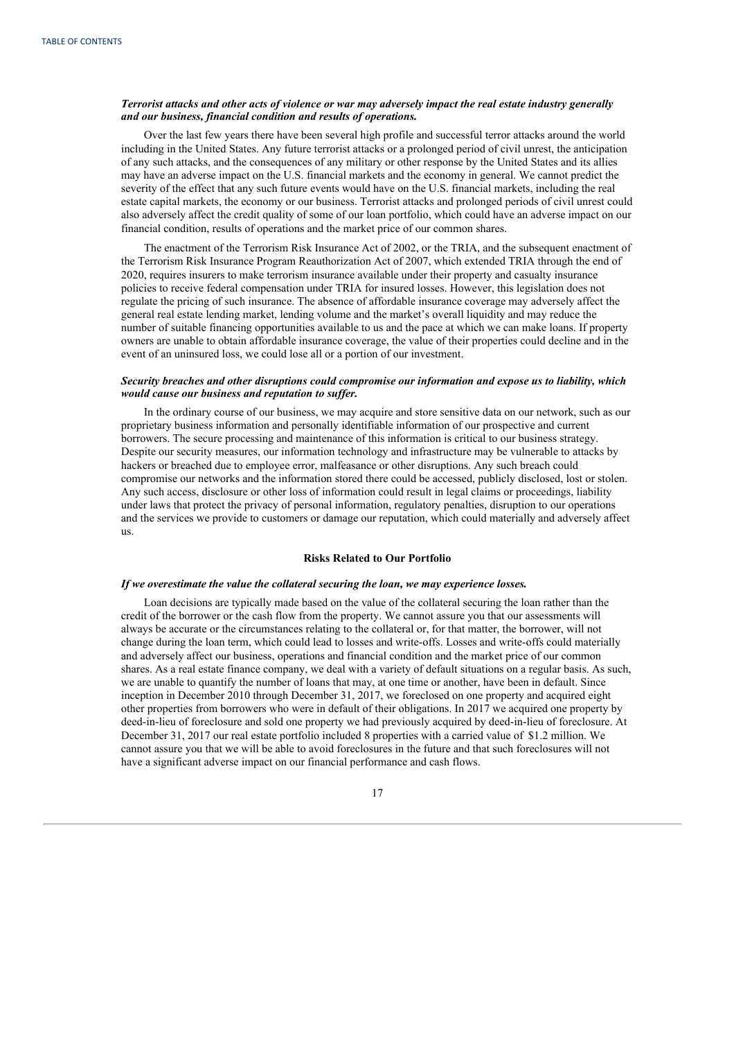# Terrorist attacks and other acts of violence or war may adversely impact the real estate industry generally *and our business, financial condition and results of operations.*

Over the last few years there have been several high profile and successful terror attacks around the world including in the United States. Any future terrorist attacks or a prolonged period of civil unrest, the anticipation of any such attacks, and the consequences of any military or other response by the United States and its allies may have an adverse impact on the U.S. financial markets and the economy in general. We cannot predict the severity of the effect that any such future events would have on the U.S. financial markets, including the real estate capital markets, the economy or our business. Terrorist attacks and prolonged periods of civil unrest could also adversely affect the credit quality of some of our loan portfolio, which could have an adverse impact on our financial condition, results of operations and the market price of our common shares.

The enactment of the Terrorism Risk Insurance Act of 2002, or the TRIA, and the subsequent enactment of the Terrorism Risk Insurance Program Reauthorization Act of 2007, which extended TRIA through the end of 2020, requires insurers to make terrorism insurance available under their property and casualty insurance policies to receive federal compensation under TRIA for insured losses. However, this legislation does not regulate the pricing of such insurance. The absence of affordable insurance coverage may adversely affect the general real estate lending market, lending volume and the market's overall liquidity and may reduce the number of suitable financing opportunities available to us and the pace at which we can make loans. If property owners are unable to obtain affordable insurance coverage, the value of their properties could decline and in the event of an uninsured loss, we could lose all or a portion of our investment.

# *Security breaches and other disruptions could compromise our information and expose us to liability, which would cause our business and reputation to suffer.*

In the ordinary course of our business, we may acquire and store sensitive data on our network, such as our proprietary business information and personally identifiable information of our prospective and current borrowers. The secure processing and maintenance of this information is critical to our business strategy. Despite our security measures, our information technology and infrastructure may be vulnerable to attacks by hackers or breached due to employee error, malfeasance or other disruptions. Any such breach could compromise our networks and the information stored there could be accessed, publicly disclosed, lost or stolen. Any such access, disclosure or other loss of information could result in legal claims or proceedings, liability under laws that protect the privacy of personal information, regulatory penalties, disruption to our operations and the services we provide to customers or damage our reputation, which could materially and adversely affect us.

### **Risks Related to Our Portfolio**

#### *If we overestimate the value the collateral securing the loan, we may experience losses.*

Loan decisions are typically made based on the value of the collateral securing the loan rather than the credit of the borrower or the cash flow from the property. We cannot assure you that our assessments will always be accurate or the circumstances relating to the collateral or, for that matter, the borrower, will not change during the loan term, which could lead to losses and write-offs. Losses and write-offs could materially and adversely affect our business, operations and financial condition and the market price of our common shares. As a real estate finance company, we deal with a variety of default situations on a regular basis. As such, we are unable to quantify the number of loans that may, at one time or another, have been in default. Since inception in December 2010 through December 31, 2017, we foreclosed on one property and acquired eight other properties from borrowers who were in default of their obligations. In 2017 we acquired one property by deed-in-lieu of foreclosure and sold one property we had previously acquired by deed-in-lieu of foreclosure. At December 31, 2017 our real estate portfolio included 8 properties with a carried value of \$1.2 million. We cannot assure you that we will be able to avoid foreclosures in the future and that such foreclosures will not have a significant adverse impact on our financial performance and cash flows.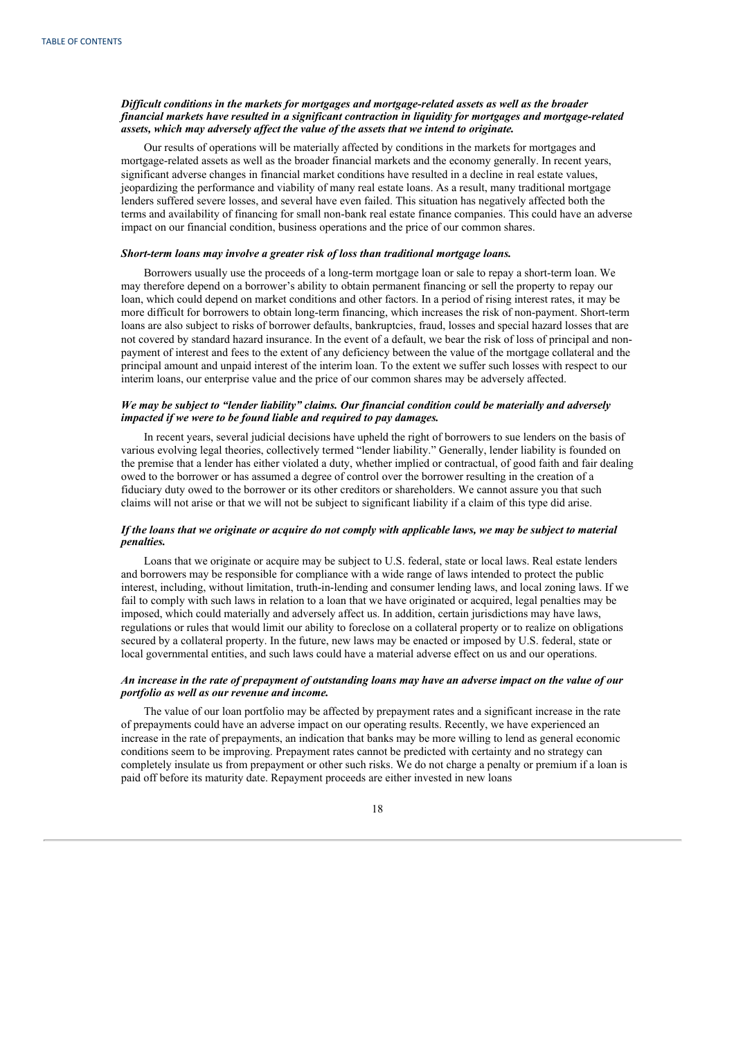# *Dif icult conditions in the markets for mortgages and mortgage-related assets as well as the broader financial markets have resulted in a significant contraction in liquidity for mortgages and mortgage-related assets, which may adversely af ect the value of the assets that we intend to originate.*

Our results of operations will be materially affected by conditions in the markets for mortgages and mortgage-related assets as well as the broader financial markets and the economy generally. In recent years, significant adverse changes in financial market conditions have resulted in a decline in real estate values, jeopardizing the performance and viability of many real estate loans. As a result, many traditional mortgage lenders suffered severe losses, and several have even failed. This situation has negatively affected both the terms and availability of financing for small non-bank real estate finance companies. This could have an adverse impact on our financial condition, business operations and the price of our common shares.

# *Short-term loans may involve a greater risk of loss than traditional mortgage loans.*

Borrowers usually use the proceeds of a long-term mortgage loan or sale to repay a short-term loan. We may therefore depend on a borrower's ability to obtain permanent financing or sell the property to repay our loan, which could depend on market conditions and other factors. In a period of rising interest rates, it may be more difficult for borrowers to obtain long-term financing, which increases the risk of non-payment. Short-term loans are also subject to risks of borrower defaults, bankruptcies, fraud, losses and special hazard losses that are not covered by standard hazard insurance. In the event of a default, we bear the risk of loss of principal and nonpayment of interest and fees to the extent of any deficiency between the value of the mortgage collateral and the principal amount and unpaid interest of the interim loan. To the extent we suffer such losses with respect to our interim loans, our enterprise value and the price of our common shares may be adversely affected.

# *We may be subject to "lender liability" claims. Our financial condition could be materially and adversely impacted if we were to be found liable and required to pay damages.*

In recent years, several judicial decisions have upheld the right of borrowers to sue lenders on the basis of various evolving legal theories, collectively termed "lender liability." Generally, lender liability is founded on the premise that a lender has either violated a duty, whether implied or contractual, of good faith and fair dealing owed to the borrower or has assumed a degree of control over the borrower resulting in the creation of a fiduciary duty owed to the borrower or its other creditors or shareholders. We cannot assure you that such claims will not arise or that we will not be subject to significant liability if a claim of this type did arise.

# If the loans that we originate or acquire do not comply with applicable laws, we may be subject to material *penalties.*

Loans that we originate or acquire may be subject to U.S. federal, state or local laws. Real estate lenders and borrowers may be responsible for compliance with a wide range of laws intended to protect the public interest, including, without limitation, truth-in-lending and consumer lending laws, and local zoning laws. If we fail to comply with such laws in relation to a loan that we have originated or acquired, legal penalties may be imposed, which could materially and adversely affect us. In addition, certain jurisdictions may have laws, regulations or rules that would limit our ability to foreclose on a collateral property or to realize on obligations secured by a collateral property. In the future, new laws may be enacted or imposed by U.S. federal, state or local governmental entities, and such laws could have a material adverse effect on us and our operations.

# An increase in the rate of prepayment of outstanding loans may have an adverse impact on the value of our *portfolio as well as our revenue and income.*

The value of our loan portfolio may be affected by prepayment rates and a significant increase in the rate of prepayments could have an adverse impact on our operating results. Recently, we have experienced an increase in the rate of prepayments, an indication that banks may be more willing to lend as general economic conditions seem to be improving. Prepayment rates cannot be predicted with certainty and no strategy can completely insulate us from prepayment or other such risks. We do not charge a penalty or premium if a loan is paid off before its maturity date. Repayment proceeds are either invested in new loans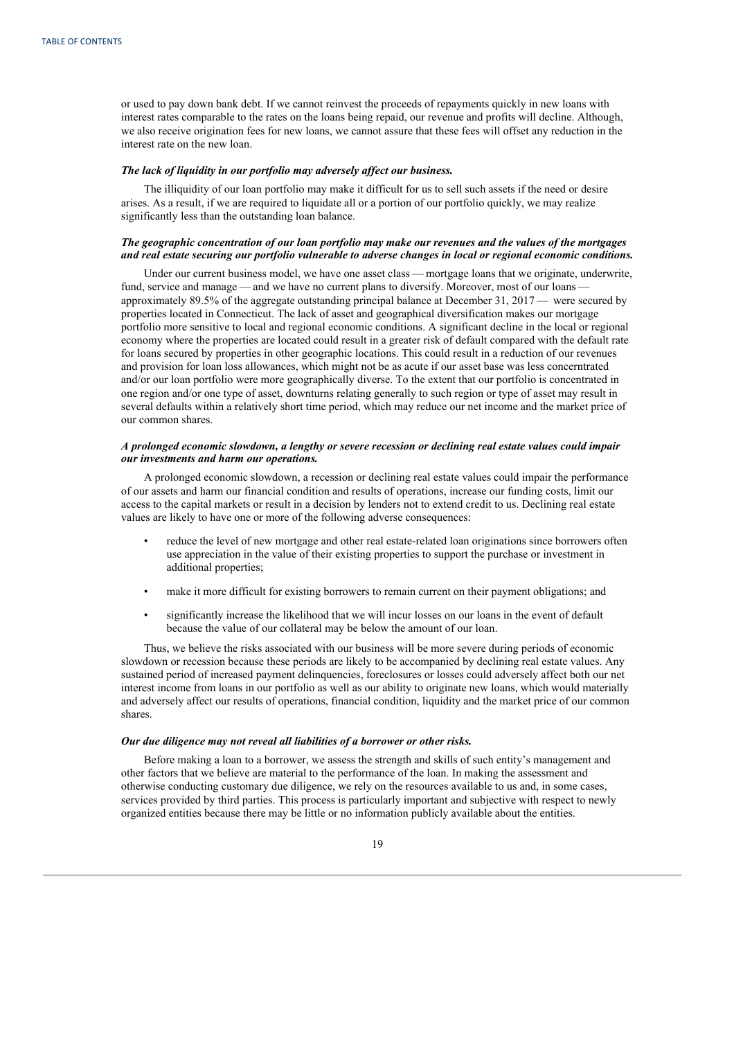or used to pay down bank debt. If we cannot reinvest the proceeds of repayments quickly in new loans with interest rates comparable to the rates on the loans being repaid, our revenue and profits will decline. Although, we also receive origination fees for new loans, we cannot assure that these fees will offset any reduction in the interest rate on the new loan.

# *The lack of liquidity in our portfolio may adversely af ect our business.*

The illiquidity of our loan portfolio may make it difficult for us to sell such assets if the need or desire arises. As a result, if we are required to liquidate all or a portion of our portfolio quickly, we may realize significantly less than the outstanding loan balance.

# *The geographic concentration of our loan portfolio may make our revenues and the values of the mortgages and real estate securing our portfolio vulnerable to adverse changes in local or regional economic conditions.*

Under our current business model, we have one asset class — mortgage loans that we originate, underwrite, fund, service and manage — and we have no current plans to diversify. Moreover, most of our loans approximately 89.5% of the aggregate outstanding principal balance at December 31, 2017 — were secured by properties located in Connecticut. The lack of asset and geographical diversification makes our mortgage portfolio more sensitive to local and regional economic conditions. A significant decline in the local or regional economy where the properties are located could result in a greater risk of default compared with the default rate for loans secured by properties in other geographic locations. This could result in a reduction of our revenues and provision for loan loss allowances, which might not be as acute if our asset base was less concerntrated and/or our loan portfolio were more geographically diverse. To the extent that our portfolio is concentrated in one region and/or one type of asset, downturns relating generally to such region or type of asset may result in several defaults within a relatively short time period, which may reduce our net income and the market price of our common shares.

# *A prolonged economic slowdown, a lengthy or severe recession or declining real estate values could impair our investments and harm our operations.*

A prolonged economic slowdown, a recession or declining real estate values could impair the performance of our assets and harm our financial condition and results of operations, increase our funding costs, limit our access to the capital markets or result in a decision by lenders not to extend credit to us. Declining real estate values are likely to have one or more of the following adverse consequences:

- reduce the level of new mortgage and other real estate-related loan originations since borrowers often use appreciation in the value of their existing properties to support the purchase or investment in additional properties;
- make it more difficult for existing borrowers to remain current on their payment obligations; and
- significantly increase the likelihood that we will incur losses on our loans in the event of default because the value of our collateral may be below the amount of our loan.

Thus, we believe the risks associated with our business will be more severe during periods of economic slowdown or recession because these periods are likely to be accompanied by declining real estate values. Any sustained period of increased payment delinquencies, foreclosures or losses could adversely affect both our net interest income from loans in our portfolio as well as our ability to originate new loans, which would materially and adversely affect our results of operations, financial condition, liquidity and the market price of our common shares.

### *Our due diligence may not reveal all liabilities of a borrower or other risks.*

Before making a loan to a borrower, we assess the strength and skills of such entity's management and other factors that we believe are material to the performance of the loan. In making the assessment and otherwise conducting customary due diligence, we rely on the resources available to us and, in some cases, services provided by third parties. This process is particularly important and subjective with respect to newly organized entities because there may be little or no information publicly available about the entities.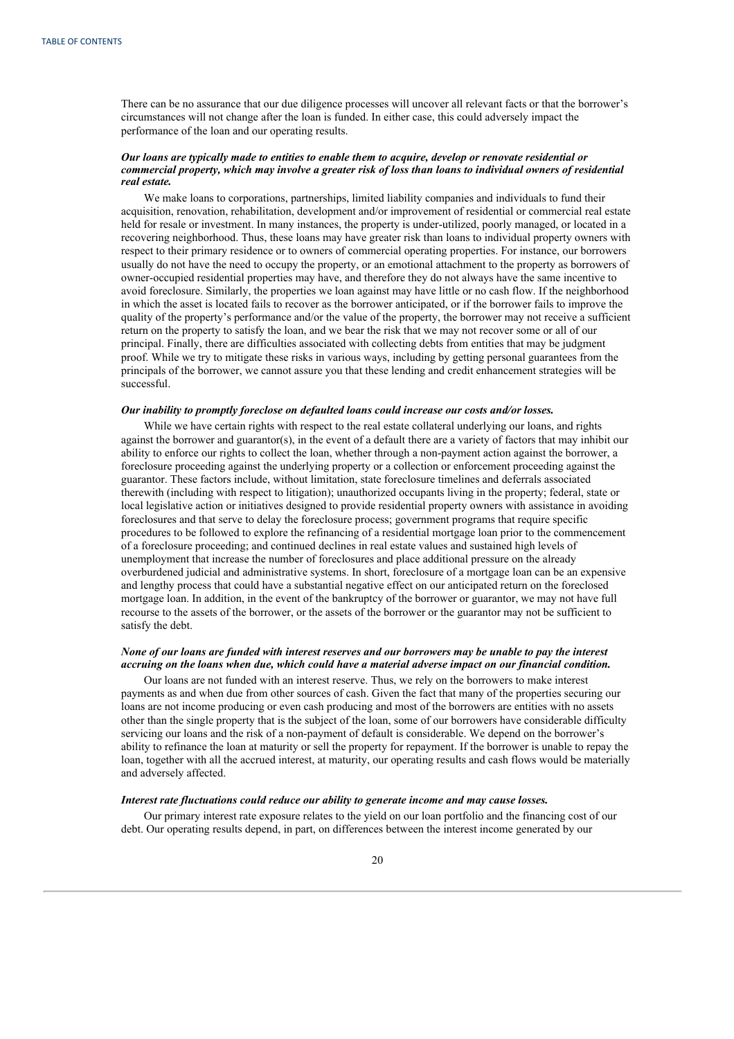There can be no assurance that our due diligence processes will uncover all relevant facts or that the borrower's circumstances will not change after the loan is funded. In either case, this could adversely impact the performance of the loan and our operating results.

# *Our loans are typically made to entities to enable them to acquire, develop or renovate residential or* commercial property, which may involve a greater risk of loss than loans to individual owners of residential *real estate.*

We make loans to corporations, partnerships, limited liability companies and individuals to fund their acquisition, renovation, rehabilitation, development and/or improvement of residential or commercial real estate held for resale or investment. In many instances, the property is under-utilized, poorly managed, or located in a recovering neighborhood. Thus, these loans may have greater risk than loans to individual property owners with respect to their primary residence or to owners of commercial operating properties. For instance, our borrowers usually do not have the need to occupy the property, or an emotional attachment to the property as borrowers of owner-occupied residential properties may have, and therefore they do not always have the same incentive to avoid foreclosure. Similarly, the properties we loan against may have little or no cash flow. If the neighborhood in which the asset is located fails to recover as the borrower anticipated, or if the borrower fails to improve the quality of the property's performance and/or the value of the property, the borrower may not receive a sufficient return on the property to satisfy the loan, and we bear the risk that we may not recover some or all of our principal. Finally, there are difficulties associated with collecting debts from entities that may be judgment proof. While we try to mitigate these risks in various ways, including by getting personal guarantees from the principals of the borrower, we cannot assure you that these lending and credit enhancement strategies will be successful.

#### *Our inability to promptly foreclose on defaulted loans could increase our costs and/or losses.*

While we have certain rights with respect to the real estate collateral underlying our loans, and rights against the borrower and guarantor(s), in the event of a default there are a variety of factors that may inhibit our ability to enforce our rights to collect the loan, whether through a non-payment action against the borrower, a foreclosure proceeding against the underlying property or a collection or enforcement proceeding against the guarantor. These factors include, without limitation, state foreclosure timelines and deferrals associated therewith (including with respect to litigation); unauthorized occupants living in the property; federal, state or local legislative action or initiatives designed to provide residential property owners with assistance in avoiding foreclosures and that serve to delay the foreclosure process; government programs that require specific procedures to be followed to explore the refinancing of a residential mortgage loan prior to the commencement of a foreclosure proceeding; and continued declines in real estate values and sustained high levels of unemployment that increase the number of foreclosures and place additional pressure on the already overburdened judicial and administrative systems. In short, foreclosure of a mortgage loan can be an expensive and lengthy process that could have a substantial negative effect on our anticipated return on the foreclosed mortgage loan. In addition, in the event of the bankruptcy of the borrower or guarantor, we may not have full recourse to the assets of the borrower, or the assets of the borrower or the guarantor may not be sufficient to satisfy the debt.

# None of our loans are funded with interest reserves and our borrowers may be unable to pay the interest *accruing on the loans when due, which could have a material adverse impact on our financial condition.*

Our loans are not funded with an interest reserve. Thus, we rely on the borrowers to make interest payments as and when due from other sources of cash. Given the fact that many of the properties securing our loans are not income producing or even cash producing and most of the borrowers are entities with no assets other than the single property that is the subject of the loan, some of our borrowers have considerable difficulty servicing our loans and the risk of a non-payment of default is considerable. We depend on the borrower's ability to refinance the loan at maturity or sell the property for repayment. If the borrower is unable to repay the loan, together with all the accrued interest, at maturity, our operating results and cash flows would be materially and adversely affected.

#### *Interest rate fluctuations could reduce our ability to generate income and may cause losses.*

Our primary interest rate exposure relates to the yield on our loan portfolio and the financing cost of our debt. Our operating results depend, in part, on differences between the interest income generated by our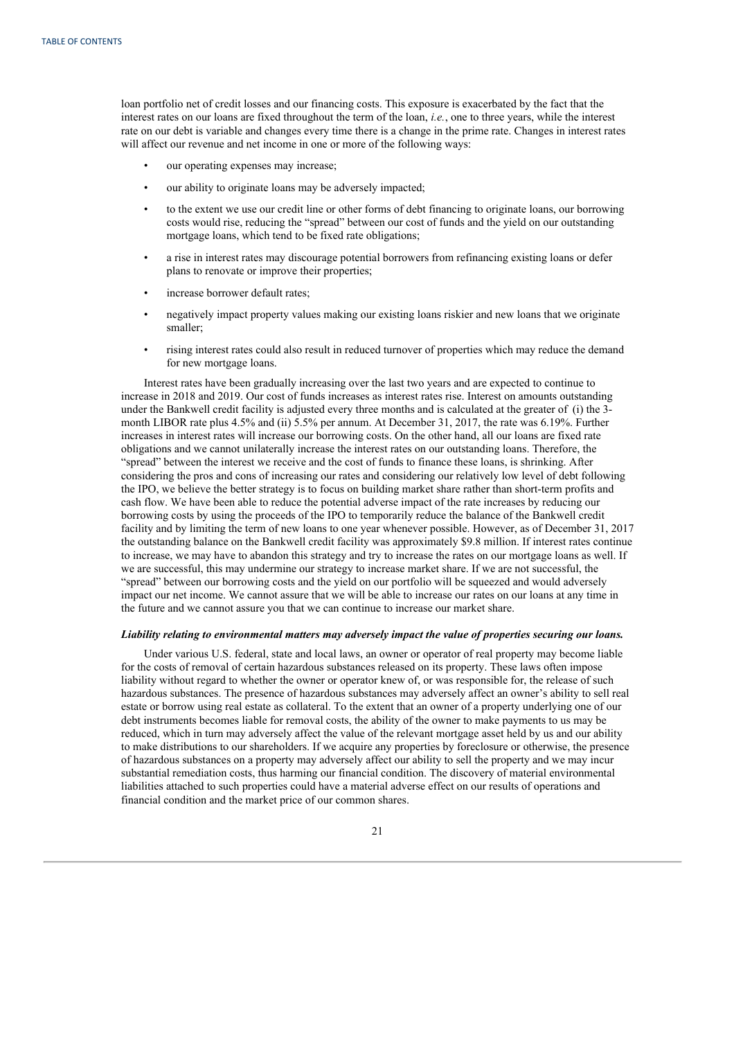loan portfolio net of credit losses and our financing costs. This exposure is exacerbated by the fact that the interest rates on our loans are fixed throughout the term of the loan, *i.e.*, one to three years, while the interest rate on our debt is variable and changes every time there is a change in the prime rate. Changes in interest rates will affect our revenue and net income in one or more of the following ways:

- our operating expenses may increase;
- our ability to originate loans may be adversely impacted;
- to the extent we use our credit line or other forms of debt financing to originate loans, our borrowing costs would rise, reducing the "spread" between our cost of funds and the yield on our outstanding mortgage loans, which tend to be fixed rate obligations;
- a rise in interest rates may discourage potential borrowers from refinancing existing loans or defer plans to renovate or improve their properties;
- increase borrower default rates:
- negatively impact property values making our existing loans riskier and new loans that we originate smaller;
- rising interest rates could also result in reduced turnover of properties which may reduce the demand for new mortgage loans.

Interest rates have been gradually increasing over the last two years and are expected to continue to increase in 2018 and 2019. Our cost of funds increases as interest rates rise. Interest on amounts outstanding under the Bankwell credit facility is adjusted every three months and is calculated at the greater of (i) the 3month LIBOR rate plus 4.5% and (ii) 5.5% per annum. At December 31, 2017, the rate was 6.19%. Further increases in interest rates will increase our borrowing costs. On the other hand, all our loans are fixed rate obligations and we cannot unilaterally increase the interest rates on our outstanding loans. Therefore, the "spread" between the interest we receive and the cost of funds to finance these loans, is shrinking. After considering the pros and cons of increasing our rates and considering our relatively low level of debt following the IPO, we believe the better strategy is to focus on building market share rather than short-term profits and cash flow. We have been able to reduce the potential adverse impact of the rate increases by reducing our borrowing costs by using the proceeds of the IPO to temporarily reduce the balance of the Bankwell credit facility and by limiting the term of new loans to one year whenever possible. However, as of December 31, 2017 the outstanding balance on the Bankwell credit facility was approximately \$9.8 million. If interest rates continue to increase, we may have to abandon this strategy and try to increase the rates on our mortgage loans as well. If we are successful, this may undermine our strategy to increase market share. If we are not successful, the "spread" between our borrowing costs and the yield on our portfolio will be squeezed and would adversely impact our net income. We cannot assure that we will be able to increase our rates on our loans at any time in the future and we cannot assure you that we can continue to increase our market share.

#### *Liability relating to environmental matters may adversely impact the value of properties securing our loans.*

Under various U.S. federal, state and local laws, an owner or operator of real property may become liable for the costs of removal of certain hazardous substances released on its property. These laws often impose liability without regard to whether the owner or operator knew of, or was responsible for, the release of such hazardous substances. The presence of hazardous substances may adversely affect an owner's ability to sell real estate or borrow using real estate as collateral. To the extent that an owner of a property underlying one of our debt instruments becomes liable for removal costs, the ability of the owner to make payments to us may be reduced, which in turn may adversely affect the value of the relevant mortgage asset held by us and our ability to make distributions to our shareholders. If we acquire any properties by foreclosure or otherwise, the presence of hazardous substances on a property may adversely affect our ability to sell the property and we may incur substantial remediation costs, thus harming our financial condition. The discovery of material environmental liabilities attached to such properties could have a material adverse effect on our results of operations and financial condition and the market price of our common shares.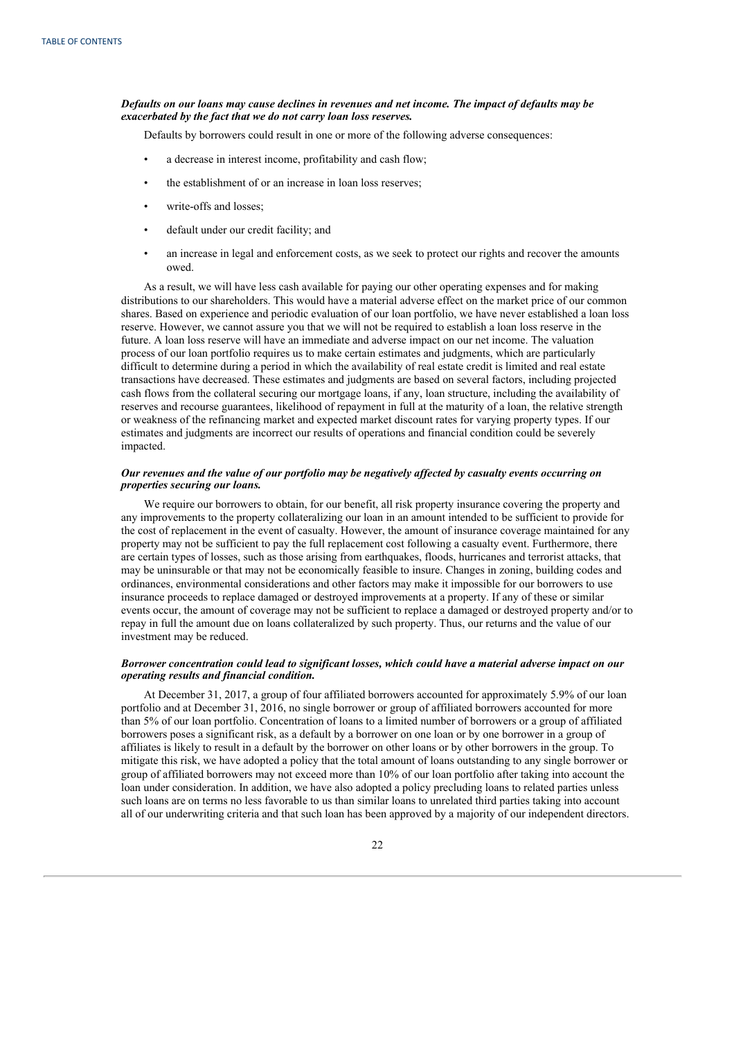# *Defaults on our loans may cause declines in revenues and net income. The impact of defaults may be exacerbated by the fact that we do not carry loan loss reserves.*

Defaults by borrowers could result in one or more of the following adverse consequences:

- a decrease in interest income, profitability and cash flow;
- the establishment of or an increase in loan loss reserves;
- write-offs and losses:
- default under our credit facility; and
- an increase in legal and enforcement costs, as we seek to protect our rights and recover the amounts owed.

As a result, we will have less cash available for paying our other operating expenses and for making distributions to our shareholders. This would have a material adverse effect on the market price of our common shares. Based on experience and periodic evaluation of our loan portfolio, we have never established a loan loss reserve. However, we cannot assure you that we will not be required to establish a loan loss reserve in the future. A loan loss reserve will have an immediate and adverse impact on our net income. The valuation process of our loan portfolio requires us to make certain estimates and judgments, which are particularly difficult to determine during a period in which the availability of real estate credit is limited and real estate transactions have decreased. These estimates and judgments are based on several factors, including projected cash flows from the collateral securing our mortgage loans, if any, loan structure, including the availability of reserves and recourse guarantees, likelihood of repayment in full at the maturity of a loan, the relative strength or weakness of the refinancing market and expected market discount rates for varying property types. If our estimates and judgments are incorrect our results of operations and financial condition could be severely impacted.

### Our revenues and the value of our portfolio may be negatively affected by casualty events occurring on *properties securing our loans.*

We require our borrowers to obtain, for our benefit, all risk property insurance covering the property and any improvements to the property collateralizing our loan in an amount intended to be sufficient to provide for the cost of replacement in the event of casualty. However, the amount of insurance coverage maintained for any property may not be sufficient to pay the full replacement cost following a casualty event. Furthermore, there are certain types of losses, such as those arising from earthquakes, floods, hurricanes and terrorist attacks, that may be uninsurable or that may not be economically feasible to insure. Changes in zoning, building codes and ordinances, environmental considerations and other factors may make it impossible for our borrowers to use insurance proceeds to replace damaged or destroyed improvements at a property. If any of these or similar events occur, the amount of coverage may not be sufficient to replace a damaged or destroyed property and/or to repay in full the amount due on loans collateralized by such property. Thus, our returns and the value of our investment may be reduced.

### *Borrower concentration could lead to significant losses, which could have a material adverse impact on our operating results and financial condition.*

At December 31, 2017, a group of four affiliated borrowers accounted for approximately 5.9% of our loan portfolio and at December 31, 2016, no single borrower or group of affiliated borrowers accounted for more than 5% of our loan portfolio. Concentration of loans to a limited number of borrowers or a group of affiliated borrowers poses a significant risk, as a default by a borrower on one loan or by one borrower in a group of affiliates is likely to result in a default by the borrower on other loans or by other borrowers in the group. To mitigate this risk, we have adopted a policy that the total amount of loans outstanding to any single borrower or group of affiliated borrowers may not exceed more than 10% of our loan portfolio after taking into account the loan under consideration. In addition, we have also adopted a policy precluding loans to related parties unless such loans are on terms no less favorable to us than similar loans to unrelated third parties taking into account all of our underwriting criteria and that such loan has been approved by a majority of our independent directors.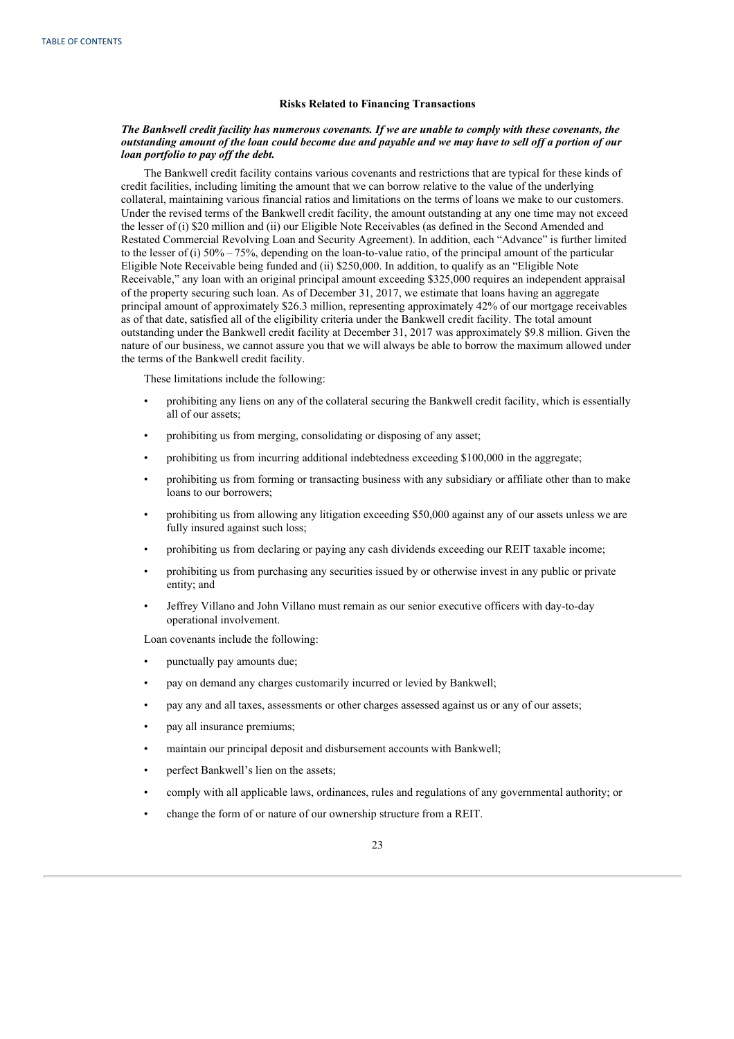# **Risks Related to Financing Transactions**

# *The Bankwell credit facility has numerous covenants. If we are unable to comply with these covenants, the* outstanding amount of the loan could become due and payable and we may have to sell off a portion of our *loan portfolio to pay of the debt.*

The Bankwell credit facility contains various covenants and restrictions that are typical for these kinds of credit facilities, including limiting the amount that we can borrow relative to the value of the underlying collateral, maintaining various financial ratios and limitations on the terms of loans we make to our customers. Under the revised terms of the Bankwell credit facility, the amount outstanding at any one time may not exceed the lesser of (i) \$20 million and (ii) our Eligible Note Receivables (as defined in the Second Amended and Restated Commercial Revolving Loan and Security Agreement). In addition, each "Advance" is further limited to the lesser of (i)  $50\% - 75\%$ , depending on the loan-to-value ratio, of the principal amount of the particular Eligible Note Receivable being funded and (ii) \$250,000. In addition, to qualify as an "Eligible Note Receivable," any loan with an original principal amount exceeding \$325,000 requires an independent appraisal of the property securing such loan. As of December 31, 2017, we estimate that loans having an aggregate principal amount of approximately \$26.3 million, representing approximately 42% of our mortgage receivables as of that date, satisfied all of the eligibility criteria under the Bankwell credit facility. The total amount outstanding under the Bankwell credit facility at December 31, 2017 was approximately \$9.8 million. Given the nature of our business, we cannot assure you that we will always be able to borrow the maximum allowed under the terms of the Bankwell credit facility.

These limitations include the following:

- prohibiting any liens on any of the collateral securing the Bankwell credit facility, which is essentially all of our assets;
- prohibiting us from merging, consolidating or disposing of any asset;
- prohibiting us from incurring additional indebtedness exceeding \$100,000 in the aggregate;
- prohibiting us from forming or transacting business with any subsidiary or affiliate other than to make loans to our borrowers;
- prohibiting us from allowing any litigation exceeding \$50,000 against any of our assets unless we are fully insured against such loss;
- prohibiting us from declaring or paying any cash dividends exceeding our REIT taxable income;
- prohibiting us from purchasing any securities issued by or otherwise invest in any public or private entity; and
- Jeffrey Villano and John Villano must remain as our senior executive officers with day-to-day operational involvement.

Loan covenants include the following:

- punctually pay amounts due;
- pay on demand any charges customarily incurred or levied by Bankwell;
- pay any and all taxes, assessments or other charges assessed against us or any of our assets;
- pay all insurance premiums;
- maintain our principal deposit and disbursement accounts with Bankwell;
- perfect Bankwell's lien on the assets;
- comply with all applicable laws, ordinances, rules and regulations of any governmental authority; or
- change the form of or nature of our ownership structure from a REIT.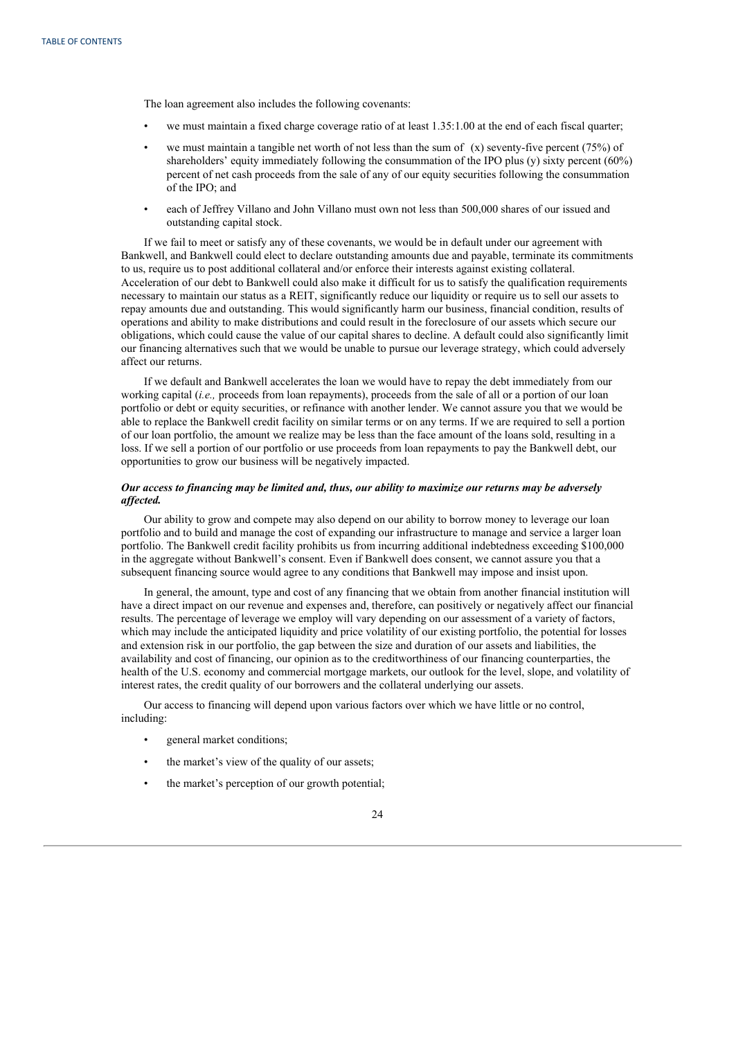The loan agreement also includes the following covenants:

- we must maintain a fixed charge coverage ratio of at least 1.35:1.00 at the end of each fiscal quarter;
- we must maintain a tangible net worth of not less than the sum of  $(x)$  seventy-five percent (75%) of shareholders' equity immediately following the consummation of the IPO plus (y) sixty percent (60%) percent of net cash proceeds from the sale of any of our equity securities following the consummation of the IPO; and
- each of Jeffrey Villano and John Villano must own not less than 500,000 shares of our issued and outstanding capital stock.

If we fail to meet or satisfy any of these covenants, we would be in default under our agreement with Bankwell, and Bankwell could elect to declare outstanding amounts due and payable, terminate its commitments to us, require us to post additional collateral and/or enforce their interests against existing collateral. Acceleration of our debt to Bankwell could also make it difficult for us to satisfy the qualification requirements necessary to maintain our status as a REIT, significantly reduce our liquidity or require us to sell our assets to repay amounts due and outstanding. This would significantly harm our business, financial condition, results of operations and ability to make distributions and could result in the foreclosure of our assets which secure our obligations, which could cause the value of our capital shares to decline. A default could also significantly limit our financing alternatives such that we would be unable to pursue our leverage strategy, which could adversely affect our returns.

If we default and Bankwell accelerates the loan we would have to repay the debt immediately from our working capital (*i.e.,* proceeds from loan repayments), proceeds from the sale of all or a portion of our loan portfolio or debt or equity securities, or refinance with another lender. We cannot assure you that we would be able to replace the Bankwell credit facility on similar terms or on any terms. If we are required to sell a portion of our loan portfolio, the amount we realize may be less than the face amount of the loans sold, resulting in a loss. If we sell a portion of our portfolio or use proceeds from loan repayments to pay the Bankwell debt, our opportunities to grow our business will be negatively impacted.

# Our access to financing may be limited and, thus, our ability to maximize our returns may be adversely *af ected.*

Our ability to grow and compete may also depend on our ability to borrow money to leverage our loan portfolio and to build and manage the cost of expanding our infrastructure to manage and service a larger loan portfolio. The Bankwell credit facility prohibits us from incurring additional indebtedness exceeding \$100,000 in the aggregate without Bankwell's consent. Even if Bankwell does consent, we cannot assure you that a subsequent financing source would agree to any conditions that Bankwell may impose and insist upon.

In general, the amount, type and cost of any financing that we obtain from another financial institution will have a direct impact on our revenue and expenses and, therefore, can positively or negatively affect our financial results. The percentage of leverage we employ will vary depending on our assessment of a variety of factors, which may include the anticipated liquidity and price volatility of our existing portfolio, the potential for losses and extension risk in our portfolio, the gap between the size and duration of our assets and liabilities, the availability and cost of financing, our opinion as to the creditworthiness of our financing counterparties, the health of the U.S. economy and commercial mortgage markets, our outlook for the level, slope, and volatility of interest rates, the credit quality of our borrowers and the collateral underlying our assets.

Our access to financing will depend upon various factors over which we have little or no control, including:

- general market conditions;
- the market's view of the quality of our assets;
- the market's perception of our growth potential;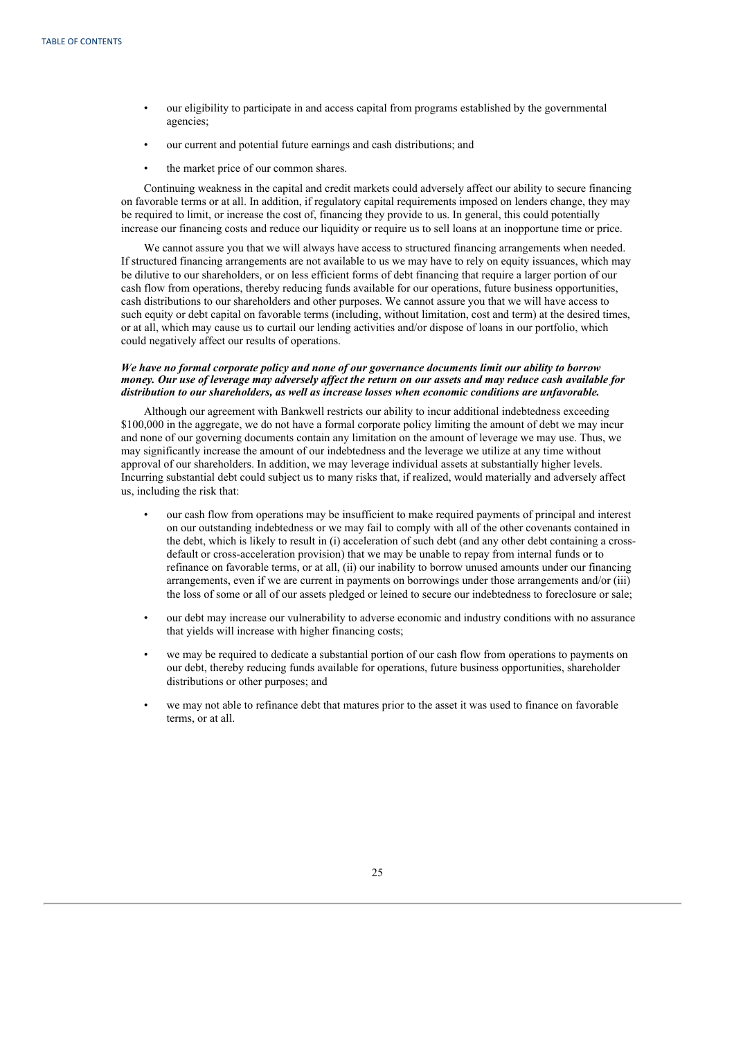- our eligibility to participate in and access capital from programs established by the governmental agencies;
- our current and potential future earnings and cash distributions; and
- the market price of our common shares.

Continuing weakness in the capital and credit markets could adversely affect our ability to secure financing on favorable terms or at all. In addition, if regulatory capital requirements imposed on lenders change, they may be required to limit, or increase the cost of, financing they provide to us. In general, this could potentially increase our financing costs and reduce our liquidity or require us to sell loans at an inopportune time or price.

We cannot assure you that we will always have access to structured financing arrangements when needed. If structured financing arrangements are not available to us we may have to rely on equity issuances, which may be dilutive to our shareholders, or on less efficient forms of debt financing that require a larger portion of our cash flow from operations, thereby reducing funds available for our operations, future business opportunities, cash distributions to our shareholders and other purposes. We cannot assure you that we will have access to such equity or debt capital on favorable terms (including, without limitation, cost and term) at the desired times, or at all, which may cause us to curtail our lending activities and/or dispose of loans in our portfolio, which could negatively affect our results of operations.

# *We have no formal corporate policy and none of our governance documents limit our ability to borrow* money. Our use of leverage may adversely affect the return on our assets and may reduce cash available for *distribution to our shareholders, as well as increase losses when economic conditions are unfavorable.*

Although our agreement with Bankwell restricts our ability to incur additional indebtedness exceeding \$100,000 in the aggregate, we do not have a formal corporate policy limiting the amount of debt we may incur and none of our governing documents contain any limitation on the amount of leverage we may use. Thus, we may significantly increase the amount of our indebtedness and the leverage we utilize at any time without approval of our shareholders. In addition, we may leverage individual assets at substantially higher levels. Incurring substantial debt could subject us to many risks that, if realized, would materially and adversely affect us, including the risk that:

- our cash flow from operations may be insufficient to make required payments of principal and interest on our outstanding indebtedness or we may fail to comply with all of the other covenants contained in the debt, which is likely to result in (i) acceleration of such debt (and any other debt containing a crossdefault or cross-acceleration provision) that we may be unable to repay from internal funds or to refinance on favorable terms, or at all, (ii) our inability to borrow unused amounts under our financing arrangements, even if we are current in payments on borrowings under those arrangements and/or (iii) the loss of some or all of our assets pledged or leined to secure our indebtedness to foreclosure or sale;
- our debt may increase our vulnerability to adverse economic and industry conditions with no assurance that yields will increase with higher financing costs;
- we may be required to dedicate a substantial portion of our cash flow from operations to payments on our debt, thereby reducing funds available for operations, future business opportunities, shareholder distributions or other purposes; and
- we may not able to refinance debt that matures prior to the asset it was used to finance on favorable terms, or at all.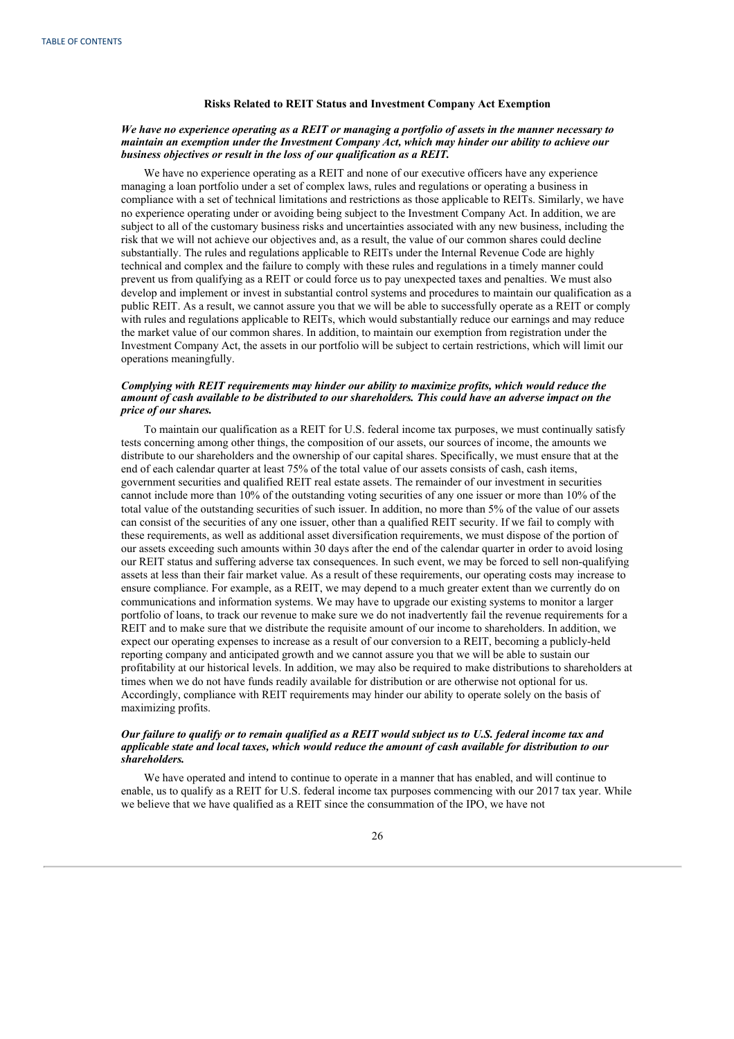# **Risks Related to REIT Status and Investment Company Act Exemption**

# We have no experience operating as a REIT or managing a portfolio of assets in the manner necessary to *maintain an exemption under the Investment Company Act, which may hinder our ability to achieve our business objectives or result in the loss of our qualification as a REIT.*

We have no experience operating as a REIT and none of our executive officers have any experience managing a loan portfolio under a set of complex laws, rules and regulations or operating a business in compliance with a set of technical limitations and restrictions as those applicable to REITs. Similarly, we have no experience operating under or avoiding being subject to the Investment Company Act. In addition, we are subject to all of the customary business risks and uncertainties associated with any new business, including the risk that we will not achieve our objectives and, as a result, the value of our common shares could decline substantially. The rules and regulations applicable to REITs under the Internal Revenue Code are highly technical and complex and the failure to comply with these rules and regulations in a timely manner could prevent us from qualifying as a REIT or could force us to pay unexpected taxes and penalties. We must also develop and implement or invest in substantial control systems and procedures to maintain our qualification as a public REIT. As a result, we cannot assure you that we will be able to successfully operate as a REIT or comply with rules and regulations applicable to REITs, which would substantially reduce our earnings and may reduce the market value of our common shares. In addition, to maintain our exemption from registration under the Investment Company Act, the assets in our portfolio will be subject to certain restrictions, which will limit our operations meaningfully.

# *Complying with REIT requirements may hinder our ability to maximize profits, which would reduce the* amount of cash available to be distributed to our shareholders. This could have an adverse impact on the *price of our shares.*

To maintain our qualification as a REIT for U.S. federal income tax purposes, we must continually satisfy tests concerning among other things, the composition of our assets, our sources of income, the amounts we distribute to our shareholders and the ownership of our capital shares. Specifically, we must ensure that at the end of each calendar quarter at least 75% of the total value of our assets consists of cash, cash items, government securities and qualified REIT real estate assets. The remainder of our investment in securities cannot include more than 10% of the outstanding voting securities of any one issuer or more than 10% of the total value of the outstanding securities of such issuer. In addition, no more than 5% of the value of our assets can consist of the securities of any one issuer, other than a qualified REIT security. If we fail to comply with these requirements, as well as additional asset diversification requirements, we must dispose of the portion of our assets exceeding such amounts within 30 days after the end of the calendar quarter in order to avoid losing our REIT status and suffering adverse tax consequences. In such event, we may be forced to sell non-qualifying assets at less than their fair market value. As a result of these requirements, our operating costs may increase to ensure compliance. For example, as a REIT, we may depend to a much greater extent than we currently do on communications and information systems. We may have to upgrade our existing systems to monitor a larger portfolio of loans, to track our revenue to make sure we do not inadvertently fail the revenue requirements for a REIT and to make sure that we distribute the requisite amount of our income to shareholders. In addition, we expect our operating expenses to increase as a result of our conversion to a REIT, becoming a publicly-held reporting company and anticipated growth and we cannot assure you that we will be able to sustain our profitability at our historical levels. In addition, we may also be required to make distributions to shareholders at times when we do not have funds readily available for distribution or are otherwise not optional for us. Accordingly, compliance with REIT requirements may hinder our ability to operate solely on the basis of maximizing profits.

# Our failure to qualify or to remain qualified as a REIT would subject us to U.S. federal income tax and *applicable state and local taxes, which would reduce the amount of cash available for distribution to our shareholders.*

We have operated and intend to continue to operate in a manner that has enabled, and will continue to enable, us to qualify as a REIT for U.S. federal income tax purposes commencing with our 2017 tax year. While we believe that we have qualified as a REIT since the consummation of the IPO, we have not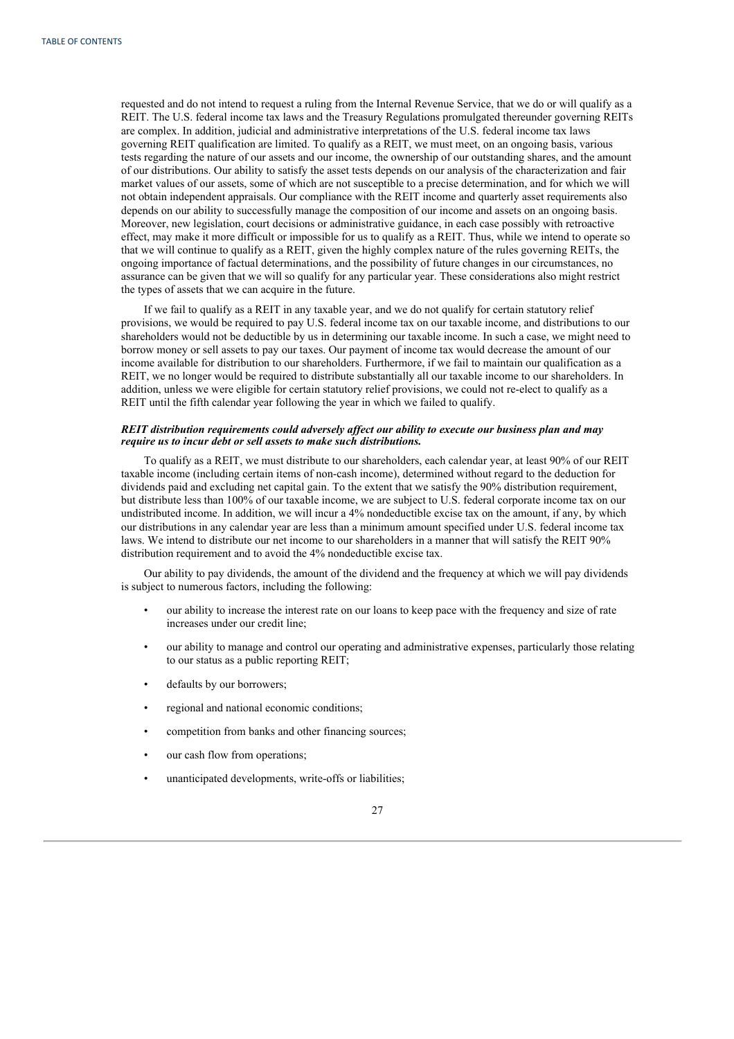requested and do not intend to request a ruling from the Internal Revenue Service, that we do or will qualify as a REIT. The U.S. federal income tax laws and the Treasury Regulations promulgated thereunder governing REITs are complex. In addition, judicial and administrative interpretations of the U.S. federal income tax laws governing REIT qualification are limited. To qualify as a REIT, we must meet, on an ongoing basis, various tests regarding the nature of our assets and our income, the ownership of our outstanding shares, and the amount of our distributions. Our ability to satisfy the asset tests depends on our analysis of the characterization and fair market values of our assets, some of which are not susceptible to a precise determination, and for which we will not obtain independent appraisals. Our compliance with the REIT income and quarterly asset requirements also depends on our ability to successfully manage the composition of our income and assets on an ongoing basis. Moreover, new legislation, court decisions or administrative guidance, in each case possibly with retroactive effect, may make it more difficult or impossible for us to qualify as a REIT. Thus, while we intend to operate so that we will continue to qualify as a REIT, given the highly complex nature of the rules governing REITs, the ongoing importance of factual determinations, and the possibility of future changes in our circumstances, no assurance can be given that we will so qualify for any particular year. These considerations also might restrict the types of assets that we can acquire in the future.

If we fail to qualify as a REIT in any taxable year, and we do not qualify for certain statutory relief provisions, we would be required to pay U.S. federal income tax on our taxable income, and distributions to our shareholders would not be deductible by us in determining our taxable income. In such a case, we might need to borrow money or sell assets to pay our taxes. Our payment of income tax would decrease the amount of our income available for distribution to our shareholders. Furthermore, if we fail to maintain our qualification as a REIT, we no longer would be required to distribute substantially all our taxable income to our shareholders. In addition, unless we were eligible for certain statutory relief provisions, we could not re-elect to qualify as a REIT until the fifth calendar year following the year in which we failed to qualify.

# *REIT distribution requirements could adversely af ect our ability to execute our business plan and may require us to incur debt or sell assets to make such distributions.*

To qualify as a REIT, we must distribute to our shareholders, each calendar year, at least 90% of our REIT taxable income (including certain items of non-cash income), determined without regard to the deduction for dividends paid and excluding net capital gain. To the extent that we satisfy the 90% distribution requirement, but distribute less than 100% of our taxable income, we are subject to U.S. federal corporate income tax on our undistributed income. In addition, we will incur a 4% nondeductible excise tax on the amount, if any, by which our distributions in any calendar year are less than a minimum amount specified under U.S. federal income tax laws. We intend to distribute our net income to our shareholders in a manner that will satisfy the REIT 90% distribution requirement and to avoid the 4% nondeductible excise tax.

Our ability to pay dividends, the amount of the dividend and the frequency at which we will pay dividends is subject to numerous factors, including the following:

- our ability to increase the interest rate on our loans to keep pace with the frequency and size of rate increases under our credit line;
- our ability to manage and control our operating and administrative expenses, particularly those relating to our status as a public reporting REIT;
- defaults by our borrowers;
- regional and national economic conditions;
- competition from banks and other financing sources;
- our cash flow from operations:
- unanticipated developments, write-offs or liabilities;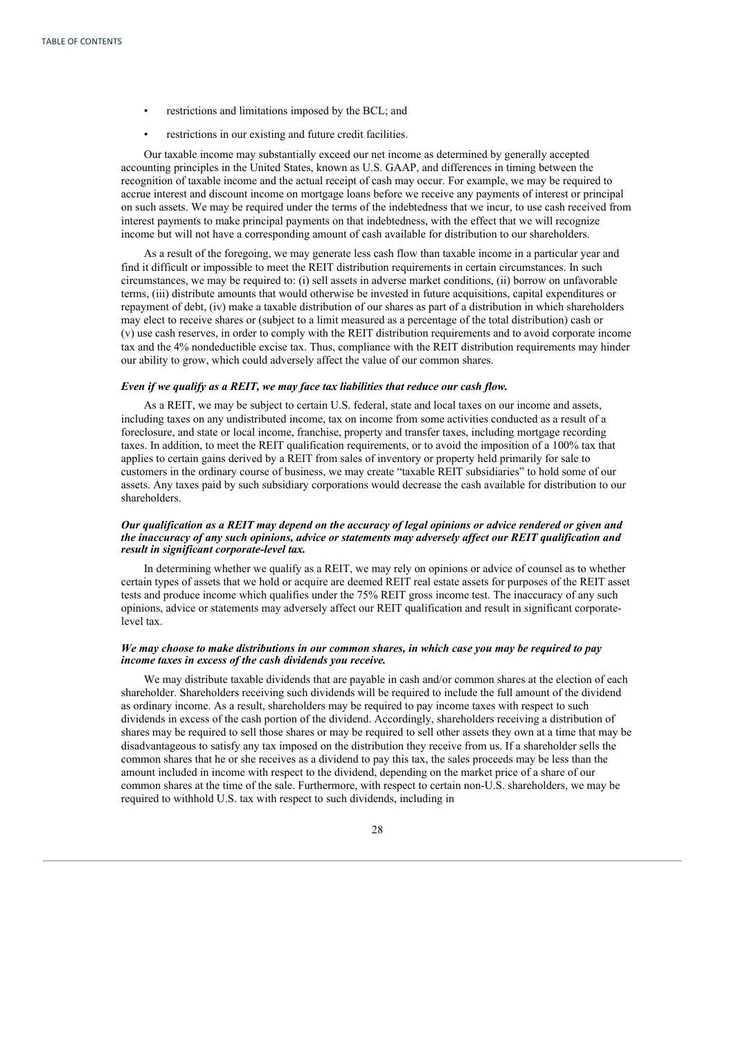- restrictions and limitations imposed by the BCL; and
- restrictions in our existing and future credit facilities.

Our taxable income may substantially exceed our net income as determined by generally accepted accounting principles in the United States, known as U.S. GAAP, and differences in timing between the recognition of taxable income and the actual receipt of cash may occur. For example, we may be required to accrue interest and discount income on mortgage loans before we receive any payments of interest or principal on such assets. We may be required under the terms of the indebtedness that we incur, to use cash received from interest payments to make principal payments on that indebtedness, with the effect that we will recognize income but will not have a corresponding amount of cash available for distribution to our shareholders.

As a result of the foregoing, we may generate less cash flow than taxable income in a particular year and find it difficult or impossible to meet the REIT distribution requirements in certain circumstances. In such circumstances, we may be required to: (i) sell assets in adverse market conditions, (ii) borrow on unfavorable terms, (iii) distribute amounts that would otherwise be invested in future acquisitions, capital expenditures or repayment of debt, (iv) make a taxable distribution of our shares as part of a distribution in which shareholders may elect to receive shares or (subject to a limit measured as a percentage of the total distribution) cash or (v) use cash reserves, in order to comply with the REIT distribution requirements and to avoid corporate income tax and the 4% nondeductible excise tax. Thus, compliance with the REIT distribution requirements may hinder our ability to grow, which could adversely affect the value of our common shares.

# *Even if we qualify as a REIT, we may face tax liabilities that reduce our cash flow.*

As a REIT, we may be subject to certain U.S. federal, state and local taxes on our income and assets, including taxes on any undistributed income, tax on income from some activities conducted as a result of a foreclosure, and state or local income, franchise, property and transfer taxes, including mortgage recording taxes. In addition, to meet the REIT qualification requirements, or to avoid the imposition of a 100% tax that applies to certain gains derived by a REIT from sales of inventory or property held primarily for sale to customers in the ordinary course of business, we may create "taxable REIT subsidiaries" to hold some of our assets. Any taxes paid by such subsidiary corporations would decrease the cash available for distribution to our shareholders.

# Our qualification as a REIT may depend on the accuracy of legal opinions or advice rendered or given and *the inaccuracy of any such opinions, advice or statements may adversely af ect our REIT qualification and result in significant corporate-level tax.*

In determining whether we qualify as a REIT, we may rely on opinions or advice of counsel as to whether certain types of assets that we hold or acquire are deemed REIT real estate assets for purposes of the REIT asset tests and produce income which qualifies under the 75% REIT gross income test. The inaccuracy of any such opinions, advice or statements may adversely affect our REIT qualification and result in significant corporatelevel tax.

# We may choose to make distributions in our common shares, in which case you may be required to pay *income taxes in excess of the cash dividends you receive.*

We may distribute taxable dividends that are payable in cash and/or common shares at the election of each shareholder. Shareholders receiving such dividends will be required to include the full amount of the dividend as ordinary income. As a result, shareholders may be required to pay income taxes with respect to such dividends in excess of the cash portion of the dividend. Accordingly, shareholders receiving a distribution of shares may be required to sell those shares or may be required to sell other assets they own at a time that may be disadvantageous to satisfy any tax imposed on the distribution they receive from us. If a shareholder sells the common shares that he or she receives as a dividend to pay this tax, the sales proceeds may be less than the amount included in income with respect to the dividend, depending on the market price of a share of our common shares at the time of the sale. Furthermore, with respect to certain non-U.S. shareholders, we may be required to withhold U.S. tax with respect to such dividends, including in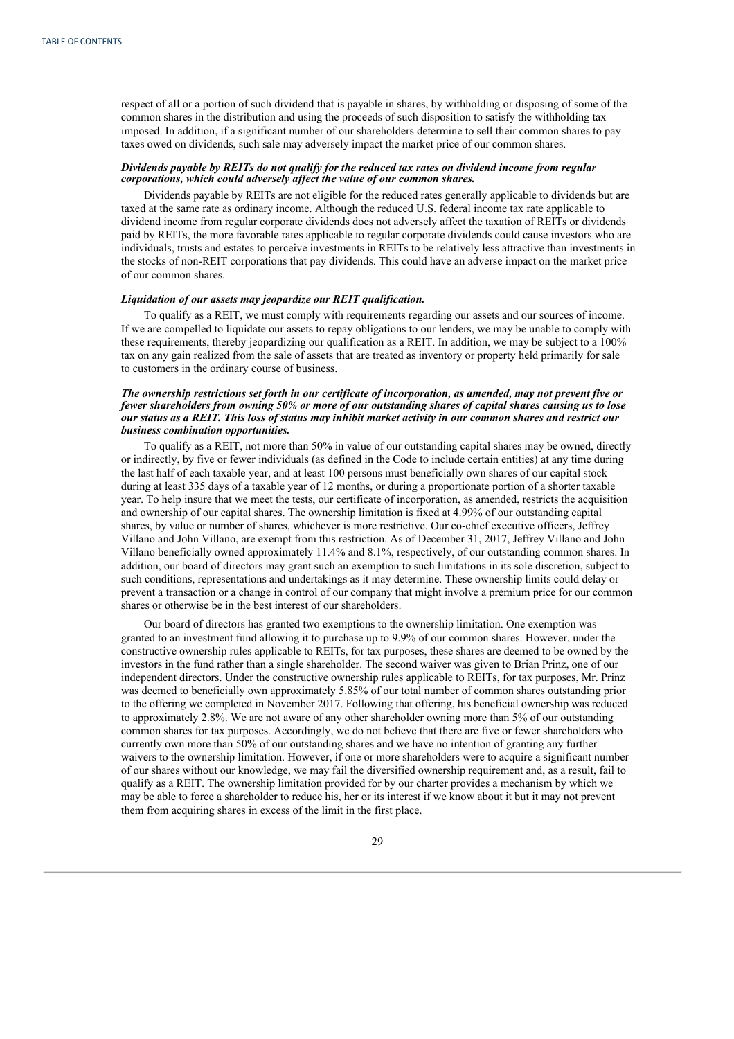respect of all or a portion of such dividend that is payable in shares, by withholding or disposing of some of the common shares in the distribution and using the proceeds of such disposition to satisfy the withholding tax imposed. In addition, if a significant number of our shareholders determine to sell their common shares to pay taxes owed on dividends, such sale may adversely impact the market price of our common shares.

# *Dividends payable by REITs do not qualify for the reduced tax rates on dividend income from regular corporations, which could adversely af ect the value of our common shares.*

Dividends payable by REITs are not eligible for the reduced rates generally applicable to dividends but are taxed at the same rate as ordinary income. Although the reduced U.S. federal income tax rate applicable to dividend income from regular corporate dividends does not adversely affect the taxation of REITs or dividends paid by REITs, the more favorable rates applicable to regular corporate dividends could cause investors who are individuals, trusts and estates to perceive investments in REITs to be relatively less attractive than investments in the stocks of non-REIT corporations that pay dividends. This could have an adverse impact on the market price of our common shares.

#### *Liquidation of our assets may jeopardize our REIT qualification.*

To qualify as a REIT, we must comply with requirements regarding our assets and our sources of income. If we are compelled to liquidate our assets to repay obligations to our lenders, we may be unable to comply with these requirements, thereby jeopardizing our qualification as a REIT. In addition, we may be subject to a 100% tax on any gain realized from the sale of assets that are treated as inventory or property held primarily for sale to customers in the ordinary course of business.

# The ownership restrictions set forth in our certificate of incorporation, as amended, may not prevent five or fewer shareholders from owning 50% or more of our outstanding shares of capital shares causing us to lose our status as a REIT. This loss of status may inhibit market activity in our common shares and restrict our *business combination opportunities.*

To qualify as a REIT, not more than 50% in value of our outstanding capital shares may be owned, directly or indirectly, by five or fewer individuals (as defined in the Code to include certain entities) at any time during the last half of each taxable year, and at least 100 persons must beneficially own shares of our capital stock during at least 335 days of a taxable year of 12 months, or during a proportionate portion of a shorter taxable year. To help insure that we meet the tests, our certificate of incorporation, as amended, restricts the acquisition and ownership of our capital shares. The ownership limitation is fixed at 4.99% of our outstanding capital shares, by value or number of shares, whichever is more restrictive. Our co-chief executive officers, Jeffrey Villano and John Villano, are exempt from this restriction. As of December 31, 2017, Jeffrey Villano and John Villano beneficially owned approximately 11.4% and 8.1%, respectively, of our outstanding common shares. In addition, our board of directors may grant such an exemption to such limitations in its sole discretion, subject to such conditions, representations and undertakings as it may determine. These ownership limits could delay or prevent a transaction or a change in control of our company that might involve a premium price for our common shares or otherwise be in the best interest of our shareholders.

Our board of directors has granted two exemptions to the ownership limitation. One exemption was granted to an investment fund allowing it to purchase up to 9.9% of our common shares. However, under the constructive ownership rules applicable to REITs, for tax purposes, these shares are deemed to be owned by the investors in the fund rather than a single shareholder. The second waiver was given to Brian Prinz, one of our independent directors. Under the constructive ownership rules applicable to REITs, for tax purposes, Mr. Prinz was deemed to beneficially own approximately 5.85% of our total number of common shares outstanding prior to the offering we completed in November 2017. Following that offering, his beneficial ownership was reduced to approximately 2.8%. We are not aware of any other shareholder owning more than 5% of our outstanding common shares for tax purposes. Accordingly, we do not believe that there are five or fewer shareholders who currently own more than 50% of our outstanding shares and we have no intention of granting any further waivers to the ownership limitation. However, if one or more shareholders were to acquire a significant number of our shares without our knowledge, we may fail the diversified ownership requirement and, as a result, fail to qualify as a REIT. The ownership limitation provided for by our charter provides a mechanism by which we may be able to force a shareholder to reduce his, her or its interest if we know about it but it may not prevent them from acquiring shares in excess of the limit in the first place.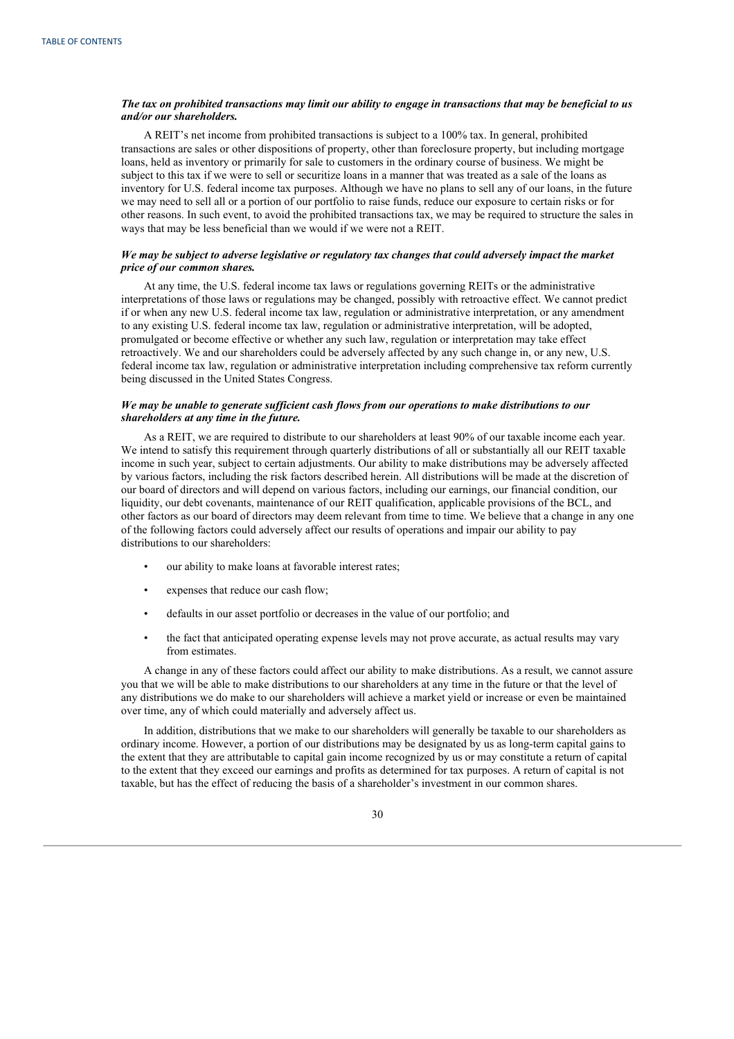# The tax on prohibited transactions may limit our ability to engage in transactions that may be beneficial to us *and/or our shareholders.*

A REIT's net income from prohibited transactions is subject to a 100% tax. In general, prohibited transactions are sales or other dispositions of property, other than foreclosure property, but including mortgage loans, held as inventory or primarily for sale to customers in the ordinary course of business. We might be subject to this tax if we were to sell or securitize loans in a manner that was treated as a sale of the loans as inventory for U.S. federal income tax purposes. Although we have no plans to sell any of our loans, in the future we may need to sell all or a portion of our portfolio to raise funds, reduce our exposure to certain risks or for other reasons. In such event, to avoid the prohibited transactions tax, we may be required to structure the sales in ways that may be less beneficial than we would if we were not a REIT.

# *We may be subject to adverse legislative or regulatory tax changes that could adversely impact the market price of our common shares.*

At any time, the U.S. federal income tax laws or regulations governing REITs or the administrative interpretations of those laws or regulations may be changed, possibly with retroactive effect. We cannot predict if or when any new U.S. federal income tax law, regulation or administrative interpretation, or any amendment to any existing U.S. federal income tax law, regulation or administrative interpretation, will be adopted, promulgated or become effective or whether any such law, regulation or interpretation may take effect retroactively. We and our shareholders could be adversely affected by any such change in, or any new, U.S. federal income tax law, regulation or administrative interpretation including comprehensive tax reform currently being discussed in the United States Congress.

# We may be unable to generate sufficient cash flows from our operations to make distributions to our *shareholders at any time in the future.*

As a REIT, we are required to distribute to our shareholders at least 90% of our taxable income each year. We intend to satisfy this requirement through quarterly distributions of all or substantially all our REIT taxable income in such year, subject to certain adjustments. Our ability to make distributions may be adversely affected by various factors, including the risk factors described herein. All distributions will be made at the discretion of our board of directors and will depend on various factors, including our earnings, our financial condition, our liquidity, our debt covenants, maintenance of our REIT qualification, applicable provisions of the BCL, and other factors as our board of directors may deem relevant from time to time. We believe that a change in any one of the following factors could adversely affect our results of operations and impair our ability to pay distributions to our shareholders:

- our ability to make loans at favorable interest rates;
- expenses that reduce our cash flow;
- defaults in our asset portfolio or decreases in the value of our portfolio; and
- the fact that anticipated operating expense levels may not prove accurate, as actual results may vary from estimates.

A change in any of these factors could affect our ability to make distributions. As a result, we cannot assure you that we will be able to make distributions to our shareholders at any time in the future or that the level of any distributions we do make to our shareholders will achieve a market yield or increase or even be maintained over time, any of which could materially and adversely affect us.

In addition, distributions that we make to our shareholders will generally be taxable to our shareholders as ordinary income. However, a portion of our distributions may be designated by us as long-term capital gains to the extent that they are attributable to capital gain income recognized by us or may constitute a return of capital to the extent that they exceed our earnings and profits as determined for tax purposes. A return of capital is not taxable, but has the effect of reducing the basis of a shareholder's investment in our common shares.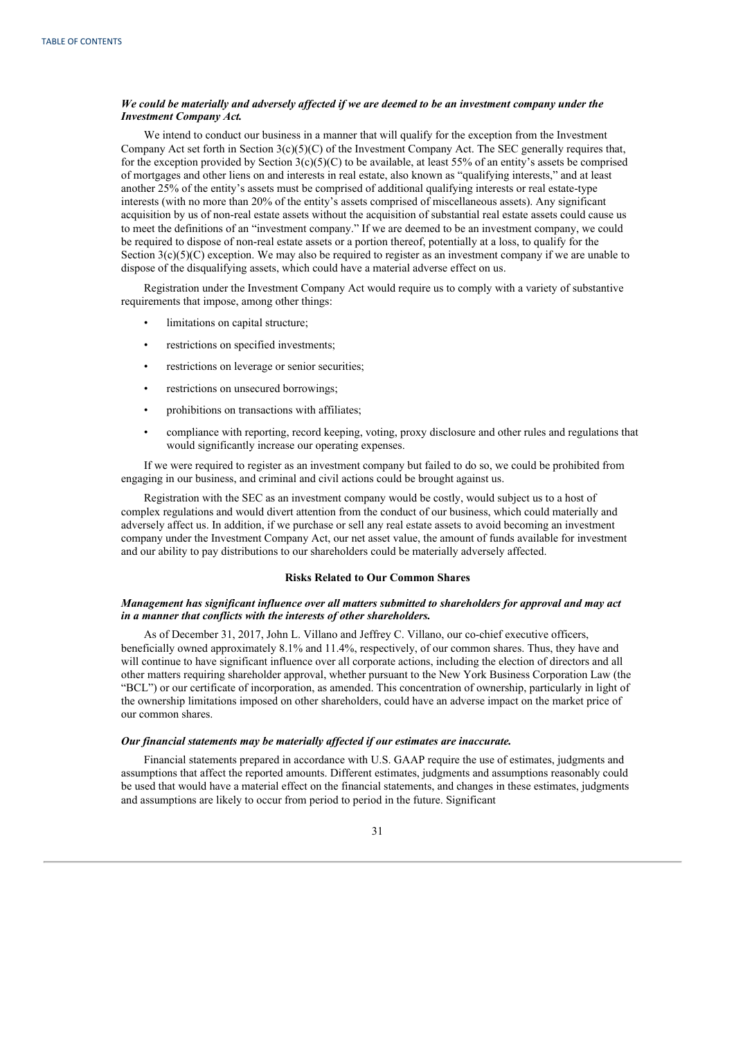# We could be materially and adversely affected if we are deemed to be an investment company under the *Investment Company Act.*

We intend to conduct our business in a manner that will qualify for the exception from the Investment Company Act set forth in Section  $3(c)(5)(C)$  of the Investment Company Act. The SEC generally requires that, for the exception provided by Section  $3(c)(5)(C)$  to be available, at least 55% of an entity's assets be comprised of mortgages and other liens on and interests in real estate, also known as "qualifying interests," and at least another 25% of the entity's assets must be comprised of additional qualifying interests or real estate-type interests (with no more than 20% of the entity's assets comprised of miscellaneous assets). Any significant acquisition by us of non-real estate assets without the acquisition of substantial real estate assets could cause us to meet the definitions of an "investment company." If we are deemed to be an investment company, we could be required to dispose of non-real estate assets or a portion thereof, potentially at a loss, to qualify for the Section  $3(c)(5)(C)$  exception. We may also be required to register as an investment company if we are unable to dispose of the disqualifying assets, which could have a material adverse effect on us.

Registration under the Investment Company Act would require us to comply with a variety of substantive requirements that impose, among other things:

- limitations on capital structure:
- restrictions on specified investments;
- restrictions on leverage or senior securities;
- restrictions on unsecured borrowings;
- prohibitions on transactions with affiliates;
- compliance with reporting, record keeping, voting, proxy disclosure and other rules and regulations that would significantly increase our operating expenses.

If we were required to register as an investment company but failed to do so, we could be prohibited from engaging in our business, and criminal and civil actions could be brought against us.

Registration with the SEC as an investment company would be costly, would subject us to a host of complex regulations and would divert attention from the conduct of our business, which could materially and adversely affect us. In addition, if we purchase or sell any real estate assets to avoid becoming an investment company under the Investment Company Act, our net asset value, the amount of funds available for investment and our ability to pay distributions to our shareholders could be materially adversely affected.

### **Risks Related to Our Common Shares**

# *Management has significant influence over all matters submitted to shareholders for approval and may act in a manner that conflicts with the interests of other shareholders.*

As of December 31, 2017, John L. Villano and Jeffrey C. Villano, our co-chief executive officers, beneficially owned approximately 8.1% and 11.4%, respectively, of our common shares. Thus, they have and will continue to have significant influence over all corporate actions, including the election of directors and all other matters requiring shareholder approval, whether pursuant to the New York Business Corporation Law (the "BCL") or our certificate of incorporation, as amended. This concentration of ownership, particularly in light of the ownership limitations imposed on other shareholders, could have an adverse impact on the market price of our common shares.

### *Our financial statements may be materially af ected if our estimates are inaccurate.*

Financial statements prepared in accordance with U.S. GAAP require the use of estimates, judgments and assumptions that affect the reported amounts. Different estimates, judgments and assumptions reasonably could be used that would have a material effect on the financial statements, and changes in these estimates, judgments and assumptions are likely to occur from period to period in the future. Significant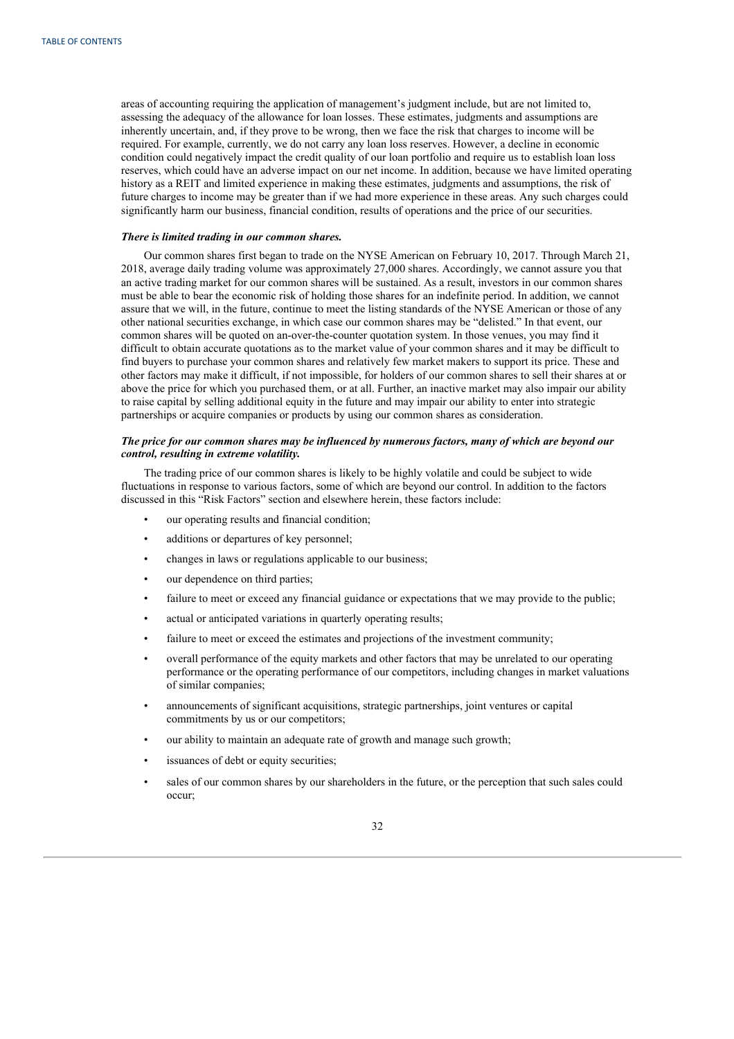areas of accounting requiring the application of management's judgment include, but are not limited to, assessing the adequacy of the allowance for loan losses. These estimates, judgments and assumptions are inherently uncertain, and, if they prove to be wrong, then we face the risk that charges to income will be required. For example, currently, we do not carry any loan loss reserves. However, a decline in economic condition could negatively impact the credit quality of our loan portfolio and require us to establish loan loss reserves, which could have an adverse impact on our net income. In addition, because we have limited operating history as a REIT and limited experience in making these estimates, judgments and assumptions, the risk of future charges to income may be greater than if we had more experience in these areas. Any such charges could significantly harm our business, financial condition, results of operations and the price of our securities.

# *There is limited trading in our common shares.*

Our common shares first began to trade on the NYSE American on February 10, 2017. Through March 21, 2018, average daily trading volume was approximately 27,000 shares. Accordingly, we cannot assure you that an active trading market for our common shares will be sustained. As a result, investors in our common shares must be able to bear the economic risk of holding those shares for an indefinite period. In addition, we cannot assure that we will, in the future, continue to meet the listing standards of the NYSE American or those of any other national securities exchange, in which case our common shares may be "delisted." In that event, our common shares will be quoted on an-over-the-counter quotation system. In those venues, you may find it difficult to obtain accurate quotations as to the market value of your common shares and it may be difficult to find buyers to purchase your common shares and relatively few market makers to support its price. These and other factors may make it difficult, if not impossible, for holders of our common shares to sell their shares at or above the price for which you purchased them, or at all. Further, an inactive market may also impair our ability to raise capital by selling additional equity in the future and may impair our ability to enter into strategic partnerships or acquire companies or products by using our common shares as consideration.

# The price for our common shares may be influenced by numerous factors, many of which are beyond our *control, resulting in extreme volatility.*

The trading price of our common shares is likely to be highly volatile and could be subject to wide fluctuations in response to various factors, some of which are beyond our control. In addition to the factors discussed in this "Risk Factors" section and elsewhere herein, these factors include:

- our operating results and financial condition;
- additions or departures of key personnel;
- changes in laws or regulations applicable to our business;
- our dependence on third parties;
- failure to meet or exceed any financial guidance or expectations that we may provide to the public;
- actual or anticipated variations in quarterly operating results;
- failure to meet or exceed the estimates and projections of the investment community;
- overall performance of the equity markets and other factors that may be unrelated to our operating performance or the operating performance of our competitors, including changes in market valuations of similar companies;
- announcements of significant acquisitions, strategic partnerships, joint ventures or capital commitments by us or our competitors;
- our ability to maintain an adequate rate of growth and manage such growth;
- issuances of debt or equity securities;
- sales of our common shares by our shareholders in the future, or the perception that such sales could occur;

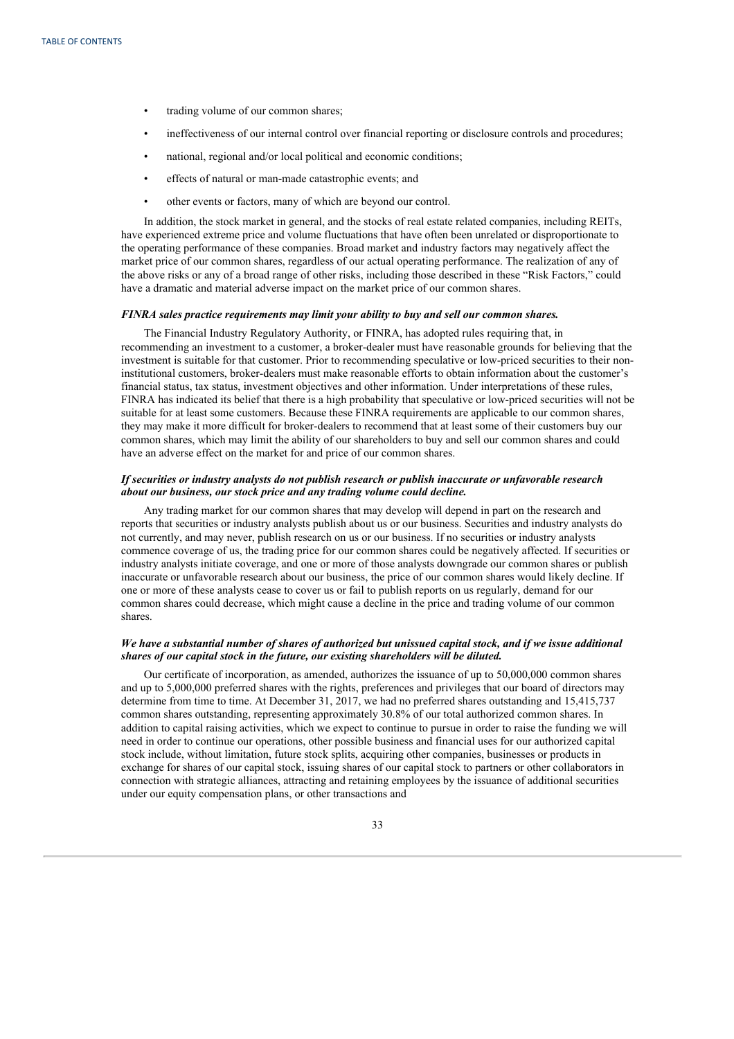- trading volume of our common shares;
- ineffectiveness of our internal control over financial reporting or disclosure controls and procedures;
- national, regional and/or local political and economic conditions;
- effects of natural or man-made catastrophic events; and
- other events or factors, many of which are beyond our control.

In addition, the stock market in general, and the stocks of real estate related companies, including REITs, have experienced extreme price and volume fluctuations that have often been unrelated or disproportionate to the operating performance of these companies. Broad market and industry factors may negatively affect the market price of our common shares, regardless of our actual operating performance. The realization of any of the above risks or any of a broad range of other risks, including those described in these "Risk Factors," could have a dramatic and material adverse impact on the market price of our common shares.

#### *FINRA sales practice requirements may limit your ability to buy and sell our common shares.*

The Financial Industry Regulatory Authority, or FINRA, has adopted rules requiring that, in recommending an investment to a customer, a broker-dealer must have reasonable grounds for believing that the investment is suitable for that customer. Prior to recommending speculative or low-priced securities to their noninstitutional customers, broker-dealers must make reasonable efforts to obtain information about the customer's financial status, tax status, investment objectives and other information. Under interpretations of these rules, FINRA has indicated its belief that there is a high probability that speculative or low-priced securities will not be suitable for at least some customers. Because these FINRA requirements are applicable to our common shares, they may make it more difficult for broker-dealers to recommend that at least some of their customers buy our common shares, which may limit the ability of our shareholders to buy and sell our common shares and could have an adverse effect on the market for and price of our common shares.

# *If securities or industry analysts do not publish research or publish inaccurate or unfavorable research about our business, our stock price and any trading volume could decline.*

Any trading market for our common shares that may develop will depend in part on the research and reports that securities or industry analysts publish about us or our business. Securities and industry analysts do not currently, and may never, publish research on us or our business. If no securities or industry analysts commence coverage of us, the trading price for our common shares could be negatively affected. If securities or industry analysts initiate coverage, and one or more of those analysts downgrade our common shares or publish inaccurate or unfavorable research about our business, the price of our common shares would likely decline. If one or more of these analysts cease to cover us or fail to publish reports on us regularly, demand for our common shares could decrease, which might cause a decline in the price and trading volume of our common shares.

# We have a substantial number of shares of authorized but unissued capital stock, and if we issue additional *shares of our capital stock in the future, our existing shareholders will be diluted.*

Our certificate of incorporation, as amended, authorizes the issuance of up to 50,000,000 common shares and up to 5,000,000 preferred shares with the rights, preferences and privileges that our board of directors may determine from time to time. At December 31, 2017, we had no preferred shares outstanding and 15,415,737 common shares outstanding, representing approximately 30.8% of our total authorized common shares. In addition to capital raising activities, which we expect to continue to pursue in order to raise the funding we will need in order to continue our operations, other possible business and financial uses for our authorized capital stock include, without limitation, future stock splits, acquiring other companies, businesses or products in exchange for shares of our capital stock, issuing shares of our capital stock to partners or other collaborators in connection with strategic alliances, attracting and retaining employees by the issuance of additional securities under our equity compensation plans, or other transactions and

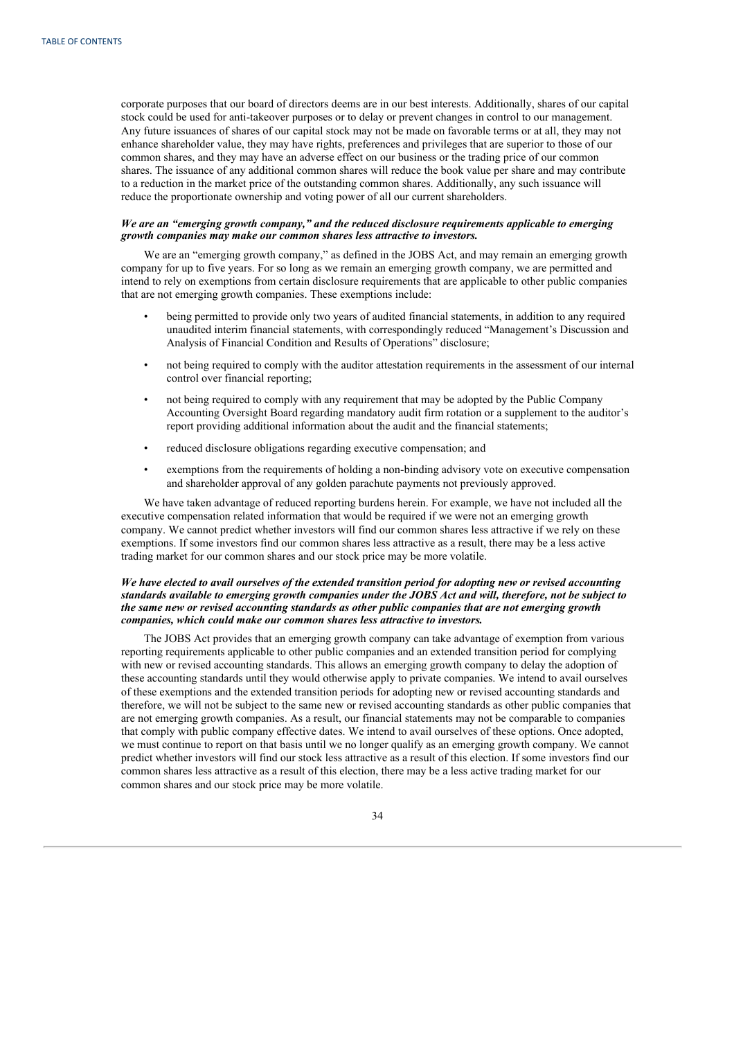corporate purposes that our board of directors deems are in our best interests. Additionally, shares of our capital stock could be used for anti-takeover purposes or to delay or prevent changes in control to our management. Any future issuances of shares of our capital stock may not be made on favorable terms or at all, they may not enhance shareholder value, they may have rights, preferences and privileges that are superior to those of our common shares, and they may have an adverse effect on our business or the trading price of our common shares. The issuance of any additional common shares will reduce the book value per share and may contribute to a reduction in the market price of the outstanding common shares. Additionally, any such issuance will reduce the proportionate ownership and voting power of all our current shareholders.

## *We are an "emerging growth company," and the reduced disclosure requirements applicable to emerging growth companies may make our common shares less attractive to investors.*

We are an "emerging growth company," as defined in the JOBS Act, and may remain an emerging growth company for up to five years. For so long as we remain an emerging growth company, we are permitted and intend to rely on exemptions from certain disclosure requirements that are applicable to other public companies that are not emerging growth companies. These exemptions include:

- being permitted to provide only two years of audited financial statements, in addition to any required unaudited interim financial statements, with correspondingly reduced "Management's Discussion and Analysis of Financial Condition and Results of Operations" disclosure;
- not being required to comply with the auditor attestation requirements in the assessment of our internal control over financial reporting;
- not being required to comply with any requirement that may be adopted by the Public Company Accounting Oversight Board regarding mandatory audit firm rotation or a supplement to the auditor's report providing additional information about the audit and the financial statements;
- reduced disclosure obligations regarding executive compensation; and
- exemptions from the requirements of holding a non-binding advisory vote on executive compensation and shareholder approval of any golden parachute payments not previously approved.

We have taken advantage of reduced reporting burdens herein. For example, we have not included all the executive compensation related information that would be required if we were not an emerging growth company. We cannot predict whether investors will find our common shares less attractive if we rely on these exemptions. If some investors find our common shares less attractive as a result, there may be a less active trading market for our common shares and our stock price may be more volatile.

## We have elected to avail ourselves of the extended transition period for adopting new or revised accounting standards available to emerging growth companies under the JOBS Act and will, therefore, not be subject to *the same new or revised accounting standards as other public companies that are not emerging growth companies, which could make our common shares less attractive to investors.*

The JOBS Act provides that an emerging growth company can take advantage of exemption from various reporting requirements applicable to other public companies and an extended transition period for complying with new or revised accounting standards. This allows an emerging growth company to delay the adoption of these accounting standards until they would otherwise apply to private companies. We intend to avail ourselves of these exemptions and the extended transition periods for adopting new or revised accounting standards and therefore, we will not be subject to the same new or revised accounting standards as other public companies that are not emerging growth companies. As a result, our financial statements may not be comparable to companies that comply with public company effective dates. We intend to avail ourselves of these options. Once adopted, we must continue to report on that basis until we no longer qualify as an emerging growth company. We cannot predict whether investors will find our stock less attractive as a result of this election. If some investors find our common shares less attractive as a result of this election, there may be a less active trading market for our common shares and our stock price may be more volatile.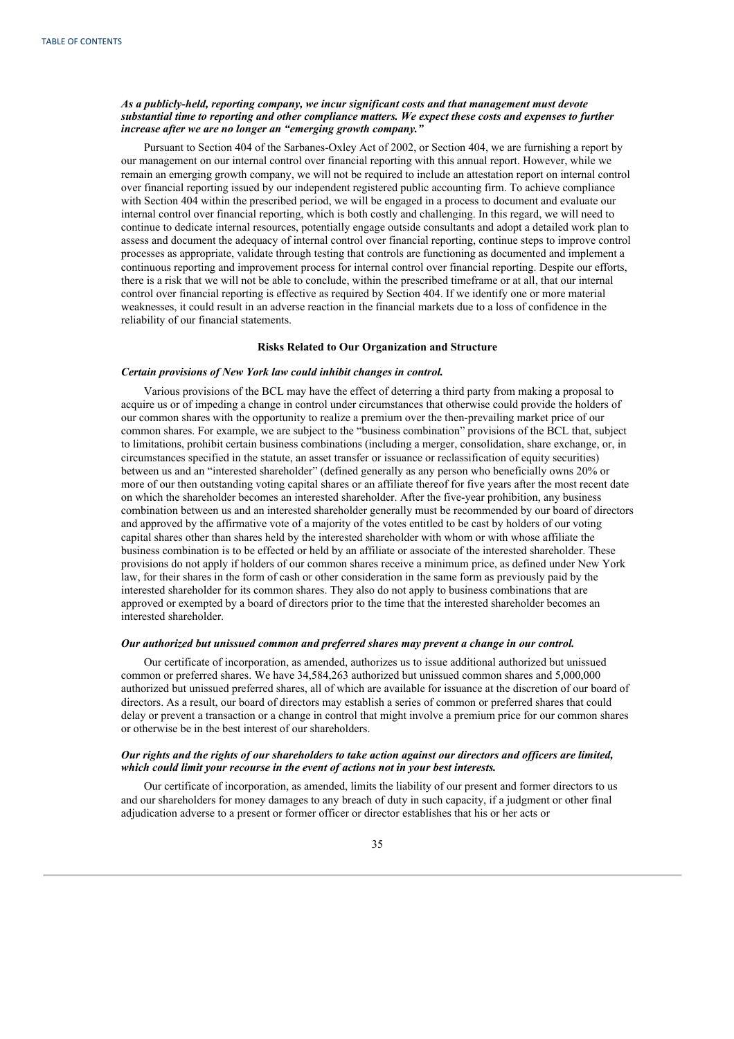## *As a publicly-held, reporting company, we incur significant costs and that management must devote substantial time to reporting and other compliance matters. We expect these costs and expenses to further increase after we are no longer an "emerging growth company."*

Pursuant to Section 404 of the Sarbanes-Oxley Act of 2002, or Section 404, we are furnishing a report by our management on our internal control over financial reporting with this annual report. However, while we remain an emerging growth company, we will not be required to include an attestation report on internal control over financial reporting issued by our independent registered public accounting firm. To achieve compliance with Section 404 within the prescribed period, we will be engaged in a process to document and evaluate our internal control over financial reporting, which is both costly and challenging. In this regard, we will need to continue to dedicate internal resources, potentially engage outside consultants and adopt a detailed work plan to assess and document the adequacy of internal control over financial reporting, continue steps to improve control processes as appropriate, validate through testing that controls are functioning as documented and implement a continuous reporting and improvement process for internal control over financial reporting. Despite our efforts, there is a risk that we will not be able to conclude, within the prescribed timeframe or at all, that our internal control over financial reporting is effective as required by Section 404. If we identify one or more material weaknesses, it could result in an adverse reaction in the financial markets due to a loss of confidence in the reliability of our financial statements.

## **Risks Related to Our Organization and Structure**

#### *Certain provisions of New York law could inhibit changes in control.*

Various provisions of the BCL may have the effect of deterring a third party from making a proposal to acquire us or of impeding a change in control under circumstances that otherwise could provide the holders of our common shares with the opportunity to realize a premium over the then-prevailing market price of our common shares. For example, we are subject to the "business combination" provisions of the BCL that, subject to limitations, prohibit certain business combinations (including a merger, consolidation, share exchange, or, in circumstances specified in the statute, an asset transfer or issuance or reclassification of equity securities) between us and an "interested shareholder" (defined generally as any person who beneficially owns 20% or more of our then outstanding voting capital shares or an affiliate thereof for five years after the most recent date on which the shareholder becomes an interested shareholder. After the five-year prohibition, any business combination between us and an interested shareholder generally must be recommended by our board of directors and approved by the affirmative vote of a majority of the votes entitled to be cast by holders of our voting capital shares other than shares held by the interested shareholder with whom or with whose affiliate the business combination is to be effected or held by an affiliate or associate of the interested shareholder. These provisions do not apply if holders of our common shares receive a minimum price, as defined under New York law, for their shares in the form of cash or other consideration in the same form as previously paid by the interested shareholder for its common shares. They also do not apply to business combinations that are approved or exempted by a board of directors prior to the time that the interested shareholder becomes an interested shareholder.

#### *Our authorized but unissued common and preferred shares may prevent a change in our control.*

Our certificate of incorporation, as amended, authorizes us to issue additional authorized but unissued common or preferred shares. We have 34,584,263 authorized but unissued common shares and 5,000,000 authorized but unissued preferred shares, all of which are available for issuance at the discretion of our board of directors. As a result, our board of directors may establish a series of common or preferred shares that could delay or prevent a transaction or a change in control that might involve a premium price for our common shares or otherwise be in the best interest of our shareholders.

## Our rights and the rights of our shareholders to take action against our directors and officers are limited, *which could limit your recourse in the event of actions not in your best interests.*

Our certificate of incorporation, as amended, limits the liability of our present and former directors to us and our shareholders for money damages to any breach of duty in such capacity, if a judgment or other final adjudication adverse to a present or former officer or director establishes that his or her acts or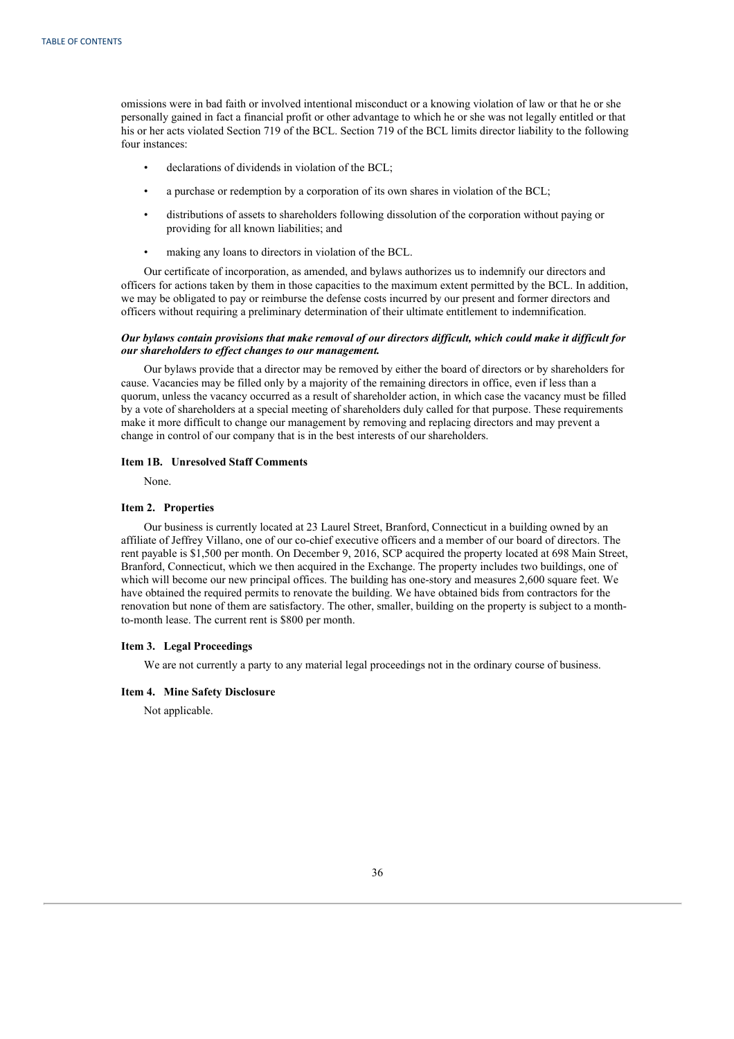omissions were in bad faith or involved intentional misconduct or a knowing violation of law or that he or she personally gained in fact a financial profit or other advantage to which he or she was not legally entitled or that his or her acts violated Section 719 of the BCL. Section 719 of the BCL limits director liability to the following four instances:

- declarations of dividends in violation of the BCL:
- a purchase or redemption by a corporation of its own shares in violation of the BCL;
- distributions of assets to shareholders following dissolution of the corporation without paying or providing for all known liabilities; and
- making any loans to directors in violation of the BCL.

Our certificate of incorporation, as amended, and bylaws authorizes us to indemnify our directors and officers for actions taken by them in those capacities to the maximum extent permitted by the BCL. In addition, we may be obligated to pay or reimburse the defense costs incurred by our present and former directors and officers without requiring a preliminary determination of their ultimate entitlement to indemnification.

## Our bylaws contain provisions that make removal of our directors difficult, which could make it difficult for *our shareholders to ef ect changes to our management.*

Our bylaws provide that a director may be removed by either the board of directors or by shareholders for cause. Vacancies may be filled only by a majority of the remaining directors in office, even if less than a quorum, unless the vacancy occurred as a result of shareholder action, in which case the vacancy must be filled by a vote of shareholders at a special meeting of shareholders duly called for that purpose. These requirements make it more difficult to change our management by removing and replacing directors and may prevent a change in control of our company that is in the best interests of our shareholders.

#### **Item 1B. Unresolved Staff Comments**

None.

## **Item 2. Properties**

Our business is currently located at 23 Laurel Street, Branford, Connecticut in a building owned by an affiliate of Jeffrey Villano, one of our co-chief executive officers and a member of our board of directors. The rent payable is \$1,500 per month. On December 9, 2016, SCP acquired the property located at 698 Main Street, Branford, Connecticut, which we then acquired in the Exchange. The property includes two buildings, one of which will become our new principal offices. The building has one-story and measures 2,600 square feet. We have obtained the required permits to renovate the building. We have obtained bids from contractors for the renovation but none of them are satisfactory. The other, smaller, building on the property is subject to a monthto-month lease. The current rent is \$800 per month.

## **Item 3. Legal Proceedings**

We are not currently a party to any material legal proceedings not in the ordinary course of business.

## **Item 4. Mine Safety Disclosure**

Not applicable.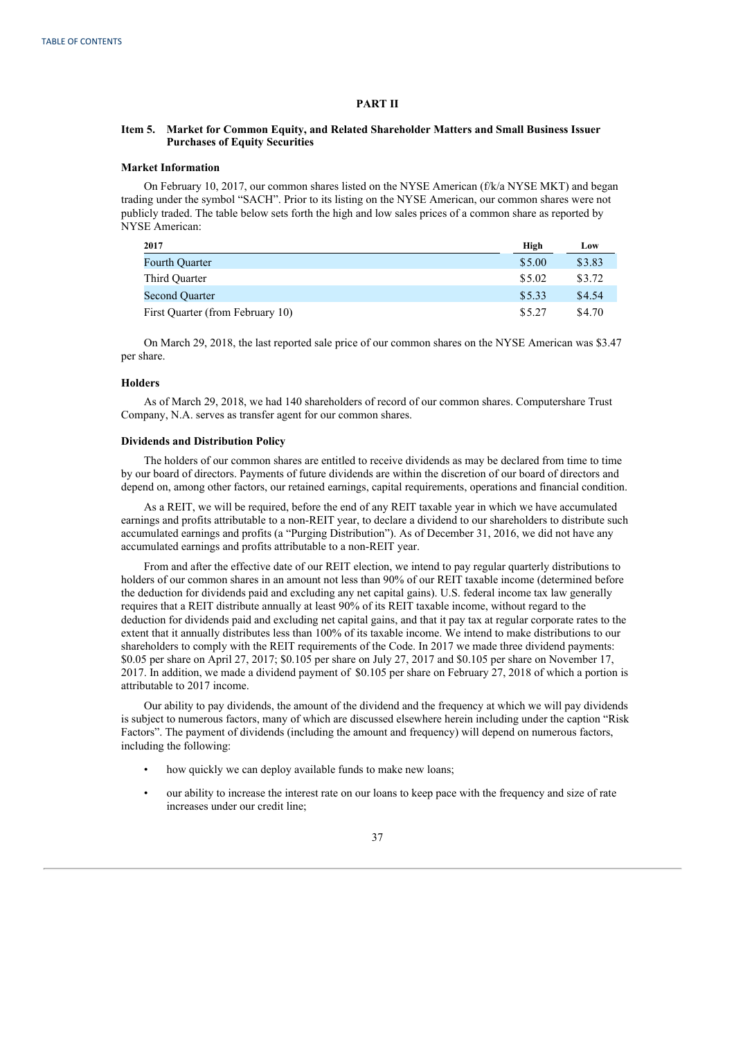## **PART II**

## **Item 5. Market for Common Equity, and Related Shareholder Matters and Small Business Issuer Purchases of Equity Securities**

## **Market Information**

On February 10, 2017, our common shares listed on the NYSE American (f/k/a NYSE MKT) and began trading under the symbol "SACH". Prior to its listing on the NYSE American, our common shares were not publicly traded. The table below sets forth the high and low sales prices of a common share as reported by NYSE American:

| 2017                             | High   | Low    |
|----------------------------------|--------|--------|
| <b>Fourth Quarter</b>            | \$5.00 | \$3.83 |
| Third Ouarter                    | \$5.02 | \$3.72 |
| <b>Second Quarter</b>            | \$5.33 | \$4.54 |
| First Quarter (from February 10) | \$5.27 | \$4.70 |

On March 29, 2018, the last reported sale price of our common shares on the NYSE American was \$3.47 per share.

#### **Holders**

As of March 29, 2018, we had 140 shareholders of record of our common shares. Computershare Trust Company, N.A. serves as transfer agent for our common shares.

## **Dividends and Distribution Policy**

The holders of our common shares are entitled to receive dividends as may be declared from time to time by our board of directors. Payments of future dividends are within the discretion of our board of directors and depend on, among other factors, our retained earnings, capital requirements, operations and financial condition.

As a REIT, we will be required, before the end of any REIT taxable year in which we have accumulated earnings and profits attributable to a non-REIT year, to declare a dividend to our shareholders to distribute such accumulated earnings and profits (a "Purging Distribution"). As of December 31, 2016, we did not have any accumulated earnings and profits attributable to a non-REIT year.

From and after the effective date of our REIT election, we intend to pay regular quarterly distributions to holders of our common shares in an amount not less than 90% of our REIT taxable income (determined before the deduction for dividends paid and excluding any net capital gains). U.S. federal income tax law generally requires that a REIT distribute annually at least 90% of its REIT taxable income, without regard to the deduction for dividends paid and excluding net capital gains, and that it pay tax at regular corporate rates to the extent that it annually distributes less than 100% of its taxable income. We intend to make distributions to our shareholders to comply with the REIT requirements of the Code. In 2017 we made three dividend payments: \$0.05 per share on April 27, 2017; \$0.105 per share on July 27, 2017 and \$0.105 per share on November 17, 2017. In addition, we made a dividend payment of \$0.105 per share on February 27, 2018 of which a portion is attributable to 2017 income.

Our ability to pay dividends, the amount of the dividend and the frequency at which we will pay dividends is subject to numerous factors, many of which are discussed elsewhere herein including under the caption "Risk Factors". The payment of dividends (including the amount and frequency) will depend on numerous factors, including the following:

- how quickly we can deploy available funds to make new loans;
- our ability to increase the interest rate on our loans to keep pace with the frequency and size of rate increases under our credit line;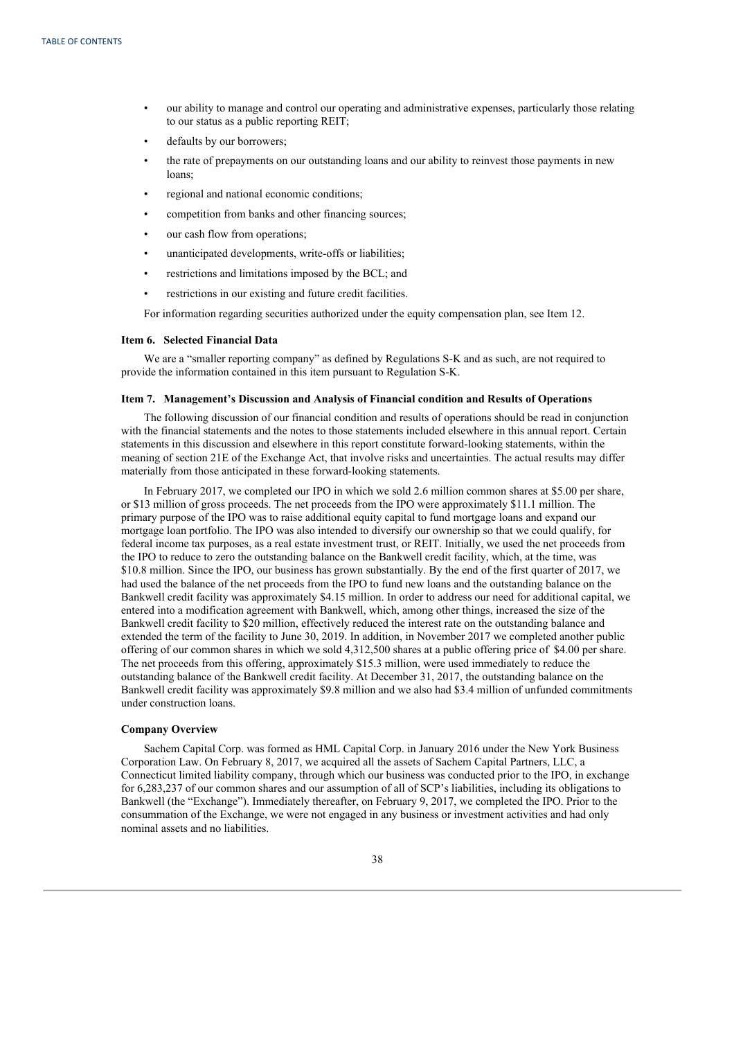- our ability to manage and control our operating and administrative expenses, particularly those relating to our status as a public reporting REIT;
- defaults by our borrowers;
- the rate of prepayments on our outstanding loans and our ability to reinvest those payments in new loans;
- regional and national economic conditions;
- competition from banks and other financing sources;
- our cash flow from operations;
- unanticipated developments, write-offs or liabilities;
- restrictions and limitations imposed by the BCL; and
- restrictions in our existing and future credit facilities.

For information regarding securities authorized under the equity compensation plan, see Item 12.

### **Item 6. Selected Financial Data**

We are a "smaller reporting company" as defined by Regulations S-K and as such, are not required to provide the information contained in this item pursuant to Regulation S-K.

## **Item 7. Management's Discussion and Analysis of Financial condition and Results of Operations**

The following discussion of our financial condition and results of operations should be read in conjunction with the financial statements and the notes to those statements included elsewhere in this annual report. Certain statements in this discussion and elsewhere in this report constitute forward-looking statements, within the meaning of section 21E of the Exchange Act, that involve risks and uncertainties. The actual results may differ materially from those anticipated in these forward-looking statements.

In February 2017, we completed our IPO in which we sold 2.6 million common shares at \$5.00 per share, or \$13 million of gross proceeds. The net proceeds from the IPO were approximately \$11.1 million. The primary purpose of the IPO was to raise additional equity capital to fund mortgage loans and expand our mortgage loan portfolio. The IPO was also intended to diversify our ownership so that we could qualify, for federal income tax purposes, as a real estate investment trust, or REIT. Initially, we used the net proceeds from the IPO to reduce to zero the outstanding balance on the Bankwell credit facility, which, at the time, was \$10.8 million. Since the IPO, our business has grown substantially. By the end of the first quarter of 2017, we had used the balance of the net proceeds from the IPO to fund new loans and the outstanding balance on the Bankwell credit facility was approximately \$4.15 million. In order to address our need for additional capital, we entered into a modification agreement with Bankwell, which, among other things, increased the size of the Bankwell credit facility to \$20 million, effectively reduced the interest rate on the outstanding balance and extended the term of the facility to June 30, 2019. In addition, in November 2017 we completed another public offering of our common shares in which we sold 4,312,500 shares at a public offering price of \$4.00 per share. The net proceeds from this offering, approximately \$15.3 million, were used immediately to reduce the outstanding balance of the Bankwell credit facility. At December 31, 2017, the outstanding balance on the Bankwell credit facility was approximately \$9.8 million and we also had \$3.4 million of unfunded commitments under construction loans.

#### **Company Overview**

Sachem Capital Corp. was formed as HML Capital Corp. in January 2016 under the New York Business Corporation Law. On February 8, 2017, we acquired all the assets of Sachem Capital Partners, LLC, a Connecticut limited liability company, through which our business was conducted prior to the IPO, in exchange for 6,283,237 of our common shares and our assumption of all of SCP's liabilities, including its obligations to Bankwell (the "Exchange"). Immediately thereafter, on February 9, 2017, we completed the IPO. Prior to the consummation of the Exchange, we were not engaged in any business or investment activities and had only nominal assets and no liabilities.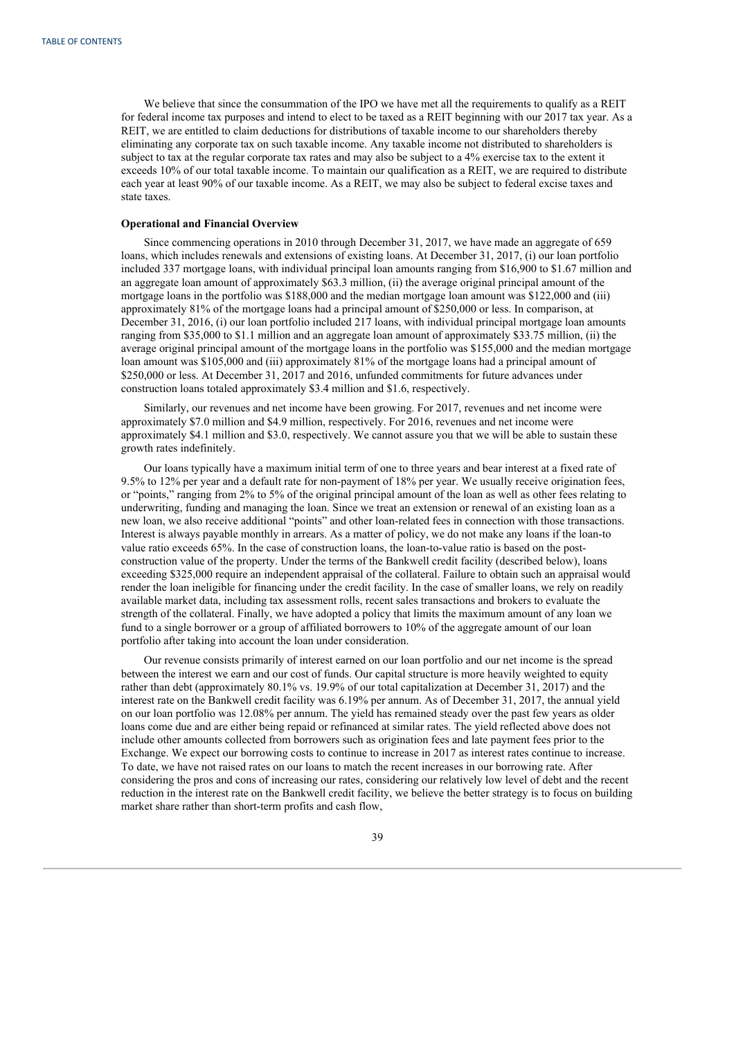We believe that since the consummation of the IPO we have met all the requirements to qualify as a REIT for federal income tax purposes and intend to elect to be taxed as a REIT beginning with our 2017 tax year. As a REIT, we are entitled to claim deductions for distributions of taxable income to our shareholders thereby eliminating any corporate tax on such taxable income. Any taxable income not distributed to shareholders is subject to tax at the regular corporate tax rates and may also be subject to a 4% exercise tax to the extent it exceeds 10% of our total taxable income. To maintain our qualification as a REIT, we are required to distribute each year at least 90% of our taxable income. As a REIT, we may also be subject to federal excise taxes and state taxes.

#### **Operational and Financial Overview**

Since commencing operations in 2010 through December 31, 2017, we have made an aggregate of 659 loans, which includes renewals and extensions of existing loans. At December 31, 2017, (i) our loan portfolio included 337 mortgage loans, with individual principal loan amounts ranging from \$16,900 to \$1.67 million and an aggregate loan amount of approximately \$63.3 million, (ii) the average original principal amount of the mortgage loans in the portfolio was \$188,000 and the median mortgage loan amount was \$122,000 and (iii) approximately 81% of the mortgage loans had a principal amount of \$250,000 or less. In comparison, at December 31, 2016, (i) our loan portfolio included 217 loans, with individual principal mortgage loan amounts ranging from \$35,000 to \$1.1 million and an aggregate loan amount of approximately \$33.75 million, (ii) the average original principal amount of the mortgage loans in the portfolio was \$155,000 and the median mortgage loan amount was \$105,000 and (iii) approximately 81% of the mortgage loans had a principal amount of \$250,000 or less. At December 31, 2017 and 2016, unfunded commitments for future advances under construction loans totaled approximately \$3.4 million and \$1.6, respectively.

Similarly, our revenues and net income have been growing. For 2017, revenues and net income were approximately \$7.0 million and \$4.9 million, respectively. For 2016, revenues and net income were approximately \$4.1 million and \$3.0, respectively. We cannot assure you that we will be able to sustain these growth rates indefinitely.

Our loans typically have a maximum initial term of one to three years and bear interest at a fixed rate of 9.5% to 12% per year and a default rate for non-payment of 18% per year. We usually receive origination fees, or "points," ranging from 2% to 5% of the original principal amount of the loan as well as other fees relating to underwriting, funding and managing the loan. Since we treat an extension or renewal of an existing loan as a new loan, we also receive additional "points" and other loan-related fees in connection with those transactions. Interest is always payable monthly in arrears. As a matter of policy, we do not make any loans if the loan-to value ratio exceeds 65%. In the case of construction loans, the loan-to-value ratio is based on the postconstruction value of the property. Under the terms of the Bankwell credit facility (described below), loans exceeding \$325,000 require an independent appraisal of the collateral. Failure to obtain such an appraisal would render the loan ineligible for financing under the credit facility. In the case of smaller loans, we rely on readily available market data, including tax assessment rolls, recent sales transactions and brokers to evaluate the strength of the collateral. Finally, we have adopted a policy that limits the maximum amount of any loan we fund to a single borrower or a group of affiliated borrowers to 10% of the aggregate amount of our loan portfolio after taking into account the loan under consideration.

Our revenue consists primarily of interest earned on our loan portfolio and our net income is the spread between the interest we earn and our cost of funds. Our capital structure is more heavily weighted to equity rather than debt (approximately 80.1% vs. 19.9% of our total capitalization at December 31, 2017) and the interest rate on the Bankwell credit facility was 6.19% per annum. As of December 31, 2017, the annual yield on our loan portfolio was 12.08% per annum. The yield has remained steady over the past few years as older loans come due and are either being repaid or refinanced at similar rates. The yield reflected above does not include other amounts collected from borrowers such as origination fees and late payment fees prior to the Exchange. We expect our borrowing costs to continue to increase in 2017 as interest rates continue to increase. To date, we have not raised rates on our loans to match the recent increases in our borrowing rate. After considering the pros and cons of increasing our rates, considering our relatively low level of debt and the recent reduction in the interest rate on the Bankwell credit facility, we believe the better strategy is to focus on building market share rather than short-term profits and cash flow,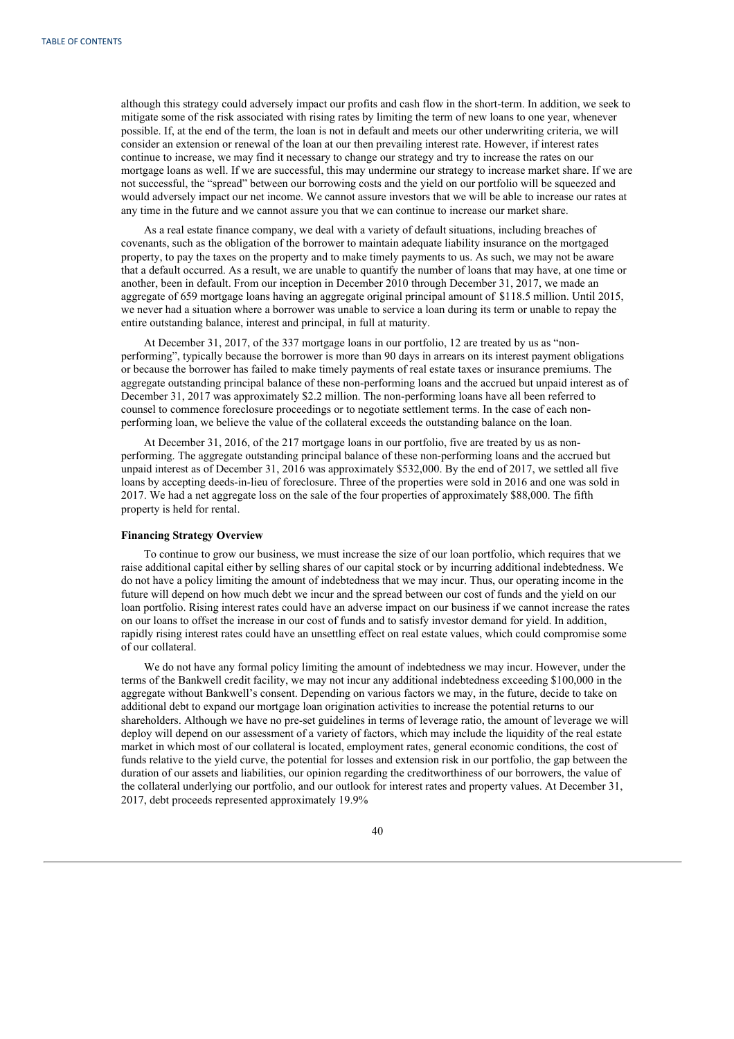although this strategy could adversely impact our profits and cash flow in the short-term. In addition, we seek to mitigate some of the risk associated with rising rates by limiting the term of new loans to one year, whenever possible. If, at the end of the term, the loan is not in default and meets our other underwriting criteria, we will consider an extension or renewal of the loan at our then prevailing interest rate. However, if interest rates continue to increase, we may find it necessary to change our strategy and try to increase the rates on our mortgage loans as well. If we are successful, this may undermine our strategy to increase market share. If we are not successful, the "spread" between our borrowing costs and the yield on our portfolio will be squeezed and would adversely impact our net income. We cannot assure investors that we will be able to increase our rates at any time in the future and we cannot assure you that we can continue to increase our market share.

As a real estate finance company, we deal with a variety of default situations, including breaches of covenants, such as the obligation of the borrower to maintain adequate liability insurance on the mortgaged property, to pay the taxes on the property and to make timely payments to us. As such, we may not be aware that a default occurred. As a result, we are unable to quantify the number of loans that may have, at one time or another, been in default. From our inception in December 2010 through December 31, 2017, we made an aggregate of 659 mortgage loans having an aggregate original principal amount of \$118.5 million. Until 2015, we never had a situation where a borrower was unable to service a loan during its term or unable to repay the entire outstanding balance, interest and principal, in full at maturity.

At December 31, 2017, of the 337 mortgage loans in our portfolio, 12 are treated by us as "nonperforming", typically because the borrower is more than 90 days in arrears on its interest payment obligations or because the borrower has failed to make timely payments of real estate taxes or insurance premiums. The aggregate outstanding principal balance of these non-performing loans and the accrued but unpaid interest as of December 31, 2017 was approximately \$2.2 million. The non-performing loans have all been referred to counsel to commence foreclosure proceedings or to negotiate settlement terms. In the case of each nonperforming loan, we believe the value of the collateral exceeds the outstanding balance on the loan.

At December 31, 2016, of the 217 mortgage loans in our portfolio, five are treated by us as nonperforming. The aggregate outstanding principal balance of these non-performing loans and the accrued but unpaid interest as of December 31, 2016 was approximately \$532,000. By the end of 2017, we settled all five loans by accepting deeds-in-lieu of foreclosure. Three of the properties were sold in 2016 and one was sold in 2017. We had a net aggregate loss on the sale of the four properties of approximately \$88,000. The fifth property is held for rental.

## **Financing Strategy Overview**

To continue to grow our business, we must increase the size of our loan portfolio, which requires that we raise additional capital either by selling shares of our capital stock or by incurring additional indebtedness. We do not have a policy limiting the amount of indebtedness that we may incur. Thus, our operating income in the future will depend on how much debt we incur and the spread between our cost of funds and the yield on our loan portfolio. Rising interest rates could have an adverse impact on our business if we cannot increase the rates on our loans to offset the increase in our cost of funds and to satisfy investor demand for yield. In addition, rapidly rising interest rates could have an unsettling effect on real estate values, which could compromise some of our collateral.

We do not have any formal policy limiting the amount of indebtedness we may incur. However, under the terms of the Bankwell credit facility, we may not incur any additional indebtedness exceeding \$100,000 in the aggregate without Bankwell's consent. Depending on various factors we may, in the future, decide to take on additional debt to expand our mortgage loan origination activities to increase the potential returns to our shareholders. Although we have no pre-set guidelines in terms of leverage ratio, the amount of leverage we will deploy will depend on our assessment of a variety of factors, which may include the liquidity of the real estate market in which most of our collateral is located, employment rates, general economic conditions, the cost of funds relative to the yield curve, the potential for losses and extension risk in our portfolio, the gap between the duration of our assets and liabilities, our opinion regarding the creditworthiness of our borrowers, the value of the collateral underlying our portfolio, and our outlook for interest rates and property values. At December 31, 2017, debt proceeds represented approximately 19.9%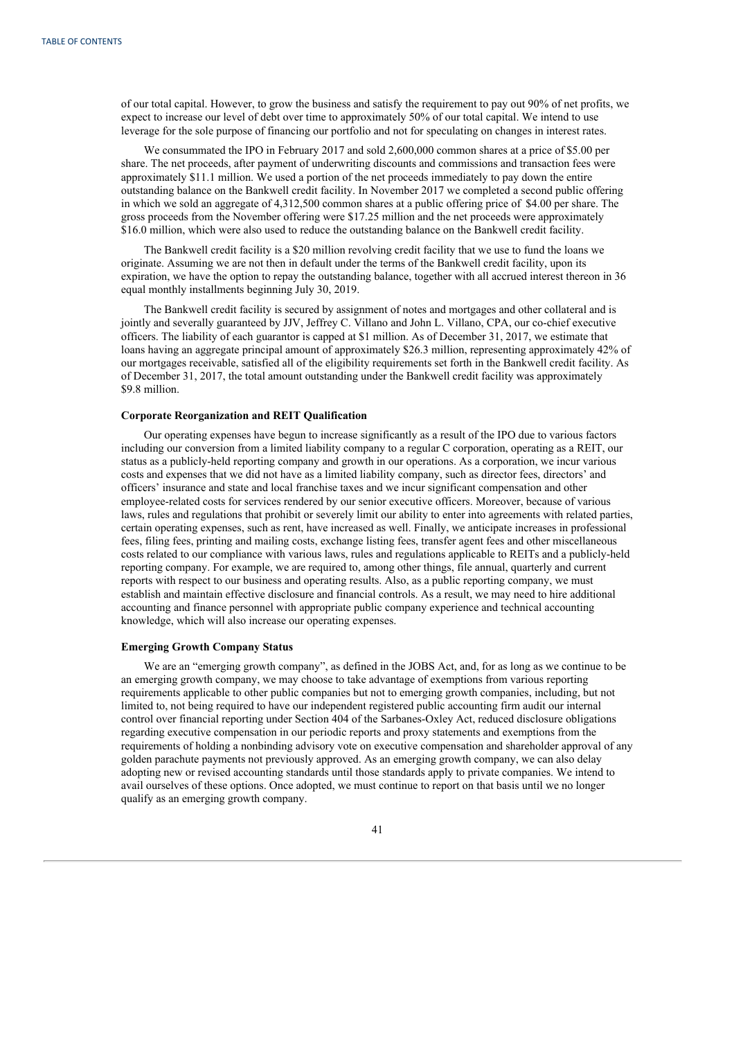of our total capital. However, to grow the business and satisfy the requirement to pay out 90% of net profits, we expect to increase our level of debt over time to approximately 50% of our total capital. We intend to use leverage for the sole purpose of financing our portfolio and not for speculating on changes in interest rates.

We consummated the IPO in February 2017 and sold 2,600,000 common shares at a price of \$5.00 per share. The net proceeds, after payment of underwriting discounts and commissions and transaction fees were approximately \$11.1 million. We used a portion of the net proceeds immediately to pay down the entire outstanding balance on the Bankwell credit facility. In November 2017 we completed a second public offering in which we sold an aggregate of 4,312,500 common shares at a public offering price of \$4.00 per share. The gross proceeds from the November offering were \$17.25 million and the net proceeds were approximately \$16.0 million, which were also used to reduce the outstanding balance on the Bankwell credit facility.

The Bankwell credit facility is a \$20 million revolving credit facility that we use to fund the loans we originate. Assuming we are not then in default under the terms of the Bankwell credit facility, upon its expiration, we have the option to repay the outstanding balance, together with all accrued interest thereon in 36 equal monthly installments beginning July 30, 2019.

The Bankwell credit facility is secured by assignment of notes and mortgages and other collateral and is jointly and severally guaranteed by JJV, Jeffrey C. Villano and John L. Villano, CPA, our co-chief executive officers. The liability of each guarantor is capped at \$1 million. As of December 31, 2017, we estimate that loans having an aggregate principal amount of approximately \$26.3 million, representing approximately 42% of our mortgages receivable, satisfied all of the eligibility requirements set forth in the Bankwell credit facility. As of December 31, 2017, the total amount outstanding under the Bankwell credit facility was approximately \$9.8 million.

## **Corporate Reorganization and REIT Qualification**

Our operating expenses have begun to increase significantly as a result of the IPO due to various factors including our conversion from a limited liability company to a regular C corporation, operating as a REIT, our status as a publicly-held reporting company and growth in our operations. As a corporation, we incur various costs and expenses that we did not have as a limited liability company, such as director fees, directors' and officers' insurance and state and local franchise taxes and we incur significant compensation and other employee-related costs for services rendered by our senior executive officers. Moreover, because of various laws, rules and regulations that prohibit or severely limit our ability to enter into agreements with related parties, certain operating expenses, such as rent, have increased as well. Finally, we anticipate increases in professional fees, filing fees, printing and mailing costs, exchange listing fees, transfer agent fees and other miscellaneous costs related to our compliance with various laws, rules and regulations applicable to REITs and a publicly-held reporting company. For example, we are required to, among other things, file annual, quarterly and current reports with respect to our business and operating results. Also, as a public reporting company, we must establish and maintain effective disclosure and financial controls. As a result, we may need to hire additional accounting and finance personnel with appropriate public company experience and technical accounting knowledge, which will also increase our operating expenses.

## **Emerging Growth Company Status**

We are an "emerging growth company", as defined in the JOBS Act, and, for as long as we continue to be an emerging growth company, we may choose to take advantage of exemptions from various reporting requirements applicable to other public companies but not to emerging growth companies, including, but not limited to, not being required to have our independent registered public accounting firm audit our internal control over financial reporting under Section 404 of the Sarbanes-Oxley Act, reduced disclosure obligations regarding executive compensation in our periodic reports and proxy statements and exemptions from the requirements of holding a nonbinding advisory vote on executive compensation and shareholder approval of any golden parachute payments not previously approved. As an emerging growth company, we can also delay adopting new or revised accounting standards until those standards apply to private companies. We intend to avail ourselves of these options. Once adopted, we must continue to report on that basis until we no longer qualify as an emerging growth company.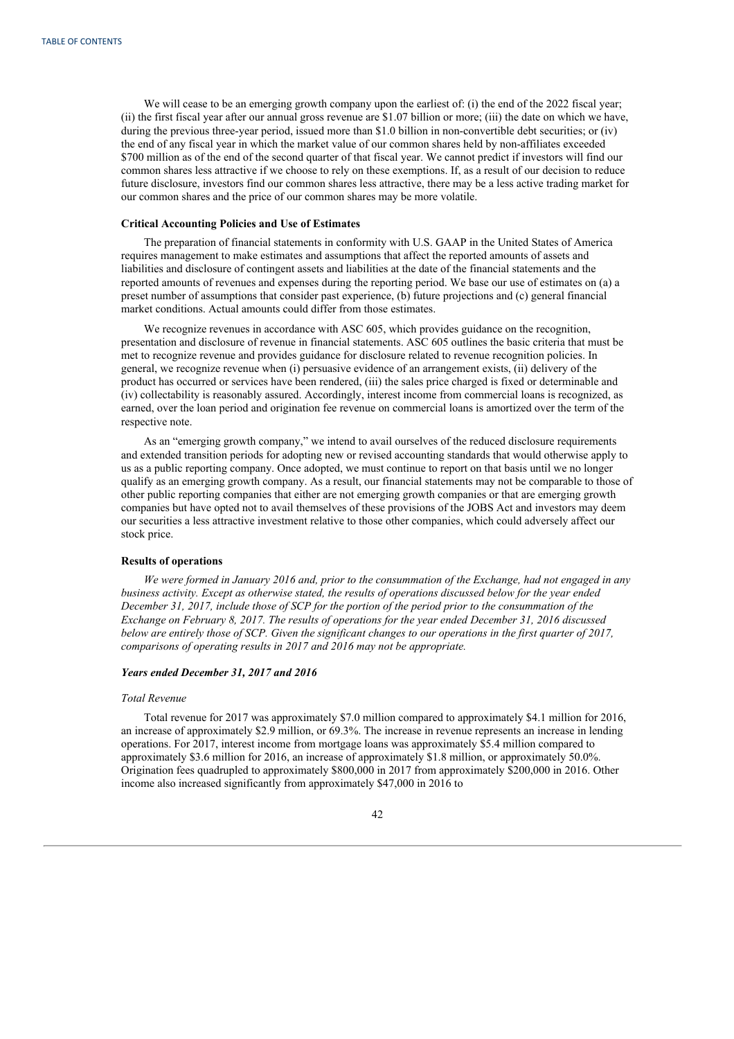We will cease to be an emerging growth company upon the earliest of: (i) the end of the 2022 fiscal year; (ii) the first fiscal year after our annual gross revenue are \$1.07 billion or more; (iii) the date on which we have, during the previous three-year period, issued more than \$1.0 billion in non-convertible debt securities; or (iv) the end of any fiscal year in which the market value of our common shares held by non-affiliates exceeded \$700 million as of the end of the second quarter of that fiscal year. We cannot predict if investors will find our common shares less attractive if we choose to rely on these exemptions. If, as a result of our decision to reduce future disclosure, investors find our common shares less attractive, there may be a less active trading market for our common shares and the price of our common shares may be more volatile.

## **Critical Accounting Policies and Use of Estimates**

The preparation of financial statements in conformity with U.S. GAAP in the United States of America requires management to make estimates and assumptions that affect the reported amounts of assets and liabilities and disclosure of contingent assets and liabilities at the date of the financial statements and the reported amounts of revenues and expenses during the reporting period. We base our use of estimates on (a) a preset number of assumptions that consider past experience, (b) future projections and (c) general financial market conditions. Actual amounts could differ from those estimates.

We recognize revenues in accordance with ASC 605, which provides guidance on the recognition, presentation and disclosure of revenue in financial statements. ASC 605 outlines the basic criteria that must be met to recognize revenue and provides guidance for disclosure related to revenue recognition policies. In general, we recognize revenue when (i) persuasive evidence of an arrangement exists, (ii) delivery of the product has occurred or services have been rendered, (iii) the sales price charged is fixed or determinable and (iv) collectability is reasonably assured. Accordingly, interest income from commercial loans is recognized, as earned, over the loan period and origination fee revenue on commercial loans is amortized over the term of the respective note.

As an "emerging growth company," we intend to avail ourselves of the reduced disclosure requirements and extended transition periods for adopting new or revised accounting standards that would otherwise apply to us as a public reporting company. Once adopted, we must continue to report on that basis until we no longer qualify as an emerging growth company. As a result, our financial statements may not be comparable to those of other public reporting companies that either are not emerging growth companies or that are emerging growth companies but have opted not to avail themselves of these provisions of the JOBS Act and investors may deem our securities a less attractive investment relative to those other companies, which could adversely affect our stock price.

## **Results of operations**

We were formed in January 2016 and, prior to the consummation of the Exchange, had not engaged in any *business activity. Except as otherwise stated, the results of operations discussed below for the year ended* December 31, 2017, include those of SCP for the portion of the period prior to the consummation of the *Exchange on February 8, 2017. The results of operations for the year ended December 31, 2016 discussed* below are entirely those of SCP. Given the significant changes to our operations in the first quarter of 2017, *comparisons of operating results in 2017 and 2016 may not be appropriate.*

## *Years ended December 31, 2017 and 2016*

#### *Total Revenue*

Total revenue for 2017 was approximately \$7.0 million compared to approximately \$4.1 million for 2016, an increase of approximately \$2.9 million, or 69.3%. The increase in revenue represents an increase in lending operations. For 2017, interest income from mortgage loans was approximately \$5.4 million compared to approximately \$3.6 million for 2016, an increase of approximately \$1.8 million, or approximately 50.0%. Origination fees quadrupled to approximately \$800,000 in 2017 from approximately \$200,000 in 2016. Other income also increased significantly from approximately \$47,000 in 2016 to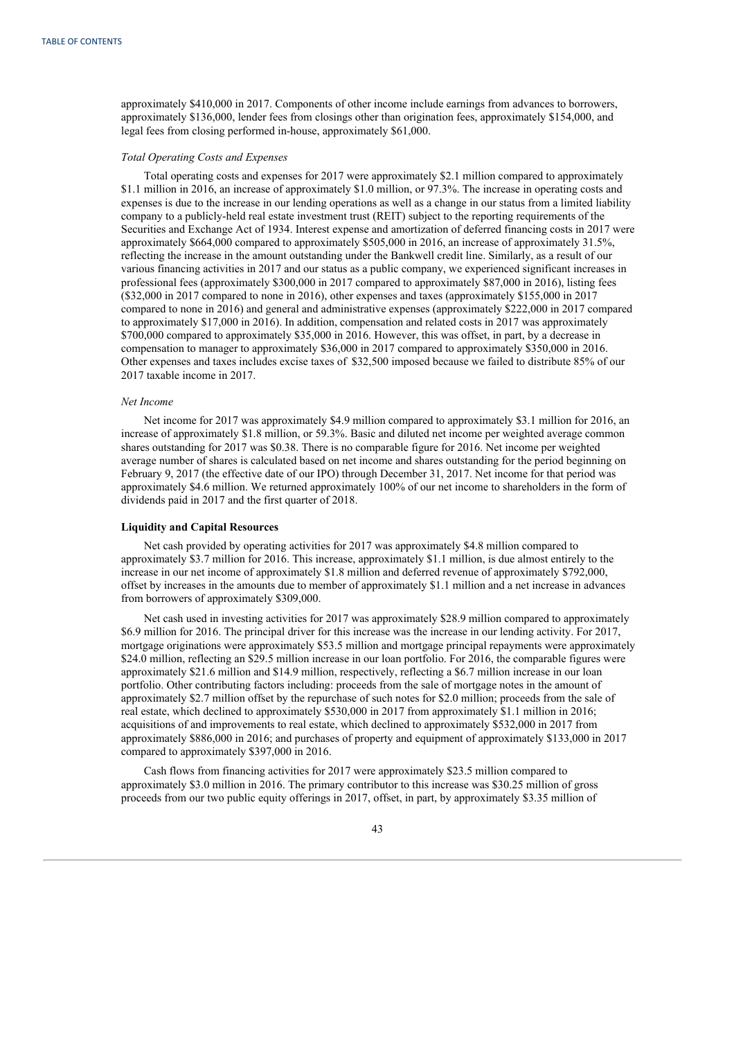approximately \$410,000 in 2017. Components of other income include earnings from advances to borrowers, approximately \$136,000, lender fees from closings other than origination fees, approximately \$154,000, and legal fees from closing performed in-house, approximately \$61,000.

## *Total Operating Costs and Expenses*

Total operating costs and expenses for 2017 were approximately \$2.1 million compared to approximately \$1.1 million in 2016, an increase of approximately \$1.0 million, or 97.3%. The increase in operating costs and expenses is due to the increase in our lending operations as well as a change in our status from a limited liability company to a publicly-held real estate investment trust (REIT) subject to the reporting requirements of the Securities and Exchange Act of 1934. Interest expense and amortization of deferred financing costs in 2017 were approximately \$664,000 compared to approximately \$505,000 in 2016, an increase of approximately 31.5%, reflecting the increase in the amount outstanding under the Bankwell credit line. Similarly, as a result of our various financing activities in 2017 and our status as a public company, we experienced significant increases in professional fees (approximately \$300,000 in 2017 compared to approximately \$87,000 in 2016), listing fees (\$32,000 in 2017 compared to none in 2016), other expenses and taxes (approximately \$155,000 in 2017 compared to none in 2016) and general and administrative expenses (approximately \$222,000 in 2017 compared to approximately \$17,000 in 2016). In addition, compensation and related costs in 2017 was approximately \$700,000 compared to approximately \$35,000 in 2016. However, this was offset, in part, by a decrease in compensation to manager to approximately \$36,000 in 2017 compared to approximately \$350,000 in 2016. Other expenses and taxes includes excise taxes of \$32,500 imposed because we failed to distribute 85% of our 2017 taxable income in 2017.

## *Net Income*

Net income for 2017 was approximately \$4.9 million compared to approximately \$3.1 million for 2016, an increase of approximately \$1.8 million, or 59.3%. Basic and diluted net income per weighted average common shares outstanding for 2017 was \$0.38. There is no comparable figure for 2016. Net income per weighted average number of shares is calculated based on net income and shares outstanding for the period beginning on February 9, 2017 (the effective date of our IPO) through December 31, 2017. Net income for that period was approximately \$4.6 million. We returned approximately 100% of our net income to shareholders in the form of dividends paid in 2017 and the first quarter of 2018.

## **Liquidity and Capital Resources**

Net cash provided by operating activities for 2017 was approximately \$4.8 million compared to approximately \$3.7 million for 2016. This increase, approximately \$1.1 million, is due almost entirely to the increase in our net income of approximately \$1.8 million and deferred revenue of approximately \$792,000, offset by increases in the amounts due to member of approximately \$1.1 million and a net increase in advances from borrowers of approximately \$309,000.

Net cash used in investing activities for 2017 was approximately \$28.9 million compared to approximately \$6.9 million for 2016. The principal driver for this increase was the increase in our lending activity. For 2017, mortgage originations were approximately \$53.5 million and mortgage principal repayments were approximately \$24.0 million, reflecting an \$29.5 million increase in our loan portfolio. For 2016, the comparable figures were approximately \$21.6 million and \$14.9 million, respectively, reflecting a \$6.7 million increase in our loan portfolio. Other contributing factors including: proceeds from the sale of mortgage notes in the amount of approximately \$2.7 million offset by the repurchase of such notes for \$2.0 million; proceeds from the sale of real estate, which declined to approximately \$530,000 in 2017 from approximately \$1.1 million in 2016; acquisitions of and improvements to real estate, which declined to approximately \$532,000 in 2017 from approximately \$886,000 in 2016; and purchases of property and equipment of approximately \$133,000 in 2017 compared to approximately \$397,000 in 2016.

Cash flows from financing activities for 2017 were approximately \$23.5 million compared to approximately \$3.0 million in 2016. The primary contributor to this increase was \$30.25 million of gross proceeds from our two public equity offerings in 2017, offset, in part, by approximately \$3.35 million of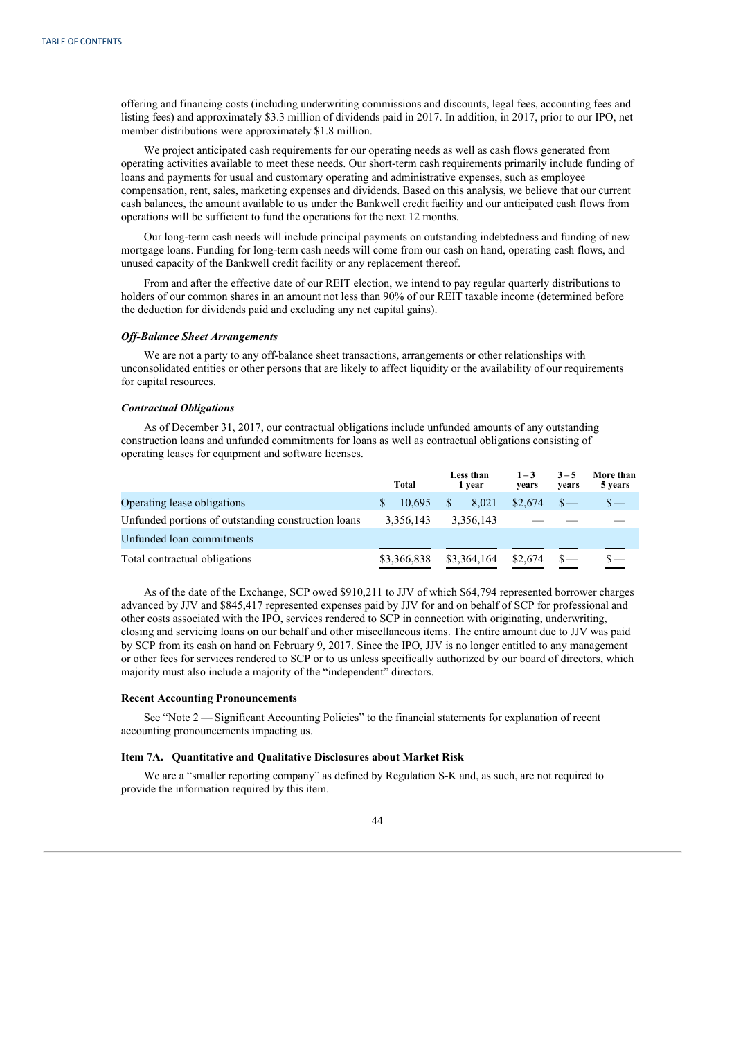offering and financing costs (including underwriting commissions and discounts, legal fees, accounting fees and listing fees) and approximately \$3.3 million of dividends paid in 2017. In addition, in 2017, prior to our IPO, net member distributions were approximately \$1.8 million.

We project anticipated cash requirements for our operating needs as well as cash flows generated from operating activities available to meet these needs. Our short-term cash requirements primarily include funding of loans and payments for usual and customary operating and administrative expenses, such as employee compensation, rent, sales, marketing expenses and dividends. Based on this analysis, we believe that our current cash balances, the amount available to us under the Bankwell credit facility and our anticipated cash flows from operations will be sufficient to fund the operations for the next 12 months.

Our long-term cash needs will include principal payments on outstanding indebtedness and funding of new mortgage loans. Funding for long-term cash needs will come from our cash on hand, operating cash flows, and unused capacity of the Bankwell credit facility or any replacement thereof.

From and after the effective date of our REIT election, we intend to pay regular quarterly distributions to holders of our common shares in an amount not less than 90% of our REIT taxable income (determined before the deduction for dividends paid and excluding any net capital gains).

### *Of -Balance Sheet Arrangements*

We are not a party to any off-balance sheet transactions, arrangements or other relationships with unconsolidated entities or other persons that are likely to affect liquidity or the availability of our requirements for capital resources.

#### *Contractual Obligations*

As of December 31, 2017, our contractual obligations include unfunded amounts of any outstanding construction loans and unfunded commitments for loans as well as contractual obligations consisting of operating leases for equipment and software licenses.

|                                                     | Total       | Less than<br>1 year | $1 - 3$<br>vears | $3 - 5$<br>vears | More than<br>5 years |
|-----------------------------------------------------|-------------|---------------------|------------------|------------------|----------------------|
| Operating lease obligations                         | 10.695      | 8.021               | \$2,674          | $s-$             | $S -$                |
| Unfunded portions of outstanding construction loans | 3,356,143   | 3,356,143           |                  |                  |                      |
| Unfunded loan commitments                           |             |                     |                  |                  |                      |
| Total contractual obligations                       | \$3,366,838 | \$3,364,164         | \$2,674          | $S-$             | $S -$                |

As of the date of the Exchange, SCP owed \$910,211 to JJV of which \$64,794 represented borrower charges advanced by JJV and \$845,417 represented expenses paid by JJV for and on behalf of SCP for professional and other costs associated with the IPO, services rendered to SCP in connection with originating, underwriting, closing and servicing loans on our behalf and other miscellaneous items. The entire amount due to JJV was paid by SCP from its cash on hand on February 9, 2017. Since the IPO, JJV is no longer entitled to any management or other fees for services rendered to SCP or to us unless specifically authorized by our board of directors, which majority must also include a majority of the "independent" directors.

#### **Recent Accounting Pronouncements**

See "Note 2 — Significant Accounting Policies" to the financial statements for explanation of recent accounting pronouncements impacting us.

#### **Item 7A. Quantitative and Qualitative Disclosures about Market Risk**

We are a "smaller reporting company" as defined by Regulation S-K and, as such, are not required to provide the information required by this item.

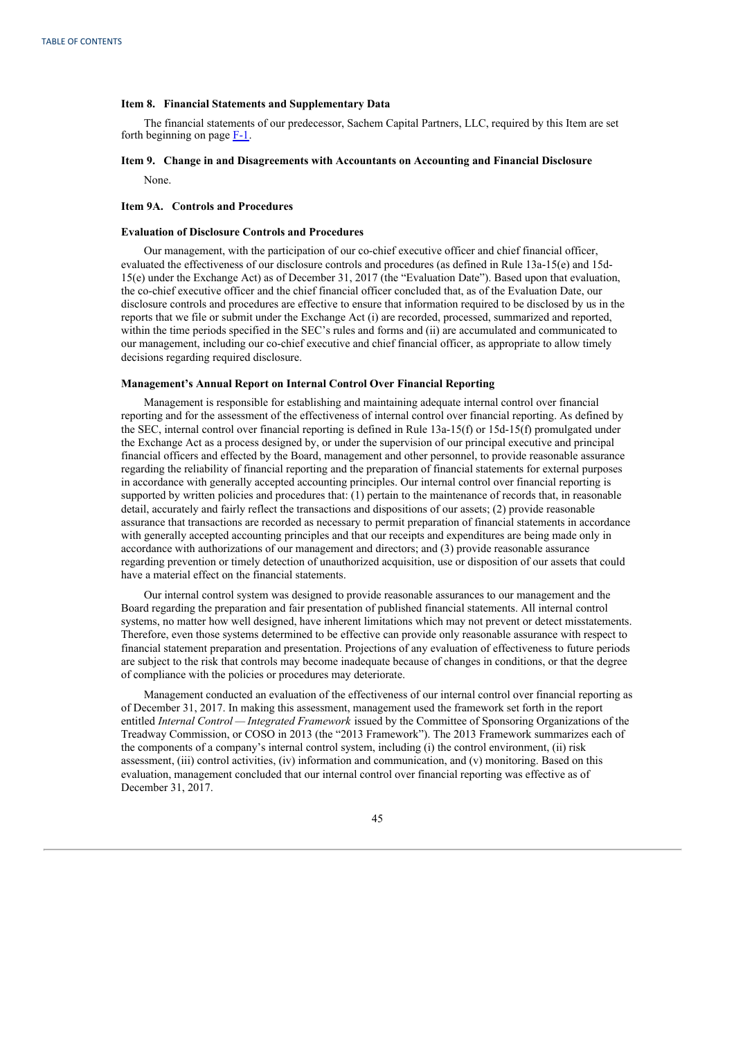## **Item 8. Financial Statements and Supplementary Data**

The financial statements of our predecessor, Sachem Capital Partners, LLC, required by this Item are set forth beginning on page F-1.

## **Item 9. Change in and Disagreements with Accountants on Accounting and Financial Disclosure**

None.

#### **Item 9A. Controls and Procedures**

## **Evaluation of Disclosure Controls and Procedures**

Our management, with the participation of our co-chief executive officer and chief financial officer, evaluated the effectiveness of our disclosure controls and procedures (as defined in Rule 13a-15(e) and 15d-15(e) under the Exchange Act) as of December 31, 2017 (the "Evaluation Date"). Based upon that evaluation, the co-chief executive officer and the chief financial officer concluded that, as of the Evaluation Date, our disclosure controls and procedures are effective to ensure that information required to be disclosed by us in the reports that we file or submit under the Exchange Act (i) are recorded, processed, summarized and reported, within the time periods specified in the SEC's rules and forms and (ii) are accumulated and communicated to our management, including our co-chief executive and chief financial officer, as appropriate to allow timely decisions regarding required disclosure.

## **Management's Annual Report on Internal Control Over Financial Reporting**

Management is responsible for establishing and maintaining adequate internal control over financial reporting and for the assessment of the effectiveness of internal control over financial reporting. As defined by the SEC, internal control over financial reporting is defined in Rule 13a-15(f) or 15d-15(f) promulgated under the Exchange Act as a process designed by, or under the supervision of our principal executive and principal financial officers and effected by the Board, management and other personnel, to provide reasonable assurance regarding the reliability of financial reporting and the preparation of financial statements for external purposes in accordance with generally accepted accounting principles. Our internal control over financial reporting is supported by written policies and procedures that: (1) pertain to the maintenance of records that, in reasonable detail, accurately and fairly reflect the transactions and dispositions of our assets; (2) provide reasonable assurance that transactions are recorded as necessary to permit preparation of financial statements in accordance with generally accepted accounting principles and that our receipts and expenditures are being made only in accordance with authorizations of our management and directors; and (3) provide reasonable assurance regarding prevention or timely detection of unauthorized acquisition, use or disposition of our assets that could have a material effect on the financial statements.

Our internal control system was designed to provide reasonable assurances to our management and the Board regarding the preparation and fair presentation of published financial statements. All internal control systems, no matter how well designed, have inherent limitations which may not prevent or detect misstatements. Therefore, even those systems determined to be effective can provide only reasonable assurance with respect to financial statement preparation and presentation. Projections of any evaluation of effectiveness to future periods are subject to the risk that controls may become inadequate because of changes in conditions, or that the degree of compliance with the policies or procedures may deteriorate.

Management conducted an evaluation of the effectiveness of our internal control over financial reporting as of December 31, 2017. In making this assessment, management used the framework set forth in the report entitled *Internal Control — Integrated Framework* issued by the Committee of Sponsoring Organizations of the Treadway Commission, or COSO in 2013 (the "2013 Framework"). The 2013 Framework summarizes each of the components of a company's internal control system, including (i) the control environment, (ii) risk assessment, (iii) control activities, (iv) information and communication, and (v) monitoring. Based on this evaluation, management concluded that our internal control over financial reporting was effective as of December 31, 2017.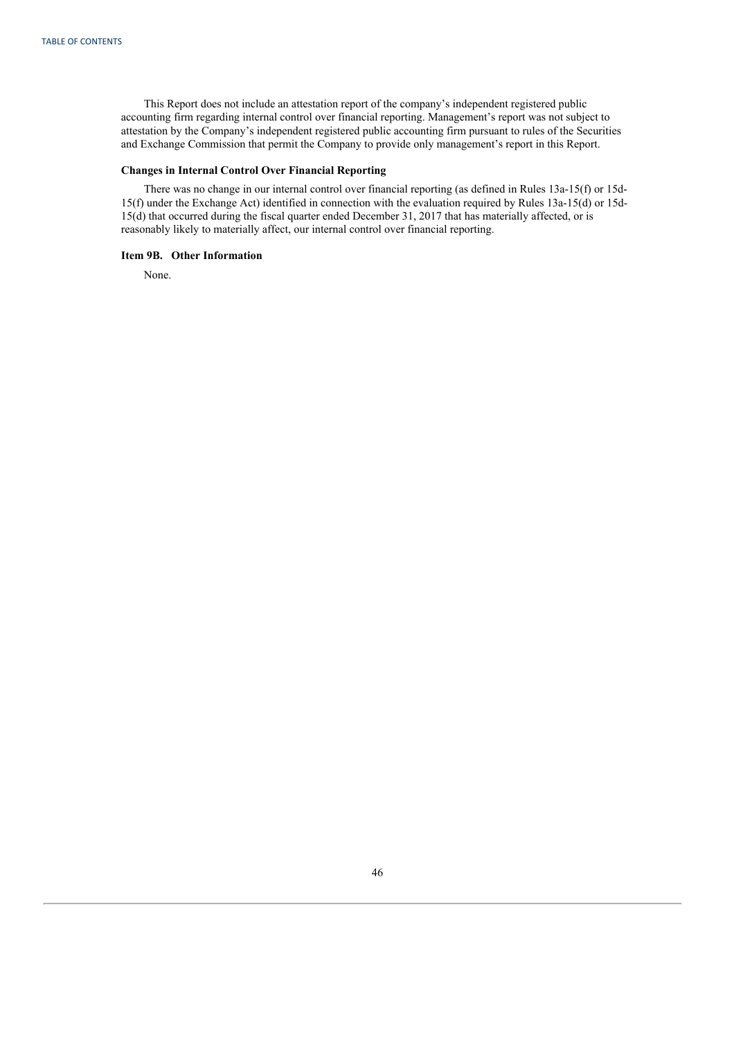This Report does not include an attestation report of the company's independent registered public accounting firm regarding internal control over financial reporting. Management's report was not subject to attestation by the Company's independent registered public accounting firm pursuant to rules of the Securities and Exchange Commission that permit the Company to provide only management's report in this Report.

## **Changes in Internal Control Over Financial Reporting**

There was no change in our internal control over financial reporting (as defined in Rules 13a-15(f) or 15d-15(f) under the Exchange Act) identified in connection with the evaluation required by Rules 13a-15(d) or 15d-15(d) that occurred during the fiscal quarter ended December 31, 2017 that has materially affected, or is reasonably likely to materially affect, our internal control over financial reporting.

## **Item 9B. Other Information**

None.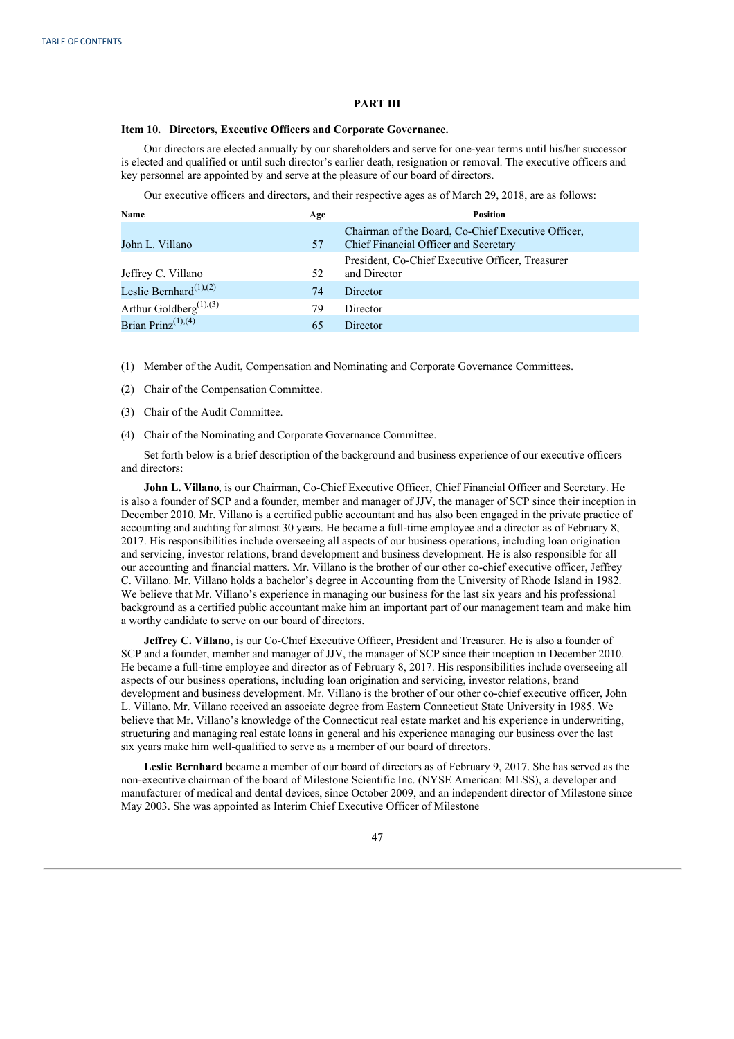### **PART III**

## **Item 10. Directors, Executive Officers and Corporate Governance.**

Our directors are elected annually by our shareholders and serve for one-year terms until his/her successor is elected and qualified or until such director's earlier death, resignation or removal. The executive officers and key personnel are appointed by and serve at the pleasure of our board of directors.

Our executive officers and directors, and their respective ages as of March 29, 2018, are as follows:

| <b>Name</b>                                     | Age | <b>Position</b>                                                                             |
|-------------------------------------------------|-----|---------------------------------------------------------------------------------------------|
| John L. Villano                                 | 57  | Chairman of the Board, Co-Chief Executive Officer,<br>Chief Financial Officer and Secretary |
| Jeffrey C. Villano                              | 52  | President, Co-Chief Executive Officer, Treasurer<br>and Director                            |
| Leslie Bernhard $(1)$ , $(2)$                   | 74  | Director                                                                                    |
| Arthur Goldberg <sup><math>(1),(3)</math></sup> | 79  | Director                                                                                    |
| Brian Prinz $^{(1),(4)}$                        | 65  | Director                                                                                    |

(1) Member of the Audit, Compensation and Nominating and Corporate Governance Committees.

- (2) Chair of the Compensation Committee.
- (3) Chair of the Audit Committee.
- (4) Chair of the Nominating and Corporate Governance Committee.

Set forth below is a brief description of the background and business experience of our executive officers and directors:

**John L. Villano**, is our Chairman, Co-Chief Executive Officer, Chief Financial Officer and Secretary. He is also a founder of SCP and a founder, member and manager of JJV, the manager of SCP since their inception in December 2010. Mr. Villano is a certified public accountant and has also been engaged in the private practice of accounting and auditing for almost 30 years. He became a full-time employee and a director as of February 8, 2017. His responsibilities include overseeing all aspects of our business operations, including loan origination and servicing, investor relations, brand development and business development. He is also responsible for all our accounting and financial matters. Mr. Villano is the brother of our other co-chief executive officer, Jeffrey C. Villano. Mr. Villano holds a bachelor's degree in Accounting from the University of Rhode Island in 1982. We believe that Mr. Villano's experience in managing our business for the last six years and his professional background as a certified public accountant make him an important part of our management team and make him a worthy candidate to serve on our board of directors.

**Jeffrey C. Villano**, is our Co-Chief Executive Officer, President and Treasurer. He is also a founder of SCP and a founder, member and manager of JJV, the manager of SCP since their inception in December 2010. He became a full-time employee and director as of February 8, 2017. His responsibilities include overseeing all aspects of our business operations, including loan origination and servicing, investor relations, brand development and business development. Mr. Villano is the brother of our other co-chief executive officer, John L. Villano. Mr. Villano received an associate degree from Eastern Connecticut State University in 1985. We believe that Mr. Villano's knowledge of the Connecticut real estate market and his experience in underwriting, structuring and managing real estate loans in general and his experience managing our business over the last six years make him well-qualified to serve as a member of our board of directors.

**Leslie Bernhard** became a member of our board of directors as of February 9, 2017. She has served as the non-executive chairman of the board of Milestone Scientific Inc. (NYSE American: MLSS), a developer and manufacturer of medical and dental devices, since October 2009, and an independent director of Milestone since May 2003. She was appointed as Interim Chief Executive Officer of Milestone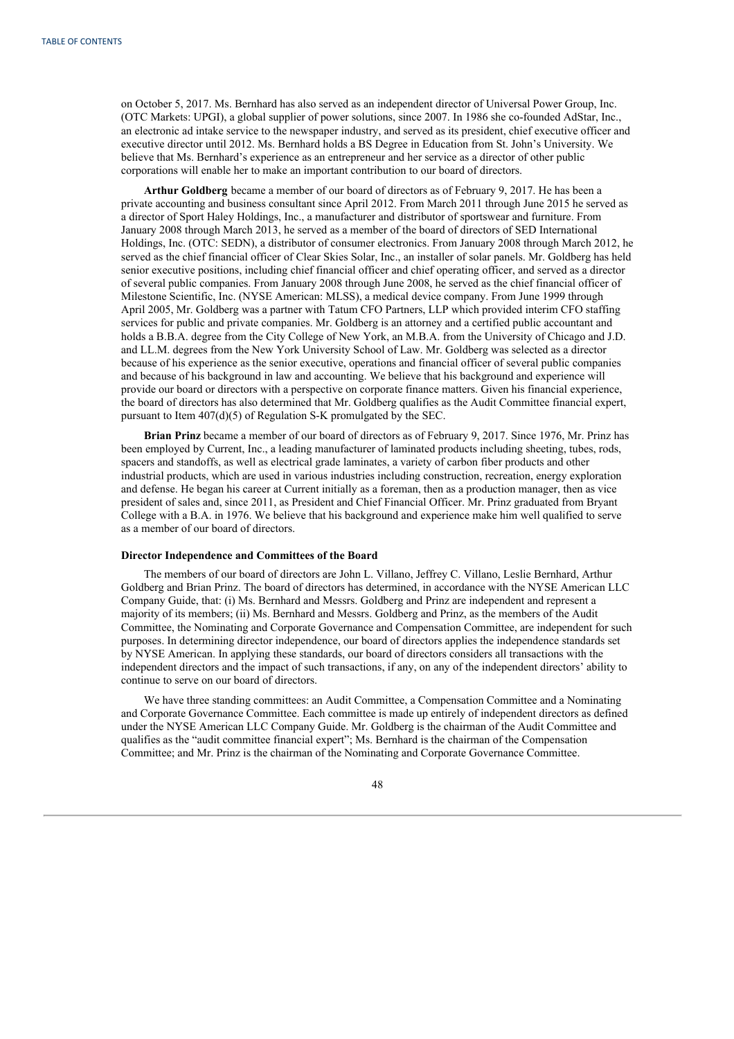on October 5, 2017. Ms. Bernhard has also served as an independent director of Universal Power Group, Inc. (OTC Markets: UPGI), a global supplier of power solutions, since 2007. In 1986 she co-founded AdStar, Inc., an electronic ad intake service to the newspaper industry, and served as its president, chief executive officer and executive director until 2012. Ms. Bernhard holds a BS Degree in Education from St. John's University. We believe that Ms. Bernhard's experience as an entrepreneur and her service as a director of other public corporations will enable her to make an important contribution to our board of directors.

**Arthur Goldberg** became a member of our board of directors as of February 9, 2017. He has been a private accounting and business consultant since April 2012. From March 2011 through June 2015 he served as a director of Sport Haley Holdings, Inc., a manufacturer and distributor of sportswear and furniture. From January 2008 through March 2013, he served as a member of the board of directors of SED International Holdings, Inc. (OTC: SEDN), a distributor of consumer electronics. From January 2008 through March 2012, he served as the chief financial officer of Clear Skies Solar, Inc., an installer of solar panels. Mr. Goldberg has held senior executive positions, including chief financial officer and chief operating officer, and served as a director of several public companies. From January 2008 through June 2008, he served as the chief financial officer of Milestone Scientific, Inc. (NYSE American: MLSS), a medical device company. From June 1999 through April 2005, Mr. Goldberg was a partner with Tatum CFO Partners, LLP which provided interim CFO staffing services for public and private companies. Mr. Goldberg is an attorney and a certified public accountant and holds a B.B.A. degree from the City College of New York, an M.B.A. from the University of Chicago and J.D. and LL.M. degrees from the New York University School of Law. Mr. Goldberg was selected as a director because of his experience as the senior executive, operations and financial officer of several public companies and because of his background in law and accounting. We believe that his background and experience will provide our board or directors with a perspective on corporate finance matters. Given his financial experience, the board of directors has also determined that Mr. Goldberg qualifies as the Audit Committee financial expert, pursuant to Item 407(d)(5) of Regulation S-K promulgated by the SEC.

**Brian Prinz** became a member of our board of directors as of February 9, 2017. Since 1976, Mr. Prinz has been employed by Current, Inc., a leading manufacturer of laminated products including sheeting, tubes, rods, spacers and standoffs, as well as electrical grade laminates, a variety of carbon fiber products and other industrial products, which are used in various industries including construction, recreation, energy exploration and defense. He began his career at Current initially as a foreman, then as a production manager, then as vice president of sales and, since 2011, as President and Chief Financial Officer. Mr. Prinz graduated from Bryant College with a B.A. in 1976. We believe that his background and experience make him well qualified to serve as a member of our board of directors.

## **Director Independence and Committees of the Board**

The members of our board of directors are John L. Villano, Jeffrey C. Villano, Leslie Bernhard, Arthur Goldberg and Brian Prinz. The board of directors has determined, in accordance with the NYSE American LLC Company Guide, that: (i) Ms. Bernhard and Messrs. Goldberg and Prinz are independent and represent a majority of its members; (ii) Ms. Bernhard and Messrs. Goldberg and Prinz, as the members of the Audit Committee, the Nominating and Corporate Governance and Compensation Committee, are independent for such purposes. In determining director independence, our board of directors applies the independence standards set by NYSE American. In applying these standards, our board of directors considers all transactions with the independent directors and the impact of such transactions, if any, on any of the independent directors' ability to continue to serve on our board of directors.

We have three standing committees: an Audit Committee, a Compensation Committee and a Nominating and Corporate Governance Committee. Each committee is made up entirely of independent directors as defined under the NYSE American LLC Company Guide. Mr. Goldberg is the chairman of the Audit Committee and qualifies as the "audit committee financial expert"; Ms. Bernhard is the chairman of the Compensation Committee; and Mr. Prinz is the chairman of the Nominating and Corporate Governance Committee.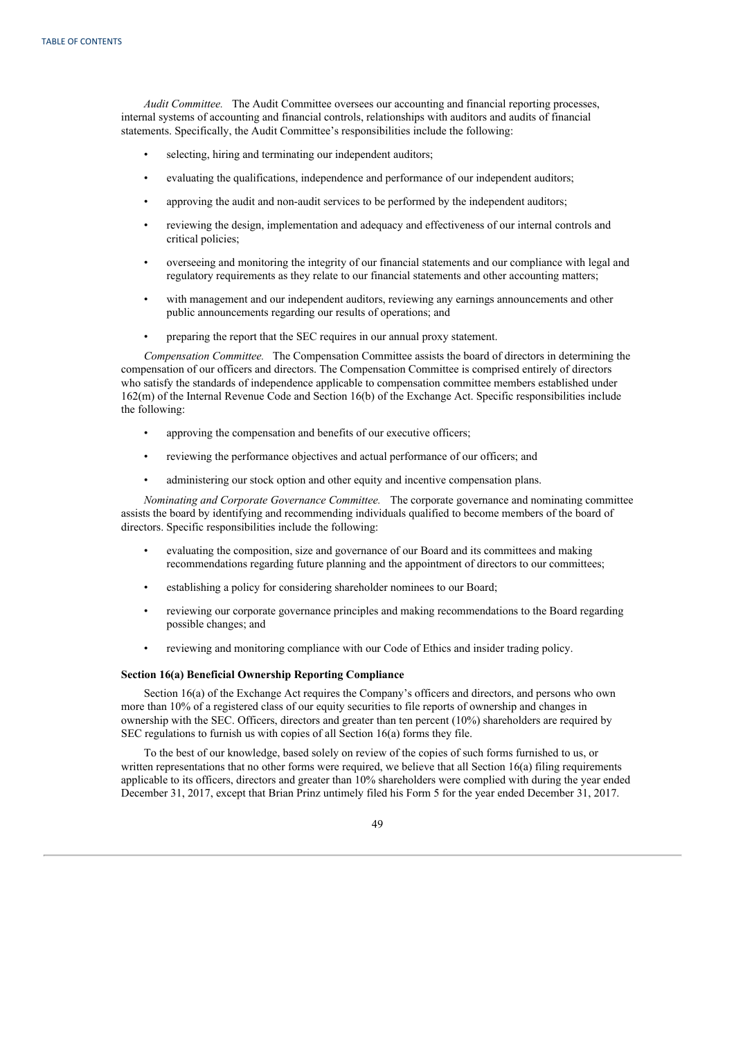*Audit Committee.* The Audit Committee oversees our accounting and financial reporting processes, internal systems of accounting and financial controls, relationships with auditors and audits of financial statements. Specifically, the Audit Committee's responsibilities include the following:

- selecting, hiring and terminating our independent auditors;
- evaluating the qualifications, independence and performance of our independent auditors;
- approving the audit and non-audit services to be performed by the independent auditors;
- reviewing the design, implementation and adequacy and effectiveness of our internal controls and critical policies;
- overseeing and monitoring the integrity of our financial statements and our compliance with legal and regulatory requirements as they relate to our financial statements and other accounting matters;
- with management and our independent auditors, reviewing any earnings announcements and other public announcements regarding our results of operations; and
- preparing the report that the SEC requires in our annual proxy statement.

*Compensation Committee.* The Compensation Committee assists the board of directors in determining the compensation of our officers and directors. The Compensation Committee is comprised entirely of directors who satisfy the standards of independence applicable to compensation committee members established under 162(m) of the Internal Revenue Code and Section 16(b) of the Exchange Act. Specific responsibilities include the following:

- approving the compensation and benefits of our executive officers;
- reviewing the performance objectives and actual performance of our officers; and
- administering our stock option and other equity and incentive compensation plans.

*Nominating and Corporate Governance Committee.* The corporate governance and nominating committee assists the board by identifying and recommending individuals qualified to become members of the board of directors. Specific responsibilities include the following:

- evaluating the composition, size and governance of our Board and its committees and making recommendations regarding future planning and the appointment of directors to our committees;
- establishing a policy for considering shareholder nominees to our Board;
- reviewing our corporate governance principles and making recommendations to the Board regarding possible changes; and
- reviewing and monitoring compliance with our Code of Ethics and insider trading policy.

# **Section 16(a) Beneficial Ownership Reporting Compliance**

Section 16(a) of the Exchange Act requires the Company's officers and directors, and persons who own more than 10% of a registered class of our equity securities to file reports of ownership and changes in ownership with the SEC. Officers, directors and greater than ten percent (10%) shareholders are required by SEC regulations to furnish us with copies of all Section 16(a) forms they file.

To the best of our knowledge, based solely on review of the copies of such forms furnished to us, or written representations that no other forms were required, we believe that all Section 16(a) filing requirements applicable to its officers, directors and greater than 10% shareholders were complied with during the year ended December 31, 2017, except that Brian Prinz untimely filed his Form 5 for the year ended December 31, 2017.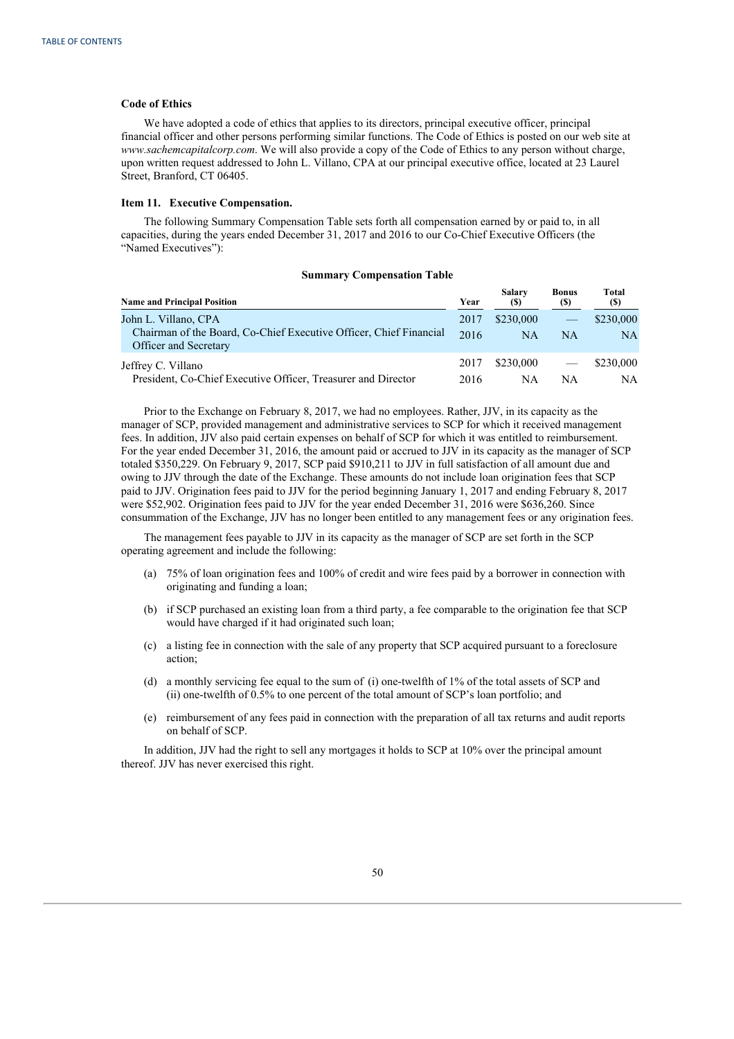## **Code of Ethics**

We have adopted a code of ethics that applies to its directors, principal executive officer, principal financial officer and other persons performing similar functions. The Code of Ethics is posted on our web site at *www.sachemcapitalcorp.com*. We will also provide a copy of the Code of Ethics to any person without charge, upon written request addressed to John L. Villano, CPA at our principal executive office, located at 23 Laurel Street, Branford, CT 06405.

#### **Item 11. Executive Compensation.**

The following Summary Compensation Table sets forth all compensation earned by or paid to, in all capacities, during the years ended December 31, 2017 and 2016 to our Co-Chief Executive Officers (the "Named Executives"):

## **Summary Compensation Table**

| <b>Name and Principal Position</b>                                                                 | Year | Salary<br><b>(S)</b> | <b>Bonus</b><br><b>(S)</b>      | Total<br>(S) |
|----------------------------------------------------------------------------------------------------|------|----------------------|---------------------------------|--------------|
| John L. Villano, CPA                                                                               | 2017 | \$230,000            |                                 | \$230,000    |
| Chairman of the Board, Co-Chief Executive Officer, Chief Financial<br><b>Officer and Secretary</b> | 2016 | <b>NA</b>            | <b>NA</b>                       | <b>NA</b>    |
| Jeffrey C. Villano                                                                                 | 2017 | \$230,000            | $\hspace{0.1mm}-\hspace{0.1mm}$ | \$230,000    |
| President, Co-Chief Executive Officer, Treasurer and Director                                      | 2016 | NΑ                   | NΑ                              | NA.          |

Prior to the Exchange on February 8, 2017, we had no employees. Rather, JJV, in its capacity as the manager of SCP, provided management and administrative services to SCP for which it received management fees. In addition, JJV also paid certain expenses on behalf of SCP for which it was entitled to reimbursement. For the year ended December 31, 2016, the amount paid or accrued to JJV in its capacity as the manager of SCP totaled \$350,229. On February 9, 2017, SCP paid \$910,211 to JJV in full satisfaction of all amount due and owing to JJV through the date of the Exchange. These amounts do not include loan origination fees that SCP paid to JJV. Origination fees paid to JJV for the period beginning January 1, 2017 and ending February 8, 2017 were \$52,902. Origination fees paid to JJV for the year ended December 31, 2016 were \$636,260. Since consummation of the Exchange, JJV has no longer been entitled to any management fees or any origination fees.

The management fees payable to JJV in its capacity as the manager of SCP are set forth in the SCP operating agreement and include the following:

- (a) 75% of loan origination fees and 100% of credit and wire fees paid by a borrower in connection with originating and funding a loan;
- (b) if SCP purchased an existing loan from a third party, a fee comparable to the origination fee that SCP would have charged if it had originated such loan;
- (c) a listing fee in connection with the sale of any property that SCP acquired pursuant to a foreclosure action;
- (d) a monthly servicing fee equal to the sum of (i) one-twelfth of 1% of the total assets of SCP and (ii) one-twelfth of 0.5% to one percent of the total amount of SCP's loan portfolio; and
- (e) reimbursement of any fees paid in connection with the preparation of all tax returns and audit reports on behalf of SCP.

In addition, JJV had the right to sell any mortgages it holds to SCP at 10% over the principal amount thereof. JJV has never exercised this right.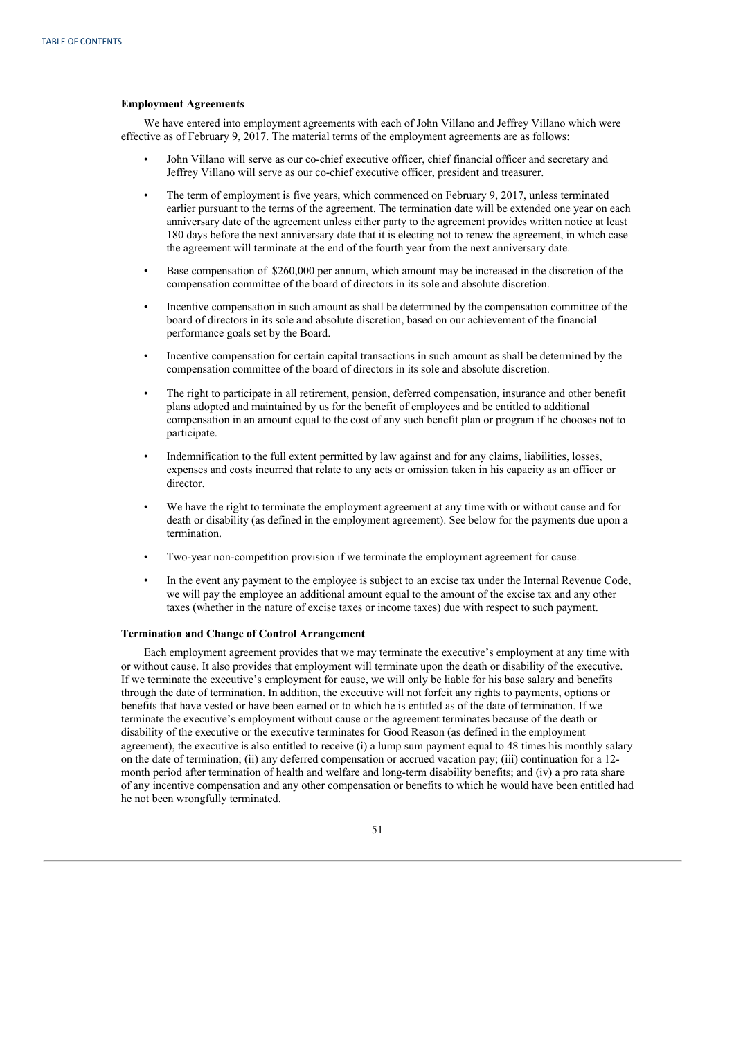## **Employment Agreements**

We have entered into employment agreements with each of John Villano and Jeffrey Villano which were effective as of February 9, 2017. The material terms of the employment agreements are as follows:

- John Villano will serve as our co-chief executive officer, chief financial officer and secretary and Jeffrey Villano will serve as our co-chief executive officer, president and treasurer.
- The term of employment is five years, which commenced on February 9, 2017, unless terminated earlier pursuant to the terms of the agreement. The termination date will be extended one year on each anniversary date of the agreement unless either party to the agreement provides written notice at least 180 days before the next anniversary date that it is electing not to renew the agreement, in which case the agreement will terminate at the end of the fourth year from the next anniversary date.
- Base compensation of \$260,000 per annum, which amount may be increased in the discretion of the compensation committee of the board of directors in its sole and absolute discretion.
- Incentive compensation in such amount as shall be determined by the compensation committee of the board of directors in its sole and absolute discretion, based on our achievement of the financial performance goals set by the Board.
- Incentive compensation for certain capital transactions in such amount as shall be determined by the compensation committee of the board of directors in its sole and absolute discretion.
- The right to participate in all retirement, pension, deferred compensation, insurance and other benefit plans adopted and maintained by us for the benefit of employees and be entitled to additional compensation in an amount equal to the cost of any such benefit plan or program if he chooses not to participate.
- Indemnification to the full extent permitted by law against and for any claims, liabilities, losses, expenses and costs incurred that relate to any acts or omission taken in his capacity as an officer or director.
- We have the right to terminate the employment agreement at any time with or without cause and for death or disability (as defined in the employment agreement). See below for the payments due upon a termination.
- Two-year non-competition provision if we terminate the employment agreement for cause.
- In the event any payment to the employee is subject to an excise tax under the Internal Revenue Code, we will pay the employee an additional amount equal to the amount of the excise tax and any other taxes (whether in the nature of excise taxes or income taxes) due with respect to such payment.

## **Termination and Change of Control Arrangement**

Each employment agreement provides that we may terminate the executive's employment at any time with or without cause. It also provides that employment will terminate upon the death or disability of the executive. If we terminate the executive's employment for cause, we will only be liable for his base salary and benefits through the date of termination. In addition, the executive will not forfeit any rights to payments, options or benefits that have vested or have been earned or to which he is entitled as of the date of termination. If we terminate the executive's employment without cause or the agreement terminates because of the death or disability of the executive or the executive terminates for Good Reason (as defined in the employment agreement), the executive is also entitled to receive (i) a lump sum payment equal to 48 times his monthly salary on the date of termination; (ii) any deferred compensation or accrued vacation pay; (iii) continuation for a 12 month period after termination of health and welfare and long-term disability benefits; and (iv) a pro rata share of any incentive compensation and any other compensation or benefits to which he would have been entitled had he not been wrongfully terminated.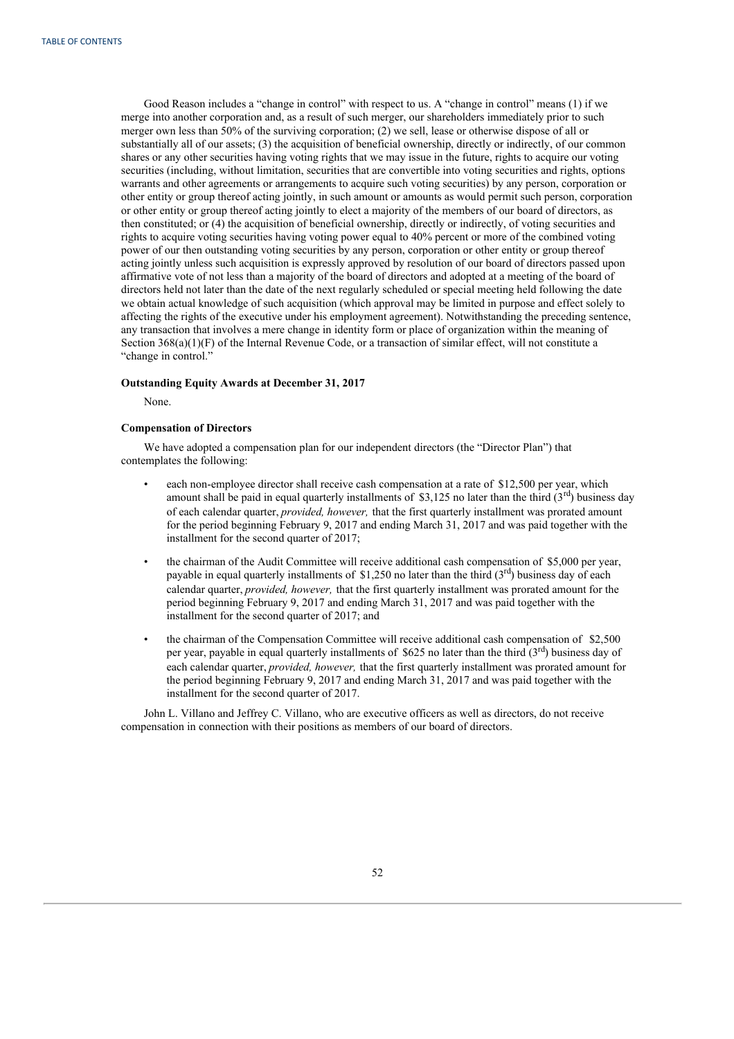Good Reason includes a "change in control" with respect to us. A "change in control" means (1) if we merge into another corporation and, as a result of such merger, our shareholders immediately prior to such merger own less than 50% of the surviving corporation; (2) we sell, lease or otherwise dispose of all or substantially all of our assets; (3) the acquisition of beneficial ownership, directly or indirectly, of our common shares or any other securities having voting rights that we may issue in the future, rights to acquire our voting securities (including, without limitation, securities that are convertible into voting securities and rights, options warrants and other agreements or arrangements to acquire such voting securities) by any person, corporation or other entity or group thereof acting jointly, in such amount or amounts as would permit such person, corporation or other entity or group thereof acting jointly to elect a majority of the members of our board of directors, as then constituted; or (4) the acquisition of beneficial ownership, directly or indirectly, of voting securities and rights to acquire voting securities having voting power equal to 40% percent or more of the combined voting power of our then outstanding voting securities by any person, corporation or other entity or group thereof acting jointly unless such acquisition is expressly approved by resolution of our board of directors passed upon affirmative vote of not less than a majority of the board of directors and adopted at a meeting of the board of directors held not later than the date of the next regularly scheduled or special meeting held following the date we obtain actual knowledge of such acquisition (which approval may be limited in purpose and effect solely to affecting the rights of the executive under his employment agreement). Notwithstanding the preceding sentence, any transaction that involves a mere change in identity form or place of organization within the meaning of Section 368(a)(1)(F) of the Internal Revenue Code, or a transaction of similar effect, will not constitute a "change in control."

### **Outstanding Equity Awards at December 31, 2017**

None.

### **Compensation of Directors**

We have adopted a compensation plan for our independent directors (the "Director Plan") that contemplates the following:

- each non-employee director shall receive cash compensation at a rate of \$12,500 per year, which amount shall be paid in equal quarterly installments of \$3,125 no later than the third  $(3^{rd})$  business day of each calendar quarter, *provided, however,* that the first quarterly installment was prorated amount for the period beginning February 9, 2017 and ending March 31, 2017 and was paid together with the installment for the second quarter of 2017;
- the chairman of the Audit Committee will receive additional cash compensation of \$5,000 per year, payable in equal quarterly installments of \$1,250 no later than the third  $(3<sup>rd</sup>)$  business day of each calendar quarter, *provided, however,* that the first quarterly installment was prorated amount for the period beginning February 9, 2017 and ending March 31, 2017 and was paid together with the installment for the second quarter of 2017; and
- the chairman of the Compensation Committee will receive additional cash compensation of \$2,500 per year, payable in equal quarterly installments of \$625 no later than the third  $(3^{rd})$  business day of each calendar quarter, *provided, however,* that the first quarterly installment was prorated amount for the period beginning February 9, 2017 and ending March 31, 2017 and was paid together with the installment for the second quarter of 2017.

John L. Villano and Jeffrey C. Villano, who are executive officers as well as directors, do not receive compensation in connection with their positions as members of our board of directors.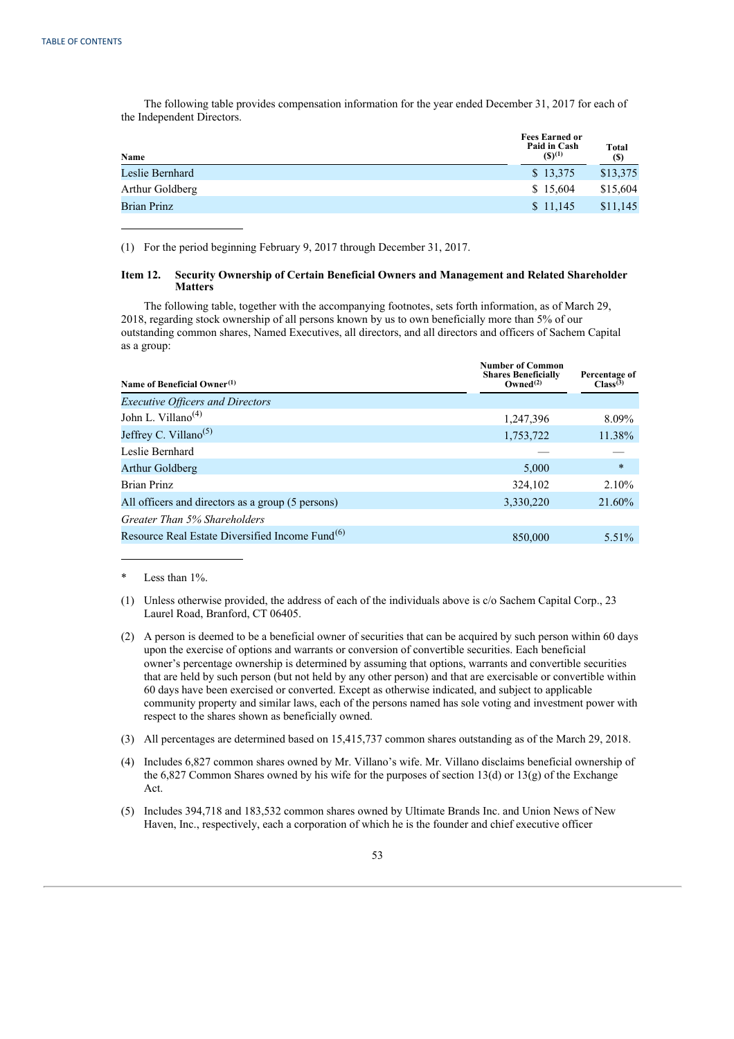The following table provides compensation information for the year ended December 31, 2017 for each of the Independent Directors.

| Name               | <b>Fees Earned or</b><br>Paid in Cash<br>$(S)^{(1)}$ | Total<br><b>(\$)</b> |
|--------------------|------------------------------------------------------|----------------------|
| Leslie Bernhard    | \$13,375                                             | \$13,375             |
| Arthur Goldberg    | \$15,604                                             | \$15,604             |
| <b>Brian Prinz</b> | \$11,145                                             | \$11,145             |

(1) For the period beginning February 9, 2017 through December 31, 2017.

## **Item 12. Security Ownership of Certain Beneficial Owners and Management and Related Shareholder Matters**

The following table, together with the accompanying footnotes, sets forth information, as of March 29, 2018, regarding stock ownership of all persons known by us to own beneficially more than 5% of our outstanding common shares, Named Executives, all directors, and all directors and officers of Sachem Capital as a group:

| Name of Beneficial Owner <sup>(1)</sup>                     | <b>Number of Common</b><br><b>Shares Beneficially</b><br>Owned <sup>(2)</sup> | Percentage of<br>Class <sup>(3)</sup> |
|-------------------------------------------------------------|-------------------------------------------------------------------------------|---------------------------------------|
| <b>Executive Officers and Directors</b>                     |                                                                               |                                       |
| John L. Villano <sup>(4)</sup>                              | 1,247,396                                                                     | $8.09\%$                              |
| Jeffrey C. Villano <sup>(5)</sup>                           | 1,753,722                                                                     | 11.38%                                |
| Leslie Bernhard                                             |                                                                               |                                       |
| Arthur Goldberg                                             | 5,000                                                                         | $\ast$                                |
| Brian Prinz                                                 | 324,102                                                                       | $2.10\%$                              |
| All officers and directors as a group (5 persons)           | 3,330,220                                                                     | 21.60%                                |
| Greater Than 5% Shareholders                                |                                                                               |                                       |
| Resource Real Estate Diversified Income Fund <sup>(6)</sup> | 850,000                                                                       | $5.51\%$                              |

Less than  $1\%$ .

- (1) Unless otherwise provided, the address of each of the individuals above is c/o Sachem Capital Corp., 23 Laurel Road, Branford, CT 06405.
- (2) A person is deemed to be a beneficial owner of securities that can be acquired by such person within 60 days upon the exercise of options and warrants or conversion of convertible securities. Each beneficial owner's percentage ownership is determined by assuming that options, warrants and convertible securities that are held by such person (but not held by any other person) and that are exercisable or convertible within 60 days have been exercised or converted. Except as otherwise indicated, and subject to applicable community property and similar laws, each of the persons named has sole voting and investment power with respect to the shares shown as beneficially owned.
- (3) All percentages are determined based on 15,415,737 common shares outstanding as of the March 29, 2018.
- (4) Includes 6,827 common shares owned by Mr. Villano's wife. Mr. Villano disclaims beneficial ownership of the 6,827 Common Shares owned by his wife for the purposes of section 13(d) or 13(g) of the Exchange Act.
- (5) Includes 394,718 and 183,532 common shares owned by Ultimate Brands Inc. and Union News of New Haven, Inc., respectively, each a corporation of which he is the founder and chief executive officer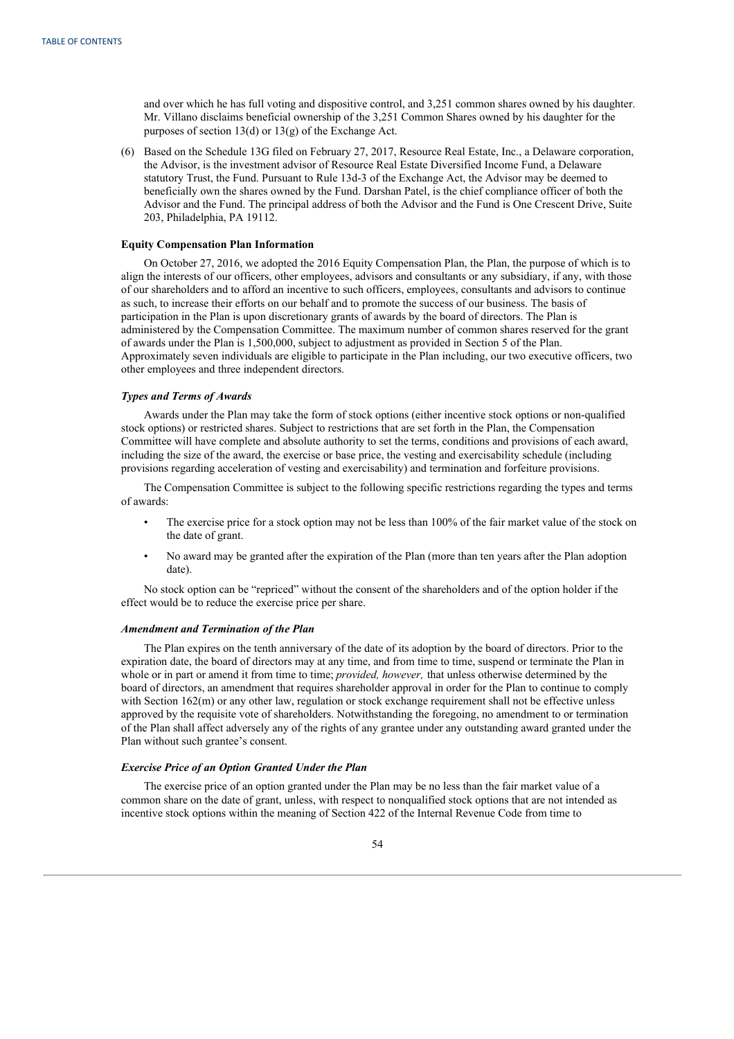and over which he has full voting and dispositive control, and 3,251 common shares owned by his daughter. Mr. Villano disclaims beneficial ownership of the 3,251 Common Shares owned by his daughter for the purposes of section 13(d) or 13(g) of the Exchange Act.

(6) Based on the Schedule 13G filed on February 27, 2017, Resource Real Estate, Inc., a Delaware corporation, the Advisor, is the investment advisor of Resource Real Estate Diversified Income Fund, a Delaware statutory Trust, the Fund. Pursuant to Rule 13d-3 of the Exchange Act, the Advisor may be deemed to beneficially own the shares owned by the Fund. Darshan Patel, is the chief compliance officer of both the Advisor and the Fund. The principal address of both the Advisor and the Fund is One Crescent Drive, Suite 203, Philadelphia, PA 19112.

#### **Equity Compensation Plan Information**

On October 27, 2016, we adopted the 2016 Equity Compensation Plan, the Plan, the purpose of which is to align the interests of our officers, other employees, advisors and consultants or any subsidiary, if any, with those of our shareholders and to afford an incentive to such officers, employees, consultants and advisors to continue as such, to increase their efforts on our behalf and to promote the success of our business. The basis of participation in the Plan is upon discretionary grants of awards by the board of directors. The Plan is administered by the Compensation Committee. The maximum number of common shares reserved for the grant of awards under the Plan is 1,500,000, subject to adjustment as provided in Section 5 of the Plan. Approximately seven individuals are eligible to participate in the Plan including, our two executive officers, two other employees and three independent directors.

## *Types and Terms of Awards*

Awards under the Plan may take the form of stock options (either incentive stock options or non-qualified stock options) or restricted shares. Subject to restrictions that are set forth in the Plan, the Compensation Committee will have complete and absolute authority to set the terms, conditions and provisions of each award, including the size of the award, the exercise or base price, the vesting and exercisability schedule (including provisions regarding acceleration of vesting and exercisability) and termination and forfeiture provisions.

The Compensation Committee is subject to the following specific restrictions regarding the types and terms of awards:

- The exercise price for a stock option may not be less than 100% of the fair market value of the stock on the date of grant.
- No award may be granted after the expiration of the Plan (more than ten years after the Plan adoption date).

No stock option can be "repriced" without the consent of the shareholders and of the option holder if the effect would be to reduce the exercise price per share.

## *Amendment and Termination of the Plan*

The Plan expires on the tenth anniversary of the date of its adoption by the board of directors. Prior to the expiration date, the board of directors may at any time, and from time to time, suspend or terminate the Plan in whole or in part or amend it from time to time; *provided, however,* that unless otherwise determined by the board of directors, an amendment that requires shareholder approval in order for the Plan to continue to comply with Section 162(m) or any other law, regulation or stock exchange requirement shall not be effective unless approved by the requisite vote of shareholders. Notwithstanding the foregoing, no amendment to or termination of the Plan shall affect adversely any of the rights of any grantee under any outstanding award granted under the Plan without such grantee's consent.

#### *Exercise Price of an Option Granted Under the Plan*

The exercise price of an option granted under the Plan may be no less than the fair market value of a common share on the date of grant, unless, with respect to nonqualified stock options that are not intended as incentive stock options within the meaning of Section 422 of the Internal Revenue Code from time to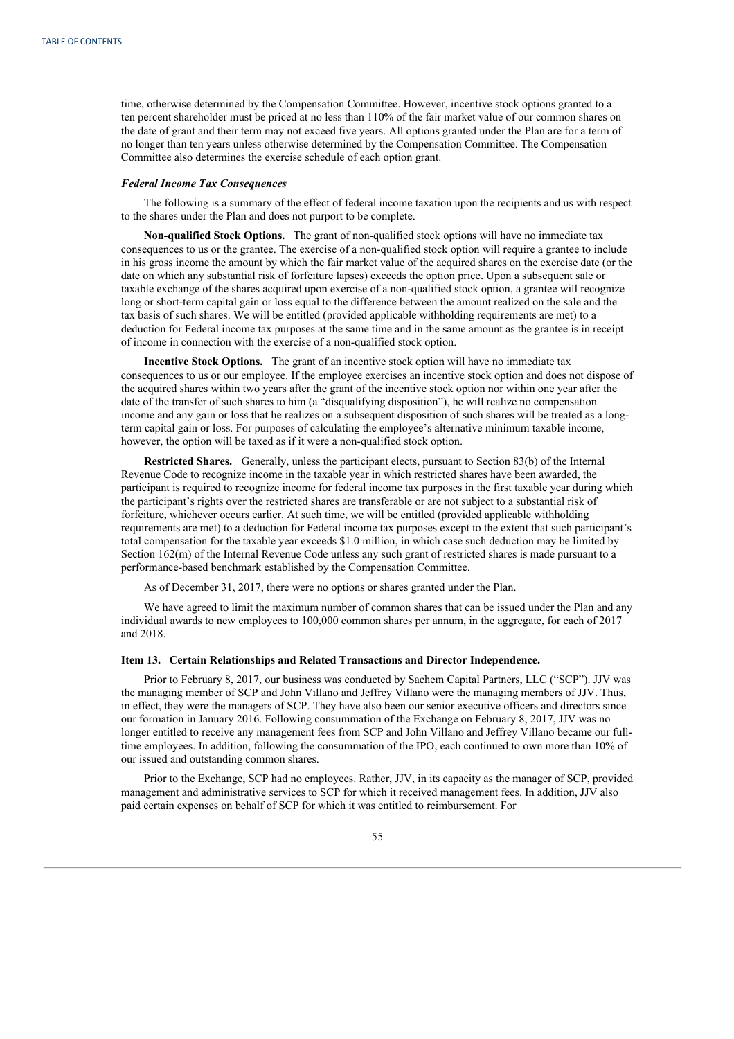time, otherwise determined by the Compensation Committee. However, incentive stock options granted to a ten percent shareholder must be priced at no less than 110% of the fair market value of our common shares on the date of grant and their term may not exceed five years. All options granted under the Plan are for a term of no longer than ten years unless otherwise determined by the Compensation Committee. The Compensation Committee also determines the exercise schedule of each option grant.

## *Federal Income Tax Consequences*

The following is a summary of the effect of federal income taxation upon the recipients and us with respect to the shares under the Plan and does not purport to be complete.

**Non-qualified Stock Options.** The grant of non-qualified stock options will have no immediate tax consequences to us or the grantee. The exercise of a non-qualified stock option will require a grantee to include in his gross income the amount by which the fair market value of the acquired shares on the exercise date (or the date on which any substantial risk of forfeiture lapses) exceeds the option price. Upon a subsequent sale or taxable exchange of the shares acquired upon exercise of a non-qualified stock option, a grantee will recognize long or short-term capital gain or loss equal to the difference between the amount realized on the sale and the tax basis of such shares. We will be entitled (provided applicable withholding requirements are met) to a deduction for Federal income tax purposes at the same time and in the same amount as the grantee is in receipt of income in connection with the exercise of a non-qualified stock option.

**Incentive Stock Options.** The grant of an incentive stock option will have no immediate tax consequences to us or our employee. If the employee exercises an incentive stock option and does not dispose of the acquired shares within two years after the grant of the incentive stock option nor within one year after the date of the transfer of such shares to him (a "disqualifying disposition"), he will realize no compensation income and any gain or loss that he realizes on a subsequent disposition of such shares will be treated as a longterm capital gain or loss. For purposes of calculating the employee's alternative minimum taxable income, however, the option will be taxed as if it were a non-qualified stock option.

**Restricted Shares.** Generally, unless the participant elects, pursuant to Section 83(b) of the Internal Revenue Code to recognize income in the taxable year in which restricted shares have been awarded, the participant is required to recognize income for federal income tax purposes in the first taxable year during which the participant's rights over the restricted shares are transferable or are not subject to a substantial risk of forfeiture, whichever occurs earlier. At such time, we will be entitled (provided applicable withholding requirements are met) to a deduction for Federal income tax purposes except to the extent that such participant's total compensation for the taxable year exceeds \$1.0 million, in which case such deduction may be limited by Section 162(m) of the Internal Revenue Code unless any such grant of restricted shares is made pursuant to a performance-based benchmark established by the Compensation Committee.

As of December 31, 2017, there were no options or shares granted under the Plan.

We have agreed to limit the maximum number of common shares that can be issued under the Plan and any individual awards to new employees to 100,000 common shares per annum, in the aggregate, for each of 2017 and 2018.

## **Item 13. Certain Relationships and Related Transactions and Director Independence.**

Prior to February 8, 2017, our business was conducted by Sachem Capital Partners, LLC ("SCP"). JJV was the managing member of SCP and John Villano and Jeffrey Villano were the managing members of JJV. Thus, in effect, they were the managers of SCP. They have also been our senior executive officers and directors since our formation in January 2016. Following consummation of the Exchange on February 8, 2017, JJV was no longer entitled to receive any management fees from SCP and John Villano and Jeffrey Villano became our fulltime employees. In addition, following the consummation of the IPO, each continued to own more than 10% of our issued and outstanding common shares.

Prior to the Exchange, SCP had no employees. Rather, JJV, in its capacity as the manager of SCP, provided management and administrative services to SCP for which it received management fees. In addition, JJV also paid certain expenses on behalf of SCP for which it was entitled to reimbursement. For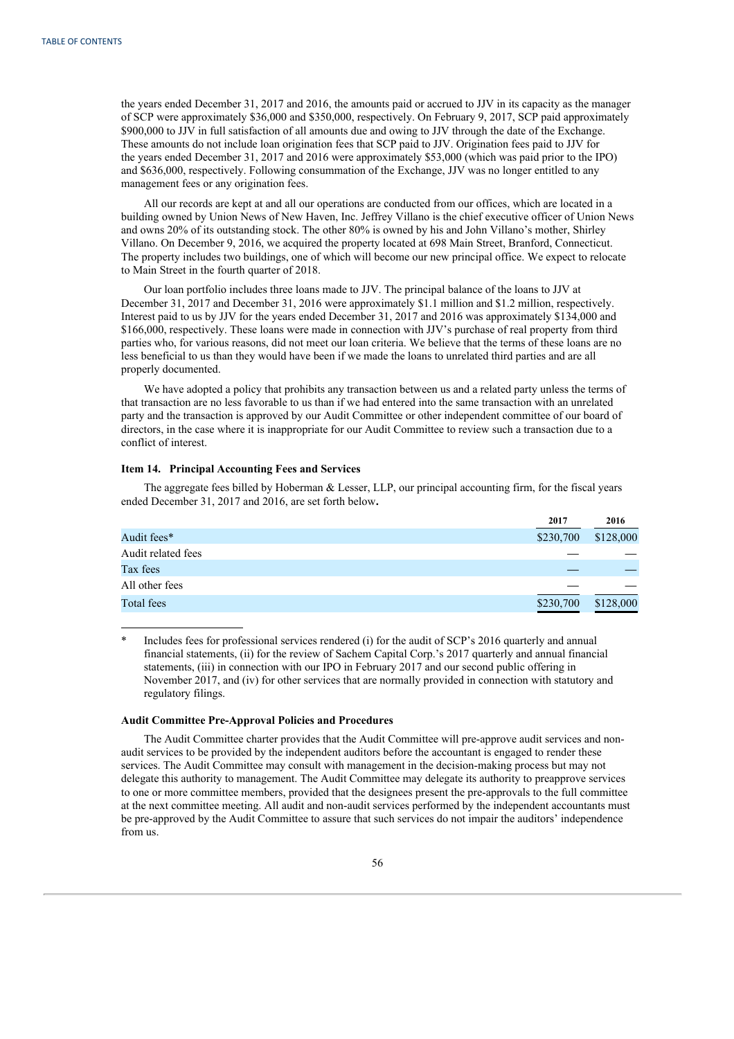the years ended December 31, 2017 and 2016, the amounts paid or accrued to JJV in its capacity as the manager of SCP were approximately \$36,000 and \$350,000, respectively. On February 9, 2017, SCP paid approximately \$900,000 to JJV in full satisfaction of all amounts due and owing to JJV through the date of the Exchange. These amounts do not include loan origination fees that SCP paid to JJV. Origination fees paid to JJV for the years ended December 31, 2017 and 2016 were approximately \$53,000 (which was paid prior to the IPO) and \$636,000, respectively. Following consummation of the Exchange, JJV was no longer entitled to any management fees or any origination fees.

All our records are kept at and all our operations are conducted from our offices, which are located in a building owned by Union News of New Haven, Inc. Jeffrey Villano is the chief executive officer of Union News and owns 20% of its outstanding stock. The other 80% is owned by his and John Villano's mother, Shirley Villano. On December 9, 2016, we acquired the property located at 698 Main Street, Branford, Connecticut. The property includes two buildings, one of which will become our new principal office. We expect to relocate to Main Street in the fourth quarter of 2018.

Our loan portfolio includes three loans made to JJV. The principal balance of the loans to JJV at December 31, 2017 and December 31, 2016 were approximately \$1.1 million and \$1.2 million, respectively. Interest paid to us by JJV for the years ended December 31, 2017 and 2016 was approximately \$134,000 and \$166,000, respectively. These loans were made in connection with JJV's purchase of real property from third parties who, for various reasons, did not meet our loan criteria. We believe that the terms of these loans are no less beneficial to us than they would have been if we made the loans to unrelated third parties and are all properly documented.

We have adopted a policy that prohibits any transaction between us and a related party unless the terms of that transaction are no less favorable to us than if we had entered into the same transaction with an unrelated party and the transaction is approved by our Audit Committee or other independent committee of our board of directors, in the case where it is inappropriate for our Audit Committee to review such a transaction due to a conflict of interest.

## **Item 14. Principal Accounting Fees and Services**

The aggregate fees billed by Hoberman  $&$  Lesser, LLP, our principal accounting firm, for the fiscal years ended December 31, 2017 and 2016, are set forth below**.**

|                    | 2011      | 2010      |
|--------------------|-----------|-----------|
| Audit fees*        | \$230,700 | \$128,000 |
| Audit related fees |           |           |
| Tax fees           |           |           |
| All other fees     |           |           |
| Total fees         | \$230,700 | \$128,000 |
|                    |           |           |

**2017 2016**

Includes fees for professional services rendered (i) for the audit of SCP's 2016 quarterly and annual financial statements, (ii) for the review of Sachem Capital Corp.'s 2017 quarterly and annual financial statements, (iii) in connection with our IPO in February 2017 and our second public offering in November 2017, and (iv) for other services that are normally provided in connection with statutory and regulatory filings.

## **Audit Committee Pre-Approval Policies and Procedures**

The Audit Committee charter provides that the Audit Committee will pre-approve audit services and nonaudit services to be provided by the independent auditors before the accountant is engaged to render these services. The Audit Committee may consult with management in the decision-making process but may not delegate this authority to management. The Audit Committee may delegate its authority to preapprove services to one or more committee members, provided that the designees present the pre-approvals to the full committee at the next committee meeting. All audit and non-audit services performed by the independent accountants must be pre-approved by the Audit Committee to assure that such services do not impair the auditors' independence from us.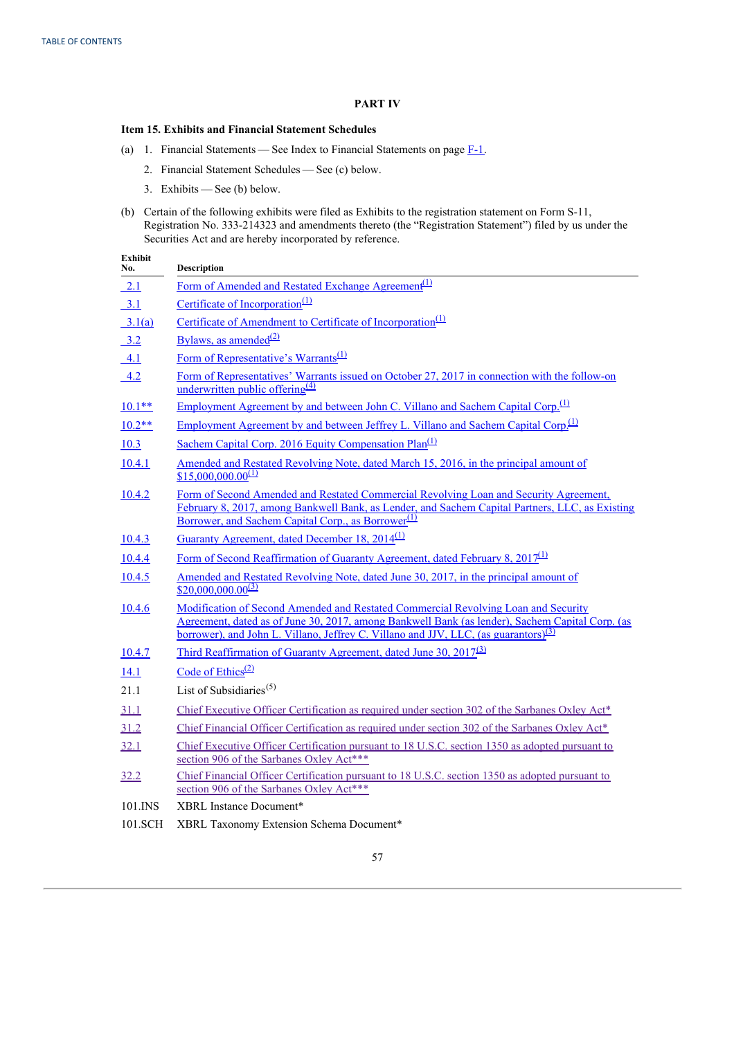## **PART IV**

# **Item 15. Exhibits and Financial Statement Schedules**

- (a) 1. Financial Statements See Index to Financial Statements on page  $F-1$ .
	- 2. Financial Statement Schedules See (c) below.
	- 3. Exhibits See (b) below.
- (b) Certain of the following exhibits were filed as Exhibits to the registration statement on Form S-11, Registration No. 333-214323 and amendments thereto (the "Registration Statement") filed by us under the Securities Act and are hereby incorporated by reference.

| <b>Exhibit</b><br>No. | <b>Description</b>                                                                                                                                                                                                                                                                             |
|-----------------------|------------------------------------------------------------------------------------------------------------------------------------------------------------------------------------------------------------------------------------------------------------------------------------------------|
| 2.1                   | Form of Amended and Restated Exchange Agreement <sup>(1)</sup>                                                                                                                                                                                                                                 |
| 3.1                   | Certificate of Incorporation <sup><math>(1)</math></sup>                                                                                                                                                                                                                                       |
| 3.1(a)                | Certificate of Amendment to Certificate of Incorporation <sup>(1)</sup>                                                                                                                                                                                                                        |
| 3.2                   | Bylaws, as amended <sup><math>(2)</math></sup>                                                                                                                                                                                                                                                 |
| 4.1                   | Form of Representative's Warrants <sup>(1)</sup>                                                                                                                                                                                                                                               |
| 4.2                   | Form of Representatives' Warrants issued on October 27, 2017 in connection with the follow-on<br>underwritten public offering <sup>(4)</sup>                                                                                                                                                   |
| $10.1**$              | <u>Employment Agreement by and between John C. Villano and Sachem Capital Corp.</u> <sup>(1)</sup>                                                                                                                                                                                             |
| $10.2**$              | Employment Agreement by and between Jeffrey L. Villano and Sachem Capital Corp. <sup>(1)</sup>                                                                                                                                                                                                 |
| 10.3                  | Sachem Capital Corp. 2016 Equity Compensation Plan <sup>(1)</sup>                                                                                                                                                                                                                              |
| 10.4.1                | Amended and Restated Revolving Note, dated March 15, 2016, in the principal amount of<br>$$15,000,000.00^{(1)}$                                                                                                                                                                                |
| 10.4.2                | Form of Second Amended and Restated Commercial Revolving Loan and Security Agreement,<br>February 8, 2017, among Bankwell Bank, as Lender, and Sachem Capital Partners, LLC, as Existing<br>Borrower, and Sachem Capital Corp., as Borrower <sup>(1)</sup>                                     |
| <u>10.4.3</u>         | Guaranty Agreement, dated December 18, 2014 <sup>(1)</sup>                                                                                                                                                                                                                                     |
| 10.4.4                | Form of Second Reaffirmation of Guaranty Agreement, dated February 8, 2017 <sup>(1)</sup>                                                                                                                                                                                                      |
| 10.4.5                | Amended and Restated Revolving Note, dated June 30, 2017, in the principal amount of<br>$$20,000,000.00^{(3)}$                                                                                                                                                                                 |
| 10.4.6                | Modification of Second Amended and Restated Commercial Revolving Loan and Security<br>Agreement, dated as of June 30, 2017, among Bankwell Bank (as lender), Sachem Capital Corp. (as<br><u>borrower), and John L. Villano, Jeffrey C. Villano and JJV, LLC, (as guarantors)<sup>(3)</sup></u> |
| 10.4.7                | Third Reaffirmation of Guaranty Agreement, dated June 30, 2017 <sup>(3)</sup>                                                                                                                                                                                                                  |
| 14.1                  | Code of Ethics <sup>(2)</sup>                                                                                                                                                                                                                                                                  |
| 21.1                  | List of Subsidiaries <sup>(5)</sup>                                                                                                                                                                                                                                                            |
| <u>31.1</u>           | Chief Executive Officer Certification as required under section 302 of the Sarbanes Oxley Act*                                                                                                                                                                                                 |
| 31.2                  | Chief Financial Officer Certification as required under section 302 of the Sarbanes Oxley Act*                                                                                                                                                                                                 |
| 32.1                  | Chief Executive Officer Certification pursuant to 18 U.S.C. section 1350 as adopted pursuant to<br>section 906 of the Sarbanes Oxley Act***                                                                                                                                                    |
| 32.2                  | Chief Financial Officer Certification pursuant to 18 U.S.C. section 1350 as adopted pursuant to<br>section 906 of the Sarbanes Oxley Act***                                                                                                                                                    |
| 101.INS               | XBRL Instance Document*                                                                                                                                                                                                                                                                        |
| 101.SCH               | XBRL Taxonomy Extension Schema Document*                                                                                                                                                                                                                                                       |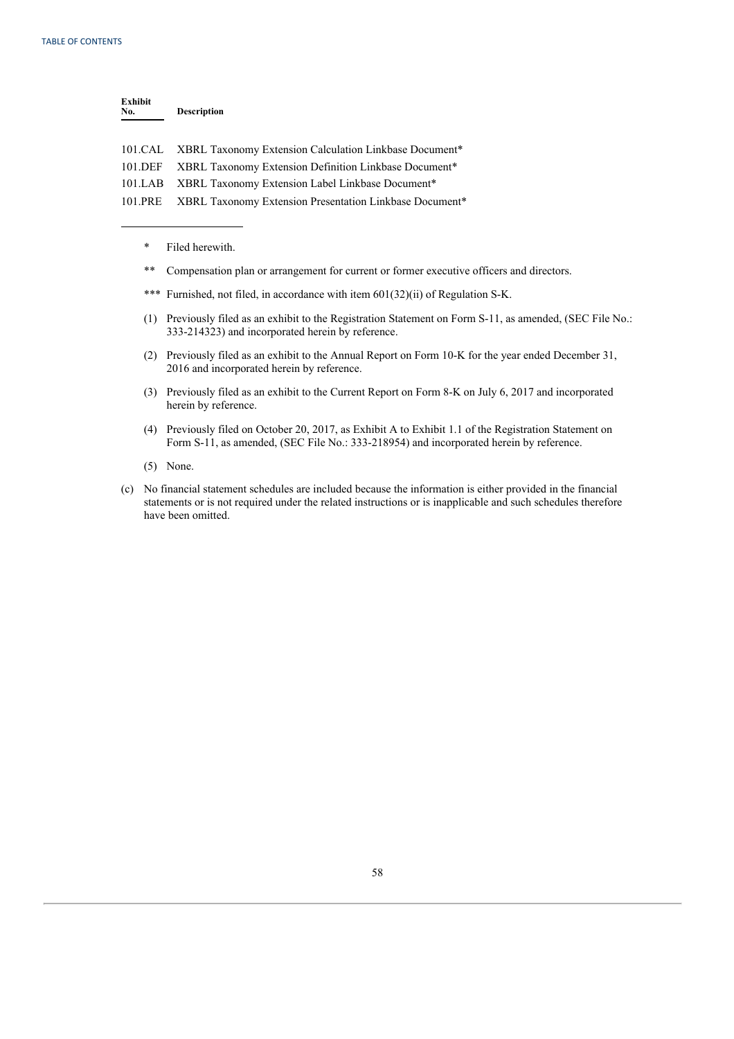| <b>Exhibit</b><br>No. | <b>Description</b>                                              |
|-----------------------|-----------------------------------------------------------------|
|                       | 101.CAL XBRL Taxonomy Extension Calculation Linkbase Document*  |
|                       | 101.DEF XBRL Taxonomy Extension Definition Linkbase Document*   |
|                       | 101.LAB XBRL Taxonomy Extension Label Linkbase Document*        |
|                       | 101.PRE XBRL Taxonomy Extension Presentation Linkbase Document* |

- \* Filed herewith.
- \*\* Compensation plan or arrangement for current or former executive officers and directors.
- \*\*\* Furnished, not filed, in accordance with item 601(32)(ii) of Regulation S-K.
- (1) Previously filed as an exhibit to the Registration Statement on Form S-11, as amended, (SEC File No.: 333-214323) and incorporated herein by reference.
- (2) Previously filed as an exhibit to the Annual Report on Form 10-K for the year ended December 31, 2016 and incorporated herein by reference.
- (3) Previously filed as an exhibit to the Current Report on Form 8-K on July 6, 2017 and incorporated herein by reference.
- (4) Previously filed on October 20, 2017, as Exhibit A to Exhibit 1.1 of the Registration Statement on Form S-11, as amended, (SEC File No.: 333-218954) and incorporated herein by reference.
- (5) None.
- (c) No financial statement schedules are included because the information is either provided in the financial statements or is not required under the related instructions or is inapplicable and such schedules therefore have been omitted.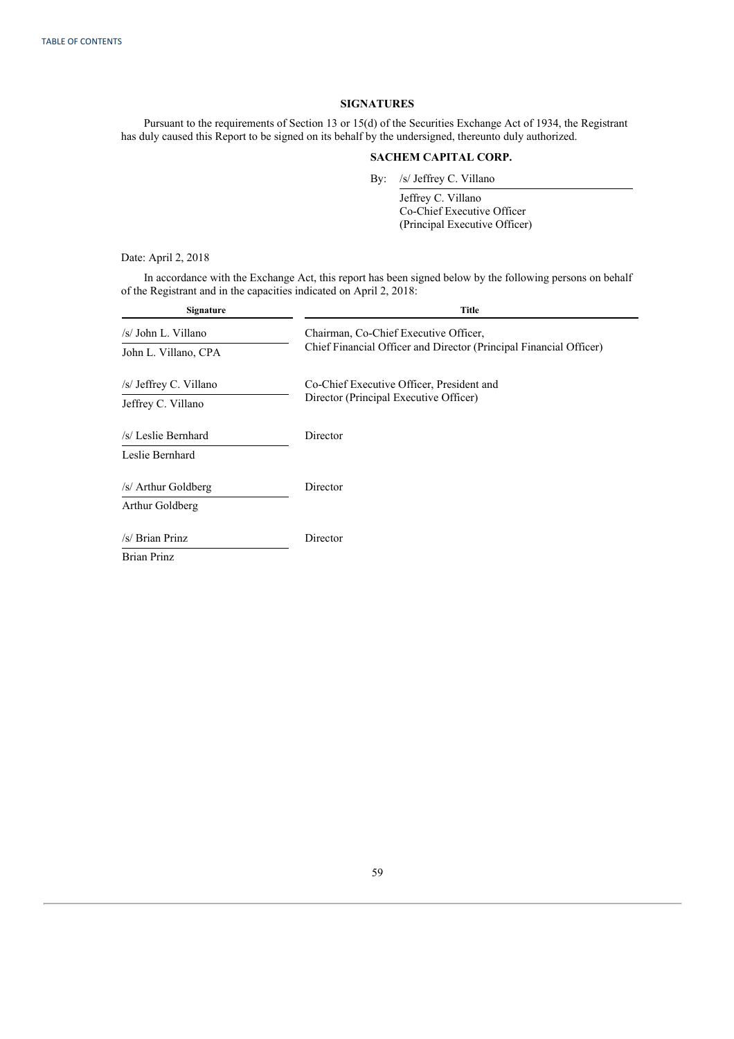# **SIGNATURES**

Pursuant to the requirements of Section 13 or 15(d) of the Securities Exchange Act of 1934, the Registrant has duly caused this Report to be signed on its behalf by the undersigned, thereunto duly authorized.

# **SACHEM CAPITAL CORP.**

By: /s/ Jeffrey C. Villano

Jeffrey C. Villano Co-Chief Executive Officer (Principal Executive Officer)

Date: April 2, 2018

In accordance with the Exchange Act, this report has been signed below by the following persons on behalf of the Registrant and in the capacities indicated on April 2, 2018:

| Signature              | Title                                                              |  |  |
|------------------------|--------------------------------------------------------------------|--|--|
| /s/ John L. Villano    | Chairman, Co-Chief Executive Officer,                              |  |  |
| John L. Villano, CPA   | Chief Financial Officer and Director (Principal Financial Officer) |  |  |
| /s/ Jeffrey C. Villano | Co-Chief Executive Officer, President and                          |  |  |
| Jeffrey C. Villano     | Director (Principal Executive Officer)                             |  |  |
| /s/ Leslie Bernhard    | Director                                                           |  |  |
| Leslie Bernhard        |                                                                    |  |  |
| /s/ Arthur Goldberg    | Director                                                           |  |  |
| Arthur Goldberg        |                                                                    |  |  |
| $/s/$ Brian Prinz      | Director                                                           |  |  |
| <b>Brian Prinz</b>     |                                                                    |  |  |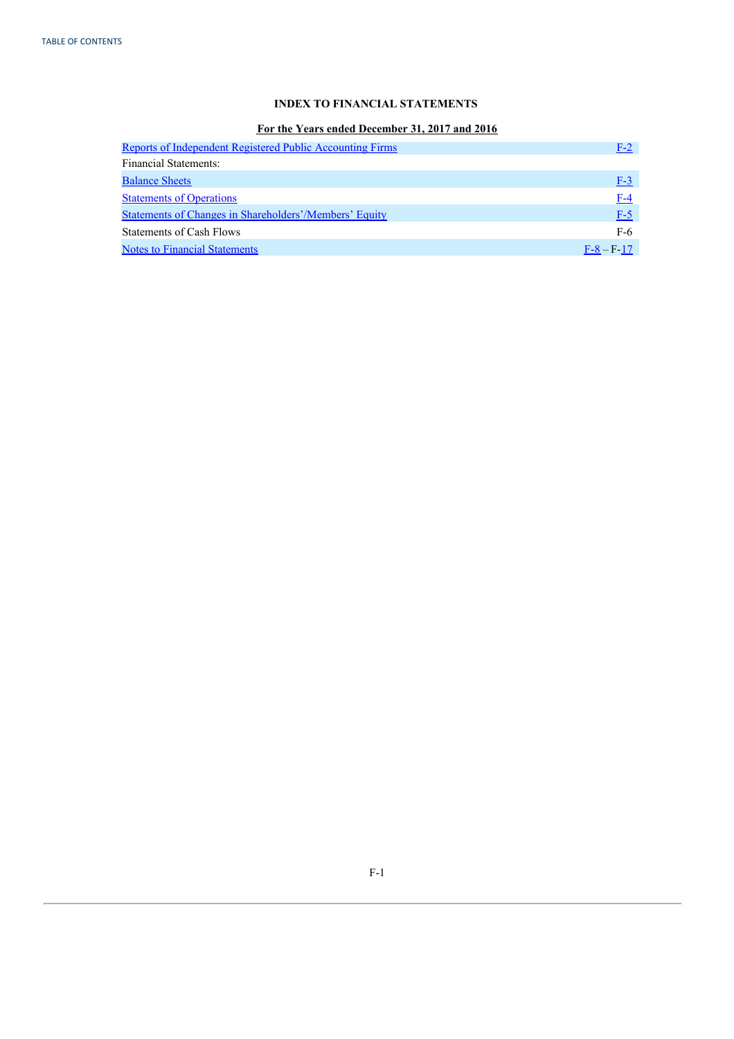# **INDEX TO FINANCIAL STATEMENTS**

# **For the Years ended December 31, 2017 and 2016**

| Reports of Independent Registered Public Accounting Firms | $F-2$      |
|-----------------------------------------------------------|------------|
| Financial Statements:                                     |            |
| <b>Balance Sheets</b>                                     | $F-3$      |
| <b>Statements of Operations</b>                           | $F-4$      |
| Statements of Changes in Shareholders'/Members' Equity    | $F-5$      |
| <b>Statements of Cash Flows</b>                           | $F-6$      |
| <b>Notes to Financial Statements</b>                      | $F-8-F-17$ |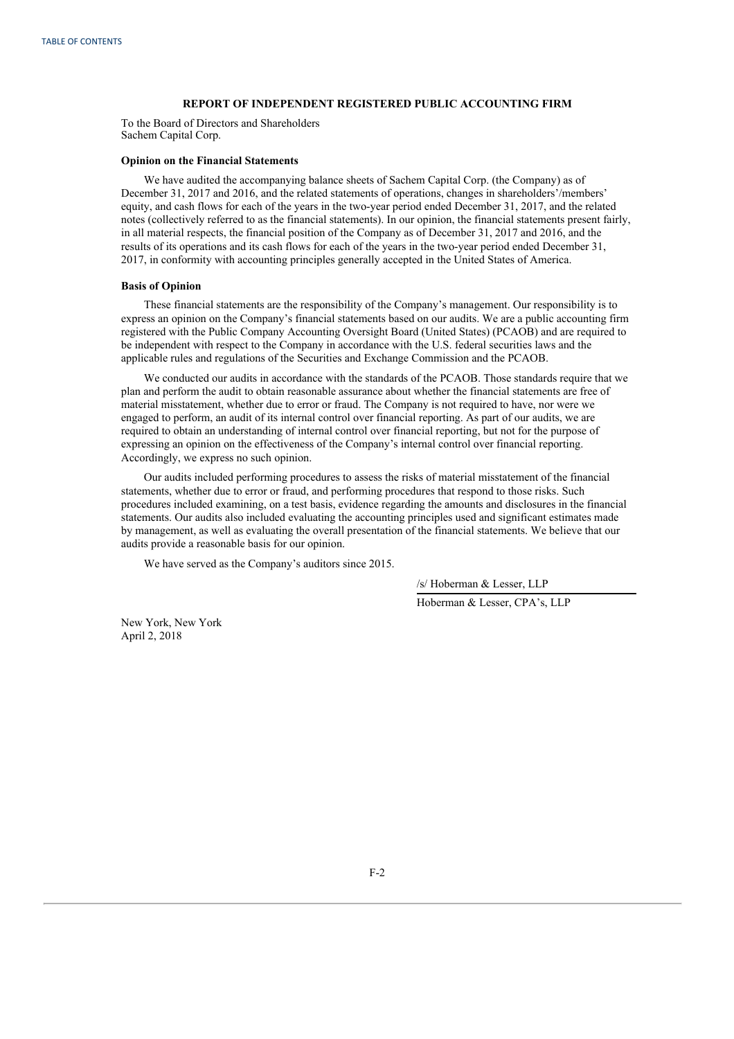# **REPORT OF INDEPENDENT REGISTERED PUBLIC ACCOUNTING FIRM**

To the Board of Directors and Shareholders Sachem Capital Corp.

## **Opinion on the Financial Statements**

We have audited the accompanying balance sheets of Sachem Capital Corp. (the Company) as of December 31, 2017 and 2016, and the related statements of operations, changes in shareholders'/members' equity, and cash flows for each of the years in the two-year period ended December 31, 2017, and the related notes (collectively referred to as the financial statements). In our opinion, the financial statements present fairly, in all material respects, the financial position of the Company as of December 31, 2017 and 2016, and the results of its operations and its cash flows for each of the years in the two-year period ended December 31, 2017, in conformity with accounting principles generally accepted in the United States of America.

## **Basis of Opinion**

These financial statements are the responsibility of the Company's management. Our responsibility is to express an opinion on the Company's financial statements based on our audits. We are a public accounting firm registered with the Public Company Accounting Oversight Board (United States) (PCAOB) and are required to be independent with respect to the Company in accordance with the U.S. federal securities laws and the applicable rules and regulations of the Securities and Exchange Commission and the PCAOB.

We conducted our audits in accordance with the standards of the PCAOB. Those standards require that we plan and perform the audit to obtain reasonable assurance about whether the financial statements are free of material misstatement, whether due to error or fraud. The Company is not required to have, nor were we engaged to perform, an audit of its internal control over financial reporting. As part of our audits, we are required to obtain an understanding of internal control over financial reporting, but not for the purpose of expressing an opinion on the effectiveness of the Company's internal control over financial reporting. Accordingly, we express no such opinion.

Our audits included performing procedures to assess the risks of material misstatement of the financial statements, whether due to error or fraud, and performing procedures that respond to those risks. Such procedures included examining, on a test basis, evidence regarding the amounts and disclosures in the financial statements. Our audits also included evaluating the accounting principles used and significant estimates made by management, as well as evaluating the overall presentation of the financial statements. We believe that our audits provide a reasonable basis for our opinion.

We have served as the Company's auditors since 2015.

/s/ Hoberman & Lesser, LLP

Hoberman & Lesser, CPA's, LLP

New York, New York April 2, 2018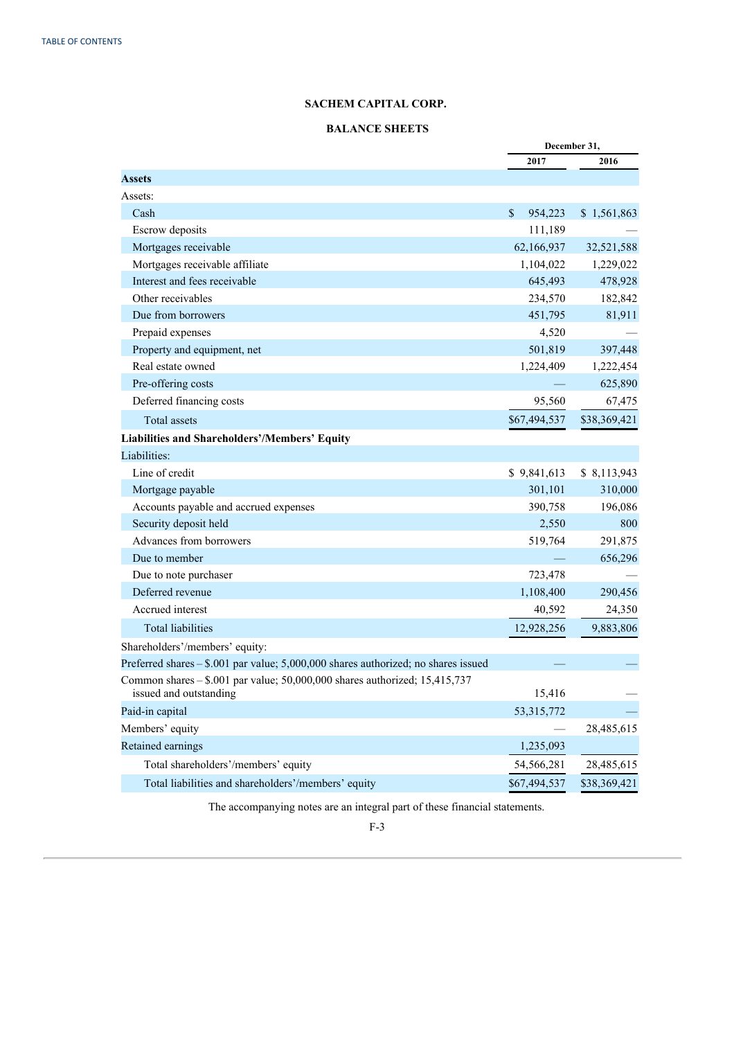# **BALANCE SHEETS**

|                                                                                                      | December 31,  |              |
|------------------------------------------------------------------------------------------------------|---------------|--------------|
|                                                                                                      | 2017          | 2016         |
| <b>Assets</b>                                                                                        |               |              |
| Assets:                                                                                              |               |              |
| Cash                                                                                                 | \$<br>954,223 | \$1,561,863  |
| Escrow deposits                                                                                      | 111,189       |              |
| Mortgages receivable                                                                                 | 62,166,937    | 32,521,588   |
| Mortgages receivable affiliate                                                                       | 1,104,022     | 1,229,022    |
| Interest and fees receivable                                                                         | 645,493       | 478,928      |
| Other receivables                                                                                    | 234,570       | 182,842      |
| Due from borrowers                                                                                   | 451,795       | 81,911       |
| Prepaid expenses                                                                                     | 4,520         |              |
| Property and equipment, net                                                                          | 501,819       | 397,448      |
| Real estate owned                                                                                    | 1,224,409     | 1,222,454    |
| Pre-offering costs                                                                                   |               | 625,890      |
| Deferred financing costs                                                                             | 95,560        | 67,475       |
| <b>Total assets</b>                                                                                  | \$67,494,537  | \$38,369,421 |
| Liabilities and Shareholders'/Members' Equity                                                        |               |              |
| Liabilities:                                                                                         |               |              |
| Line of credit                                                                                       | \$9,841,613   | \$8,113,943  |
| Mortgage payable                                                                                     | 301,101       | 310,000      |
| Accounts payable and accrued expenses                                                                | 390,758       | 196,086      |
| Security deposit held                                                                                | 2,550         | 800          |
| Advances from borrowers                                                                              | 519,764       | 291,875      |
| Due to member                                                                                        |               | 656,296      |
| Due to note purchaser                                                                                | 723,478       |              |
| Deferred revenue                                                                                     | 1,108,400     | 290,456      |
| Accrued interest                                                                                     | 40,592        | 24,350       |
| <b>Total liabilities</b>                                                                             | 12,928,256    | 9,883,806    |
| Shareholders'/members' equity:                                                                       |               |              |
| Preferred shares - \$.001 par value; 5,000,000 shares authorized; no shares issued                   |               |              |
| Common shares - \$.001 par value; 50,000,000 shares authorized; 15,415,737<br>issued and outstanding | 15,416        |              |
| Paid-in capital                                                                                      | 53, 315, 772  |              |
| Members' equity                                                                                      |               | 28,485,615   |
| Retained earnings                                                                                    | 1,235,093     |              |
| Total shareholders'/members' equity                                                                  | 54,566,281    | 28,485,615   |
| Total liabilities and shareholders'/members' equity                                                  | \$67,494,537  | \$38,369,421 |

The accompanying notes are an integral part of these financial statements.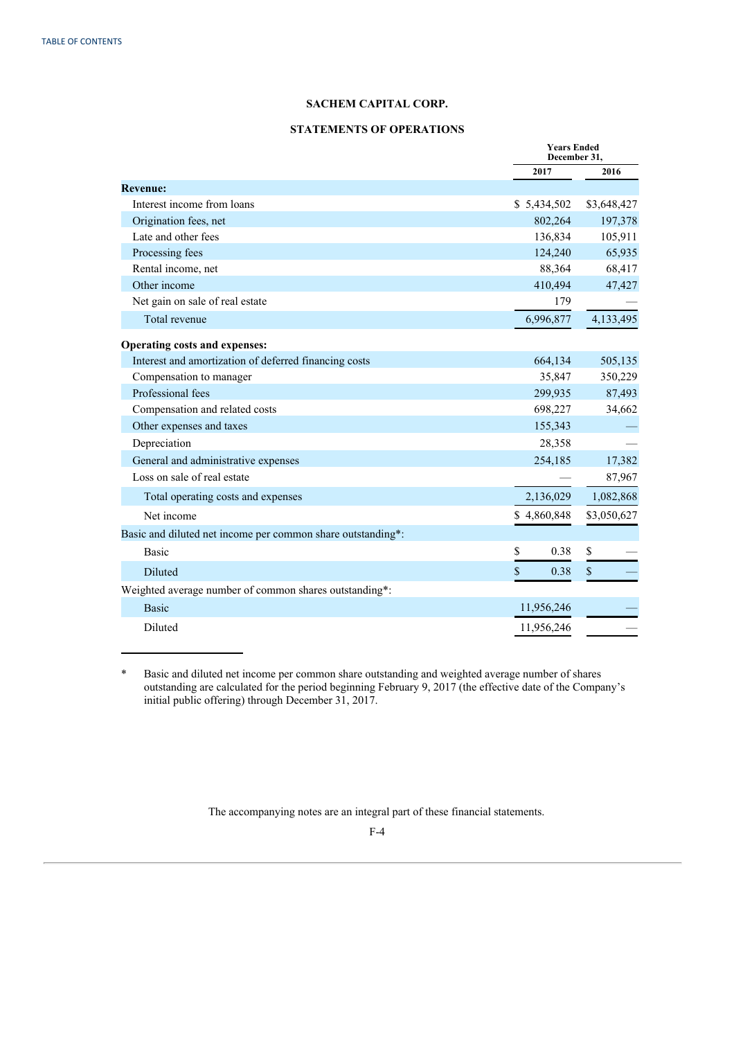# **STATEMENTS OF OPERATIONS**

|                                                             |              | <b>Years Ended</b><br>December 31. |  |
|-------------------------------------------------------------|--------------|------------------------------------|--|
|                                                             | 2017         | 2016                               |  |
| <b>Revenue:</b>                                             |              |                                    |  |
| Interest income from loans                                  | \$ 5,434,502 | \$3,648,427                        |  |
| Origination fees, net                                       | 802,264      | 197,378                            |  |
| Late and other fees                                         | 136,834      | 105,911                            |  |
| Processing fees                                             | 124,240      | 65,935                             |  |
| Rental income, net                                          | 88,364       | 68,417                             |  |
| Other income                                                | 410,494      | 47,427                             |  |
| Net gain on sale of real estate                             | 179          |                                    |  |
| Total revenue                                               | 6,996,877    | 4,133,495                          |  |
| <b>Operating costs and expenses:</b>                        |              |                                    |  |
| Interest and amortization of deferred financing costs       | 664,134      | 505,135                            |  |
| Compensation to manager                                     | 35,847       | 350,229                            |  |
| Professional fees                                           | 299,935      | 87,493                             |  |
| Compensation and related costs                              | 698,227      | 34,662                             |  |
| Other expenses and taxes                                    | 155,343      |                                    |  |
| Depreciation                                                | 28,358       |                                    |  |
| General and administrative expenses                         | 254,185      | 17,382                             |  |
| Loss on sale of real estate                                 |              | 87,967                             |  |
| Total operating costs and expenses                          | 2,136,029    | 1,082,868                          |  |
| Net income                                                  | \$4,860,848  | \$3,050,627                        |  |
| Basic and diluted net income per common share outstanding*: |              |                                    |  |
| <b>Basic</b>                                                | \$<br>0.38   | \$                                 |  |
| <b>Diluted</b>                                              | \$<br>0.38   | \$                                 |  |
| Weighted average number of common shares outstanding*:      |              |                                    |  |
| <b>Basic</b>                                                | 11,956,246   |                                    |  |
| Diluted                                                     | 11,956,246   |                                    |  |

\* Basic and diluted net income per common share outstanding and weighted average number of shares outstanding are calculated for the period beginning February 9, 2017 (the effective date of the Company's initial public offering) through December 31, 2017.

The accompanying notes are an integral part of these financial statements.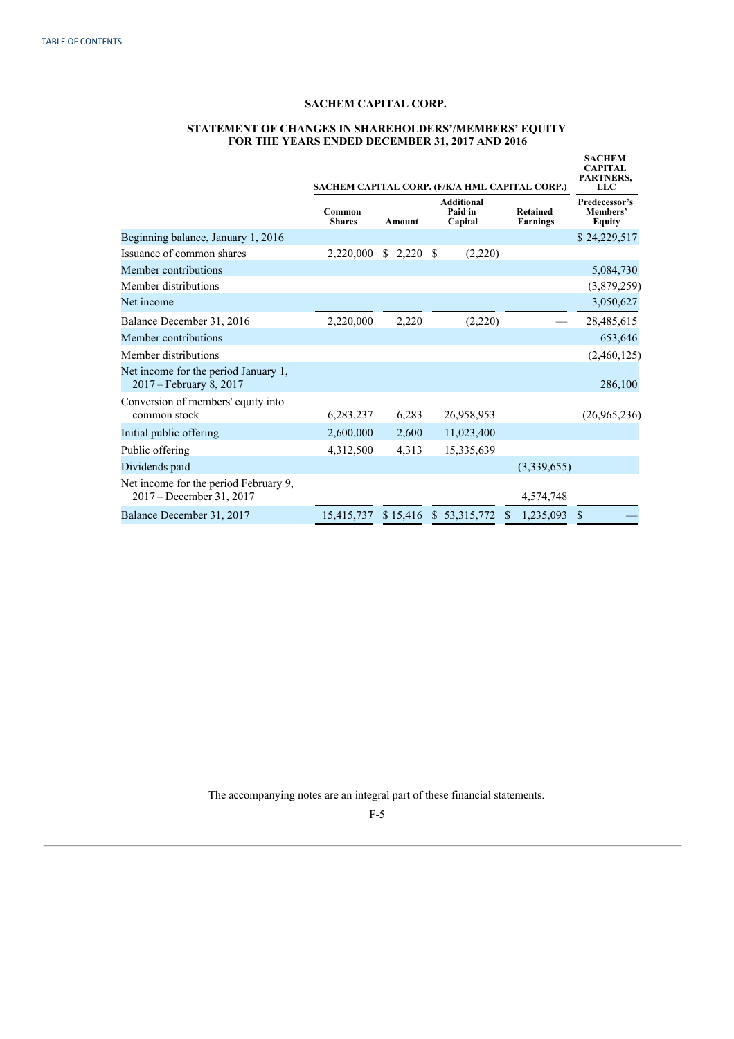## **STATEMENT OF CHANGES IN SHAREHOLDERS'/MEMBERS' EQUITY FOR THE YEARS ENDED DECEMBER 31, 2017 AND 2016**

|                                                                   | SACHEM CAPITAL CORP. (F/K/A HML CAPITAL CORP.) |               |                                         |                                    | <b>SACHEM</b><br><b>CAPITAL</b><br>PARTNERS,<br><b>LLC</b> |
|-------------------------------------------------------------------|------------------------------------------------|---------------|-----------------------------------------|------------------------------------|------------------------------------------------------------|
|                                                                   | Common<br><b>Shares</b>                        | <b>Amount</b> | <b>Additional</b><br>Paid in<br>Capital | <b>Retained</b><br><b>Earnings</b> | Predecessor's<br>Members'<br><b>Equity</b>                 |
| Beginning balance, January 1, 2016                                |                                                |               |                                         |                                    | \$24,229,517                                               |
| Issuance of common shares                                         | 2,220,000                                      | \$2,220       | <sup>\$</sup><br>(2,220)                |                                    |                                                            |
| Member contributions                                              |                                                |               |                                         |                                    | 5,084,730                                                  |
| Member distributions                                              |                                                |               |                                         |                                    | (3,879,259)                                                |
| Net income                                                        |                                                |               |                                         |                                    | 3,050,627                                                  |
| Balance December 31, 2016                                         | 2,220,000                                      | 2,220         | (2,220)                                 |                                    | 28,485,615                                                 |
| Member contributions                                              |                                                |               |                                         |                                    | 653,646                                                    |
| Member distributions                                              |                                                |               |                                         |                                    | (2,460,125)                                                |
| Net income for the period January 1,<br>2017 – February 8, 2017   |                                                |               |                                         |                                    | 286,100                                                    |
| Conversion of members' equity into<br>common stock                | 6,283,237                                      | 6,283         | 26,958,953                              |                                    | (26,965,236)                                               |
| Initial public offering                                           | 2,600,000                                      | 2,600         | 11,023,400                              |                                    |                                                            |
| Public offering                                                   | 4,312,500                                      | 4,313         | 15,335,639                              |                                    |                                                            |
| Dividends paid                                                    |                                                |               |                                         | (3,339,655)                        |                                                            |
| Net income for the period February 9.<br>2017 – December 31, 2017 |                                                |               |                                         | 4,574,748                          |                                                            |
| Balance December 31, 2017                                         | 15,415,737                                     | \$15,416      | \$53,315,772                            | <sup>\$</sup><br>1,235,093         | $\mathbf S$                                                |

The accompanying notes are an integral part of these financial statements.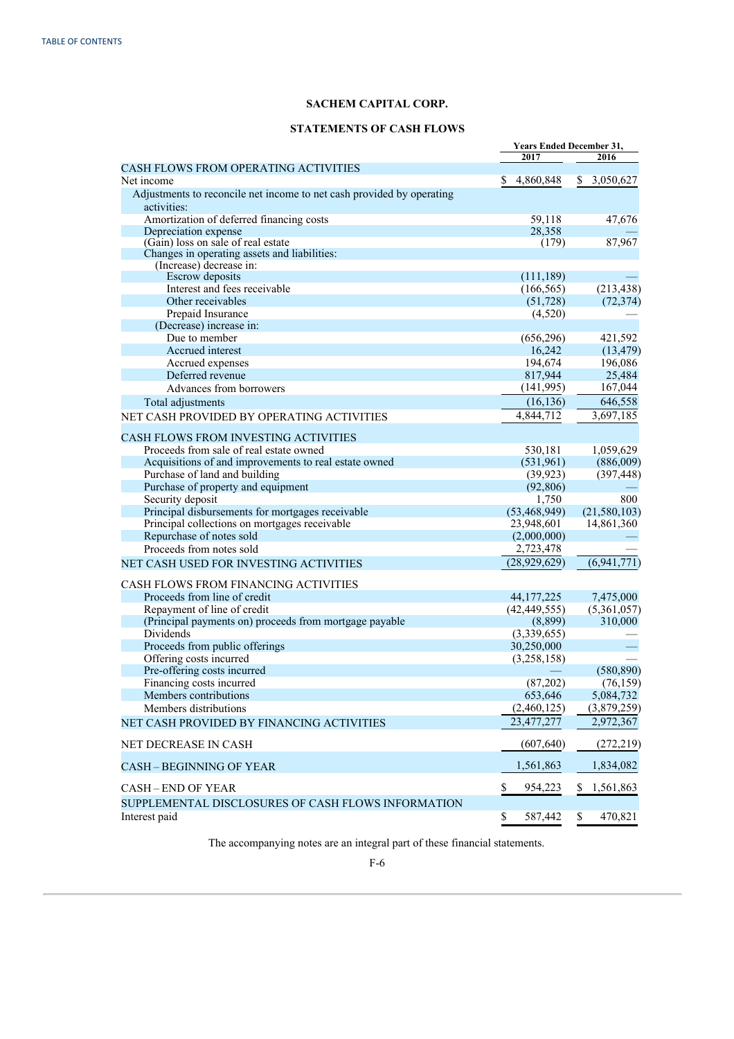# **STATEMENTS OF CASH FLOWS**

|                                                                       | <b>Years Ended December 31,</b><br>2017<br>2016 |                 |
|-----------------------------------------------------------------------|-------------------------------------------------|-----------------|
| <b>CASH FLOWS FROM OPERATING ACTIVITIES</b>                           |                                                 |                 |
| Net income                                                            | 4,860,848<br>S.                                 | \$<br>3,050,627 |
| Adjustments to reconcile net income to net cash provided by operating |                                                 |                 |
| activities:                                                           |                                                 |                 |
| Amortization of deferred financing costs                              | 59,118                                          | 47,676          |
| Depreciation expense                                                  | 28,358                                          |                 |
| (Gain) loss on sale of real estate                                    | (179)                                           | 87,967          |
| Changes in operating assets and liabilities:                          |                                                 |                 |
| (Increase) decrease in:                                               |                                                 |                 |
| Escrow deposits                                                       | (111, 189)                                      |                 |
| Interest and fees receivable                                          | (166, 565)                                      | (213, 438)      |
| Other receivables                                                     | (51, 728)                                       | (72, 374)       |
| Prepaid Insurance                                                     | (4,520)                                         |                 |
| (Decrease) increase in:                                               |                                                 |                 |
| Due to member                                                         | (656,296)                                       | 421,592         |
| Accrued interest                                                      | 16,242                                          | (13, 479)       |
| Accrued expenses                                                      | 194,674                                         | 196,086         |
| Deferred revenue                                                      | 817,944                                         | 25,484          |
| Advances from borrowers                                               | (141, 995)                                      | 167,044         |
| Total adjustments                                                     | (16, 136)                                       | 646,558         |
| NET CASH PROVIDED BY OPERATING ACTIVITIES                             | 4,844,712                                       | 3,697,185       |
| CASH FLOWS FROM INVESTING ACTIVITIES                                  |                                                 |                 |
| Proceeds from sale of real estate owned                               | 530,181                                         | 1,059,629       |
| Acquisitions of and improvements to real estate owned                 | (531,961)                                       | (886,009)       |
| Purchase of land and building                                         | (39, 923)                                       | (397, 448)      |
| Purchase of property and equipment                                    | (92, 806)                                       |                 |
| Security deposit                                                      | 1,750                                           | 800             |
| Principal disbursements for mortgages receivable                      | (53, 468, 949)                                  | (21, 580, 103)  |
| Principal collections on mortgages receivable                         | 23,948,601                                      | 14,861,360      |
| Repurchase of notes sold                                              | (2,000,000)                                     |                 |
| Proceeds from notes sold                                              | 2,723,478                                       |                 |
| NET CASH USED FOR INVESTING ACTIVITIES                                | (28,929,629)                                    | (6,941,771)     |
| CASH FLOWS FROM FINANCING ACTIVITIES                                  |                                                 |                 |
| Proceeds from line of credit                                          | 44, 177, 225                                    | 7,475,000       |
| Repayment of line of credit                                           | (42, 449, 555)                                  | (5,361,057)     |
| (Principal payments on) proceeds from mortgage payable                | (8,899)                                         | 310,000         |
| <b>Dividends</b>                                                      | (3,339,655)                                     |                 |
| Proceeds from public offerings                                        | 30,250,000                                      |                 |
| Offering costs incurred                                               | (3,258,158)                                     |                 |
| Pre-offering costs incurred                                           |                                                 | (580, 890)      |
| Financing costs incurred                                              | (87,202)                                        | (76, 159)       |
| Members contributions                                                 | 653,646                                         | 5,084,732       |
| Members distributions                                                 | (2,460,125)                                     | (3,879,259)     |
| NET CASH PROVIDED BY FINANCING ACTIVITIES                             | 23,477,277                                      | 2,972,367       |
| NET DECREASE IN CASH                                                  | (607, 640)                                      | (272, 219)      |
|                                                                       |                                                 |                 |
| <b>CASH-BEGINNING OF YEAR</b>                                         | 1,561,863                                       | 1,834,082       |
| <b>CASH-END OF YEAR</b>                                               | \$<br>954,223                                   | 1,561,863<br>S. |
| SUPPLEMENTAL DISCLOSURES OF CASH FLOWS INFORMATION                    |                                                 |                 |
| Interest paid                                                         | \$<br>587,442                                   | \$<br>470,821   |

The accompanying notes are an integral part of these financial statements.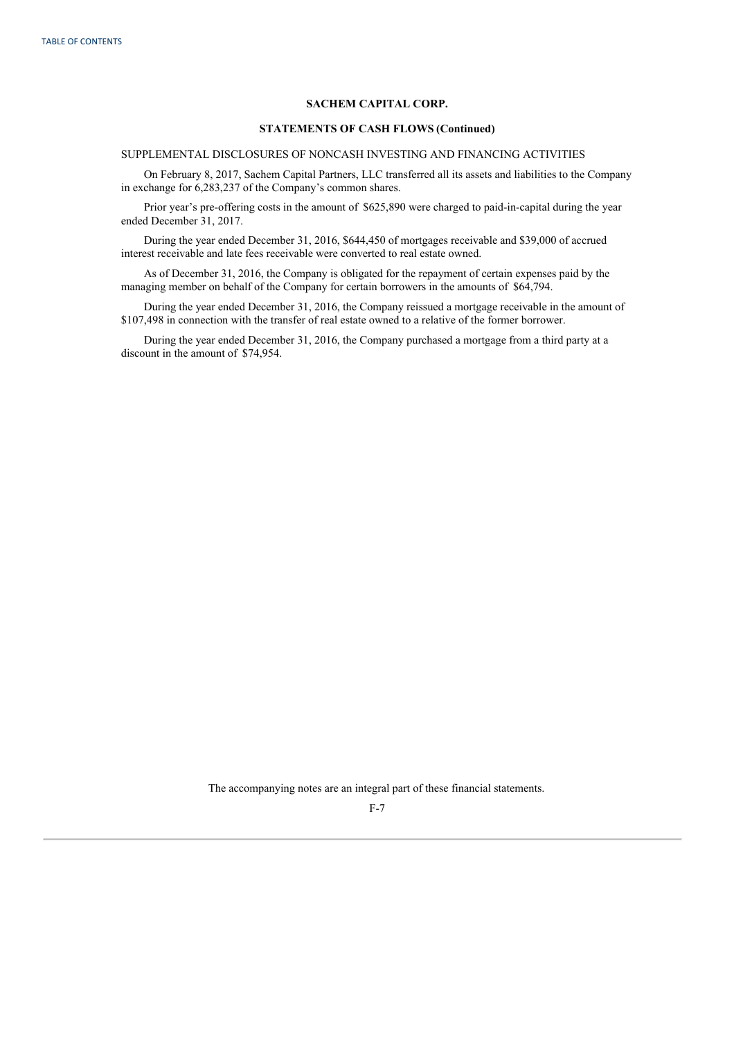# **STATEMENTS OF CASH FLOWS (Continued)**

## SUPPLEMENTAL DISCLOSURES OF NONCASH INVESTING AND FINANCING ACTIVITIES

On February 8, 2017, Sachem Capital Partners, LLC transferred all its assets and liabilities to the Company in exchange for 6,283,237 of the Company's common shares.

Prior year's pre-offering costs in the amount of \$625,890 were charged to paid-in-capital during the year ended December 31, 2017.

During the year ended December 31, 2016, \$644,450 of mortgages receivable and \$39,000 of accrued interest receivable and late fees receivable were converted to real estate owned.

As of December 31, 2016, the Company is obligated for the repayment of certain expenses paid by the managing member on behalf of the Company for certain borrowers in the amounts of \$64,794.

During the year ended December 31, 2016, the Company reissued a mortgage receivable in the amount of \$107,498 in connection with the transfer of real estate owned to a relative of the former borrower.

During the year ended December 31, 2016, the Company purchased a mortgage from a third party at a discount in the amount of \$74,954.

The accompanying notes are an integral part of these financial statements.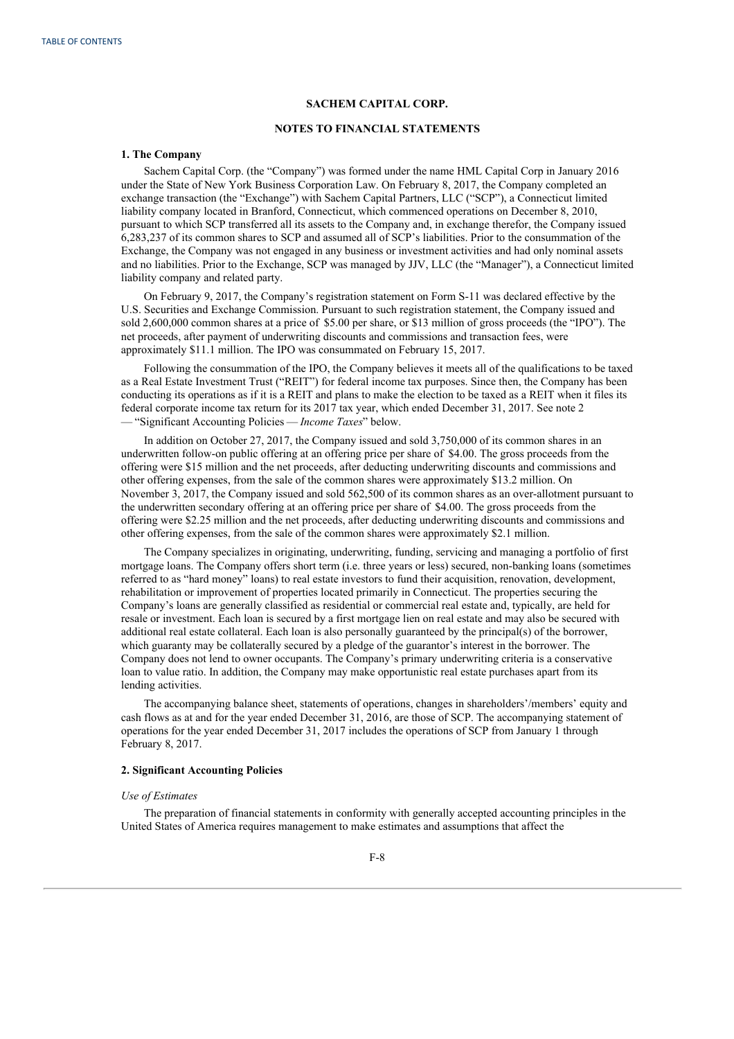# **NOTES TO FINANCIAL STATEMENTS**

## **1. The Company**

Sachem Capital Corp. (the "Company") was formed under the name HML Capital Corp in January 2016 under the State of New York Business Corporation Law. On February 8, 2017, the Company completed an exchange transaction (the "Exchange") with Sachem Capital Partners, LLC ("SCP"), a Connecticut limited liability company located in Branford, Connecticut, which commenced operations on December 8, 2010, pursuant to which SCP transferred all its assets to the Company and, in exchange therefor, the Company issued 6,283,237 of its common shares to SCP and assumed all of SCP's liabilities. Prior to the consummation of the Exchange, the Company was not engaged in any business or investment activities and had only nominal assets and no liabilities. Prior to the Exchange, SCP was managed by JJV, LLC (the "Manager"), a Connecticut limited liability company and related party.

On February 9, 2017, the Company's registration statement on Form S-11 was declared effective by the U.S. Securities and Exchange Commission. Pursuant to such registration statement, the Company issued and sold 2,600,000 common shares at a price of \$5.00 per share, or \$13 million of gross proceeds (the "IPO"). The net proceeds, after payment of underwriting discounts and commissions and transaction fees, were approximately \$11.1 million. The IPO was consummated on February 15, 2017.

Following the consummation of the IPO, the Company believes it meets all of the qualifications to be taxed as a Real Estate Investment Trust ("REIT") for federal income tax purposes. Since then, the Company has been conducting its operations as if it is a REIT and plans to make the election to be taxed as a REIT when it files its federal corporate income tax return for its 2017 tax year, which ended December 31, 2017. See note 2 — "Significant Accounting Policies — *Income Taxes*" below.

In addition on October 27, 2017, the Company issued and sold 3,750,000 of its common shares in an underwritten follow-on public offering at an offering price per share of \$4.00. The gross proceeds from the offering were \$15 million and the net proceeds, after deducting underwriting discounts and commissions and other offering expenses, from the sale of the common shares were approximately \$13.2 million. On November 3, 2017, the Company issued and sold 562,500 of its common shares as an over-allotment pursuant to the underwritten secondary offering at an offering price per share of \$4.00. The gross proceeds from the offering were \$2.25 million and the net proceeds, after deducting underwriting discounts and commissions and other offering expenses, from the sale of the common shares were approximately \$2.1 million.

The Company specializes in originating, underwriting, funding, servicing and managing a portfolio of first mortgage loans. The Company offers short term (i.e. three years or less) secured, non-banking loans (sometimes referred to as "hard money" loans) to real estate investors to fund their acquisition, renovation, development, rehabilitation or improvement of properties located primarily in Connecticut. The properties securing the Company's loans are generally classified as residential or commercial real estate and, typically, are held for resale or investment. Each loan is secured by a first mortgage lien on real estate and may also be secured with additional real estate collateral. Each loan is also personally guaranteed by the principal(s) of the borrower, which guaranty may be collaterally secured by a pledge of the guarantor's interest in the borrower. The Company does not lend to owner occupants. The Company's primary underwriting criteria is a conservative loan to value ratio. In addition, the Company may make opportunistic real estate purchases apart from its lending activities.

The accompanying balance sheet, statements of operations, changes in shareholders'/members' equity and cash flows as at and for the year ended December 31, 2016, are those of SCP. The accompanying statement of operations for the year ended December 31, 2017 includes the operations of SCP from January 1 through February 8, 2017.

## **2. Significant Accounting Policies**

#### *Use of Estimates*

The preparation of financial statements in conformity with generally accepted accounting principles in the United States of America requires management to make estimates and assumptions that affect the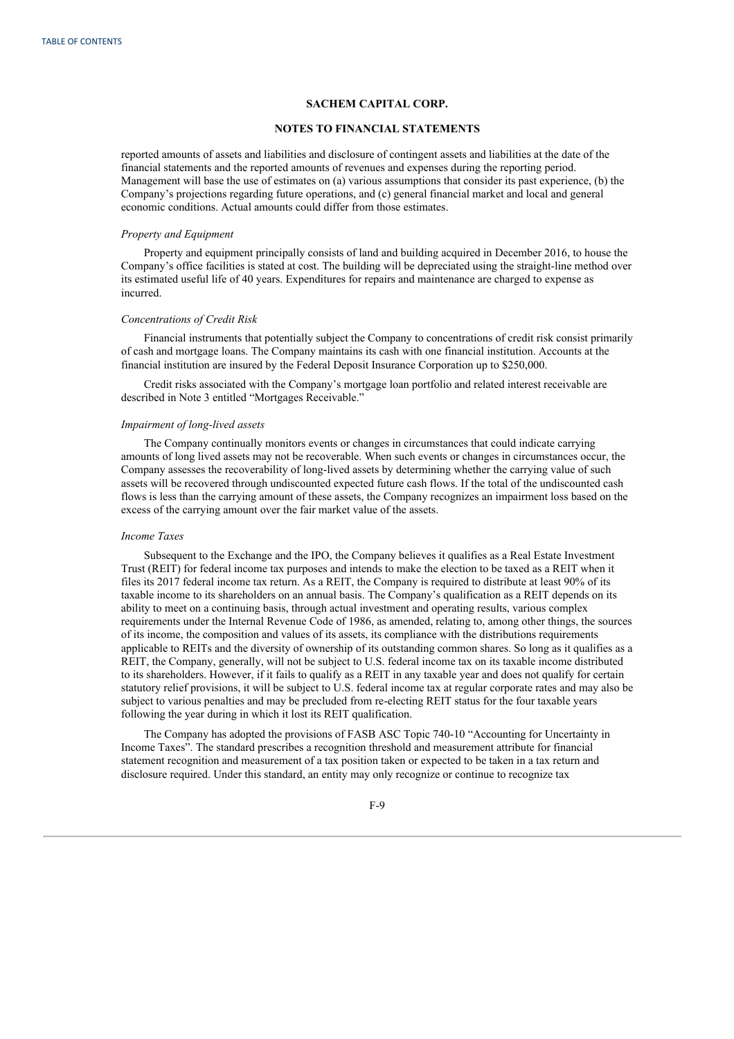## **NOTES TO FINANCIAL STATEMENTS**

reported amounts of assets and liabilities and disclosure of contingent assets and liabilities at the date of the financial statements and the reported amounts of revenues and expenses during the reporting period. Management will base the use of estimates on (a) various assumptions that consider its past experience, (b) the Company's projections regarding future operations, and (c) general financial market and local and general economic conditions. Actual amounts could differ from those estimates.

## *Property and Equipment*

Property and equipment principally consists of land and building acquired in December 2016, to house the Company's office facilities is stated at cost. The building will be depreciated using the straight-line method over its estimated useful life of 40 years. Expenditures for repairs and maintenance are charged to expense as incurred.

## *Concentrations of Credit Risk*

Financial instruments that potentially subject the Company to concentrations of credit risk consist primarily of cash and mortgage loans. The Company maintains its cash with one financial institution. Accounts at the financial institution are insured by the Federal Deposit Insurance Corporation up to \$250,000.

Credit risks associated with the Company's mortgage loan portfolio and related interest receivable are described in Note 3 entitled "Mortgages Receivable."

## *Impairment of long-lived assets*

The Company continually monitors events or changes in circumstances that could indicate carrying amounts of long lived assets may not be recoverable. When such events or changes in circumstances occur, the Company assesses the recoverability of long-lived assets by determining whether the carrying value of such assets will be recovered through undiscounted expected future cash flows. If the total of the undiscounted cash flows is less than the carrying amount of these assets, the Company recognizes an impairment loss based on the excess of the carrying amount over the fair market value of the assets.

#### *Income Taxes*

Subsequent to the Exchange and the IPO, the Company believes it qualifies as a Real Estate Investment Trust (REIT) for federal income tax purposes and intends to make the election to be taxed as a REIT when it files its 2017 federal income tax return. As a REIT, the Company is required to distribute at least 90% of its taxable income to its shareholders on an annual basis. The Company's qualification as a REIT depends on its ability to meet on a continuing basis, through actual investment and operating results, various complex requirements under the Internal Revenue Code of 1986, as amended, relating to, among other things, the sources of its income, the composition and values of its assets, its compliance with the distributions requirements applicable to REITs and the diversity of ownership of its outstanding common shares. So long as it qualifies as a REIT, the Company, generally, will not be subject to U.S. federal income tax on its taxable income distributed to its shareholders. However, if it fails to qualify as a REIT in any taxable year and does not qualify for certain statutory relief provisions, it will be subject to U.S. federal income tax at regular corporate rates and may also be subject to various penalties and may be precluded from re-electing REIT status for the four taxable years following the year during in which it lost its REIT qualification.

The Company has adopted the provisions of FASB ASC Topic 740-10 "Accounting for Uncertainty in Income Taxes". The standard prescribes a recognition threshold and measurement attribute for financial statement recognition and measurement of a tax position taken or expected to be taken in a tax return and disclosure required. Under this standard, an entity may only recognize or continue to recognize tax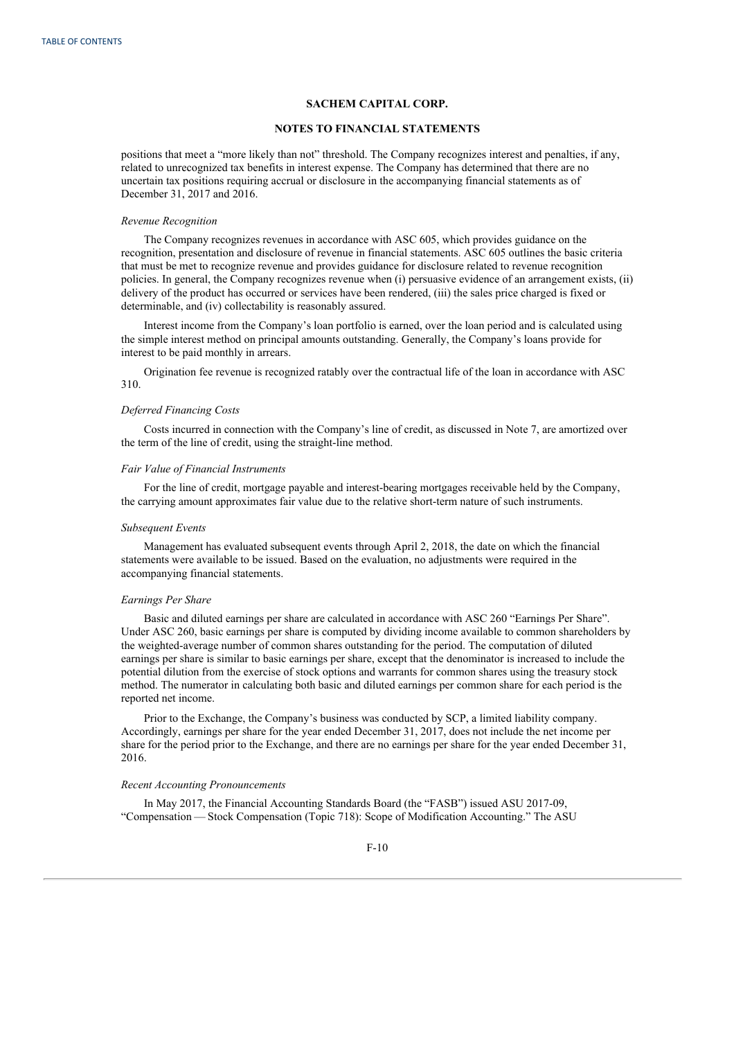## **NOTES TO FINANCIAL STATEMENTS**

positions that meet a "more likely than not" threshold. The Company recognizes interest and penalties, if any, related to unrecognized tax benefits in interest expense. The Company has determined that there are no uncertain tax positions requiring accrual or disclosure in the accompanying financial statements as of December 31, 2017 and 2016.

## *Revenue Recognition*

The Company recognizes revenues in accordance with ASC 605, which provides guidance on the recognition, presentation and disclosure of revenue in financial statements. ASC 605 outlines the basic criteria that must be met to recognize revenue and provides guidance for disclosure related to revenue recognition policies. In general, the Company recognizes revenue when (i) persuasive evidence of an arrangement exists, (ii) delivery of the product has occurred or services have been rendered, (iii) the sales price charged is fixed or determinable, and (iv) collectability is reasonably assured.

Interest income from the Company's loan portfolio is earned, over the loan period and is calculated using the simple interest method on principal amounts outstanding. Generally, the Company's loans provide for interest to be paid monthly in arrears.

Origination fee revenue is recognized ratably over the contractual life of the loan in accordance with ASC 310.

## *Deferred Financing Costs*

Costs incurred in connection with the Company's line of credit, as discussed in Note 7, are amortized over the term of the line of credit, using the straight-line method.

### *Fair Value of Financial Instruments*

For the line of credit, mortgage payable and interest-bearing mortgages receivable held by the Company, the carrying amount approximates fair value due to the relative short-term nature of such instruments.

#### *Subsequent Events*

Management has evaluated subsequent events through April 2, 2018, the date on which the financial statements were available to be issued. Based on the evaluation, no adjustments were required in the accompanying financial statements.

## *Earnings Per Share*

Basic and diluted earnings per share are calculated in accordance with ASC 260 "Earnings Per Share". Under ASC 260, basic earnings per share is computed by dividing income available to common shareholders by the weighted-average number of common shares outstanding for the period. The computation of diluted earnings per share is similar to basic earnings per share, except that the denominator is increased to include the potential dilution from the exercise of stock options and warrants for common shares using the treasury stock method. The numerator in calculating both basic and diluted earnings per common share for each period is the reported net income.

Prior to the Exchange, the Company's business was conducted by SCP, a limited liability company. Accordingly, earnings per share for the year ended December 31, 2017, does not include the net income per share for the period prior to the Exchange, and there are no earnings per share for the year ended December 31, 2016.

#### *Recent Accounting Pronouncements*

In May 2017, the Financial Accounting Standards Board (the "FASB") issued ASU 2017-09, "Compensation — Stock Compensation (Topic 718): Scope of Modification Accounting." The ASU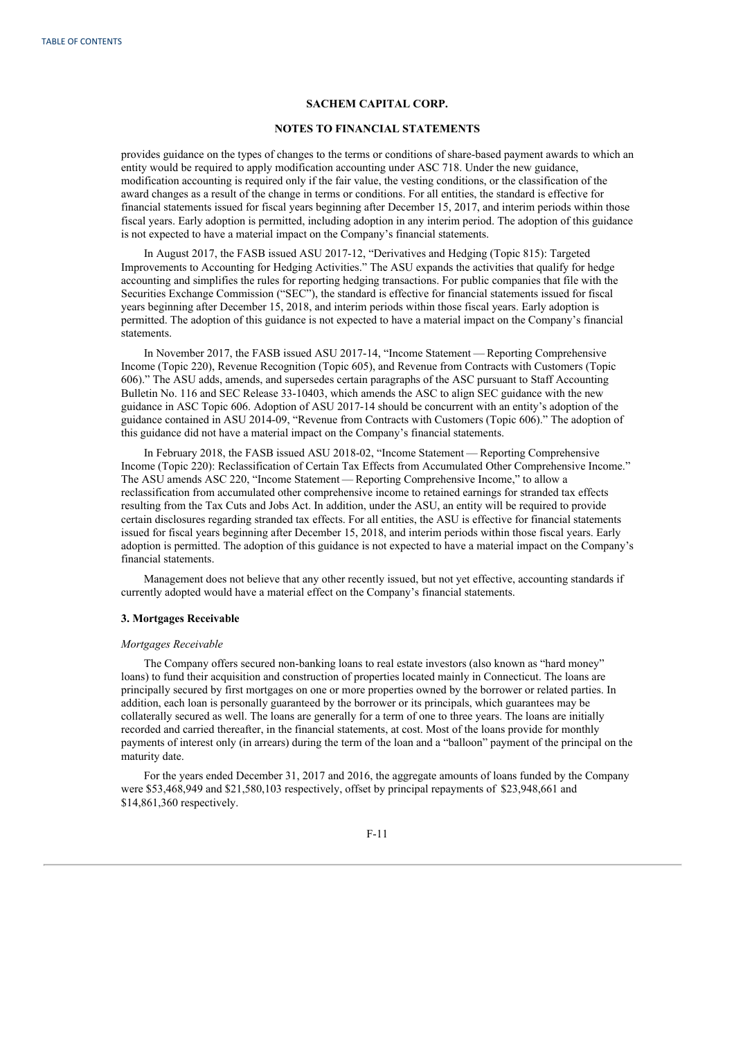# **NOTES TO FINANCIAL STATEMENTS**

provides guidance on the types of changes to the terms or conditions of share-based payment awards to which an entity would be required to apply modification accounting under ASC 718. Under the new guidance, modification accounting is required only if the fair value, the vesting conditions, or the classification of the award changes as a result of the change in terms or conditions. For all entities, the standard is effective for financial statements issued for fiscal years beginning after December 15, 2017, and interim periods within those fiscal years. Early adoption is permitted, including adoption in any interim period. The adoption of this guidance is not expected to have a material impact on the Company's financial statements.

In August 2017, the FASB issued ASU 2017-12, "Derivatives and Hedging (Topic 815): Targeted Improvements to Accounting for Hedging Activities." The ASU expands the activities that qualify for hedge accounting and simplifies the rules for reporting hedging transactions. For public companies that file with the Securities Exchange Commission ("SEC"), the standard is effective for financial statements issued for fiscal years beginning after December 15, 2018, and interim periods within those fiscal years. Early adoption is permitted. The adoption of this guidance is not expected to have a material impact on the Company's financial statements.

In November 2017, the FASB issued ASU 2017-14, "Income Statement — Reporting Comprehensive Income (Topic 220), Revenue Recognition (Topic 605), and Revenue from Contracts with Customers (Topic 606)." The ASU adds, amends, and supersedes certain paragraphs of the ASC pursuant to Staff Accounting Bulletin No. 116 and SEC Release 33-10403, which amends the ASC to align SEC guidance with the new guidance in ASC Topic 606. Adoption of ASU 2017-14 should be concurrent with an entity's adoption of the guidance contained in ASU 2014-09, "Revenue from Contracts with Customers (Topic 606)." The adoption of this guidance did not have a material impact on the Company's financial statements.

In February 2018, the FASB issued ASU 2018-02, "Income Statement — Reporting Comprehensive Income (Topic 220): Reclassification of Certain Tax Effects from Accumulated Other Comprehensive Income." The ASU amends ASC 220, "Income Statement — Reporting Comprehensive Income," to allow a reclassification from accumulated other comprehensive income to retained earnings for stranded tax effects resulting from the Tax Cuts and Jobs Act. In addition, under the ASU, an entity will be required to provide certain disclosures regarding stranded tax effects. For all entities, the ASU is effective for financial statements issued for fiscal years beginning after December 15, 2018, and interim periods within those fiscal years. Early adoption is permitted. The adoption of this guidance is not expected to have a material impact on the Company's financial statements.

Management does not believe that any other recently issued, but not yet effective, accounting standards if currently adopted would have a material effect on the Company's financial statements.

### **3. Mortgages Receivable**

## *Mortgages Receivable*

The Company offers secured non-banking loans to real estate investors (also known as "hard money" loans) to fund their acquisition and construction of properties located mainly in Connecticut. The loans are principally secured by first mortgages on one or more properties owned by the borrower or related parties. In addition, each loan is personally guaranteed by the borrower or its principals, which guarantees may be collaterally secured as well. The loans are generally for a term of one to three years. The loans are initially recorded and carried thereafter, in the financial statements, at cost. Most of the loans provide for monthly payments of interest only (in arrears) during the term of the loan and a "balloon" payment of the principal on the maturity date.

For the years ended December 31, 2017 and 2016, the aggregate amounts of loans funded by the Company were \$53,468,949 and \$21,580,103 respectively, offset by principal repayments of \$23,948,661 and \$14,861,360 respectively.

F-11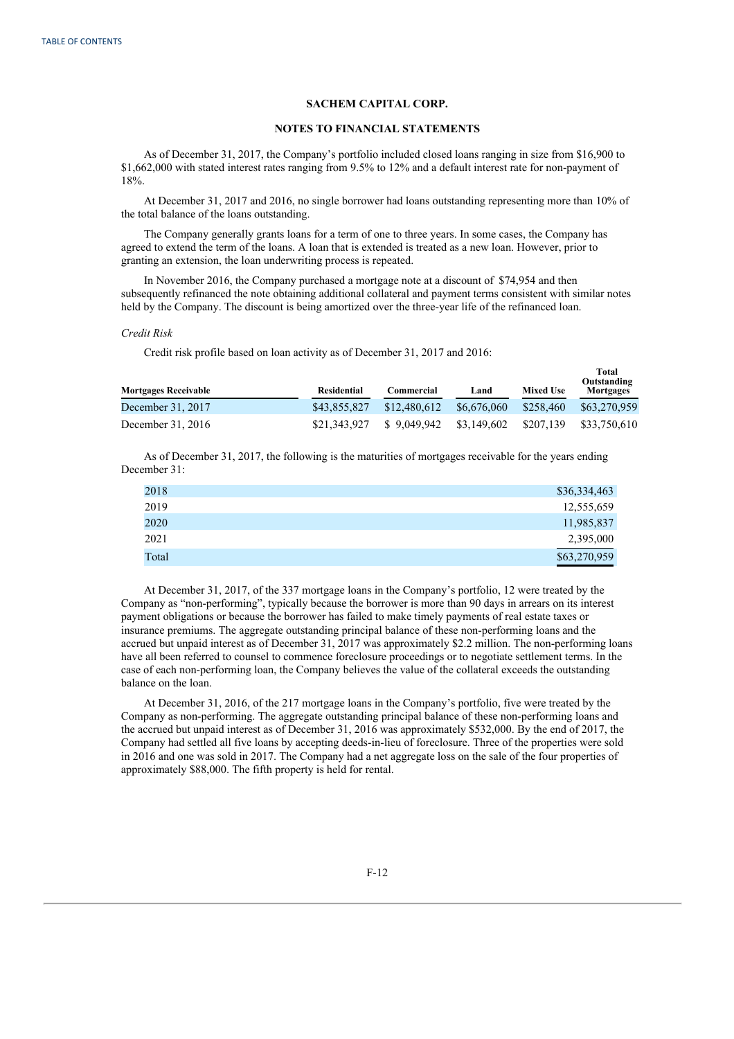# **NOTES TO FINANCIAL STATEMENTS**

As of December 31, 2017, the Company's portfolio included closed loans ranging in size from \$16,900 to \$1,662,000 with stated interest rates ranging from 9.5% to 12% and a default interest rate for non-payment of 18%.

At December 31, 2017 and 2016, no single borrower had loans outstanding representing more than 10% of the total balance of the loans outstanding.

The Company generally grants loans for a term of one to three years. In some cases, the Company has agreed to extend the term of the loans. A loan that is extended is treated as a new loan. However, prior to granting an extension, the loan underwriting process is repeated.

In November 2016, the Company purchased a mortgage note at a discount of \$74,954 and then subsequently refinanced the note obtaining additional collateral and payment terms consistent with similar notes held by the Company. The discount is being amortized over the three-year life of the refinanced loan.

### *Credit Risk*

Credit risk profile based on loan activity as of December 31, 2017 and 2016:

| <b>Mortgages Receivable</b> | Residential  | Commercial   | Land        | <b>Mixed Use</b> | Total<br>Outstanding<br>Mortgages |
|-----------------------------|--------------|--------------|-------------|------------------|-----------------------------------|
| December 31, 2017           | \$43,855,827 | \$12,480,612 | \$6,676,060 | \$258,460        | \$63,270,959                      |
| December 31, 2016           | \$21,343,927 | \$9.049.942  | \$3,149,602 | \$207.139        | \$33,750,610                      |

As of December 31, 2017, the following is the maturities of mortgages receivable for the years ending December 31:

| 2018  | \$36,334,463 |
|-------|--------------|
| 2019  | 12,555,659   |
| 2020  | 11,985,837   |
| 2021  | 2,395,000    |
| Total | \$63,270,959 |

At December 31, 2017, of the 337 mortgage loans in the Company's portfolio, 12 were treated by the Company as "non-performing", typically because the borrower is more than 90 days in arrears on its interest payment obligations or because the borrower has failed to make timely payments of real estate taxes or insurance premiums. The aggregate outstanding principal balance of these non-performing loans and the accrued but unpaid interest as of December 31, 2017 was approximately \$2.2 million. The non-performing loans have all been referred to counsel to commence foreclosure proceedings or to negotiate settlement terms. In the case of each non-performing loan, the Company believes the value of the collateral exceeds the outstanding balance on the loan.

At December 31, 2016, of the 217 mortgage loans in the Company's portfolio, five were treated by the Company as non-performing. The aggregate outstanding principal balance of these non-performing loans and the accrued but unpaid interest as of December 31, 2016 was approximately \$532,000. By the end of 2017, the Company had settled all five loans by accepting deeds-in-lieu of foreclosure. Three of the properties were sold in 2016 and one was sold in 2017. The Company had a net aggregate loss on the sale of the four properties of approximately \$88,000. The fifth property is held for rental.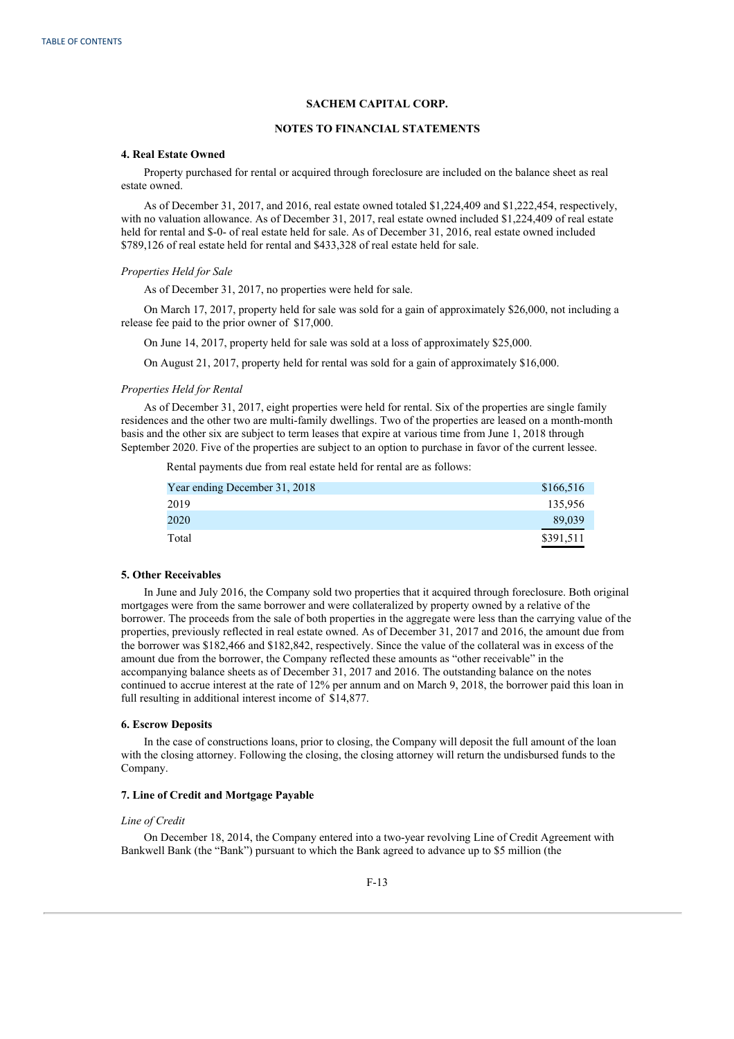# **NOTES TO FINANCIAL STATEMENTS**

# **4. Real Estate Owned**

Property purchased for rental or acquired through foreclosure are included on the balance sheet as real estate owned.

As of December 31, 2017, and 2016, real estate owned totaled \$1,224,409 and \$1,222,454, respectively, with no valuation allowance. As of December 31, 2017, real estate owned included \$1,224,409 of real estate held for rental and \$-0- of real estate held for sale. As of December 31, 2016, real estate owned included \$789,126 of real estate held for rental and \$433,328 of real estate held for sale.

#### *Properties Held for Sale*

As of December 31, 2017, no properties were held for sale.

On March 17, 2017, property held for sale was sold for a gain of approximately \$26,000, not including a release fee paid to the prior owner of \$17,000.

On June 14, 2017, property held for sale was sold at a loss of approximately \$25,000.

On August 21, 2017, property held for rental was sold for a gain of approximately \$16,000.

#### *Properties Held for Rental*

As of December 31, 2017, eight properties were held for rental. Six of the properties are single family residences and the other two are multi-family dwellings. Two of the properties are leased on a month-month basis and the other six are subject to term leases that expire at various time from June 1, 2018 through September 2020. Five of the properties are subject to an option to purchase in favor of the current lessee.

Rental payments due from real estate held for rental are as follows:

| Year ending December 31, 2018 | \$166,516 |
|-------------------------------|-----------|
| 2019                          | 135,956   |
| 2020                          | 89,039    |
| Total                         | \$391,511 |

## **5. Other Receivables**

In June and July 2016, the Company sold two properties that it acquired through foreclosure. Both original mortgages were from the same borrower and were collateralized by property owned by a relative of the borrower. The proceeds from the sale of both properties in the aggregate were less than the carrying value of the properties, previously reflected in real estate owned. As of December 31, 2017 and 2016, the amount due from the borrower was \$182,466 and \$182,842, respectively. Since the value of the collateral was in excess of the amount due from the borrower, the Company reflected these amounts as "other receivable" in the accompanying balance sheets as of December 31, 2017 and 2016. The outstanding balance on the notes continued to accrue interest at the rate of 12% per annum and on March 9, 2018, the borrower paid this loan in full resulting in additional interest income of \$14,877.

#### **6. Escrow Deposits**

In the case of constructions loans, prior to closing, the Company will deposit the full amount of the loan with the closing attorney. Following the closing, the closing attorney will return the undisbursed funds to the Company.

#### **7. Line of Credit and Mortgage Payable**

#### *Line of Credit*

On December 18, 2014, the Company entered into a two-year revolving Line of Credit Agreement with Bankwell Bank (the "Bank") pursuant to which the Bank agreed to advance up to \$5 million (the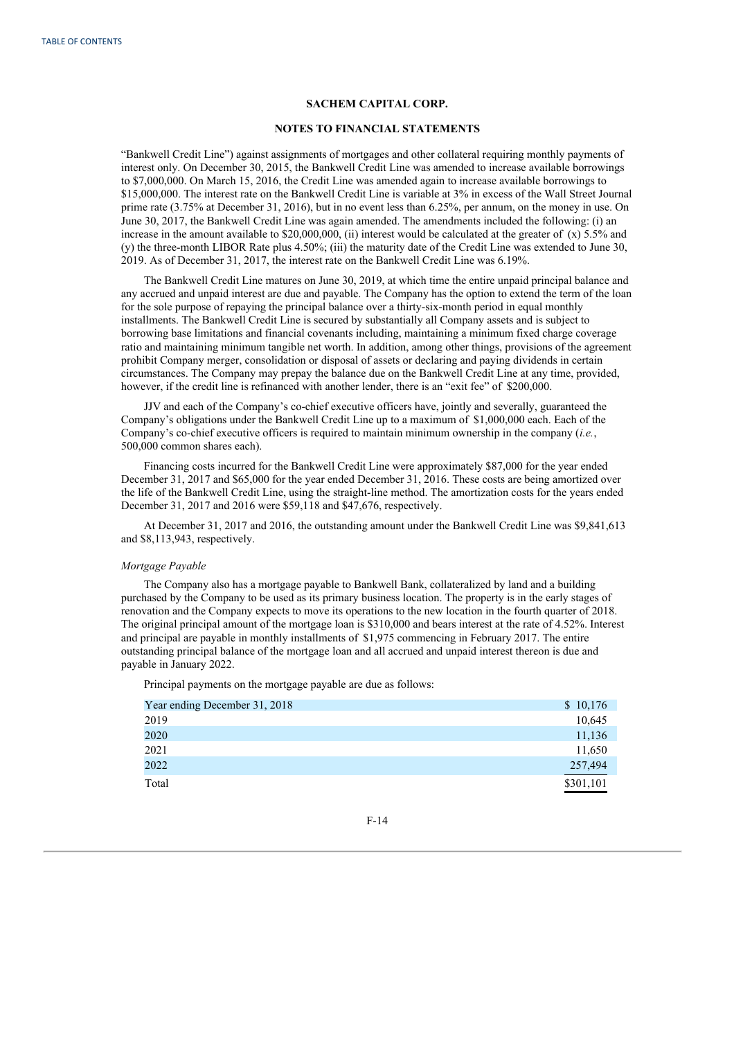# **NOTES TO FINANCIAL STATEMENTS**

"Bankwell Credit Line") against assignments of mortgages and other collateral requiring monthly payments of interest only. On December 30, 2015, the Bankwell Credit Line was amended to increase available borrowings to \$7,000,000. On March 15, 2016, the Credit Line was amended again to increase available borrowings to \$15,000,000. The interest rate on the Bankwell Credit Line is variable at 3% in excess of the Wall Street Journal prime rate (3.75% at December 31, 2016), but in no event less than 6.25%, per annum, on the money in use. On June 30, 2017, the Bankwell Credit Line was again amended. The amendments included the following: (i) an increase in the amount available to  $$20,000,000$ , (ii) interest would be calculated at the greater of (x)  $5.5\%$  and (y) the three-month LIBOR Rate plus 4.50%; (iii) the maturity date of the Credit Line was extended to June 30, 2019. As of December 31, 2017, the interest rate on the Bankwell Credit Line was 6.19%.

The Bankwell Credit Line matures on June 30, 2019, at which time the entire unpaid principal balance and any accrued and unpaid interest are due and payable. The Company has the option to extend the term of the loan for the sole purpose of repaying the principal balance over a thirty-six-month period in equal monthly installments. The Bankwell Credit Line is secured by substantially all Company assets and is subject to borrowing base limitations and financial covenants including, maintaining a minimum fixed charge coverage ratio and maintaining minimum tangible net worth. In addition, among other things, provisions of the agreement prohibit Company merger, consolidation or disposal of assets or declaring and paying dividends in certain circumstances. The Company may prepay the balance due on the Bankwell Credit Line at any time, provided, however, if the credit line is refinanced with another lender, there is an "exit fee" of \$200,000.

JJV and each of the Company's co-chief executive officers have, jointly and severally, guaranteed the Company's obligations under the Bankwell Credit Line up to a maximum of \$1,000,000 each. Each of the Company's co-chief executive officers is required to maintain minimum ownership in the company (*i.e.*, 500,000 common shares each).

Financing costs incurred for the Bankwell Credit Line were approximately \$87,000 for the year ended December 31, 2017 and \$65,000 for the year ended December 31, 2016. These costs are being amortized over the life of the Bankwell Credit Line, using the straight-line method. The amortization costs for the years ended December 31, 2017 and 2016 were \$59,118 and \$47,676, respectively.

At December 31, 2017 and 2016, the outstanding amount under the Bankwell Credit Line was \$9,841,613 and \$8,113,943, respectively.

### *Mortgage Payable*

The Company also has a mortgage payable to Bankwell Bank, collateralized by land and a building purchased by the Company to be used as its primary business location. The property is in the early stages of renovation and the Company expects to move its operations to the new location in the fourth quarter of 2018. The original principal amount of the mortgage loan is \$310,000 and bears interest at the rate of 4.52%. Interest and principal are payable in monthly installments of \$1,975 commencing in February 2017. The entire outstanding principal balance of the mortgage loan and all accrued and unpaid interest thereon is due and payable in January 2022.

Principal payments on the mortgage payable are due as follows:

| Year ending December 31, 2018 | \$10,176  |
|-------------------------------|-----------|
| 2019                          | 10,645    |
| 2020                          | 11,136    |
| 2021                          | 11,650    |
| 2022                          | 257,494   |
| Total                         | \$301,101 |

F-14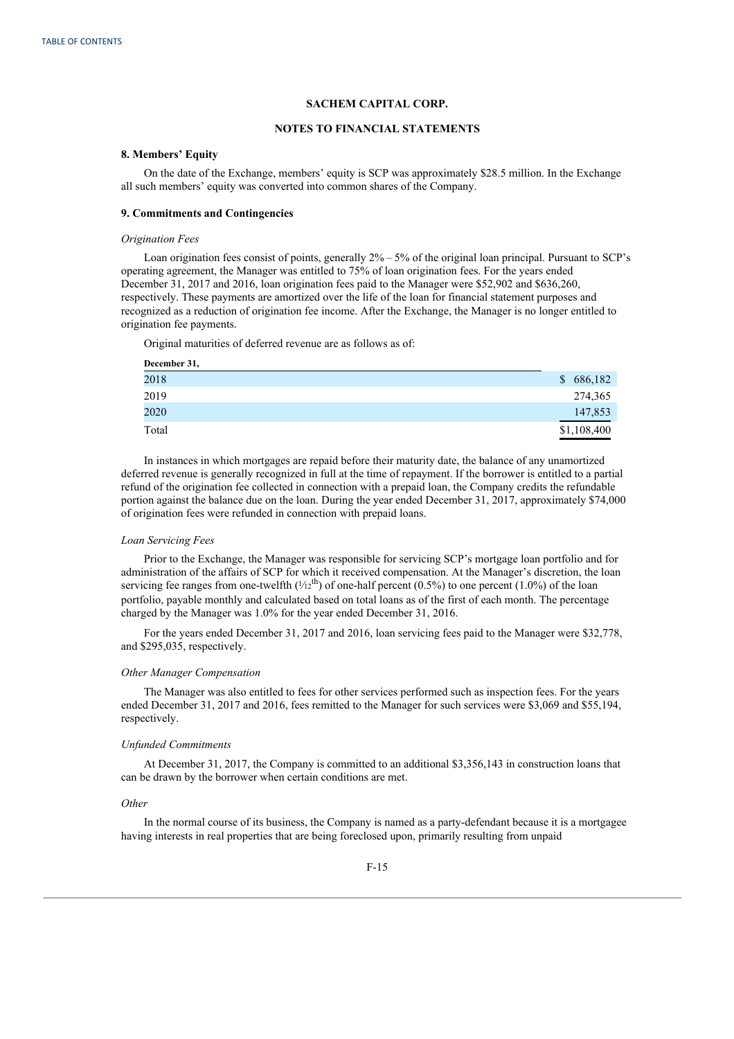# **NOTES TO FINANCIAL STATEMENTS**

# **8. Members' Equity**

On the date of the Exchange, members' equity is SCP was approximately \$28.5 million. In the Exchange all such members' equity was converted into common shares of the Company.

## **9. Commitments and Contingencies**

## *Origination Fees*

Loan origination fees consist of points, generally  $2\% - 5\%$  of the original loan principal. Pursuant to SCP's operating agreement, the Manager was entitled to 75% of loan origination fees. For the years ended December 31, 2017 and 2016, loan origination fees paid to the Manager were \$52,902 and \$636,260, respectively. These payments are amortized over the life of the loan for financial statement purposes and recognized as a reduction of origination fee income. After the Exchange, the Manager is no longer entitled to origination fee payments.

Original maturities of deferred revenue are as follows as of:

| December 31, |             |
|--------------|-------------|
| 2018         | \$686,182   |
| 2019         | 274,365     |
| 2020         | 147,853     |
| Total        | \$1,108,400 |

In instances in which mortgages are repaid before their maturity date, the balance of any unamortized deferred revenue is generally recognized in full at the time of repayment. If the borrower is entitled to a partial refund of the origination fee collected in connection with a prepaid loan, the Company credits the refundable portion against the balance due on the loan. During the year ended December 31, 2017, approximately \$74,000 of origination fees were refunded in connection with prepaid loans.

#### *Loan Servicing Fees*

Prior to the Exchange, the Manager was responsible for servicing SCP's mortgage loan portfolio and for administration of the affairs of SCP for which it received compensation. At the Manager's discretion, the loan servicing fee ranges from one-twelfth  $(\frac{1}{12}$ <sup>th</sup>) of one-half percent (0.5%) to one percent (1.0%) of the loan portfolio, payable monthly and calculated based on total loans as of the first of each month. The percentage charged by the Manager was 1.0% for the year ended December 31, 2016.

For the years ended December 31, 2017 and 2016, loan servicing fees paid to the Manager were \$32,778, and \$295,035, respectively.

#### *Other Manager Compensation*

The Manager was also entitled to fees for other services performed such as inspection fees. For the years ended December 31, 2017 and 2016, fees remitted to the Manager for such services were \$3,069 and \$55,194, respectively.

#### *Unfunded Commitments*

At December 31, 2017, the Company is committed to an additional \$3,356,143 in construction loans that can be drawn by the borrower when certain conditions are met.

### *Other*

In the normal course of its business, the Company is named as a party-defendant because it is a mortgagee having interests in real properties that are being foreclosed upon, primarily resulting from unpaid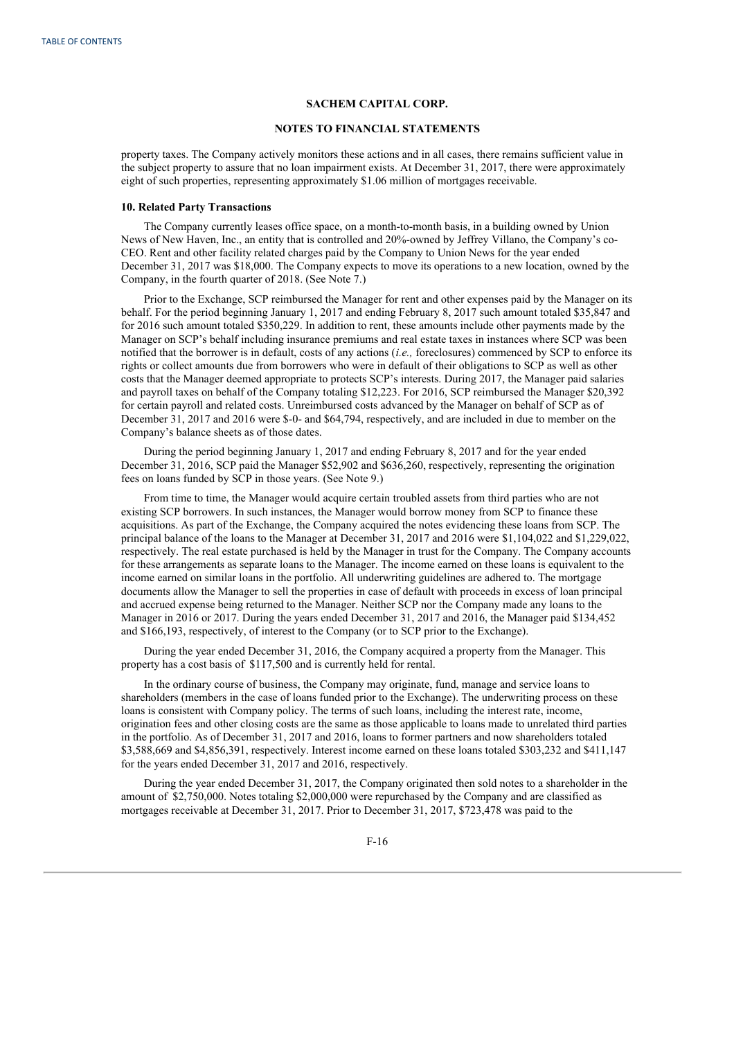# **NOTES TO FINANCIAL STATEMENTS**

property taxes. The Company actively monitors these actions and in all cases, there remains sufficient value in the subject property to assure that no loan impairment exists. At December 31, 2017, there were approximately eight of such properties, representing approximately \$1.06 million of mortgages receivable.

### **10. Related Party Transactions**

The Company currently leases office space, on a month-to-month basis, in a building owned by Union News of New Haven, Inc., an entity that is controlled and 20%-owned by Jeffrey Villano, the Company's co-CEO. Rent and other facility related charges paid by the Company to Union News for the year ended December 31, 2017 was \$18,000. The Company expects to move its operations to a new location, owned by the Company, in the fourth quarter of 2018. (See Note 7.)

Prior to the Exchange, SCP reimbursed the Manager for rent and other expenses paid by the Manager on its behalf. For the period beginning January 1, 2017 and ending February 8, 2017 such amount totaled \$35,847 and for 2016 such amount totaled \$350,229. In addition to rent, these amounts include other payments made by the Manager on SCP's behalf including insurance premiums and real estate taxes in instances where SCP was been notified that the borrower is in default, costs of any actions (*i.e.,* foreclosures) commenced by SCP to enforce its rights or collect amounts due from borrowers who were in default of their obligations to SCP as well as other costs that the Manager deemed appropriate to protects SCP's interests. During 2017, the Manager paid salaries and payroll taxes on behalf of the Company totaling \$12,223. For 2016, SCP reimbursed the Manager \$20,392 for certain payroll and related costs. Unreimbursed costs advanced by the Manager on behalf of SCP as of December 31, 2017 and 2016 were \$-0- and \$64,794, respectively, and are included in due to member on the Company's balance sheets as of those dates.

During the period beginning January 1, 2017 and ending February 8, 2017 and for the year ended December 31, 2016, SCP paid the Manager \$52,902 and \$636,260, respectively, representing the origination fees on loans funded by SCP in those years. (See Note 9.)

From time to time, the Manager would acquire certain troubled assets from third parties who are not existing SCP borrowers. In such instances, the Manager would borrow money from SCP to finance these acquisitions. As part of the Exchange, the Company acquired the notes evidencing these loans from SCP. The principal balance of the loans to the Manager at December 31, 2017 and 2016 were \$1,104,022 and \$1,229,022, respectively. The real estate purchased is held by the Manager in trust for the Company. The Company accounts for these arrangements as separate loans to the Manager. The income earned on these loans is equivalent to the income earned on similar loans in the portfolio. All underwriting guidelines are adhered to. The mortgage documents allow the Manager to sell the properties in case of default with proceeds in excess of loan principal and accrued expense being returned to the Manager. Neither SCP nor the Company made any loans to the Manager in 2016 or 2017. During the years ended December 31, 2017 and 2016, the Manager paid \$134,452 and \$166,193, respectively, of interest to the Company (or to SCP prior to the Exchange).

During the year ended December 31, 2016, the Company acquired a property from the Manager. This property has a cost basis of \$117,500 and is currently held for rental.

In the ordinary course of business, the Company may originate, fund, manage and service loans to shareholders (members in the case of loans funded prior to the Exchange). The underwriting process on these loans is consistent with Company policy. The terms of such loans, including the interest rate, income, origination fees and other closing costs are the same as those applicable to loans made to unrelated third parties in the portfolio. As of December 31, 2017 and 2016, loans to former partners and now shareholders totaled \$3,588,669 and \$4,856,391, respectively. Interest income earned on these loans totaled \$303,232 and \$411,147 for the years ended December 31, 2017 and 2016, respectively.

During the year ended December 31, 2017, the Company originated then sold notes to a shareholder in the amount of \$2,750,000. Notes totaling \$2,000,000 were repurchased by the Company and are classified as mortgages receivable at December 31, 2017. Prior to December 31, 2017, \$723,478 was paid to the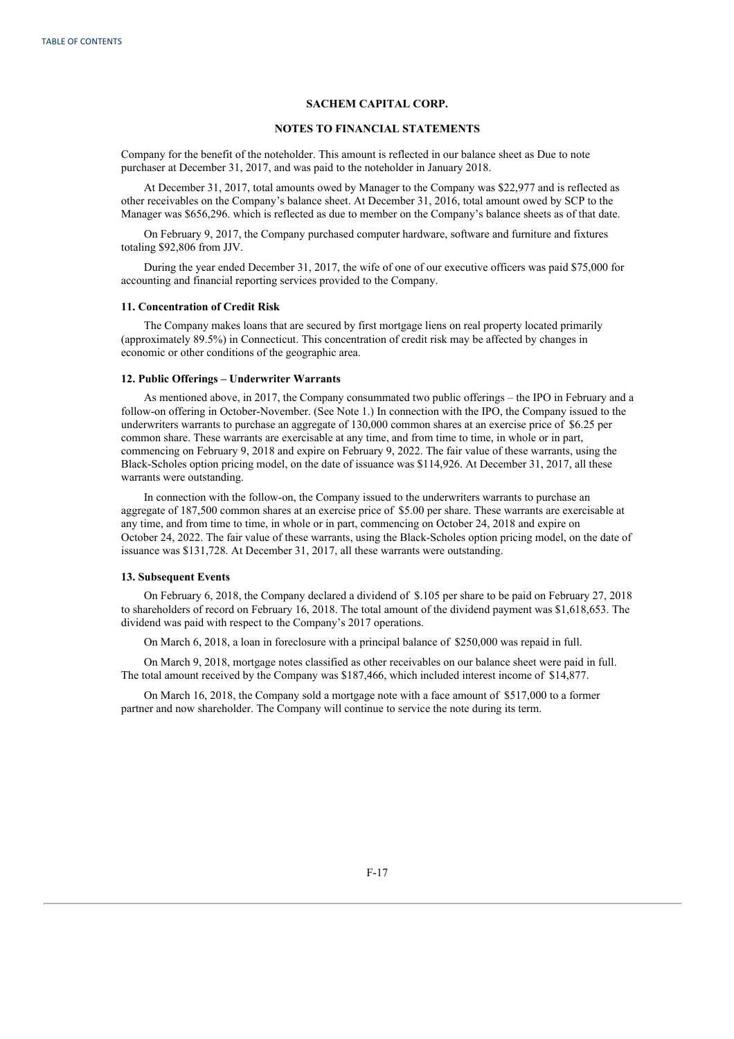## **NOTES TO FINANCIAL STATEMENTS**

Company for the benefit of the noteholder. This amount is reflected in our balance sheet as Due to note purchaser at December 31, 2017, and was paid to the noteholder in January 2018.

At December 31, 2017, total amounts owed by Manager to the Company was \$22,977 and is reflected as other receivables on the Company's balance sheet. At December 31, 2016, total amount owed by SCP to the Manager was \$656,296. which is reflected as due to member on the Company's balance sheets as of that date.

On February 9, 2017, the Company purchased computer hardware, software and furniture and fixtures totaling \$92,806 from JJV.

During the year ended December 31, 2017, the wife of one of our executive officers was paid \$75,000 for accounting and financial reporting services provided to the Company.

#### **11. Concentration of Credit Risk**

The Company makes loans that are secured by first mortgage liens on real property located primarily (approximately 89.5%) in Connecticut. This concentration of credit risk may be affected by changes in economic or other conditions of the geographic area.

### **12. Public Offerings – Underwriter Warrants**

As mentioned above, in 2017, the Company consummated two public offerings – the IPO in February and a follow-on offering in October-November. (See Note 1.) In connection with the IPO, the Company issued to the underwriters warrants to purchase an aggregate of 130,000 common shares at an exercise price of \$6.25 per common share. These warrants are exercisable at any time, and from time to time, in whole or in part, commencing on February 9, 2018 and expire on February 9, 2022. The fair value of these warrants, using the Black-Scholes option pricing model, on the date of issuance was \$114,926. At December 31, 2017, all these warrants were outstanding.

In connection with the follow-on, the Company issued to the underwriters warrants to purchase an aggregate of 187,500 common shares at an exercise price of \$5.00 per share. These warrants are exercisable at any time, and from time to time, in whole or in part, commencing on October 24, 2018 and expire on October 24, 2022. The fair value of these warrants, using the Black-Scholes option pricing model, on the date of issuance was \$131,728. At December 31, 2017, all these warrants were outstanding.

#### **13. Subsequent Events**

On February 6, 2018, the Company declared a dividend of \$.105 per share to be paid on February 27, 2018 to shareholders of record on February 16, 2018. The total amount of the dividend payment was \$1,618,653. The dividend was paid with respect to the Company's 2017 operations.

On March 6, 2018, a loan in foreclosure with a principal balance of \$250,000 was repaid in full.

On March 9, 2018, mortgage notes classified as other receivables on our balance sheet were paid in full. The total amount received by the Company was \$187,466, which included interest income of \$14,877.

On March 16, 2018, the Company sold a mortgage note with a face amount of \$517,000 to a former partner and now shareholder. The Company will continue to service the note during its term.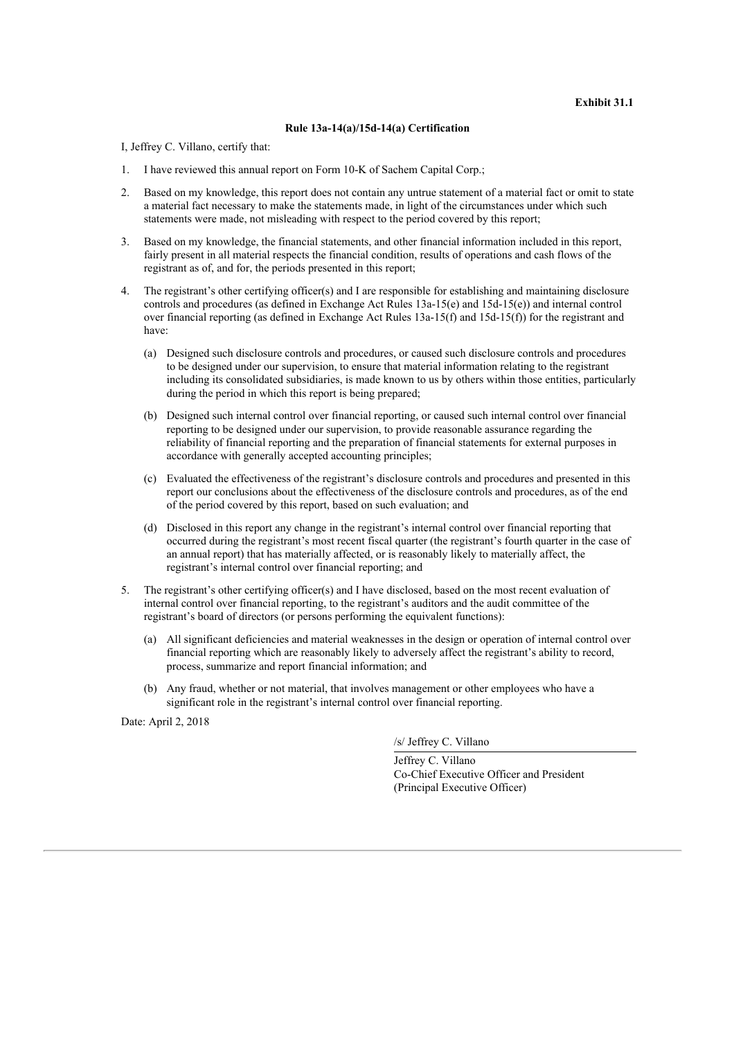#### **Rule 13a-14(a)/15d-14(a) Certification**

I, Jeffrey C. Villano, certify that:

- 1. I have reviewed this annual report on Form 10-K of Sachem Capital Corp.;
- 2. Based on my knowledge, this report does not contain any untrue statement of a material fact or omit to state a material fact necessary to make the statements made, in light of the circumstances under which such statements were made, not misleading with respect to the period covered by this report;
- 3. Based on my knowledge, the financial statements, and other financial information included in this report, fairly present in all material respects the financial condition, results of operations and cash flows of the registrant as of, and for, the periods presented in this report;
- 4. The registrant's other certifying officer(s) and I are responsible for establishing and maintaining disclosure controls and procedures (as defined in Exchange Act Rules 13a-15(e) and 15d-15(e)) and internal control over financial reporting (as defined in Exchange Act Rules 13a-15(f) and 15d-15(f)) for the registrant and have:
	- (a) Designed such disclosure controls and procedures, or caused such disclosure controls and procedures to be designed under our supervision, to ensure that material information relating to the registrant including its consolidated subsidiaries, is made known to us by others within those entities, particularly during the period in which this report is being prepared;
	- (b) Designed such internal control over financial reporting, or caused such internal control over financial reporting to be designed under our supervision, to provide reasonable assurance regarding the reliability of financial reporting and the preparation of financial statements for external purposes in accordance with generally accepted accounting principles;
	- (c) Evaluated the effectiveness of the registrant's disclosure controls and procedures and presented in this report our conclusions about the effectiveness of the disclosure controls and procedures, as of the end of the period covered by this report, based on such evaluation; and
	- (d) Disclosed in this report any change in the registrant's internal control over financial reporting that occurred during the registrant's most recent fiscal quarter (the registrant's fourth quarter in the case of an annual report) that has materially affected, or is reasonably likely to materially affect, the registrant's internal control over financial reporting; and
- 5. The registrant's other certifying officer(s) and I have disclosed, based on the most recent evaluation of internal control over financial reporting, to the registrant's auditors and the audit committee of the registrant's board of directors (or persons performing the equivalent functions):
	- (a) All significant deficiencies and material weaknesses in the design or operation of internal control over financial reporting which are reasonably likely to adversely affect the registrant's ability to record, process, summarize and report financial information; and
	- (b) Any fraud, whether or not material, that involves management or other employees who have a significant role in the registrant's internal control over financial reporting.

Date: April 2, 2018

/s/ Jeffrey C. Villano

Jeffrey C. Villano Co-Chief Executive Officer and President (Principal Executive Officer)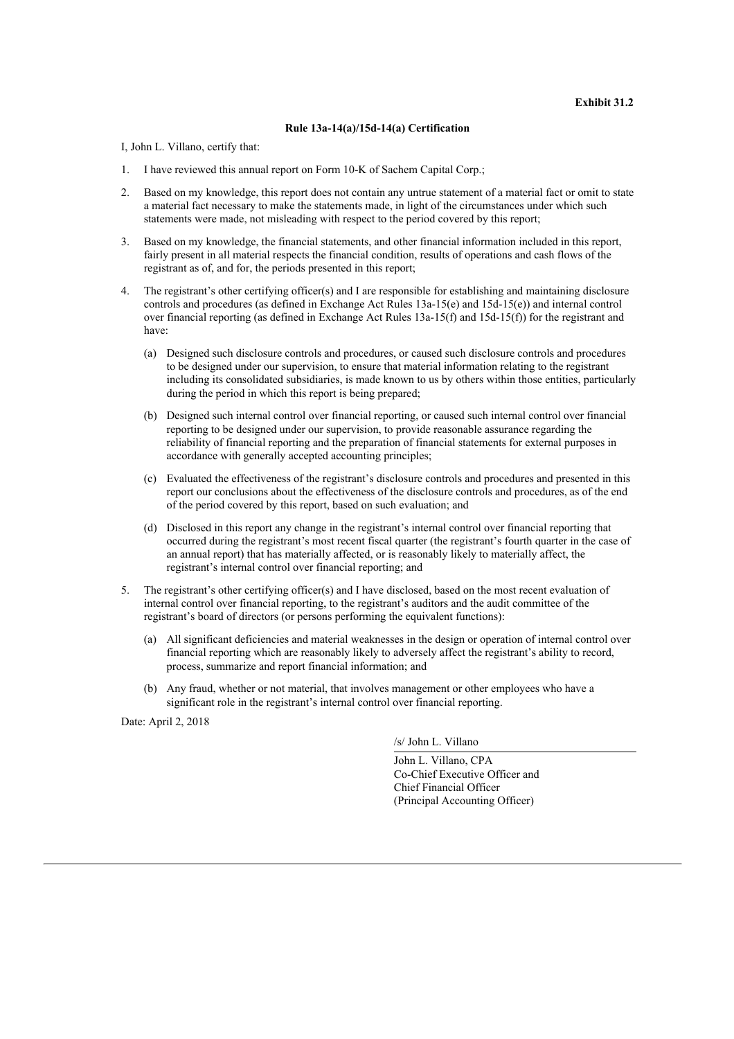#### **Rule 13a-14(a)/15d-14(a) Certification**

I, John L. Villano, certify that:

- 1. I have reviewed this annual report on Form 10-K of Sachem Capital Corp.;
- 2. Based on my knowledge, this report does not contain any untrue statement of a material fact or omit to state a material fact necessary to make the statements made, in light of the circumstances under which such statements were made, not misleading with respect to the period covered by this report;
- 3. Based on my knowledge, the financial statements, and other financial information included in this report, fairly present in all material respects the financial condition, results of operations and cash flows of the registrant as of, and for, the periods presented in this report;
- 4. The registrant's other certifying officer(s) and I are responsible for establishing and maintaining disclosure controls and procedures (as defined in Exchange Act Rules 13a-15(e) and 15d-15(e)) and internal control over financial reporting (as defined in Exchange Act Rules 13a-15(f) and 15d-15(f)) for the registrant and have:
	- (a) Designed such disclosure controls and procedures, or caused such disclosure controls and procedures to be designed under our supervision, to ensure that material information relating to the registrant including its consolidated subsidiaries, is made known to us by others within those entities, particularly during the period in which this report is being prepared;
	- (b) Designed such internal control over financial reporting, or caused such internal control over financial reporting to be designed under our supervision, to provide reasonable assurance regarding the reliability of financial reporting and the preparation of financial statements for external purposes in accordance with generally accepted accounting principles;
	- (c) Evaluated the effectiveness of the registrant's disclosure controls and procedures and presented in this report our conclusions about the effectiveness of the disclosure controls and procedures, as of the end of the period covered by this report, based on such evaluation; and
	- (d) Disclosed in this report any change in the registrant's internal control over financial reporting that occurred during the registrant's most recent fiscal quarter (the registrant's fourth quarter in the case of an annual report) that has materially affected, or is reasonably likely to materially affect, the registrant's internal control over financial reporting; and
- 5. The registrant's other certifying officer(s) and I have disclosed, based on the most recent evaluation of internal control over financial reporting, to the registrant's auditors and the audit committee of the registrant's board of directors (or persons performing the equivalent functions):
	- (a) All significant deficiencies and material weaknesses in the design or operation of internal control over financial reporting which are reasonably likely to adversely affect the registrant's ability to record, process, summarize and report financial information; and
	- (b) Any fraud, whether or not material, that involves management or other employees who have a significant role in the registrant's internal control over financial reporting.

Date: April 2, 2018

/s/ John L. Villano

John L. Villano, CPA Co-Chief Executive Officer and Chief Financial Officer (Principal Accounting Officer)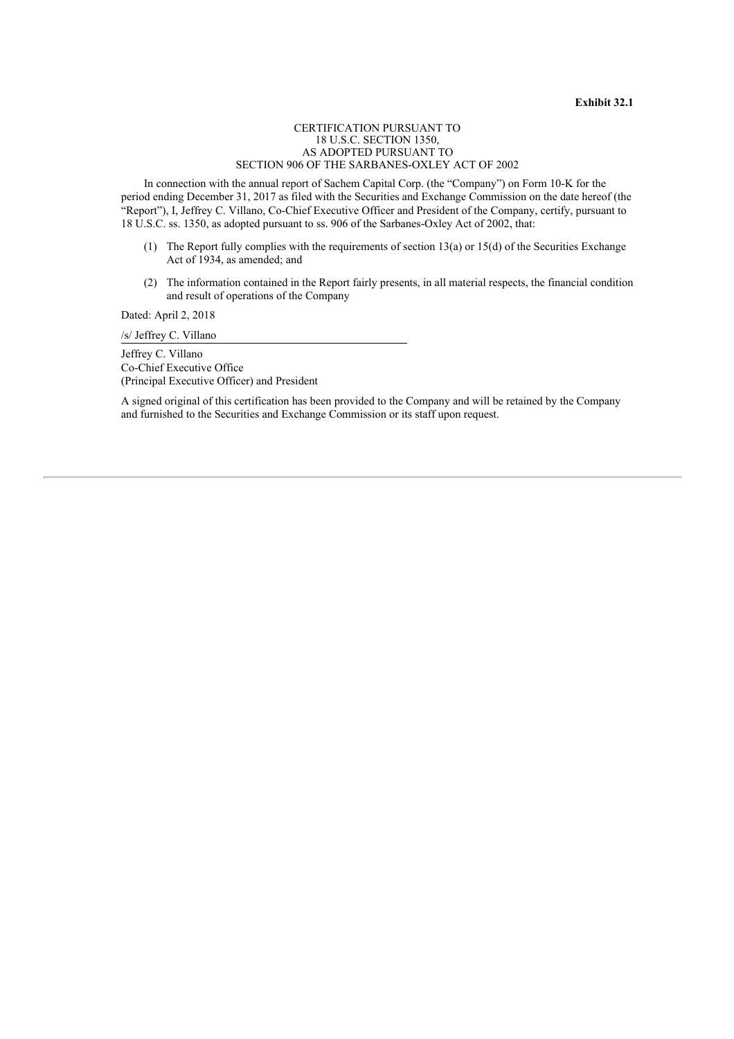# **Exhibit 32.1**

### CERTIFICATION PURSUANT TO 18 U.S.C. SECTION 1350, AS ADOPTED PURSUANT TO SECTION 906 OF THE SARBANES-OXLEY ACT OF 2002

In connection with the annual report of Sachem Capital Corp. (the "Company") on Form 10-K for the period ending December 31, 2017 as filed with the Securities and Exchange Commission on the date hereof (the "Report"), I, Jeffrey C. Villano, Co-Chief Executive Officer and President of the Company, certify, pursuant to 18 U.S.C. ss. 1350, as adopted pursuant to ss. 906 of the Sarbanes-Oxley Act of 2002, that:

- (1) The Report fully complies with the requirements of section 13(a) or 15(d) of the Securities Exchange Act of 1934, as amended; and
- (2) The information contained in the Report fairly presents, in all material respects, the financial condition and result of operations of the Company

Dated: April 2, 2018

/s/ Jeffrey C. Villano

Jeffrey C. Villano Co-Chief Executive Office (Principal Executive Officer) and President

A signed original of this certification has been provided to the Company and will be retained by the Company and furnished to the Securities and Exchange Commission or its staff upon request.